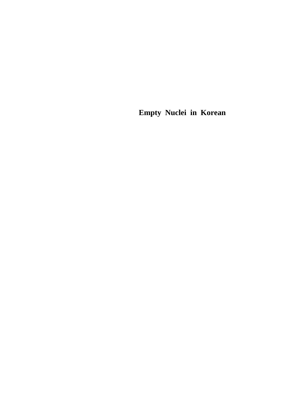**Empty Nuclei in Korean**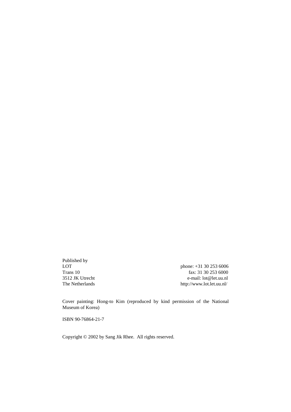Published by

LOT phone:  $+31\,30\,253\,6006$ <br>Trans 10  $\{ax: 31\,30\,253\,6000$ Trans 10<br>3512 JK Utrecht the contraction of the contraction of the contraction of the contraction of the contraction of the contraction of the contraction of the contraction of the contraction of the contraction of the con 3512 JK Utrecht e-mail: lot@let.uu.nl<br>The Netherlands http://www.lot.let.uu.nl/ http://www.lot.let.uu.nl/

Cover painting: Hong-to Kim (reproduced by kind permission of the National Museum of Korea)

ISBN 90-76864-21-7

Copyright © 2002 by Sang Jik Rhee. All rights reserved.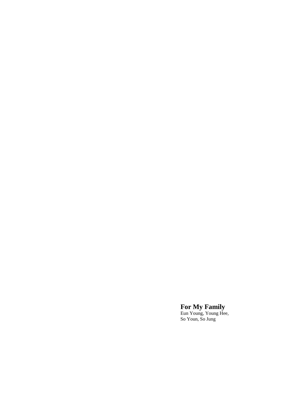**For My Family** 

 Eun Young, Young Hee, So Youn, So Jung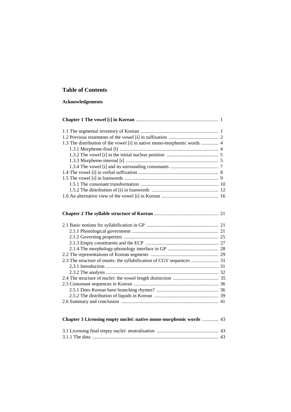# **Table of Contents**

| <b>Acknowledgements</b> |  |
|-------------------------|--|
|-------------------------|--|

# **Chapter 2 The syllable structure of Korean** .................................................... 21

| 32 |
|----|
|    |
|    |
|    |
|    |
|    |

# **Chapter 3 Licensing empty nuclei: native mono-morphemic words** ............. 43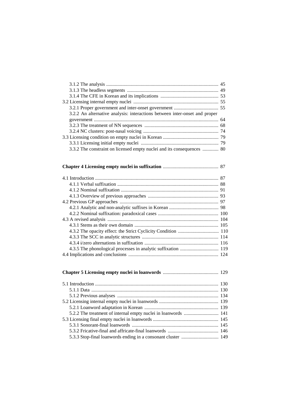| 3.2.2 An alternative analysis: interactions between inter-onset and proper |  |
|----------------------------------------------------------------------------|--|
|                                                                            |  |
|                                                                            |  |
|                                                                            |  |
|                                                                            |  |
|                                                                            |  |
|                                                                            |  |

# **Chapter 4 Licensing empty nuclei in suffixation** ............................................. 87

|--|--|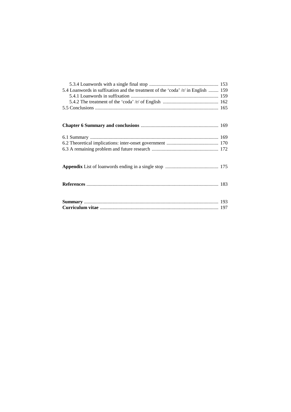| 5.4 Loanwords in suffixation and the treatment of the 'coda' /r/ in English  159 |  |
|----------------------------------------------------------------------------------|--|
|                                                                                  |  |
|                                                                                  |  |
|                                                                                  |  |
|                                                                                  |  |
|                                                                                  |  |
|                                                                                  |  |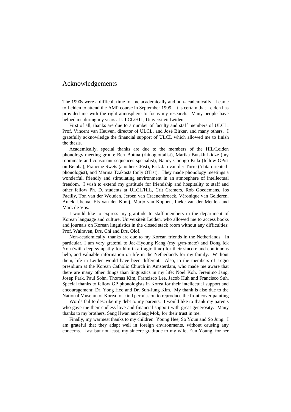# Acknowledgements

The 1990s were a difficult time for me academically and non-academically. I came to Leiden to attend the AMP course in September 1999. It is certain that Leiden has provided me with the right atmosphere to focus my research. Many people have helped me during my years at ULCL/HIL, Universiteit Leiden.

First of all, thanks are due to a number of faculty and staff members of ULCL: Prof. Vincent van Heuven, director of ULCL, and José Birker, and many others. I gratefully acknowledge the financial support of ULCL which allowed me to finish the thesis.

Academically, special thanks are due to the members of the HIL/Leiden phonology meeting group: Bert Botma (rhinoglottalist), Marika Butskhrikidze (my roommate and consonant sequences specialist), Nancy Chongo Kula (fellow GPist on Bemba), Francine Swets (another GPist), Erik Jan van der Torre ('data-oriented' phonologist), and Marina Tzakosta (only OTist). They made phonology meetings a wonderful, friendly and stimulating environment in an atmosphere of intellectual freedom. I wish to extend my gratitude for friendship and hospitality to staff and other fellow Ph. D. students at ULCL/HIL, Crit Cremers, Rob Goedemans, Jos Pacilly, Ton van der Wouden, Jeroen van Craenenbroeck, Véronique van Gelderen, Aniek IJbema, Els van der Kooij, Marjo van Koppen, Ineke van der Meulen and Mark de Vos.

I would like to express my gratitude to staff members in the department of Korean language and culture, Universiteit Leiden, who allowed me to access books and journals on Korean linguistics in the closed stack room without any difficulties: Prof. Walraven, Drs. Chi and Drs. Olof.

Non-academically, thanks are due to my Korean friends in the Netherlands. In particular, I am very grateful to Jae-Hyoung Kang (my gym-mate) and Dong Ick You (with deep sympathy for him in a tragic time) for their sincere and continuous help, and valuable information on life in the Netherlands for my family. Without them, life in Leiden would have been different. Also, to the members of Legio presidium at the Korean Catholic Church in Amsterdam, who made me aware that there are many other things than linguistics in my life: Noel Koh, Jerenimo Jang, Josep Park, Paul Sohn, Thomas Kim, Francisco Lee, Jacob Huh and Francisco Suh. Special thanks to fellow GP phonologists in Korea for their intellectual support and encouragement: Dr. Yong Heo and Dr. Sun-Jung Kim. My thank is also due to the National Museum of Korea for kind permission to reproduce the front cover painting.

Words fail to describe my debt to my parents. I would like to thank my parents who gave me their endless love and financial support with great generosity. Many thanks to my brothers, Sang Hwan and Sang Mok, for their trust in me.

Finally, my warmest thanks to my children: Young Hee, So Youn and So Jung. I am grateful that they adapt well in foreign environments, without causing any concerns. Last but not least, my sincere gratitude to my wife, Eun Young, for her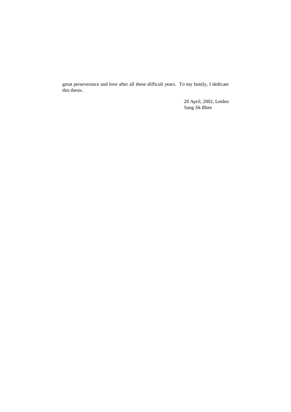great perseverance and love after all these difficult years. To my family, I dedicate this thesis.

> 20 April, 2002, Leiden Sang Jik Rhee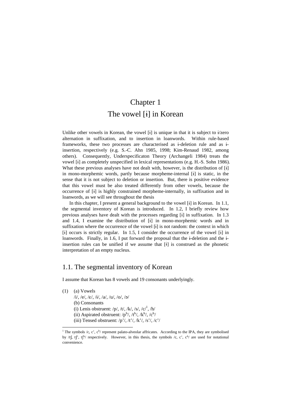# Chapter 1 The vowel  $[i]$  in Korean

Unlike other vowels in Korean, the vowel  $[i]$  is unique in that it is subject to  $i$ /zero alternation in suffixation, and to insertion in loanwords. Within rule-based frameworks, these two processes are characterised as i-deletion rule and as iinsertion, respectively (e.g. S.-C. Ahn 1985, 1998; Kim-Renaud 1982, among others). Consequently, Underspecificaton Theory (Archangeli 1984) treats the vowel  $[i]$  as completely unspecified in lexical representations (e.g. H.-S. Sohn 1986). What these previous analyses have not dealt with, however, is the distribution of  $[i]$ in mono-morphemic words, partly because morpheme-internal [i] is static, in the sense that it is not subject to deletion or insertion. But, there is positive evidence that this vowel must be also treated differently from other vowels, because the occurrence of [i] is highly constrained morpheme-internally, in suffixation and in loanwords, as we will see throughout the thesis

In this chapter, I present a general background to the vowel  $[i]$  in Korean. In 1.1, the segmental inventory of Korean is introduced. In 1.2, I briefly review how previous analyses have dealt with the processes regarding  $[i]$  in suffixation. In 1.3 and 1.4, I examine the distribution of  $[i]$  in mono-morphemic words and in suffixation where the occurrence of the vowel  $[i]$  is not random: the context in which  $[i]$  occurs is strictly regular. In 1.5, I consider the occurrence of the vowel  $[i]$  in loanwords. Finally, in 1.6, I put forward the proposal that the i-deletion and the  $\mathbf{i}$ insertion rules can be unified if we assume that  $[i]$  is construed as the phonetic interpretation of an empty nucleus.

## 1.1. The segmental inventory of Korean

I assume that Korean has 8 vowels and 19 consonants underlyingly.

(1) (a) Vowels  $/i/$ , /e/, / $\varepsilon/$ , / $i/$ , / $a/$ , / $u/$ , / $o/$ , / $a/$  (b) Consonants (i) Lenis obstruent:  $/p/$ ,  $/t/$ ,  $/k/$ ,  $/s/$ ,  $/c/$ <sup>1</sup>,  $/h/$ (ii) Aspirated obstruent:  $/p^h$ ,  $/t^h$ ,  $/k^h$ ,  $/c^h$ (iii) Tensed obstruent:  $/p'/$ ,  $/t'/$ ,  $/k'/$ ,  $/s'/$ ,  $/c'$ (b) Consonants<br>
(i) Lenis obstruent:  $/p/$ ,  $/t/$ ,  $/k/$ ,  $/s/$ ,  $/c<sup>1</sup>$ ,  $/h$ /<br>
(ii) Aspirated obstruent:  $/p<sup>1</sup>$ ,  $/t<sup>1</sup>$ ,  $/k<sup>1</sup>$ ,  $/c<sup>1</sup>$ /<br>
(iii) Tensed obstruent:  $/p<sup>1</sup>$ ,  $/h<sup>2</sup>$ ,  $/h<sup>3</sup>$ ,  $/c<sup>3</sup>$ 

<sup>(</sup>i) Lenis obstruent:  $/p'$ ,  $/t$ ,  $/k$ ,  $/s$ ,  $/c'^1$ ,  $/h$ <br>(ii) Aspirated obstruent:  $/p^h$ ,  $/t^h$ ,  $/k^h$ ,  $/c^h$ <br>(iii) Tensed obstruent:  $/p'$ ,  $/t'$ ,  $/k'$ ,  $/s'$ ,  $/c'$ <br>( $\frac{1}{h}$  The symbols  $/c$ ,  $c'$ ,  $c^h$  represent palato-alveo convenience.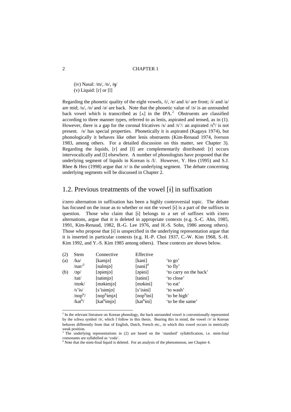(iv) Nasal:  $/m/$ ,  $/n/$ ,  $/n/$  $(v)$  Liquid:  $[r]$  or  $[1]$ 

Regarding the phonetic quality of the eight vowels,  $/i$ ,  $/e$  and  $/e$  are front;  $/i$  and  $/a$ are mid;  $/u/$ ,  $/\sigma$  and  $/\sigma$  are back. Note that the phonetic value of  $/\sigma$  is an unrounded back vowel which is transcribed as  $[\Lambda]$  in the IPA.<sup>2</sup> Obstruents are classified according to three manner types, referred to as lenis, aspirated and tensed, as in (1). However, there is a gap for the coronal fricatives /s/ and /s'/: an aspirated /s $^h$ / is not present. /s/ has special properties. Phonetically it is aspirated (Kagaya 1974), but phonologically it behaves like other lenis obstruents (Kim-Renaud 1974, Iverson 1983, among others. For a detailed discussion on this matter, see Chapter 3). Regarding the liquids, [r] and [l] are complementarily distributed: [r] occurs intervocalically and [l] elsewhere. A number of phonologists have proposed that the underlying segment of liquids in Korean is  $/V$ . However, Y. Heo (1995) and S.J. Rhee & Heo (1998) argue that  $\pi$  is the underlying segment. The debate concerning underlying segments will be discussed in Chapter 2.

#### 1.2. Previous treatments of the vowel  $[i]$  in suffixation

 $\frac{1}{2}$ i/zero alternation in suffixation has been a highly controversial topic. The debate has focused on the issue as to whether or not the vowel [i] is a part of the suffixes in question. Those who claim that  $[i]$  belongs to a set of suffixes with  $i$ /zero alternations, argue that it is deleted in appropriate contexts (e.g. S.-C. Ahn, 1985, 1991, Kim-Renaud, 1982, B.-G. Lee 1976, and H.-S. Sohn, 1986 among others). Those who propose that  $[i]$  is unspecified in the underlying representation argue that it is inserted in particular contexts (e.g. H.-P. Choi 1937, C.-W. Kim 1968, S.-H. Kim 1992, and Y.-S. Kim 1985 among others). These contexts are shown below.

| (2) | Stem                 | Connective              | Effective              |                                                                                                                                                                                                                      |
|-----|----------------------|-------------------------|------------------------|----------------------------------------------------------------------------------------------------------------------------------------------------------------------------------------------------------------------|
| (a) | /ka/                 | [kamjə]                 | [kani]                 | 'to go'                                                                                                                                                                                                              |
|     | /nar <sup>3</sup>    | [nalmjə]                | $[nani]$ <sup>4</sup>  | 'to fly'                                                                                                                                                                                                             |
| (b) | $\alpha$             | $[$ əpimjə $]$          | $[$ əpini $]$          | 'to carry on the back'                                                                                                                                                                                               |
|     | /tat/                | [tatimjə]               | [tatini]               | 'to close'                                                                                                                                                                                                           |
|     | $/m\ge k$            | [məkimiə]               | [məkini]               | 'to eat'                                                                                                                                                                                                             |
|     | $/s$ <sup>'</sup> is | [s'isimja]              | $[s'$ isini]           | 'to wash'                                                                                                                                                                                                            |
|     | $\ln{\!op}^{h}$      | [nop <sup>h</sup> imiə] | [nop <sup>h</sup> ini] | 'to be high'                                                                                                                                                                                                         |
|     | /kat <sup>h</sup>    | $[kat^h$ imjəl          | [kat <sup>h</sup> ini] | 'to be the same'                                                                                                                                                                                                     |
|     |                      |                         |                        |                                                                                                                                                                                                                      |
|     |                      |                         |                        | $22$ In the relevant literature on Korean phonology, the back unrounded vowel is conventionally represented<br>by the schwa symbol /ə/, which I follow in this thesis. Bearing this in mind, the vowel /ə/ in Korean |

<sup>&</sup>lt;sup>2</sup> In the relevant literature on Korean phonology, the back unrounded vowel is conventionally represented behaves differently from that of English, Dutch, French etc., in which this vowel occurs in metrically weak position.

<sup>&</sup>lt;sup>3</sup> The underlying representations in (2) are based on the 'standard' syllabification, i.e. stem-final consonants are syllabified as 'coda'. 4 Note that the stem-final liquid is deleted. For an analysis of the phenomenon, see Chapter 4.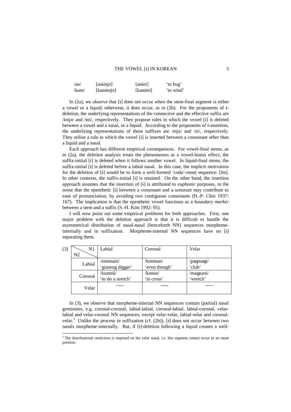#### THE VOWEL [i] IN KOREAN 3

| /an/  | [anim]    | [anini]  | 'to hug'  |
|-------|-----------|----------|-----------|
| /kam/ | [kamimja] | [kamini] | 'to wind' |

In  $(2a)$ , we observe that  $[i]$  does not occur when the stem-final segment is either a vowel or a liquid; otherwise, it does occur, as in  $(2b)$ . For the proponents of  $\mathbf{i}$ deletion, the underlying representations of the connective and the effective suffix are  $\frac{\partial \hat{f}}{\partial x}$  and  $\frac{\partial \hat{f}}{\partial y}$ , respectively. They propose rules in which the vowel [i] is deleted between a vowel and a nasal, or a liquid. According to the proponents of i-insertion, the underlying representations of these suffixes are  $\langle m \rangle$  and  $\langle n \rangle$ , respectively. They utilise a rule in which the vowel  $[i]$  is inserted between a consonant other than a liquid and a nasal.

 Each approach has different empirical consequences. For vowel-final stems, as in (2a), the deletion analysis treats the phenomenon as a vowel-hiatus effect; the suffix-initial [i] is deleted when it follows another vowel. In liquid-final stems, the suffix-initial [i] is deleted before a labial nasal. In this case, the implicit motivation for the deletion of  $[i]$  would be to form a well-formed 'coda'-onset sequence:  $[Im]$ . In other contexts, the suffix-initial  $[i]$  is retained. On the other hand, the insertion approach assumes that the insertion of [i] is attributed to *euphonic* purposes, in the sense that the epenthetic  $[i]$  between a consonant and a sonorant may contribute to ease of pronunciation, by avoiding two contiguous consonants (H.-P. Choi 1937: 167). The implication is that the epenthetic vowel functions as a *boundary marker* between a stem and a suffix (S.-H. Kim 1992: 95).

 I will now point out some empirical problems for both approaches. First, one major problem with the deletion approach is that it is difficult to handle the asymmetrical distribution of nasal-nasal (henceforth NN) sequences morphemeinternally and in suffixation. Morpheme-internal NN sequences have no [i] separating them.

| (3) | N1             | Labial            | Coronal       | Velar     |
|-----|----------------|-------------------|---------------|-----------|
|     | N <sub>2</sub> |                   |               |           |
|     | Labial         | $\sin$ mmani      | /kənman/      | /panmani/ |
|     |                | 'ginseng digger'  | 'even though' | 'club'    |
|     | Coronal        | /kumnil/          | /kənnə/       | /manuani/ |
|     |                | 'to do a stretch' | 'to cross'    | 'wretch'  |
|     | Velar          |                   |               |           |

 In (3), we observe that morpheme-internal NN sequences contain (partial) nasal geminates, e.g. coronal-coronal, labial-labial, coronal-labial, labial-coronal, velarlabial and velar-coronal NN sequences, except velar-velar, labial-velar and coronalvelar.<sup>5</sup> Unlike the process in suffixation (cf. (2b)), [i] does not occur between two nasals morpheme-internally. But, if  $[i]$ -deletion following a liquid creates a well-

<sup>&</sup>lt;sup>5</sup>The distributional restriction is imposed on the velar nasal, i.e. this segment cannot occur in an onset position.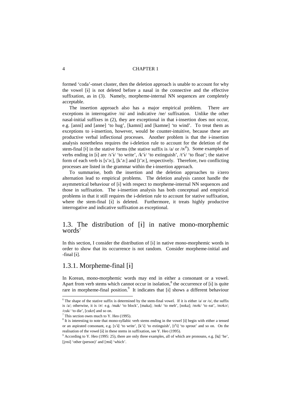formed 'coda'-onset cluster, then the deletion approach is unable to account for why the vowel  $[i]$  is not deleted before a nasal in the connective and the effective suffixation, as in (3). Namely, morpheme-internal NN sequences are completely acceptable.

 The insertion approach also has a major empirical problem. There are exceptions in interrogative /ni/ and indicative /ne/ suffixation. Unlike the other nasal-initial suffixes in  $(2)$ , they are exceptional in that *i*-insertion does not occur. e.g. [anni] and [anne] 'to hug', [kamni] and [kamne] 'to wind'. To treat them as exceptions to  $\mathbf{i}$ -insertion, however, would be counter-intuitive, because these are productive verbal inflectional processes. Another problem is that the  $\mathbf{i}$ -insertion analysis nonetheless requires the  $\mathbf{i}$ -deletion rule to account for the deletion of the stem-final [i] in the stative forms (the stative suffix is  $\alpha$  or  $\beta$ <sup>6</sup>). Some examples of verbs ending in [i] are /s'i/ 'to write', /k'i/ 'to extinguish', /t'i/ 'to float'; the stative form of each verb is  $[s\cdot a:]$ ,  $[k\cdot a:]$  and  $[t\cdot a:]$ , respectively. Therefore, two conflicting processes are listed in the grammar within the  $\frac{1}{2}$ -insertion approach.

To summarise, both the insertion and the deletion approaches to  $\frac{1}{2}$ zero alternation lead to empirical problems. The deletion analysis cannot handle the asymmetrical behaviour of [i] with respect to morpheme-internal NN sequences and those in suffixation. The i-insertion analysis has both conceptual and empirical problems in that it still requires the  $\mathbf{i}$ -deletion rule to account for stative suffixation, where the stem-final  $[i]$  is deleted. Furthermore, it treats highly productive interrogative and indicative suffixation as exceptional.

# 1.3. The distribution of  $[i]$  in native mono-morphemic words<sup>7</sup>

In this section, I consider the distribution of  $[i]$  in native mono-morphemic words in order to show that its occurrence is not random. Consider morpheme-initial and  $-final[i]$ .

## 1.3.1. Morpheme-final [i]

In Korean, mono-morphemic words may end in either a consonant or a vowel. Apart from verb stems which cannot occur in isolation,<sup>8</sup> the occurrence of  $[i]$  is quite rare in morpheme-final position.<sup>9</sup> It indicates that  $[i]$  shows a different behaviour In Korean, mono-morphemic words may end in either a consonant or a vowel.<br>Apart from verb stems which cannot occur in isolation,<sup>8</sup> the occurrence of [i] is quite<br>rare in morpheme-final position.<sup>9</sup> It indicates that [i]

 $\overline{a}$ 

<sup>&</sup>lt;sup>6</sup> The shape of the stative suffix is determined by the stem-final vowel. If it is either  $/a$  or  $/o$ , the suffix Apart from verb stems wh<br>rare in morpheme-final p<br><sup>6</sup> The shape of the stative suffix<br>is /a/; otherwise, it is /o/: e.g. /<br>/cuk/ 'to die', [cukə] and so on.<br><sup>7</sup> This cotion <sup>6</sup> The shape of the stative suffix is determined by the stem-final vowel. If it is either /a/ or /o/, the suffix is /a/; otherwise, it is /a/: e.g. /mak/ 'to block', [maka]; /nok/ 'to melt', [noka]; /mak/ 'to eat', /maka <sup>6</sup> The shape of the stative suffix is determined by the stem-final vowel. If it is either /a/ or /o/, the suffix is /a/; otherwise, it is /o/: e.g. /mak/ 'to block', [maka]; /nok/ 'to melt', [noka]; /msk/ 'to eat', /msko

This section owes much to Y. Heo (1995).

The shape of the stative suffix is determined by the stem-final vowel. If it is entier /a of /0/, the suffix is  $/2$ ,  $/2$  ( $/2$  the victor),  $/2$  the victor),  $/2$  the victor),  $/2$  the victor),  $/2$  the victor),  $/2$  th <sup>7</sup> This section owes much to Y. Heo (199<br><sup>8</sup> It is interesting to note that mono-syllabor an aspirated consonant, e.g. [s'i] 'to veralisation of the vowel [i] in these stems  $9$  According to Y. Heo (1995: 25), there a [j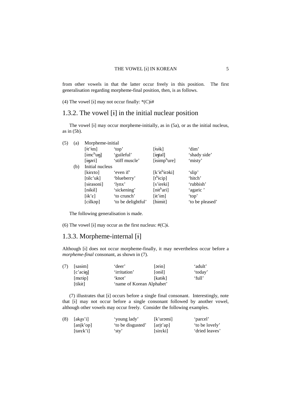from other vowels in that the latter occur freely in this position. The first generalisation regarding morpheme-final position, then, is as follows.

(4) The vowel [i] may not occur finally:  $*(C)$ i#

# 1.3.2. The vowel  $[i]$  in the initial nuclear position

The vowel  $[i]$  may occur morpheme-initially, as in (5a), or as the initial nucleus, as in (5b).

| (a) |                      |                    |                                     |                 |
|-----|----------------------|--------------------|-------------------------------------|-----------------|
|     | [it'im]              | 'top'              | [i <sub>si</sub> k]                 | 'dim'           |
|     | $[imc^{\rm h}$ un]   | 'guileful'         | $[$ intal]                          | 'shady side'    |
|     | [i <sub>n</sub> əri] | 'stiff muscle'     | $[i \sin p^h$ ure]                  | 'misty'         |
| (b) |                      |                    |                                     |                 |
|     | [kireto]             | 'even if'          | [k'it'iroki]                        | 'slip'          |
|     | [tilc'uk]            | 'blueberry'        | $[t^h$ icip]                        | 'hitch'         |
|     | [sirasoni]           | 'lynx'             | [s'ireki]                           | 'rubbish'       |
|     | [nikil]              | 'sickening'        | [nit <sup>h</sup> ari]              | 'agaric'        |
|     | $[ik'\varepsilon]$   | 'to crunch'        | [it'im]                             | 'top'           |
|     | [cilkap]             | 'to be delightful' | [himit]                             | 'to be pleased' |
|     |                      |                    | Morpheme-initial<br>Initial nucleus |                 |

The following generalisation is made.

(6) The vowel [i] may occur as the first nucleus:  $#(C)$ i.

# 1.3.3. Morpheme-internal [i]

Although [i] does not occur morpheme-finally, it may nevertheless occur before a *morpheme-final* consonant, as shown in (7).

| (7) | [sasim]  | 'deer'                    | $\lceil$ orin $\rceil$ | 'adult' |
|-----|----------|---------------------------|------------------------|---------|
|     | [c'acin] | 'irritation'              | [onil]                 | 'today' |
|     | [metric] | 'knot'                    | [katik]                | 'full'  |
|     | [tikit]  | 'name of Korean Alphabet' |                        |         |

(7) illustrates that [i] occurs before a single final consonant. Interestingly, note that [i] may not occur before a single consonant followed by another vowel, although other vowels may occur freely. Consider the following examples.

| (8) | akas'i    | 'young lady'     | [k'urəmi] | 'parcel'       |
|-----|-----------|------------------|-----------|----------------|
|     | [anik'op] | to be disgusted' | [arit'ap] | 'to be lovely' |
|     | [tarɛk'i] | `stv`            | [sirɛki]  | 'dried leaves' |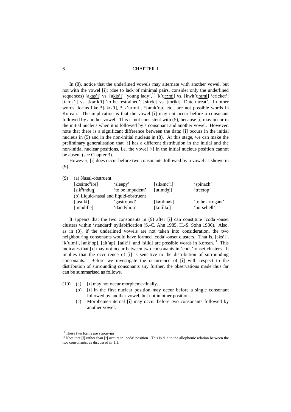In (8), notice that the underlined vowels may alternate with another vowel, but not with the vowel  $[i]$ : (due to lack of minimal pairs, consider only the underlined sequences) [akas'i] vs. [akis'i] 'young lady',<sup>10</sup> [k'urami] vs. [kwit'urami] 'cricket'; [tarek'i] vs. [karik'i] 'to be restrained'; [sireki] vs. [toriki] 'Dutch treat'. In other words, forms like \*[akis'i], \*[k'urimi], \*[anik'op] etc., are not possible words in Korean. The implication is that the vowel  $[i]$  may not occur before a consonant followed by another vowel. This is not consistent with  $(5)$ , because  $[i]$  may occur in the initial nucleus when it is followed by a consonant and another vowel. However, note that there is a significant difference between the data:  $[i]$  occurs in the initial nucleus in (5) and in the non-initial nucleus in (8). At this stage, we can make the preliminary generalisation that [i] has a different distribution in the initial and the non-initial nuclear positions, i.e. the vowel  $[i]$  in the initial nucleus position cannot be absent (see Chapter 3).

However, [i] does occur before two consonants followed by a vowel as shown in (9).

| (9) | (a) Nasal-obstruent                   |                  |                       |                  |
|-----|---------------------------------------|------------------|-----------------------|------------------|
|     | [kasim $c^{\text{h}}$ ire]            | 'sleepy'         | [sikim $c^{\rm h}$ i] | 'spinach'        |
|     | $[sik^h$ indun]                       | 'to be impudent' | [utimdz]              | 'treetop'        |
|     | (b) Liquid-nasal and liquid-obstruent |                  |                       |                  |
|     | [tasilki]                             | 'gastropod'      | [kətilmək]            | 'to be arrogant' |
|     | [mindible]                            | 'dandylion'      | [kotilke]             | 'horsebell'      |
|     |                                       |                  |                       |                  |

It appears that the two consonants in  $(9)$  after [i] can constitute 'coda'-onset clusters within 'standard' syllabification (S.-C. Ahn 1985, H.-S. Sohn 1986). Also, as in (8), if the underlined vowels are not taken into consideration, the two neighbouring consonants would have formed 'coda'-onset clusters. That is, [aks'i], [k'ulmi], [ank'op], [alt'ap], [talk'i] and [silki] are possible words in Korean.<sup>11</sup> This indicates that [i] may not occur between two consonants in 'coda'-onset clusters. It implies that the occurrence of  $[i]$  is sensitive to the distribution of surrounding consonants. Before we investigate the occurrence of [i] with respect to the distribution of surrounding consonants any further, the observations made thus far can be summarised as follows.

- $(10)$  (a) [i] may not occur morpheme-finally.
	- (b) [i] in the first nuclear position may occur before a single consonant followed by another vowel, but not in other positions.
	- (c) Morpheme-internal  $[i]$  may occur before two consonants followed by another vowel.

j

<sup>&</sup>lt;sup>10</sup> These two forms are synonyms.

<sup>&</sup>lt;sup>11</sup> Note that [I] rather than [r] occurs in 'coda' position. This is due to the allophonic relation between the two consonants, as discussed in 1.1.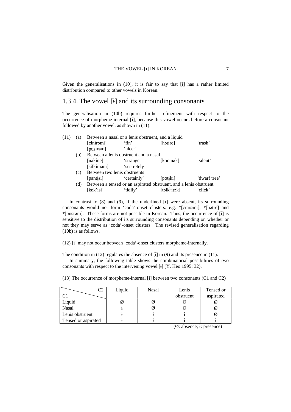Given the generalisations in  $(10)$ , it is fair to say that  $[i]$  has a rather limited distribution compared to other vowels in Korean.

# 1.3.4. The vowel  $[i]$  and its surrounding consonants

The generalisation in (10b) requires further refinement with respect to the occurrence of morpheme-internal  $[i]$ , because this vowel occurs before a consonant followed by another vowel, as shown in (11).

| (11) | (a) | Between a nasal or a lenis obstruent, and a liquid |                                       |                                                                   |              |  |
|------|-----|----------------------------------------------------|---------------------------------------|-------------------------------------------------------------------|--------------|--|
|      |     | [cinifami]                                         | 'fin'                                 | [hotire]                                                          | 'trash'      |  |
|      |     | $[pus$ <i>ir</i> $\partial$ m]                     | 'ulcer'                               |                                                                   |              |  |
|      | (b) |                                                    | Between a lenis obstruent and a nasal |                                                                   |              |  |
|      |     | [nakine]                                           | 'stranger'                            | [kocinək]                                                         | 'silent'     |  |
|      |     | [silkiməni]                                        | 'sectretely'                          |                                                                   |              |  |
|      | (c) | Between two lenis obstruents                       |                                       |                                                                   |              |  |
|      |     | [pantisi]                                          | 'certainly'                           | [potiki]                                                          | 'dwarf tree' |  |
|      | (d) |                                                    |                                       | Between a tensed or an aspirated obstruent, and a lenis obstruent |              |  |
|      |     | $[k \epsilon k'$ isi]                              | 'tidily'                              | $[t\partial k^h]$ itək]                                           | 'click'      |  |

In contrast to  $(8)$  and  $(9)$ , if the underlined  $[i]$  were absent, its surrounding consonants would not form 'coda'-onset clusters: e.g. \*[cinromi], \*[hotre] and  $*$ [pusrəm]. These forms are not possible in Korean. Thus, the occurrence of [i] is sensitive to the distribution of its surrounding consonants depending on whether or not they may serve as 'coda'-onset clusters. The revised generalisation regarding (10b) is as follows.

#### $(12)$  [i] may not occur between 'coda'-onset clusters morpheme-internally.

The condition in (12) regulates the absence of  $[i]$  in (9) and its presence in (11).

 In summary, the following table shows the combinatorial possibilities of two consonants with respect to the intervening vowel  $[i]$  (Y. Heo 1995: 32).

| C2                  | Liquid | Nasal | Lenis     | Tensed or |
|---------------------|--------|-------|-----------|-----------|
|                     |        |       | obstruent | aspirated |
| Liquid              |        |       |           |           |
| Nasal               |        |       |           |           |
| Lenis obstruent     |        |       |           |           |
| Tensed or aspirated |        |       |           |           |

(13) The occurrence of morpheme-internal  $[i]$  between two consonants (C1 and C2)

 $(\emptyset)$ : absence; i: presence)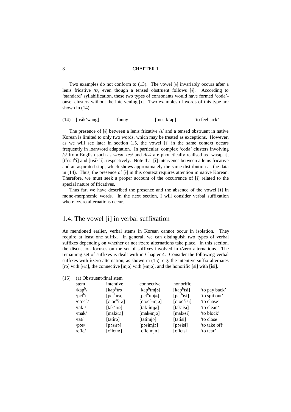Two examples do not conform to  $(13)$ . The vowel [i] invariably occurs after a lenis fricative  $/s/$ , even though a tensed obstruent follows [ $\mathbf{i}$ ]. According to 'standard' syllabification, these two types of consonants would have formed 'coda' onset clusters without the intervening  $[i]$ . Two examples of words of this type are shown in (14).

 $(14)$  [usik'wang] 'funny' [mesik'əp] 'to feel sick'

The presence of  $[i]$  between a lenis fricative /s/ and a tensed obstruent in native Korean is limited to only two words, which may be treated as exceptions. However, as we will see later in section 1.5, the vowel  $[i]$  in the same context occurs frequently in loanword adaptation. In particular, complex 'coda' clusters involving /s/ from English such as *wasp*, *test* and *disk* are phonetically realised as [wasip<sup>h</sup>i],  $[t<sup>h</sup>esit<sup>h</sup>il$  and [tisik<sup>h</sup>i], respectively. Note that [i] intervenes between a lenis fricative and an aspirated stop, which shows approximately the same distribution as the data in  $(14)$ . Thus, the presence of  $[i]$  in this context requires attention in native Korean. Therefore, we must seek a proper account of the occurrence of  $[i]$  related to the special nature of fricatives.

Thus far, we have described the presence and the absence of the vowel  $[i]$  in mono-morphemic words. In the next section, I will consider verbal suffixation where  $\frac{i}{\text{zero}}$  alternations occur.

### 1.4. The vowel  $[i]$  in verbal suffixation

As mentioned earlier, verbal stems in Korean cannot occur in isolation. They require at least one suffix. In general, we can distinguish two types of verbal suffixes depending on whether or not  $\frac{1}{2}$ zero alternations take place. In this section, the discussion focuses on the set of suffixes involved in  $\frac{1}{2}$ zero alternations. The remaining set of suffixes is dealt with in Chapter 4. Consider the following verbal suffixes with  $\frac{1}{2}$ zero alternation, as shown in (15), e.g. the intentive suffix alternates [ra] with [ira], the connective [mia] with [imia], and the honorific [si] with [isi].

| (15) |                                           | (a) Obstruent-final stem |                            |                         |               |
|------|-------------------------------------------|--------------------------|----------------------------|-------------------------|---------------|
|      | stem                                      | intentive                | connective                 | honorific               |               |
|      | $/$ kap $\frac{h}{ }$                     | [kap $^{\rm h}$ irə]     | [kap <sup>h</sup> imja]    | [ $kaphisi$ ]           | 'to pay back' |
|      | $/$ p $\epsilon t^{h/}$                   | $[peth$ irə]             | $[pet^{\text{h}}$ imjə $]$ | [pet <sup>h</sup> isi]  | 'to spit out' |
|      | $\sqrt{c} \cdot \mathrm{oc}^{\mathrm{h}}$ | $[c'och$ irə]            | [c'oc <sup>h</sup> imja]   | [c'oc <sup>h</sup> isi] | 'to chase'    |
|      | $/$ tak' $/$                              | [tak'irə]                | [tak'imja]                 | $[tak'$ isi]            | 'to clean'    |
|      | /mak/                                     | [makirə]                 | [makimja]                  | [makisi]                | 'to block'    |
|      | /tat/                                     | [tatirə]                 | [tatimja]                  | [tatisi]                | 'to close'    |
|      | $\gamma$ pas/                             | [positive]               | [pəsimjə]                  | [ <i>p</i> əsisi]       | 'to take off' |
|      | $/c$ 'ic $/$                              | [c'icira]                | [c'icimja]                 | $[c'i$ cisi $]$         | 'to tear'     |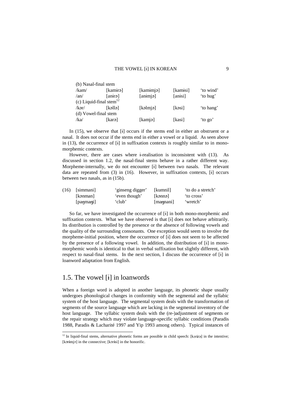|       | (b) Nasal-final stem          |          |           |          |           |
|-------|-------------------------------|----------|-----------|----------|-----------|
| /kam/ |                               | [kamirə] | [kamimja] | [kamisi] | 'to wind' |
| /an/  |                               | [anirə]  | [anim]    | [anis]   | 'to hug'  |
|       | (c) Liquid-final stem $^{12}$ |          |           |          |           |
| /kar/ |                               | [kəllə]  | [kəlmjə]  | [kəsi]   | 'to hang' |
|       | (d) Vowel-final stem          |          |           |          |           |
| /ka/  |                               | [karə]   | [kamjə]   | [kasi]   | 'to go'   |

In  $(15)$ , we observe that  $[i]$  occurs if the stems end in either an obstruent or a nasal. It does not occur if the stems end in either a vowel or a liquid. As seen above in  $(13)$ , the occurrence of  $[i]$  in suffixation contexts is roughly similar to in monomorphemic contexts.

However, there are cases where  $\frac{1}{4}$ -realisation is inconsistent with (13). As discussed in section 1.2, the nasal-final stems behave in a rather different way. Morpheme-internally, we do not encounter [i] between two nasals. The relevant data are repeated from  $(3)$  in  $(16)$ . However, in suffixation contexts,  $[i]$  occurs between two nasals, as in (15b).

| (16) | [simmani]       | 'ginseng digger' | - [kumnil] | to do a stretch' |
|------|-----------------|------------------|------------|------------------|
|      | [kənman]        | 'even though'    | [kənnə]    | to cross'        |
|      | $[$ paŋmaŋi $]$ | 'club'           | [mannani]  | 'wretch'         |

So far, we have investigated the occurrence of  $[i]$  in both mono-morphemic and suffixation contexts. What we have observed is that  $[i]$  does not behave arbitrarily. Its distribution is controlled by the presence or the absence of following vowels and the quality of the surrounding consonants. One exception would seem to involve the morpheme-initial position, where the occurrence of  $[i]$  does not seem to be affected by the presence of a following vowel. In addition, the distribution of  $[i]$  in monomorphemic words is identical to that in verbal suffixation but slightly different, with respect to nasal-final stems. In the next section, I discuss the occurrence of  $[i]$  in loanword adaptation from English.

## 1.5. The vowel  $[i]$  in loanwords

j

When a foreign word is adopted in another language, its phonetic shape usually undergoes phonological changes in conformity with the segmental and the syllabic system of the host language. The segmental system deals with the transformation of segments of the source language which are lacking in the segmental inventory of the host language. The syllabic system deals with the (re-)adjustment of segments or the repair strategy which may violate language-specific syllabic conditions (Paradis 1988, Paradis & Lacharité 1997 and Yip 1993 among others). Typical instances of segments of the source language which are lacking in the segmental inventory of the<br>host language. The syllabic system deals with the (re-)adjustment of segments or<br>the repair strategy which may violate language-specific s host language. The syllabic system deals<br>the repair strategy which may violate lang<br>1988, Paradis & Lacharité 1997 and Yip 1<br> $\frac{12 \text{ In liquid-final stems, alternative phonetic forms at [kərimiə] in the connectivity; [kərisi] in the honorific.}$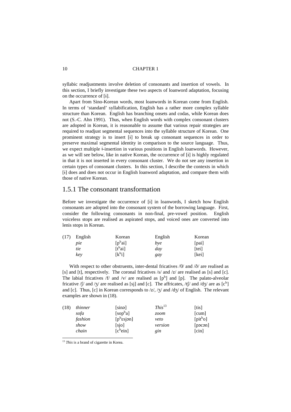syllabic readjustments involve deletion of consonants and insertion of vowels. In this section, I briefly investigate these two aspects of loanword adaptation, focusing on the occurrence of  $[i]$ .

Apart from Sino-Korean words, most loanwords in Korean come from English. In terms of 'standard' syllabification, English has a rather more complex syllable structure than Korean. English has branching onsets and codas, while Korean does not (S.-C. Ahn 1991). Thus, when English words with complex consonant clusters are adopted in Korean, it is reasonable to assume that various repair strategies are required to readjust segmental sequences into the syllable structure of Korean. One prominent strategy is to insert  $[i]$  to break up consonant sequences in order to preserve maximal segmental identity in comparison to the source language. Thus, we expect multiple i-insertion in various positions in English loanwords. However, as we will see below, like in native Korean, the occurrence of  $[i]$  is highly regulated in that it is not inserted in every consonant cluster. We do not see any insertion in certain types of consonant clusters. In this section, I describe the contexts in which [i] does and does not occur in English loanword adaptation, and compare them with those of native Korean.

#### 1.5.1 The consonant transformation

Before we investigate the occurrence of  $[i]$  in loanwords, I sketch how English consonants are adopted into the consonant system of the borrowing language. First, consider the following consonants in non-final, pre-vowel position. English voiceless stops are realised as aspirated stops, and voiced ones are converted into lenis stops in Korean.

| (17) | English | Korean                    | English | Korean |
|------|---------|---------------------------|---------|--------|
|      | pie     | $[p^{\text{h}}\text{ai}]$ | bye     | [pai]  |
|      | tie     | [t <sup>h</sup> ai]       | dav     | [tei]  |
|      | key     | $[k^h i]$                 | gay     | [kei]  |

With respect to other obstruents, inter-dental fricatives  $\frac{1}{0}$  and  $\frac{1}{0}$  are realised as [s] and [t], respectively. The coronal fricatives /s/ and /z/ are realised as [s] and [c]. The labial fricatives /f/ and /v/ are realised as  $[p^h]$  and  $[p]$ . The palato-alveolar fricative /ʃ/ and /ʒ/ are realised as [sj] and [c]. The affricates, /tʃ/ and /dʒ/ are as [c<sup>h</sup>] and [c]. Thus, [c] in Korean corresponds to  $\frac{z}{\sqrt{7}}$  and  $\frac{dz}{\sqrt{7}}$  of English. The relevant examples are shown in (18).

| (18) | thinner | [sinə]                     | This <sup>13</sup> | [tis]                 |
|------|---------|----------------------------|--------------------|-----------------------|
|      | sofa    | $[sop^{\mathrm{h}}a]$      | Z <sub>2</sub> oom | [cum]                 |
|      | fashion | $[p^h$ esjən]              | veto               | [pit <sup>h</sup> ol] |
|      | show    | [sio]                      | version            | [pəcən]               |
|      | chain   | $[c^{\text{h}}\text{ein}]$ | gin                | $[\text{cin}]$        |
|      |         |                            |                    |                       |

<sup>&</sup>lt;sup>13</sup> *This* is a brand of cigarette in Korea.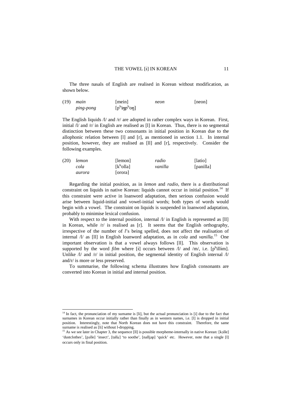The three nasals of English are realised in Korean without modification, as shown below.

| (19) | main             | [mein]                     | neon | [neon] |
|------|------------------|----------------------------|------|--------|
|      | <i>ping-pong</i> | $[p^{\rm h}ip^{\rm h}$ oŋ] |      |        |

The English liquids  $\Lambda$  and  $\Lambda$  are adopted in rather complex ways in Korean. First, initial  $\frac{1}{a}$  and  $\frac{1}{r}$  in English are realised as [1] in Korean. Thus, there is no segmental distinction between these two consonants in initial position in Korean due to the allophonic relation between [l] and [r], as mentioned in section 1.1. In internal position, however, they are realised as [ll] and [r], respectively. Consider the following examples.

| (20) | lemon  | [lemon]               | radio   | [latio]   |
|------|--------|-----------------------|---------|-----------|
|      | cola   | $[k^{\text{h}}$ olla] | vanilla | [panilla] |
|      | aurora | orora                 |         |           |

Regarding the initial position, as in *lemon* and *radio*, there is a distributional constraint on liquids in native Korean: liquids cannot occur in initial position.<sup>14</sup> If this constraint were active in loanword adaptation, then serious confusion would arise between liquid-initial and vowel-initial words; both types of words would begin with a vowel. The constraint on liquids is suspended in loanword adaptation, probably to minimise lexical confusion.

With respect to the internal position, internal  $\Lambda$  in English is represented as [11] in Korean, while  $/r/$  is realised as  $[r]$ . It seems that the English orthography, irrespective of the number of *l*'s being spelled, does not affect the realisation of internal /l/ as [ll] in English loanword adaptation, as in *cola* and *vanilla.*15 One important observation is that a vowel always follows [ll]. This observation is supported by the word *film* where [i] occurs between  $\frac{1}{a}$  and  $\frac{m}{n}$ , i.e. [p<sup>h</sup>illim]. Unlike  $\Lambda$  and  $\Lambda$  in initial position, the segmental identity of English internal  $\Lambda$ and/r/ is more or less preserved.

To summarise, the following schema illustrates how English consonants are converted into Korean in initial and internal position.

 $\overline{a}$ 

<sup>&</sup>lt;sup>14</sup> In fact, the pronunciation of my surname is [li], but the actual pronunciation is [i] due to the fact that surnames in Korean occur initially rather than finally as in western names, i.e. [1] is dropped in initial position. Interestingly, note that North Korean does not have this constraint. Therefore, the same surname is realised as [li] without l-dropping. <sup>14</sup> In fact, the pronunciation of my surname is [li], but the actual pronunciation is [i] due to the fact that surnames in Korean occur initially rather than finally as in western names, i.e. [l] is dropped in initial po <sup>14</sup> In fact, the pronunciation of my surname is [li], but the actual pronunciation is [i] due to the fact that surnames in Korean occur initially rather than finally as in western names, i.e. [l] is dropped in initial po

occurs only in final position.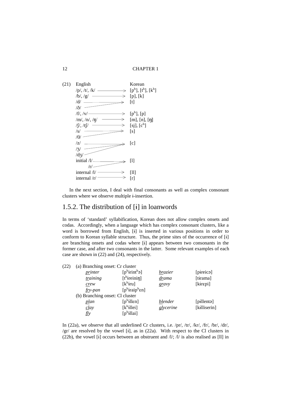

In the next section, I deal with final consonants as well as complex consonant clusters where we observe multiple  $i$ -insertion.

## 1.5.2. The distribution of  $[i]$  in loanwords

In terms of 'standard' syllabification, Korean does not allow complex onsets and codas. Accordingly, when a language which has complex consonant clusters, like a word is borrowed from English, [i] is inserted in various positions in order to conform to Korean syllable structure. Thus, the prime sites of the occurrence of  $[i]$ are branching onsets and codas where  $[i]$  appears between two consonants in the former case, and after two consonants in the latter. Some relevant examples of each case are shown in (22) and (24), respectively.

| (22) | (a) Branching onset: Cr cluster |                                                        |           |              |
|------|---------------------------------|--------------------------------------------------------|-----------|--------------|
|      | printer                         | $[p^{\text{h}}\text{if}\text{if}^{\text{h}}\text{if}]$ | brazier   | [pireica]    |
|      | training                        | [t <sup>h</sup> ireinin]                               | drama     | [tirama]     |
|      | crew                            | $[k^{\text{h}}\text{iru}]$                             | gravy     | [kirepi]     |
|      | fry-pan                         | $[p^{\text{h}}$ irai $p^{\text{h}}$ en]                |           |              |
|      | (b) Branching onset: Cl cluster |                                                        |           |              |
|      | plan                            | $[p^{\text{h}}$ illen]                                 | blender   | [pi]         |
|      | clay                            | $[k^h$ illei]                                          | glycerine | [killiserin] |
|      | $\mathbf{f}$                    | $[p^h$ illai]                                          |           |              |

In (22a), we observe that all underlined Cr clusters, i.e. /pr/, /tr/, /kr/, /fr/, /br/, /dr/, /gr/ are resolved by the vowel  $[i]$ , as in (22a). With respect to the Cl clusters in (22b), the vowel [i] occurs between an obstruent and  $\pi/2$ ;  $\pi/2$  is also realised as [11] in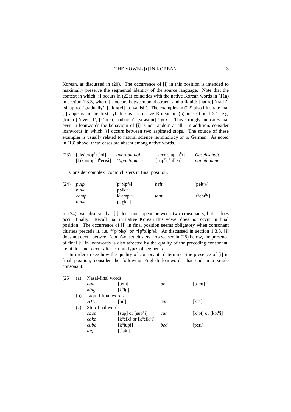#### THE VOWEL [i] IN KOREAN 13

Korean, as discussed in  $(20)$ . The occurrence of  $[i]$  in this position is intended to maximally preserve the segmental identity of the source language. Note that the context in which  $[i]$  occurs in (22a) coincides with the native Korean words in (11a) in section 1.3.3, where  $[i]$  occurs between an obstruent and a liquid: [hatire] 'trash'; [sinapiro] 'gradually'; [sikiroci] 'to vanish'. The examples in (22) also illustrate that  $[i]$  appears in the first syllable as for native Korean in (5) in section 1.3.1, e.g. [kirɛto] 'even if'; [s'ireki] 'rubbish'; [sirasoni] 'lynx'. This strongly indicates that even in loanwords the behaviour of [i] is not random at all. In addition, consider loanwords in which [i] occurs between two aspirated stops. The source of these examples is usually related to natural science terminology or to German. As noted in (13) above, these cases are absent among native words.

| (23) | [aks'erop $\text{ht}^{\text{h}}$ ol] | axerophthol | [kecelsjap $^{\text{h}}$ it $^{\text{h}}$ i] | Gesellschaft |
|------|--------------------------------------|-------------|----------------------------------------------|--------------|
|      | [kikantophitherisi] Gigantopteris    |             | $[nap^h$ it <sup>h</sup> allen]              | naphthalene  |

Consider complex 'coda' clusters in final position.

| (24) | pulp | $[p^{\rm h}$ əl $p^{\rm h}$ i]           | belt | $[{\rm pelt}^{\rm h}]$     |
|------|------|------------------------------------------|------|----------------------------|
|      | bulk | $[p\partial k^h i]$                      |      |                            |
|      | camp | $[k^h$ $\epsilon$ mp $h$ <sup>i</sup> i] | tent | $[t^h$ ent <sup>h</sup> i] |
|      | bank | [ $penkhi$ ]                             |      |                            |

In  $(24)$ , we observe that  $[i]$  does not appear between two consonants, but it does occur finally. Recall that in native Korean this vowel does not occur in final position. The occurrence of [i] in final position seems obligatory when consonant clusters precede it, i.e.  $\{p^h$ olip] or  $\{p^h$ olip<sup>h</sup>i]. As discussed in section 1.3.3, [i] does not occur between 'coda'-onset clusters. As we see in (25) below, the presence of final  $[i]$  in loanwords is also affected by the quality of the preceding consonant, i.e. it does not occur after certain types of segments.

In order to see how the quality of consonants determines the presence of  $[i]$  in final position, consider the following English loanwords that end in a single consonant.

| (25) | (a) | Nasal-final words  |                                    |     |                               |  |  |
|------|-----|--------------------|------------------------------------|-----|-------------------------------|--|--|
|      |     | dam                | $[$ t $\varepsilon$ m $]$          | pen | $[p^{\text{h}}en]$            |  |  |
|      |     | king               | $[k^{\rm h}$ in]                   |     |                               |  |  |
|      | (b) | Liquid-final words |                                    |     |                               |  |  |
|      |     | HIL                | [hil]                              | car | $[k^{\text{h}}a]$             |  |  |
|      | (c) | Stop-final words   |                                    |     |                               |  |  |
|      |     | soup               | [sup] or $[suphi]$                 | cut | $[k^h$ ət] or $[k \circ t^h]$ |  |  |
|      |     | cake               | $[k^h$ eik] or $[k^h$ eik $h^h$ i] |     |                               |  |  |
|      |     | cube               | $[k^{\rm h}]$ upi]                 | bed | [peti]                        |  |  |
|      |     | tag                | $[t^h$ aki]                        |     |                               |  |  |
|      |     |                    |                                    |     |                               |  |  |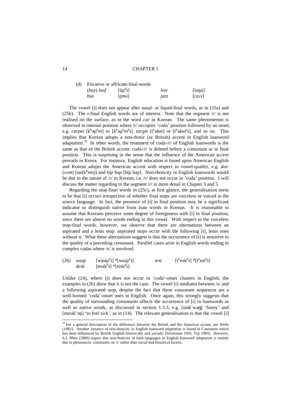| (d) |              | Fricative or affricate-final words |      |        |
|-----|--------------|------------------------------------|------|--------|
|     | $(bay)$ leaf | $[\mathrm{lip}^{\mathrm{h}}]$      | live | [laip] |
|     | bus          | $[$ pəsi $]$                       | jazz | [ceci] |

The vowel  $[i]$  does not appear after nasal- or liquid-final words, as in (25a) and (25b). The r-final English words are of interest. Note that the segment /r/ is not realised on the surface, as in the word *car* in Korean. The same phenomenon is observed in internal position where /r/ occupies 'coda' position followed by an onset, e.g. *carpet* [ $k^h$ ap<sup>h</sup>et] or [ $k^h$ ap<sup>h</sup>et<sup>h</sup>i], *target* [ $t^h$ aket] or [ $t^h$ aket<sup>h</sup>i], and so on. This implies that Korean adopts a non-rhotic (or British) accent in English loanword adaptation.<sup>16</sup> In other words, the treatment of coda- $/r/$  of English loanwords is the same as that of the British accent: coda-/r/ is deleted before a consonant or in final position. This is surprising in the sense that the influence of the American accent prevails in Korea. For instance, English education is based upon American English and Korean adopts the American accent with respect to vowel-quality, e.g. *dot*-  $(com)$  [tat( $k<sup>h</sup>$ am)] and *hip hop* [hip hap]. Non-rhoticity in English loanwords would be due to the nature of /r/ in Korean, i.e. /r/ does not occur in 'coda' position. I will discuss the matter regarding to the segment /r/ in more detail in Chapter 3 and 5.

Regarding the stop-final words in (25c), at first glance, the generalisation seem to be that [i] occurs irrespective of whether final stops are voiceless or voiced in the source language. In fact, the presence of  $[i]$  in final position may be a significant indicator to distinguish native from loan words in Korean. It is reasonable to assume that Koreans perceive some degree of foreignness with  $[i]$  in final position, since there are almost no words ending in this vowel. With respect to the voiceless stop-final words, however, we observe that there are alternations between an aspirated and a lenis stop: aspirated stops occur with the following  $[i]$ , lenis ones without it. What these alternations suggest is that the occurrence of  $[i]$  is sensitive to the quality of a preceding consonant. Parallel cases arise in English words ending in complex codas where /s/ is involved.

(26)  $wasp$   $[wasip^h i] * [wasp^h i]$  *test*  $[t^h e s t^h i] * [t^h e s t^h i]$  $desk$  [tesik<sup>h</sup>i] \*[tesk<sup>h</sup>i]

Unlike  $(24)$ , where  $[i]$  does not occur in 'coda'-onset clusters in English, the examples in  $(26)$  show that it is not the case. The vowel [i] mediates between /s/ and a following aspirated stop, despite the fact that these consonant sequences are a well-formed 'coda'-onset ones in English. Once again, this strongly suggests that the quality of surrounding consonants affects the occurrence of  $[i]$  in loanwords as well as native words, as discussed in section 1.3.3, e.g.  $[usik'wan]$  'funny' and  $[mesik'op]$  'to feel sick', as in (14). The relevant generalisation is that the vowel  $[i]$ 

j

<sup>&</sup>lt;sup>16</sup> For a general description of the difference between the British and the American accent, see Wells (1982). Another instance of non-rhoticity in English loanword adaptation is found in Cantonese which has been influenced by British English historically and socially (Silverman 1992, Yip 1993). However, S.J. Rhee (2000) argues that non-rhoticity of both languages in English loanword adaptation is mainly due to phonotactic constraints on /r/ rather than social and historical factors.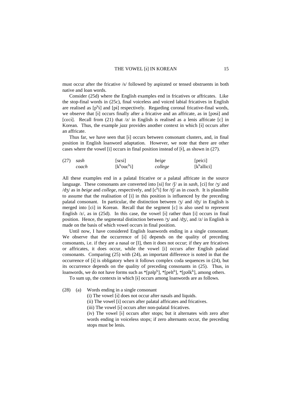must occur after the fricative /s/ followed by aspirated or tensed obstruents in both native and loan words.

 Consider (25d) where the English examples end in fricatives or affricates. Like the stop-final words in (25c), final voiceless and voiced labial fricatives in English are realised as  $[p^h i]$  and  $[p^i]$  respectively. Regarding coronal fricative-final words, we observe that  $[i]$  occurs finally after a fricative and an affricate, as in [pssi] and [ceci]. Recall from (21) that  $|z|$  in English is realised as a lenis affricate [c] in Korean. Thus, the example *jazz* provides another context in which [i] occurs after an affricate.

Thus far, we have seen that [i] occurs between consonant clusters, and, in final position in English loanword adaptation. However, we note that there are other cases where the vowel  $[i]$  occurs in final position instead of  $[i]$ , as shown in (27).

| $(27)$ sash | [ssii]                               | beige   | [peici]                 |
|-------------|--------------------------------------|---------|-------------------------|
| coach       | $[k^{\text{h}}$ ouc $^{\text{h}}$ i] | college | $[k^{\text{h}}$ allici] |

All these examples end in a palatal fricative or a palatal affricate in the source language. These consonants are converted into [si] for  $\sqrt{y}$  as in *sash*, [ci] for  $\sqrt{z}$  and  $\frac{d}{dx}$  as in *beige* and *college*, respectively, and  $[c^h$ i] for  $\frac{f}{f}$  as in *coach*. It is plausible to assume that the realisation of [i] in this position is influenced by the preceding palatal consonant. In particular, the distinction between  $\sqrt{z}$  and  $\sqrt{dz}$  in English is merged into [ci] in Korean. Recall that the segment [c] is also used to represent English  $\zeta z$ , as in (25d). In this case, the vowel [i] rather than [i] occurs in final position. Hence, the segmental distinction between  $\frac{z}{q}$  and  $\frac{dz}{dq}$ , and  $\frac{z}{n}$  in English is made on the basis of which vowel occurs in final position.

Until now, I have considered English loanwords ending in a single consonant. We observe that the occurrence of  $[i]$  depends on the quality of preceding consonants, i.e. if they are a nasal or [l], then it does not occur; if they are fricatives or affricates, it does occur, while the vowel [i] occurs after English palatal consonants. Comparing (25) with (24), an important difference is noted in that the occurrence of  $[i]$  is obligatory when it follows complex coda sequences in  $(24)$ , but its occurrence depends on the quality of preceding consonants in (25). Thus, in loanwords, we do not have forms such as  $\{p\text{olp}^h\}$ ,  $\{p\text{olk}^h\}$ ,  $\{p\text{olk}^h\}$ , among others.

To sum up, the contexts in which  $[i]$  occurs among loanwords are as follows.

(28) (a) Words ending in a single consonant

 $(i)$  The vowel  $[i]$  does not occur after nasals and liquids.

(ii) The vowel [i] occurs after palatal affricates and fricatives.

(iii) The vowel  $[i]$  occurs after non-palatal fricatives.

(iv) The vowel  $[i]$  occurs after stops; but it alternates with zero after words ending in voiceless stops; if zero alternants occur, the preceding stops must be lenis.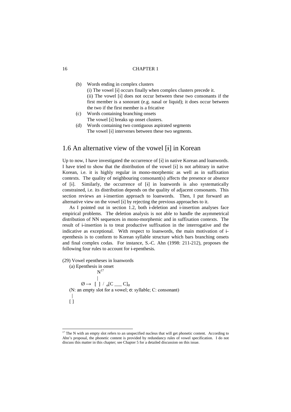- (b) Words ending in complex clusters  $(i)$  The vowel  $[i]$  occurs finally when complex clusters precede it.  $(ii)$  The vowel  $[i]$  does not occur between these two consonants if the first member is a sonorant (e.g. nasal or liquid); it does occur between the two if the first member is a fricative
- (c) Words containing branching onsets The vowel [i] breaks up onset clusters.
- (d) Words containing two contiguous aspirated segments The vowel  $[i]$  intervenes between these two segments.

## 1.6 An alternative view of the vowel  $[i]$  in Korean

Up to now, I have investigated the occurrence of [i] in native Korean and loanwords. I have tried to show that the distribution of the vowel  $[i]$  is not arbitrary in native Korean, i.e. it is highly regular in mono-morphemic as well as in suffixation contexts. The quality of neighbouring consonant(s) affects the presence or absence of  $[i]$ . Similarly, the occurrence of  $[i]$  in loanwords is also systematically constrained, i.e. its distribution depends on the quality of adjacent consonants. This section reviews an  $\frac{1}{2}$ -insertion approach to loanwords. Then, I put forward an alternative view on the vowel  $[i]$  by rejecting the previous approaches to it.

As I pointed out in section 1.2, both  $\mathbf{i}$ -deletion and  $\mathbf{i}$ -insertion analyses face empirical problems. The deletion analysis is not able to handle the asymmetrical distribution of NN sequences in mono-morphemic and in suffixation contexts. The result of  $\mathbf{i}$ -insertion is to treat productive suffixation in the interrogative and the indicative as exceptional. With respect to loanwords, the main motivation of  $\mathbf{i}$ epenthesis is to conform to Korean syllable structure which bars branching onsets and final complex codas. For instance, S.-C. Ahn (1998: 211-212), proposes the following four rules to account for  $i$ -epenthesis.

(29) Vowel epentheses in loanwords

j

(a) Epenthesis in onset  $N^{17}$  | Ø >@ [C \_\_\_ C]<sup>σ</sup> (N: an empty slot for a vowel;  $\sigma$ : syllable; C: consonant) | [ ]

 $17$  The N with an empty slot refers to an unspecified nucleus that will get phonetic content. According to Ahn's proposal, the phonetic content is provided by redundancy rules of vowel specification. I do not discuss this matter in this chapter; see Chapter 5 for a detailed discussion on this issue.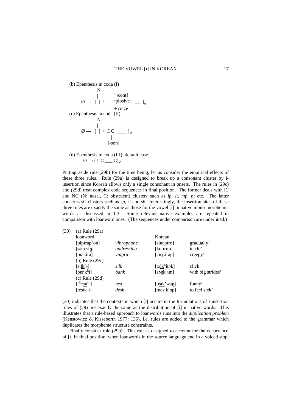(b) Epenthesis in coda (I)

$$
\emptyset \rightarrow \begin{bmatrix} 1 \\ 1 \end{bmatrix} / \begin{bmatrix} \begin{bmatrix} +\text{cont} \\ +\text{plosive} \\ +\text{voice} \end{bmatrix} \end{bmatrix} - \begin{bmatrix} 1 \\ 0 \\ -\text{const} \end{bmatrix}
$$
  
(c) **Epenthesis in **code** (II)  
N  

$$
\emptyset \rightarrow \begin{bmatrix} 1 \\ 1 \end{bmatrix} / C C \begin{bmatrix} 1 \\ -\text{color} \end{bmatrix} \circ
$$
  
[-son]**

(d) Epenthesis in coda (III): default case  $\emptyset \rightarrow i / C_{\text{max}} C]_{\sigma}$ 

Putting aside rule (29b) for the time being, let us consider the empirical effects of these three rules. Rule  $(29a)$  is designed to break up a consonant cluster by  $\mathbf{i}$ insertion since Korean allows only a single consonant in onsets. The rules in (29c) and (29d) treat complex coda sequences in final position. The former deals with lC and NC (N: nasal, C: obstruent) clusters such as *lp*, *lt*, *mp*, *nt* etc. The latter concerns sC clusters such as *sp*, *st* and *sk*. Interestingly, the insertion sites of these three rules are exactly the same as those for the vowel  $[i]$  in native mono-morphemic words as discussed in 1.3. Some relevant native examples are repeated in comparison with loanword ones. (The sequences under comparison are underlined.)

| (30) | $(a)$ Rule $(29a)$                   |            |                                           |                    |
|------|--------------------------------------|------------|-------------------------------------------|--------------------|
|      | loanword                             |            | Korean                                    |                    |
|      | [pipiraphon]                         | vibraphone | [sinapiro]                                | 'gradually'        |
|      | [ətiresin]                           | addressing | [kotirim]                                 | 'icicle'           |
|      | [piakira]                            | viagra     | [cijkirop]                                | 'creepy'           |
|      | $(b)$ Rule $(29c)$                   |            |                                           |                    |
|      | [silk <sup>h</sup> i]                | silk       | $[t\partial k^h]$ itək                    | 'click             |
|      | $[perk^h]$                           | bank       | $[s\mathsf{onk}^{\mathrm{h}}\mathsf{im}]$ | 'with big strides' |
|      | $(c)$ Rule $(29d)$                   |            |                                           |                    |
|      | [t <sup>h</sup> esit <sup>h</sup> i] | test       | [usik'wan]                                | 'funny'            |
|      | [tesi $k^h$ i]                       | desk       | [ $mesik'op$ ]                            | 'to feel sick'     |

(30) indicates that the contexts in which  $[i]$  occurs in the formulations of  $i$ -insertion rules of  $(29)$  are exactly the same as the distribution of  $[i]$  in native words. This illustrates that a rule-based approach to loanwords runs into the *duplication problem* (Kenstowicz & Kisseberth 1977: 136), i.e. rules are added to the grammar which duplicates the morpheme structure constraints.

Finally consider rule (29b). This rule is designed to account for the occurrence of  $[i]$  in final position, when loanwords in the source language end in a voiced stop,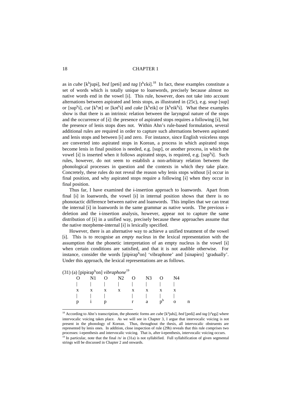as in *cube* [ $k^h$ ] *tupi*], *bed* [peti] and *tag* [ $t^h$ ε $k$ i].<sup>18</sup> In fact, these examples constitute a set of words which is totally unique to loanwords, precisely because almost no native words end in the vowel  $[i]$ . This rule, however, does not take into account alternations between aspirated and lenis stops, as illustrated in (25c), e.g. *soup* [sup] or  $[sup^{h}i]$ , *cut*  $[k^{h}ot]$  or  $[kot^{h}i]$  and *cake*  $[k^{h}eik]$  or  $[k^{h}eik^{h}i]$ . What these examples show is that there is an intrinsic relation between the laryngeal nature of the stops and the occurrence of  $[i]$ : the presence of aspirated stops requires a following  $[i]$ , but the presence of lenis stops does not. Within Ahn's rule-based formulation, several additional rules are required in order to capture such alternations between aspirated and lenis stops and between  $[i]$  and zero. For instance, since English voiceless stops are converted into aspirated stops in Korean, a process in which aspirated stops become lenis in final position is needed, e.g. [sup], or another process, in which the vowel [i] is inserted when it follows aspirated stops, is required, e.g. [sup<sup>h</sup>i]. Such rules, however, do not seem to establish a non-arbitrary relation between the phonological processes in question and the contexts in which they take place. Concretely, these rules do not reveal the reason why lenis stops without  $[i]$  occur in final position, and why aspirated stops require a following  $[i]$  when they occur in final position.

Thus far, I have examined the i-insertion approach to loanwords. Apart from final [i] in loanwords, the vowel [i] in internal position shows that there is no phonotactic difference between native and loanwords. This implies that we can treat the internal  $[i]$  in loanwords in the same grammar as native words. The previous  $\mathbf{i}$ deletion and the  $\mathbf{i}$ -insertion analysis, however, appear not to capture the same distribution of  $[i]$  in a unified way, precisely because these approaches assume that the native morpheme-internal [i] is lexically specified.

 However, there is an alternative way to achieve a unified treatment of the vowel [Û]. This is to recognise an *empty nucleus* in the lexical representation with the assumption that the phonetic interpretation of an empty nucleus is the vowel  $[i]$ when certain conditions are satisfied, and that it is not audible otherwise. For instance, consider the words  $[pipirap<sup>h</sup>on]$  'vibraphone' and  $[sinapiro]$  'gradually'. Under this approach, the lexical representations are as follows.

 $(31)$  (a) [pipiraphon] *vibraphone*<sup>19</sup>

| $\mathcal{L} = \mathcal{L} \cdot \mathcal{L} = \mathcal{L} \cdot \mathcal{L} = \mathcal{L} \cdot \mathcal{L} = \mathcal{L} \cdot \mathcal{L} = \mathcal{L} \cdot \mathcal{L} = \mathcal{L} \cdot \mathcal{L} = \mathcal{L} \cdot \mathcal{L} = \mathcal{L} \cdot \mathcal{L} = \mathcal{L} \cdot \mathcal{L} = \mathcal{L} \cdot \mathcal{L} = \mathcal{L} \cdot \mathcal{L} = \mathcal{L} \cdot \mathcal{L} = \mathcal{L} \cdot \mathcal{L} = \mathcal{L} \cdot \mathcal{L} = \mathcal$ |  |  |                                 |  |                                                                                                                                                                       |  |
|------------------------------------------------------------------------------------------------------------------------------------------------------------------------------------------------------------------------------------------------------------------------------------------------------------------------------------------------------------------------------------------------------------------------------------------------------------------------------------------|--|--|---------------------------------|--|-----------------------------------------------------------------------------------------------------------------------------------------------------------------------|--|
|                                                                                                                                                                                                                                                                                                                                                                                                                                                                                          |  |  | N1 0 N2 0 N3 0 N4               |  |                                                                                                                                                                       |  |
|                                                                                                                                                                                                                                                                                                                                                                                                                                                                                          |  |  | .                               |  |                                                                                                                                                                       |  |
|                                                                                                                                                                                                                                                                                                                                                                                                                                                                                          |  |  | $X$ $X$ $X$ $X$ $X$ $X$ $X$ $X$ |  |                                                                                                                                                                       |  |
|                                                                                                                                                                                                                                                                                                                                                                                                                                                                                          |  |  |                                 |  |                                                                                                                                                                       |  |
|                                                                                                                                                                                                                                                                                                                                                                                                                                                                                          |  |  | $p$ i $p$ r a $p^h$ o n         |  |                                                                                                                                                                       |  |
|                                                                                                                                                                                                                                                                                                                                                                                                                                                                                          |  |  |                                 |  |                                                                                                                                                                       |  |
|                                                                                                                                                                                                                                                                                                                                                                                                                                                                                          |  |  |                                 |  | <sup>18</sup> According to Ahn's transcription, the phonetic forms are <i>cube</i> [k <sup>h</sup> jubi], <i>bed</i> [pedi] and <i>tag</i> [t <sup>h</sup> ɛgi] where |  |

intervocalic voicing takes place. As we will see in Chapter 3, I argue that intervocalic voicing is not present in the phonology of Korean. Thus, throughout the thesis, all intervocalic obstruents are represented by lenis ones. In addition, close inspection of rule (29b) reveals that this rule comprises two <sup>18</sup> According to Ahn's transcription, the phonetic forms are *cube* [k<sup>h</sup>jubi], *bed* [pedi] and *tag* [t<sup>h</sup>egi] where intervocalic voicing takes place. As we will see in Chapter 3, I argue that intervocalic voicing is n

strings will be discussed in Chapter 2 and onwards.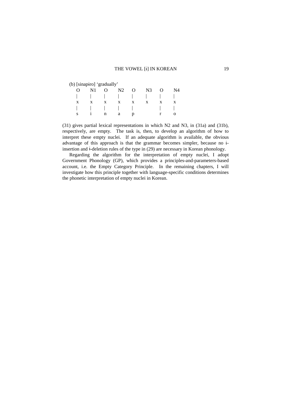#### (b)  $[sinapiro]'$  'gradually'

|  |  | 0 N1 0 N2 0 N3 0 N4             |  |  |
|--|--|---------------------------------|--|--|
|  |  | .                               |  |  |
|  |  | $X$ $X$ $X$ $X$ $X$ $X$ $X$ $X$ |  |  |
|  |  |                                 |  |  |
|  |  | s in a p r o                    |  |  |

(31) gives partial lexical representations in which N2 and N3, in (31a) and (31b), respectively, are empty. The task is, then, to develop an algorithm of how to interpret these empty nuclei. If an adequate algorithm is available, the obvious advantage of this approach is that the grammar becomes simpler, because no  $\mathbf{i}$ insertion and  $\mathbf{i}$ -deletion rules of the type in (29) are necessary in Korean phonology.

Regarding the algorithm for the interpretation of empty nuclei, I adopt Government Phonology (GP), which provides a principles-and-parameters-based account, i.e. the Empty Category Principle. In the remaining chapters, I will investigate how this principle together with language-specific conditions determines the phonetic interpretation of empty nuclei in Korean.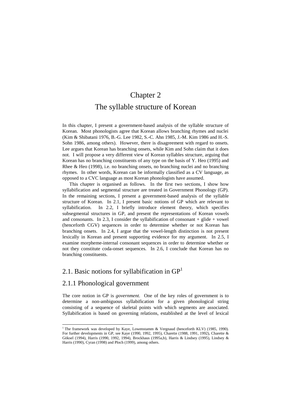# Chapter 2 The syllable structure of Korean

In this chapter, I present a government-based analysis of the syllable structure of Korean. Most phonologists agree that Korean allows branching rhymes and nuclei (Kim & Shibatani 1976, B.-G. Lee 1982, S.-C. Ahn 1985, J.-M. Kim 1986 and H.-S. Sohn 1986, among others). However, there is disagreement with regard to onsets. Lee argues that Korean has branching onsets, while Kim and Sohn claim that it does not. I will propose a very different view of Korean syllables structure, arguing that Korean has no branching constituents of any type on the basis of Y. Heo (1995) and Rhee & Heo (1998), i.e. no branching onsets, no branching nuclei and no branching rhymes. In other words, Korean can be informally classified as a CV language, as opposed to a CVC language as most Korean phonologists have assumed.

 This chapter is organised as follows. In the first two sections, I show how syllabification and segmental structure are treated in Government Phonology (GP). In the remaining sections, I present a government-based analysis of the syllable structure of Korean. In 2.1, I present basic notions of GP which are relevant to syllabification. In 2.2, I briefly introduce element theory, which specifies subsegmental structures in GP, and present the representations of Korean vowels and consonants. In 2.3, I consider the syllabification of consonant  $+$  glide  $+$  vowel (henceforth CGV) sequences in order to determine whether or not Korean has branching onsets. In 2.4, I argue that the vowel-length distinction is not present lexically in Korean and present supporting evidence for my argument. In 2.5, I examine morpheme-internal consonant sequences in order to determine whether or not they constitute coda-onset sequences. In 2.6, I conclude that Korean has no branching constituents.

# 2.1. Basic notions for syllabification in  $GP<sup>1</sup>$

# 2.1.1 Phonological government

The core notion in GP is *government*. One of the key roles of government is to determine a non-ambiguous syllabification for a given phonological string consisting of a sequence of skeletal points with which segments are associated. Syllabification is based on governing relations, established at the level of lexical

 1 The framework was developed by Kaye, Lowenstamm & Vergnaud (henceforth KLV) (1985, 1990). For further developments in GP, see Kaye (1990, 1992, 1995), Charette (1988, 1991, 1992), Charette & Göksel (1994), Harris (1990, 1992, 1994), Brockhaus (1995a,b), Harris & Lindsey (1995), Lindsey & Harris (1990), Cyran (1998) and Ploch (1999), among others.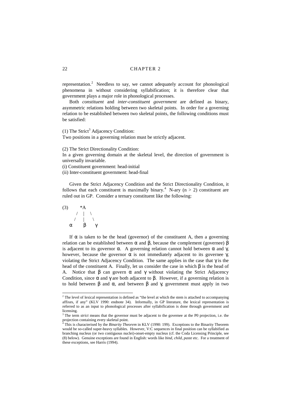representation.<sup>2</sup> Needless to say, we cannot adequately account for phonological phenomena in without considering syllabification; it is therefore clear that government plays a major role in phonological processes.

 Both *constituent* and *inter-constituent government* are defined as binary, asymmetric relations holding between two skeletal points. In order for a governing relation to be established between two skeletal points, the following conditions must be satisfied:

(1) The Strict<sup>3</sup> Adjacency Condition:

Two positions in a governing relation must be strictly adjacent.

(2) The Strict Directionality Condition:

In a given governing domain at the skeletal level, the direction of government is universally invariable.

(i) Constituent government: head-initial

(ii) Inter-constituent government: head-final

 Given the Strict Adjacency Condition and the Strict Directionality Condition, it follows that each constituent is maximally binary.<sup>4</sup> N-ary ( $n > 2$ ) constituent are ruled out in GP. Consider a ternary constituent like the following:



If  $\alpha$  is taken to be the head (governor) of the constituent A, then a governing relation can be established between  $\alpha$  and  $\beta$ , because the complement (governee)  $\beta$ is adjacent to its governor α. A governing relation cannot hold between  $α$  and  $γ$ , however, because the governor  $\alpha$  is not immediately adjacent to its governee  $\gamma$ , violating the Strict Adjacency Condition. The same applies in the case that γ is the head of the constituent A. Finally, let us consider the case in which β is the head of A. Notice that  $\beta$  can govern  $\alpha$  and  $\gamma$  without violating the Strict Adjacency Condition, since  $\alpha$  and γ are both adjacent to β. However, if a governing relation is to hold between β and  $\alpha$ , and between β and γ, government must apply in two

<sup>&</sup>lt;sup>2</sup> The level of lexical representation is defined as "the level at which the stem is attached to accompanying affixes, if any" (KLV 1990: endnote 34). Informally, in GP literature, the lexical representation is referred to as an input to phonological processes after syllabification is done through government and licensing.

<sup>&</sup>lt;sup>3</sup> The term *strict* means that the governor must be adjacent to the governee at the P0 projection, i.e. the projection containing every skeletal point.<br><sup>4</sup> This is characterized by the *Binarity These* 

This is characterised by the *Binarity Theorem* in KLV (1990: 199). Exceptions to the Binarity Theorem would be so-called super-heavy syllables. However, V:C sequences in final position can be syllabified as branching nucleus (or two contiguous nuclei)-onset-empty nucleus (cf. the Coda Licensing Principle, see (8) below). Genuine exceptions are found in English: words like *bind*, *child*, *paste* etc. For a treatment of these exceptions, see Harris (1994).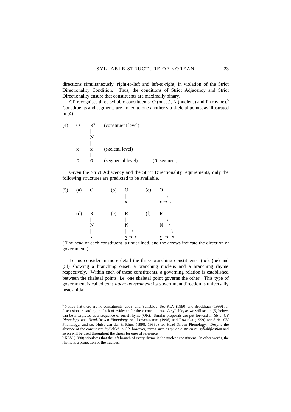directions simultaneously: right-to-left and left-to-right, in violation of the Strict Directionality Condition. Thus, the conditions of Strict Adjacency and Strict Directionality ensure that constituents are maximally binary.

GP recognises three syllabic constituents: O (onset), N (nucleus) and R (rhyme).<sup>5</sup> Constituents and segments are linked to one another via skeletal points, as illustrated in (4).

| (4) |   | $R^6$ | (constituent level) |                     |
|-----|---|-------|---------------------|---------------------|
|     |   |       |                     |                     |
|     |   |       |                     |                     |
|     |   |       |                     |                     |
|     | X | X     | (skeletal level)    |                     |
|     |   |       |                     |                     |
|     |   | σ     | (segmental level)   | $(\sigma: segment)$ |

 Given the Strict Adjacency and the Strict Directionality requirements, only the following structures are predicted to be available.

| (5) | (a) | $\mathbf{O}$ | (b) | $\mathbf O$           | (c) | O                                         |
|-----|-----|--------------|-----|-----------------------|-----|-------------------------------------------|
|     |     |              |     |                       |     |                                           |
|     |     |              |     | X                     |     | $\underline{x} \rightarrow \underline{x}$ |
|     | (d) | R            | (e) | R                     | (f) | R                                         |
|     |     |              |     |                       |     |                                           |
|     |     | N            |     | N                     |     | N                                         |
|     |     |              |     |                       |     |                                           |
|     |     | X            |     | $\underline{x} \to x$ |     | $\underline{x} \rightarrow x$             |

j

( The head of each constituent is underlined, and the arrows indicate the direction of government.)

Let us consider in more detail the three branching constituents: (5c), (5e) and (5f) showing a branching onset, a branching nucleus and a branching rhyme respectively. Within each of these constituents, a governing relation is established between the skeletal points, i.e. one skeletal point governs the other. This type of government is called *constituent government*: its government direction is universally head-initial.

<sup>&</sup>lt;sup>5</sup> Notice that there are no constituents 'coda' and 'syllable'. See KLV (1990) and Brockhaus (1999) for discussions regarding the lack of evidence for these constituents. A syllable, as we will see in (5) below, can be interpreted as a sequence of onset-rhyme (OR). Similar proposals are put forward in *Strict CV Phonology* and *Head-Driven Phonology*; see Lowenstamm (1996) and Rowicka (1999) for Strict CV Phonology, and see Hulst van der & Ritter (1998, 1999b) for Head-Driven Phonology. Despite the absence of the constituent 'syllable' in GP, however, terms such as *syllabic structure*, *syllabification* and so on will be used throughout the thesis for ease of reference.

<sup>&</sup>lt;sup>6</sup> KLV (1990) stipulates that the left branch of every rhyme is the nuclear constituent. In other words, the rhyme is a projection of the nucleus.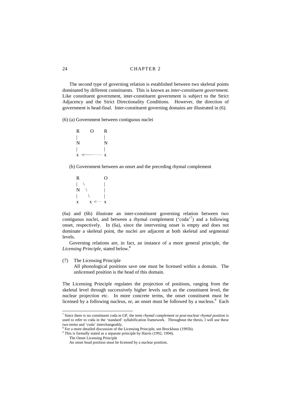The second type of governing relation is established between two skeletal points dominated by different constituents. This is known as *inter-constituent government*. Like constituent government, inter-constituent government is subject to the Strict Adjacency and the Strict Directionality Conditions. However, the direction of government is head-final. Inter-constituent governing domains are illustrated in (6).

(6) (a) Government between contiguous nuclei



(b) Government between an onset and the preceding rhymal complement



(6a) and (6b) illustrate an inter-constituent governing relation between two contiguous nuclei, and between a rhymal complement  $({\text{coda}}^7)$  and a following onset, respectively. In (6a), since the intervening onset is empty and does not dominate a skeletal point, the nuclei are adjacent at both skeletal and segmental levels.

 Governing relations are, in fact, an instance of a more general principle, the *Licensing Principle*, stated below.<sup>8</sup>

(7) The Licensing Principle

 All phonological positions save one must be licensed within a domain. The unlicensed position is the head of this domain.

The Licensing Principle regulates the projection of positions, ranging from the skeletal level through successively higher levels such as the constituent level, the nuclear projection etc. In more concrete terms, the onset constituent must be licensed by a following nucleus, or, an onset must be followed by a nucleus.<sup>9</sup> Each

 7 Since there is no constituent coda in GP, the term *rhymal complement* or *post-nuclear rhymal position* is used to refer to coda in the 'standard' syllabification framework. Throughout the thesis, I will use these two terms and 'coda' interchangeably.

<sup>&</sup>lt;sup>8</sup> For a more detailed discussion of the Licensing Principle, see Brockhaus (1995b).

<sup>&</sup>lt;sup>9</sup> This is formally stated as a separate principle by Harris (1992, 1994).

The Onset Licensing Principle

An onset head position must be licensed by a nuclear position.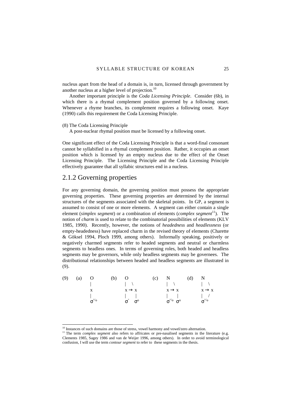nucleus apart from the head of a domain is, in turn, licensed through government by another nucleus at a higher level of projection.<sup>10</sup>

 Another important principle is the *Coda Licensing Principle*. Consider (6b), in which there is a rhymal complement position governed by a following onset. Whenever a rhyme branches, its complement requires a following onset. Kaye (1990) calls this requirement the Coda Licensing Principle.

(8) The Coda Licensing Principle

A post-nuclear rhymal position must be licensed by a following onset.

One significant effect of the Coda Licensing Principle is that a word-final consonant cannot be syllabified in a rhymal complement position. Rather, it occupies an onset position which is licensed by an empty nucleus due to the effect of the Onset Licensing Principle. The Licensing Principle and the Coda Licensing Principle effectively guarantee that all syllabic structures end in a nucleus.

## 2.1.2 Governing properties

j

For any governing domain, the governing position must possess the appropriate governing properties. These governing properties are determined by the internal structures of the segments associated with the skeletal points. In GP, a segment is assumed to consist of one or more elements. A segment can either contain a single element (*simplex segment*) or a combination of elements (*complex segment*<sup>11</sup>). The notion of *charm* is used to relate to the combinatorial possibilities of elements (KLV 1985, 1990). Recently, however, the notions of *headedness* and *headlessness* (or empty-headedness) have replaced charm in the revised theory of elements (Charette & Göksel 1994, Ploch 1999, among others). Informally speaking, positively or negatively charmed segments refer to headed segments and neutral or charmless segments to headless ones. In terms of governing roles, both headed and headless segments may be governors, while only headless segments may be governees. The distributional relationships between headed and headless segments are illustrated in (9).

| (9) | (a) | - 0                | (b) | $\overline{O}$      | $(c)$ N |                                      | $(d)$ N |                   |
|-----|-----|--------------------|-----|---------------------|---------|--------------------------------------|---------|-------------------|
|     |     |                    |     |                     |         | $\mathbb{R}$ and $\mathbb{R}$        |         | $\Box$            |
|     |     | $\mathbf{X}$       |     | $X \rightarrow X$   |         | $X \rightarrow X$                    |         | $X \rightarrow X$ |
|     |     |                    |     | $\mathbf{1}$        |         | $\mathbf{1}$                         |         | $\vert$ /         |
|     |     | $\sigma^{1/\circ}$ |     | $\sigma$ $\sigma$ ° |         | $\sigma^{1/\circ} \; \sigma^{\circ}$ |         | $\sigma^{-/0}$    |

<sup>&</sup>lt;sup>10</sup> Instances of such domains are those of stress, vowel harmony and vowel/zero alternation.

<sup>&</sup>lt;sup>11</sup> The term *complex segment* also refers to affricates or pre-nasalised segments in the literature (e.g. Clements 1985, Sagey 1986 and van de Weijer 1996, among others). In order to avoid terminological confusion, I will use the term *contour segment* to refer to these segments in the thesis.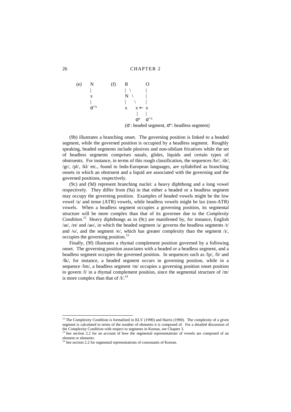```
26 CHAPTER 2
```
(e) N (f) R O  
\n
$$
\begin{array}{ccc}\n & | & | & \wedge & | \\
 \times & & N & | & \wedge \\
 & | & | & \wedge & | \\
 \sigma^{\prime_0} & & x & x \leftarrow x \\
 & & | & \wedge \\
 & & \sigma^0 & \sigma^{\prime_0} \\
 & & & (\sigma: \text{ headed segment}, \sigma^\circ: \text{heads segment})\n\end{array}
$$

 (9b) illustrates a branching onset. The governing position is linked to a headed segment, while the governed position is occupied by a headless segment. Roughly speaking, headed segments include plosives and non-sibilant fricatives while the set of headless segments comprises nasals, glides, liquids and certain types of obstruents. For instance, in terms of this rough classification, the sequences /br/, /dr/, /gr/, /pl/, /kl/ etc., found in Indo-European languages, are syllabified as branching onsets in which an obstruent and a liquid are associated with the governing and the governed positions, respectively.

 (9c) and (9d) represent branching nuclei: a heavy diphthong and a long vowel respectively. They differ from (9a) in that either a headed or a headless segment may occupy the governing position. Examples of headed vowels might be the low vowel /a/ and tense (ATR) vowels, while headless vowels might be lax (non-ATR) vowels. When a headless segment occupies a governing position, its segmental structure will be more complex than that of its governee due to the *Complexity Condition*. 12 Heavy diphthongs as in (9c) are manifested by, for instance, English /aI/, /eI/ and /aU/, in which the headed segment /a/ governs the headless segments /I/ and  $\sqrt{U}$ , and the segment /e/, which has greater complexity than the segment / $I$ /, occupies the governing position.<sup>13</sup>

 Finally, (9f) illustrates a rhymal complement position governed by a following onset. The governing position associates with a headed or a headless segment, and a headless segment occupies the governed position. In sequences such as /lp/, /lt/ and /lk/, for instance, a headed segment occurs in governing position, while in a sequence /lm/, a headless segment /m/ occupies a governing position onset position to govern  $\frac{1}{i}$  in a rhymal complement position, since the segmental structure of  $\frac{1}{m}$ is more complex than that of  $/ll$ .<sup>14</sup>

 $\overline{a}$ 

 $12$  The Complexity Condition is formalised in KLV (1990) and Harris (1990). The complexity of a given segment is calculated in terms of the number of elements it is composed of. For a detailed discussion of the Complexity Condition with respect to segments in Korean, see Chapter 3.

<sup>&</sup>lt;sup>13</sup> See section 2.2 for an account of how the segmental representations of vowels are composed of an element or elements.<br><sup>14</sup> See section 2.2 for segmental representations of consonants of Korean.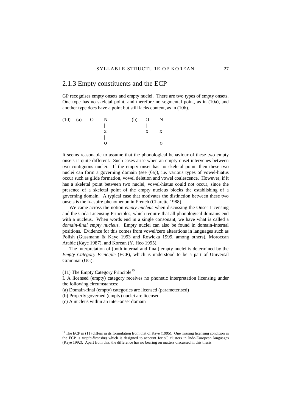#### 2.1.3 Empty constituents and the ECP

GP recognises empty onsets and empty nuclei. There are two types of empty onsets. One type has no skeletal point, and therefore no segmental point, as in (10a), and another type does have a point but still lacks content, as in (10b).

|  | $(10)$ (a) O N |   | $(b)$ O N                         |              |
|--|----------------|---|-----------------------------------|--------------|
|  |                |   | <b>Contract Contract Contract</b> |              |
|  |                | X | X                                 | $\mathbf{X}$ |
|  |                |   |                                   |              |
|  |                |   |                                   |              |

It seems reasonable to assume that the phonological behaviour of these two empty onsets is quite different. Such cases arise when an empty onset intervenes between two contiguous nuclei. If the empty onset has no skeletal point, then these two nuclei can form a governing domain (see (6a)), i.e. various types of vowel-hiatus occur such as glide formation, vowel deletion and vowel coalescence. However, if it has a skeletal point between two nuclei, vowel-hiatus could not occur, since the presence of a skeletal point of the empty nucleus blocks the establishing of a governing domain. A typical case that motivates the distinction between these two onsets is the h-aspiré phenomenon in French (Charette 1988).

 We came across the notion *empty nucleus* when discussing the Onset Licensing and the Coda Licensing Principles, which require that all phonological domains end with a nucleus. When words end in a single consonant, we have what is called a *domain-final empty nucleus*. Empty nuclei can also be found in domain-internal positions. Evidence for this comes from vowel/zero alterations in languages such as Polish (Gussmann & Kaye 1993 and Rowicka 1999, among others), Moroccan Arabic (Kaye 1987), and Korean (Y. Heo 1995).

 The interpretation of (both internal and final) empty nuclei is determined by the *Empty Category Principle* (ECP), which is understood to be a part of Universal Grammar (UG):

(11) The Empty Category Principle<sup>15</sup>

I. A licensed (empty) category receives no phonetic interpretation licensing under the following circumstances:

- (a) Domain-final (empty) categories are licensed (parameterised)
- (b) Properly governed (empty) nuclei are licensed

(c) A nucleus within an inter-onset domain

j

<sup>&</sup>lt;sup>15</sup> The ECP in  $(11)$  differs in its formulation from that of Kaye  $(1995)$ . One missing licensing condition in the ECP is *magic-licensing* which is designed to account for sC clusters in Indo-European languages (Kaye 1992). Apart from this, the difference has no bearing on matters discussed in this thesis.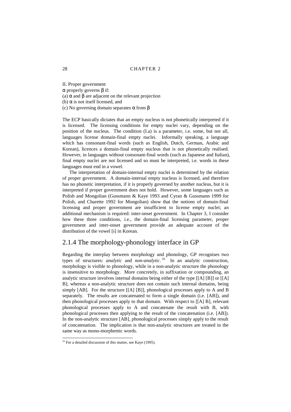II. Proper government α properly governs β if: (a)  $\alpha$  and  $\beta$  are adjacent on the relevant projection (b)  $\alpha$  is not itself licensed, and (c) No governing domain separates α from β

The ECP basically dictates that an empty nucleus is not phonetically interpreted if it is licensed. The licensing conditions for empty nuclei vary, depending on the position of the nucleus. The condition (I.a) is a parameter, i.e. some, but not all, languages license domain-final empty nuclei. Informally speaking, a language which has consonant-final words (such as English, Dutch, German, Arabic and Korean), licences a domain-final empty nucleus that is not phonetically realised. However, in languages without consonant-final words (such as Japanese and Italian), final empty nuclei are not licensed and so must be interpreted, i.e. words in these languages must end in a vowel.

The interpretation of domain-internal empty nuclei is determined by the relation of proper government. A domain-internal empty nucleus is licensed, and therefore has no phonetic interpretation, if it is properly governed by another nucleus, but it is interpreted if proper government does not hold. However, some languages such as Polish and Mongolian (Gussmann & Kaye 1993 and Cyran & Gussmann 1999 for Polish, and Charette 1992 for Mongolian) show that the notions of domain-final licensing and proper government are insufficient to license empty nuclei; an additional mechanism is required: inter-onset government. In Chapter 3, I consider how these three conditions, i.e., the domain-final licensing parameter, proper government and inter-onset government provide an adequate account of the distribution of the vowel  $[i]$  in Korean.

# 2.1.4 The morphology-phonology interface in GP

Regarding the interplay between morphology and phonology, GP recognises two types of structures: *analytic* and *non-analytic*. 16 In an analytic construction, morphology is visible to phonology, while in a non-analytic structure the phonology is insensitive to morphology. More concretely, in suffixation or compounding, an analytic structure involves internal domains being either of the type [[A] [B]] or [[A] B], whereas a non-analytic structure does not contain such internal domains, being simply [AB]. For the structure [[A] [B]], phonological processes apply to A and B separately. The results are concatenated to form a single domain (i.e. [AB]), and then phonological processes apply to that domain. With respect to [[A] B], relevant phonological processes apply to A and concatenate the result with B, with phonological processes then applying to the result of the concatenation (i.e. [AB]). In the non-analytic structure [AB], phonological processes simply apply to the result of concatenation. The implication is that non-analytic structures are treated in the same way as mono-morphemic words.

 $\overline{a}$ 

<sup>&</sup>lt;sup>16</sup> For a detailed discussion of this matter, see Kaye (1995).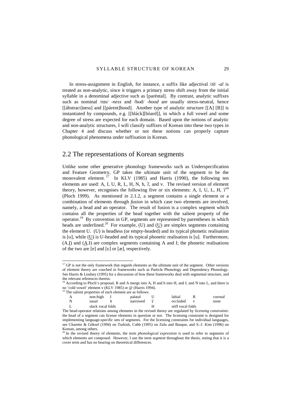In stress-assignment in English, for instance, a suffix like adjectival  $\langle$ -*al* is treated as non-analytic, since it triggers a primary stress shift away from the initial syllable in a denominal adjective such as [paréntal]. By contrast, analytic suffixes such as nominal /nIs/ -*ness* and /hUd/ -*hood* are usually stress-neutral, hence [[ábstract]ness] and [[párent]hood]. Another type of analytic structure [[A] [B]] is instantiated by compounds, e.g. [[bláck][bòard]], in which a full vowel and some degree of stress are expected for each domain. Based upon the notions of analytic and non-analytic structures, I will classify suffixes of Korean into these two types in Chapter 4 and discuss whether or not these notions can properly capture phonological phenomena under suffixation in Korean.

## 2.2 The representations of Korean segments

j

Unlike some other generative phonology frameworks such as Underspecification and Feature Geometry, GP takes the ultimate unit of the segment to be the monovalent element.  $17$  In KLV (1985) and Harris (1990), the following ten elements are used: A, I, U, R, L, H, N, h, ?, and v. The revised version of element theory, however, recognises the following five or six elements: A, I, U, L, H,  $2^{18}$ (Ploch 1999). As mentioned in 2.1.2, a segment contains a single element or a combination of elements through *fusion* in which case two elements are involved, namely, a head and an operator. The result of fusion is a complex segment which contains all the properties of the head together with the salient property of the operator.19 By convention in GP, segments are represented by parentheses in which heads are underlined.<sup>20</sup> For example, (U) and (U) are simplex segments containing the element U. (U) is headless (or empty-headed) and its typical phonetic realisation is [U], while (U) is U-headed and its typical phonetic realisation is [u]. Furthermore, (A.I) and (A.I) are complex segments containing A and I; the phonetic realisations of the two are [e] and  $[\varepsilon]$  or  $[\varepsilon]$ , respectively.

<sup>&</sup>lt;sup>18</sup> According to Ploch's proposal, R and A merge into A, H and h into H, and L and N into L, and there is no 'cold vowel' element v (KLV 1985) or @ (Harris 1994).<br><sup>19</sup> The salient properties of each element are as follows:

|   |                   | The saffer properties of each element are as follows: |   |                   |         |
|---|-------------------|-------------------------------------------------------|---|-------------------|---------|
| A | non-high I        | palatal                                               |   | labial            | coronal |
| N | nasal             | narrowed                                              |   | occluded          | none    |
|   | slack vocal folds |                                                       | н | stiff vocal folds |         |

The head-operator relations among elements in the revised theory are regulated by *licensing constraints*: the head of a segment can license elements in question or not. The licensing constraint is designed for implementing language-specific sets of segments. For the licensing constraints for individual languages, see Charette & Göksel (1994) on Turkish, Cobb (1995) on Zulu and Basque, and S.-J. Kim (1996) on Korean, among others.

 $17$  GP is not the only framework that regards elements as the ultimate unit of the segment. Other versions of element theory are couched in frameworks such as Particle Phonology and Dependency Phonology. See Harris & Lindsey (1995) for a discussion of how these frameworks deal with segmental structure, and the relevant references therein.

<sup>&</sup>lt;sup>20</sup> In the revised theory of elements, the term *phonological expression* is used to refer to segments of which elements are composed. However, I use the term *segment* throughout the thesis, noting that it is a cover term and has no bearing on theoretical differences.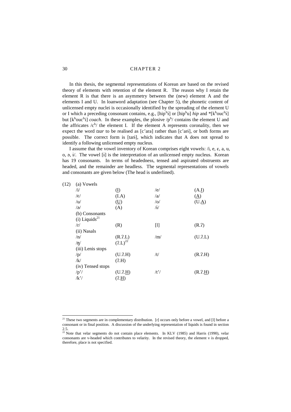In this thesis, the segmental representations of Korean are based on the revised theory of elements with retention of the element R. The reason why I retain the element R is that there is an asymmetry between the (new) element A and the elements I and U. In loanword adaptation (see Chapter 5), the phonetic content of unlicensed empty nuclei is occasionally identified by the spreading of the element U or I which a preceding consonant contains, e.g.,  $[\text{hip}^h\textbf{i}]$  or  $[\text{hip}^h\textbf{u}]$  *hip* and  $*[\text{k}^h\text{ouc}^h\textbf{i}]$ but  $[k^h$ ouc<sup>h</sup>i] *coach*. In these examples, the plosive  $/p^h$  contains the element U and the affricates  $\langle c^h \rangle$  the element I. If the element A represents coronality, then we expect the word  $t\bar{\chi}$  to be realised as [c'ara] rather than  $[c'$ ari], or both forms are possible. The correct form is [tari], which indicates that A does not spread to identify a following unlicensed empty nucleus.

I assume that the vowel inventory of Korean comprises eight vowels:  $\lambda$ , e,  $\varepsilon$ , a, u, o,  $\phi$ ,  $\dot{\psi}$ . The vowel [i] is the interpretation of an unlicensed empty nucleus. Korean has 19 consonants. In terms of headedness, tensed and aspirated obstruents are headed, and the remainder are headless. The segmental representations of vowels and consonants are given below (The head is underlined).

| (12) | (a) Vowels                  |                   |                |                   |
|------|-----------------------------|-------------------|----------------|-------------------|
|      | $\mathbf{u}$                | $\mathbf{I}$      | /e/            | (A.I)             |
|      | $\sqrt{\varepsilon}/$       | (I.A)             | /a             | $(\underline{A})$ |
|      | /u/                         | $(\underline{U})$ | / o/           | (U.A)             |
|      | /a                          | (A)               | $/$ i $/$      |                   |
|      | (b) Consonants              |                   |                |                   |
|      | $(i)$ Liquids <sup>21</sup> |                   |                |                   |
|      | /r/                         | (R)               | $[1]$          | (R.?)             |
|      | (ii) Nasals                 |                   |                |                   |
|      | /n/                         | (R.2.L)           | /m/            | (U.2.L)           |
|      | $/ \eta /$                  | $(2.L)^{22}$      |                |                   |
|      | (iii) Lenis stops           |                   |                |                   |
|      | /p/                         | (U.?.H)           | /t/            | (R. ?. H)         |
|      | /k/                         | (2.H)             |                |                   |
|      | (iv) Tensed stops           |                   |                |                   |
|      | $/p$ '/                     | (U.2. H)          | $/t^{\prime}/$ | (R. ?. H)         |
|      | /k'                         | (2.H)             |                |                   |

 $\overline{a}$ 

<sup>&</sup>lt;sup>21</sup> These two segments are in complementary distribution. [r] occurs only before a vowel, and [I] before a consonant or in final position. A discussion of the underlying representation of liquids is found in section 2.5.

 $22$ <sup>22</sup> Note that velar segments do not contain place elements. In KLV (1985) and Harris (1990), velar consonants are v-headed which contributes to velarity. In the revised theory, the element v is dropped, therefore, place is not specified.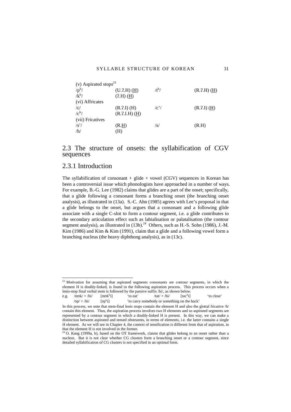|                         | (v) Aspirated stops <sup>23</sup> |                   |               |
|-------------------------|-----------------------------------|-------------------|---------------|
| $/p^h/$                 | (U.?.H) ( <u>H</u> )              | /t <sup>h</sup> / | $(R.?.H)$ (H) |
| $\mathcal{R}^{\rm h}$ / | $(7.H)$ (H)                       |                   |               |
|                         | (vi) Affricates                   |                   |               |
| /c/                     | $(R.2.I)$ $(H)$                   | /c'/              | $(R.2.I)$ (H) |
| $\sqrt{c}^h/$           | (R. ?. I.H) (H)                   |                   |               |
|                         | (vii) Fricatives                  |                   |               |
| $/s$ '/                 | (R.H)                             | /s/               | (R.H)         |
| /h/                     | H)                                |                   |               |

#### 2.3 The structure of onsets: the syllabification of CGV sequences

## 2.3.1 Introduction

 $\overline{a}$ 

The syllabification of consonant  $+$  glide  $+$  vowel (CGV) sequences in Korean has been a controversial issue which phonologists have approached in a number of ways. For example, B.-G. Lee (1982) claims that glides are a part of the onset; specifically, that a glide following a consonant forms a branching onset (the branching onset analysis), as illustrated in (13a). S.-C. Ahn (1985) agrees with Lee's proposal in that a glide belongs to the onset, but argues that a consonant and a following glide associate with a single C-slot to form a contour segment, i.e. a glide contributes to the secondary articulation effect such as labialisation or palatalisation (the contour segment analysis), as illustrated in  $(13b)^{24}$  Others, such as H.-S. Sohn (1986), J.-M. Kim (1986) and Kim & Kim (1991), claim that a glide and a following vowel form a branching nucleus (the heavy diphthong analysis), as in (13c).

 $2<sup>23</sup>$  Motivation for assuming that aspirated segments consonants are contour segments, in which the element H is doubly-linked, is found in the following aspiration process. This process occurs when a lenis-stop final verbal stem is followed by the passive suffix /hi/, as shown below.

e.g.  $/m\delta k' + /hi'$   $[m\delta k^h i]$  'to eat'  $/tat' + /hi'$   $[tac^h i]$  'to close'  $\sqrt{p^2 + h^2}$  [ $\frac{p^2 + h^2}{2}$  'to carry somebody or something on the back'

In this process, we note that stem-final lenis stops contain the element H and also the glottal fricative /h/ contain this element. Thus, the aspiration process involves two H elements and so aspirated segments are represented by a contour segment in which a doubly-linked H is present. In this way, we can make a distinction between aspirated and tensed obstruents, in terms of elements, i.e. the latter contains a single H element. As we will see in Chapter 4, the context of tensification is different from that of aspiration, in that the element H is not involved in the former.

 $24$  O. Kang (1999a, b), based on the OT framework, claims that glides belong to an onset rather than a nucleus. But it is not clear whether CG clusters form a branching onset or a contour segment, since detailed syllabification of CG clusters is not specified in an optimal form.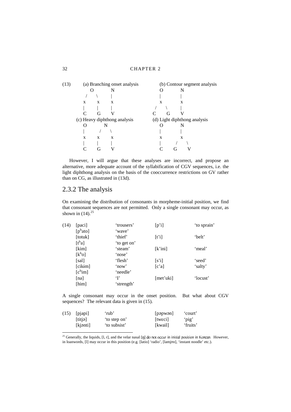| (13) | (a) Branching onset analysis |   |                              | (b) Contour segment analysis |                              |  |
|------|------------------------------|---|------------------------------|------------------------------|------------------------------|--|
|      |                              |   |                              |                              |                              |  |
|      |                              |   |                              |                              |                              |  |
|      | X                            | X | X                            | X                            | X                            |  |
|      |                              |   |                              |                              |                              |  |
|      |                              | G |                              | G                            |                              |  |
|      |                              |   | (c) Heavy diphthong analysis |                              | (d) Light diphthong analysis |  |
|      |                              |   |                              |                              |                              |  |
|      |                              |   |                              |                              |                              |  |
|      | X                            | X | X                            | X                            | X                            |  |
|      |                              |   |                              |                              |                              |  |
|      |                              |   |                              |                              |                              |  |

 However, I will argue that these analyses are incorrect, and propose an alternative, more adequate account of the syllabification of CGV sequences, i.e. the light diphthong analysis on the basis of the cooccurrence restrictions on GV rather than on CG, as illustrated in (13d).

## 2.3.2 The analysis

On examining the distribution of consonants in morpheme-initial position, we find that consonant sequences are not permitted. Only a single consonant may occur, as shown in  $(14)$ .<sup>25</sup>

| (14) | [paci]                      | 'trousers'  | [p'i]             | 'to sprain' |
|------|-----------------------------|-------------|-------------------|-------------|
|      | $[p^{\text{h}} \text{ato}]$ | 'wave'      |                   |             |
|      | [totuk]                     | 'thief'     | [t'i]             | 'belt'      |
|      | $[t^h a]$                   | 'to get on' |                   |             |
|      | [kim]                       | 'steam'     | [k'ini]           | 'meal'      |
|      | $[k^h$ o]                   | 'nose'      |                   |             |
|      | [sal]                       | 'flesh'     | [s'i]             | 'seed'      |
|      | [cikim]                     | 'now'       | [c <sup>2</sup> ] | 'salty'     |
|      | $[c^{\text{h}}im]$          | 'needle'    |                   |             |
|      | [na]                        | T           | [met'uki]         | 'locust'    |
|      | $[\text{him}]$              | 'strength'  |                   |             |
|      |                             |             |                   |             |

A single consonant may occur in the onset position. But what about CGV sequences? The relevant data is given in (15).

| (15) | [pjapi]  | 'rub'        | [papwən] | 'court'  |
|------|----------|--------------|----------|----------|
|      | [titjə]  | 'to step on' | [tweci]  | 'pig'    |
|      | [kjənti] | 'to subsist' | [kwail]  | 'fruits' |
|      |          |              |          |          |

<sup>25</sup> Generally, the liquids, [l, r], and the velar nasal [ŋ] do not occur in initial position in Korean. However, in loanwords [H] may occur in this position (e.g. Hatiol 'radio', Hamianl, 'instant noodle' etc.) in loanwords, [1] may occur in this position (e.g. [latio] 'radio', [lamjon], 'instant noodle' etc.).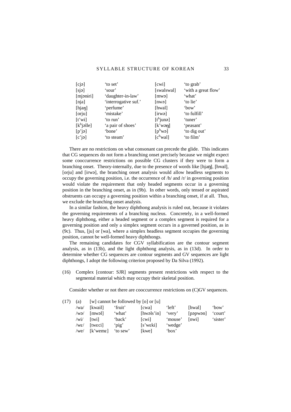| [cja]           | 'to set'             | [cwi]                  | 'to grab'           |
|-----------------|----------------------|------------------------|---------------------|
| [sjə]           | 'sour'               | [swalswal]             | 'with a great flow' |
| [mjəniri]       | 'daughter-in-law'    | [mwə]                  | 'what'              |
| [nja]           | 'interrogative suf.' | [nwə]                  | 'to lie'            |
| [high]          | 'perfume'            | [hwal]                 | 'bow'               |
| [orju]          | 'mistake'            | [irwə]                 | 'to fulfill'        |
| [t'wi]          | 'to run'             | $[th]$ unə $]$         | 'tuner'             |
| $[k^h]$ jəlle]  | 'a pair of shoes'    | $[k'$ wən]             | 'peasant'           |
| $[p'j\partial]$ | 'bone'               | $[p^{\mathrm{h}}$ wə]  | 'to dig out'        |
| [c'i]           | 'to steam'           | $[c^{\mathrm{h}}$ wal] | 'to film'           |

There are no restrictions on what consonant can precede the glide. This indicates that CG sequences do not form a branching onset precisely because we might expect some cooccurrence restrictions on possible CG clusters if they were to form a branching onset. Theory-internally, due to the presence of words like [hjan], [hwal], [orju] and [irwə], the branching onset analysis would allow headless segments to occupy the governing position, i.e. the occurrence of /h/ and /r/ in governing position would violate the requirement that only headed segments occur in a governing position in the branching onset, as in (9b). In other words, only tensed or aspirated obstruents can occupy a governing position within a branching onset, if at all. Thus, we exclude the branching onset analysis.

In a similar fashion, the heavy diphthong analysis is ruled out, because it violates the governing requirements of a branching nucleus. Concretely, in a well-formed heavy diphthong, either a headed segment or a complex segment is required for a governing position and only a simplex segment occurs in a governed position, as in (9c). Thus, [ju] or [wa], where a simplex headless segment occupies the governing position, cannot be well-formed heavy diphthongs.

The remaining candidates for CGV syllabification are the contour segment analysis, as in (13b), and the light diphthong analysis, as in (13d). In order to determine whether CG sequences are contour segments and GV sequences are light diphthongs, I adopt the following criterion proposed by Da Silva (1992).

(16) Complex [contour: SJR] segments present restrictions with respect to the segmental material which may occupy their skeletal position.

Consider whether or not there are cooccurrence restrictions on (C)GV sequences.

| (17) | (a)        | [w] cannot be followed by [o] or [u] |         |                        |         |          |          |  |
|------|------------|--------------------------------------|---------|------------------------|---------|----------|----------|--|
|      | /wa/       | [kwail]                              | 'fruit' | [cwa]                  | 'left'  | [hwal]   | 'bow'    |  |
|      | /wə/       | [mwə]                                | 'what'  | [hwals'in]             | 'very'  | [papwən] | 'court'  |  |
|      | $/$ wi $/$ | <i>[twi]</i>                         | 'back'  | [cwi]                  | 'mouse' | [nwi]    | 'sister' |  |
|      | /wɛ/       | [tweci]                              | 'pig'   | $[s'$ w $\epsilon$ ki] | 'wedge' |          |          |  |
|      | /we/       | $[k'$ weme                           | to sew  | [kwe]                  | 'box'   |          |          |  |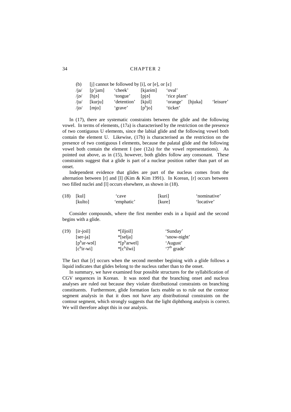| (b)           |         | [i] cannot be followed by [i], or [e], or $[\epsilon]$ |                  |              |         |           |
|---------------|---------|--------------------------------------------------------|------------------|--------------|---------|-----------|
| /ia/          | [p'iam] | 'cheek'                                                | [kjarim]         | 'oval'       |         |           |
| /iə/          | [high]  | 'tongue'                                               | [p]              | 'rice plant' |         |           |
| $/$ iu $/$    | [kurju] | 'detention'                                            | [kjul]           | 'orange'     | [hjuka] | 'leisure' |
| $\sqrt{10/1}$ | [mjo]   | 'grave'                                                | $[p^{\rm h}$ jo] | 'ticket'     |         |           |

In (17), there are systematic constraints between the glide and the following vowel. In terms of elements, (17a) is characterised by the restriction on the presence of two contiguous U elements, since the labial glide and the following vowel both contain the element U. Likewise, (17b) is characterised as the restriction on the presence of two contiguous I elements, because the palatal glide and the following vowel both contain the element I (see (12a) for the vowel representations). As pointed out above, as in (15), however, both glides follow any consonant. These constraints suggest that a glide is part of a nuclear position rather than part of an onset.

 Independent evidence that glides are part of the nucleus comes from the alternation between [r] and [l] (Kim & Kim 1991). In Korean, [r] occurs between two filled nuclei and [l] occurs elsewhere, as shown in (18).

| $(18)$ [kul] | cave       | [kuri] | 'nominative' |
|--------------|------------|--------|--------------|
| [kulto]      | 'emphatic' | [kure] | 'locative'   |

Consider compounds, where the first member ends in a liquid and the second begins with a glide.

| (19) | $[ir-ioil]$                   | *[iljoil]*                      | 'Sunday'     |
|------|-------------------------------|---------------------------------|--------------|
|      | $\lceil$ ser-ja $\rceil$      | *[selja]*                       | 'snow-night' |
|      | $[p^{\text{h}}\text{ar-wol}]$ | $*[p^{\text{h}} \text{arwell}]$ | 'August'     |
|      | $[c^{\text{h}}\text{ir-wi}]$  | $*[c^{\text{h}}i]$              | $7th$ grade' |

The fact that [r] occurs when the second member begining with a glide follows a liquid indicates that glides belong to the nucleus rather than to the onset.

 In summary, we have examined four possible structures for the syllabification of CGV sequences in Korean. It was noted that the branching onset and nucleus analyses are ruled out because they violate distributional constraints on branching constituents. Furthermore, glide formation facts enable us to rule out the contour segment analysis in that it does not have any distributional constraints on the contour segment, which strongly suggests that the light diphthong analysis is correct. We will therefore adopt this in our analysis.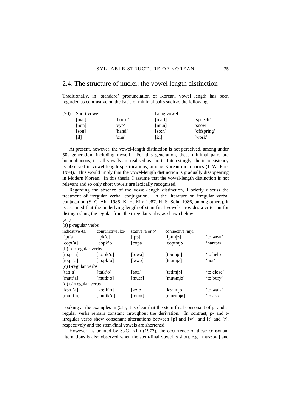#### 2.4. The structure of nuclei: the vowel length distinction

Traditionally, in 'standard' pronunciation of Korean, vowel length has been regarded as contrastive on the basis of minimal pairs such as the following:

| (20) | Short vowel                |         | Long vowel             |             |  |  |
|------|----------------------------|---------|------------------------|-------------|--|--|
|      | [mal]                      | 'horse' | [ma:1]                 | 'speech'    |  |  |
|      | $\lceil \text{num} \rceil$ | 'eve'   | [nu:n]                 | 'snow'      |  |  |
|      | [son]                      | 'hand'  | $\lceil$ so:n $\rceil$ | 'offspring' |  |  |
|      | [il]                       | 'one'   | [i:1]                  | 'work'      |  |  |

 At present, however, the vowel-length distinction is not perceived, among under 50s generation, including myself. For this generation, these minimal pairs are homophonous, i.e. all vowels are realised as short. Interestingly, the inconsistency is observed in vowel-length specifications, among Korean dictionaries (J.-W. Park 1994). This would imply that the vowel-length distinction is gradually disappearing in Modern Korean. In this thesis, I assume that the vowel-length distinction is not relevant and so only short vowels are lexically recognised.

 Regarding the absence of the vowel-length distinction, I briefly discuss the treatment of irregular verbal conjugation. In the literature on irregular verbal conjugation (S.-C. Ahn 1985, K.-H. Kim 1987, H.-S. Sohn 1986, among others), it is assumed that the underlying length of stem-final vowels provides a criterion for distinguishing the regular from the irregular verbs, as shown below. (21)

(a) p-regular verbs

| $\mu$ p regular veros      |                  |                   |                      |            |
|----------------------------|------------------|-------------------|----------------------|------------|
| indicative /ta/            | conjunctive /ko/ | stative /a or $a$ | connective /mja/     |            |
| [ipt'a]                    | [ipk'0]          | $[$ ipə $]$       | $[i$ pimj $\sigma$ ] | 'to wear'  |
| [copt'a]                   | [copk'o]         | [copa]            | [copimja]            | 'narrow'   |
| (b) p-irregular verbs      |                  |                   |                      |            |
| [to:pt'a]                  | $[to:pk'$ o]     | [towa]            | [toumja]             | 'to help'  |
| $[$ tə:pt'a]               | [ta:pk'o]        | [təwə]            | [təumjə]             | 'hot'      |
| (c) t-regular verbs        |                  |                   |                      |            |
| $[$ tatt'a $]$             | [tatk'o]         | [tata]            | [tatimjə]            | 'to close' |
| [mutt'a]                   | [mutk'o]         | [mutə]            | [mutimja]            | 'to bury'  |
| (d) t-irregular verbs      |                  |                   |                      |            |
| $[k\infty:t\text{ and }k]$ | $[k\in[k\infty]$ | [kərə]            | [kərimjə]            | 'to walk'  |
| [mu:tt'a]                  | [mu:tk'0]        | [murə]            | [murimjə]            | 'to ask'   |
|                            |                  |                   |                      |            |

Looking at the examples in (21), it is clear that the stem-final consonant of p- and tregular verbs remain constant throughout the derivation. In contrast, p- and tirregular verbs show consonant alternations between [p] and [w], and [t] and [r], respectively and the stem-final vowels are shortened.

 However, as pointed by S.-G. Kim (1977), the occurrence of these consonant alternations is also observed when the stem-final vowel is short, e.g. [muspta] and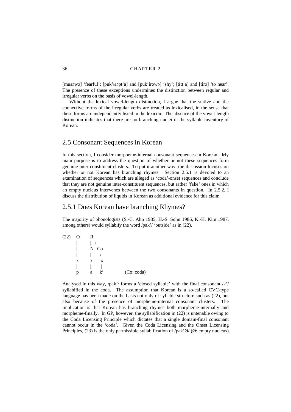[musəwə] 'fearful'; [puk'irəpt'a] and [puk'irəwə] 'shy'; [titt'a] and [tirə] 'to hear'. The presence of these exceptions undermines the distinction between regular and irregular verbs on the basis of vowel-length.

Without the lexical vowel-length distinction, I argue that the stative and the connective forms of the irregular verbs are treated as lexicalised, in the sense that these forms are independently listed in the lexicon. The absence of the vowel-length distinction indicates that there are no branching nuclei in the syllable inventory of Korean.

## 2.5 Consonant Sequences in Korean

In this section, I consider morpheme-internal consonant sequences in Korean. My main purpose is to address the question of whether or not these sequences form genuine inter-constituent clusters. To put it another way, the discussion focuses on whether or not Korean has branching rhymes. Section 2.5.1 is devoted to an examination of sequences which are alleged as 'coda'-onset sequences and conclude that they are not genuine inter-constituent sequences, but rather 'fake' ones in which an empty nucleus intervenes between the two consonants in question. In 2.5.2, I discuss the distribution of liquids in Korean as additional evidence for this claim.

#### 2.5.1 Does Korean have branching Rhymes?

The majority of phonologists (S.-C. Ahn 1985, H.-S. Sohn 1986, K.-H. Kim 1987, among others) would syllabify the word /pak'/ 'outside' as in (22).

(22) O R  $| \ \ \backslash$  | N Co  $| \cdot |$   $| \cdot |$  $X$   $X$   $X$ | | | | | | | |  $p$  a k' (Co: coda)

Analysed in this way, /pak'/ forms a 'closed syllable' with the final consonant /k'/ syllabified in the coda. The assumption that Korean is a so-called CVC-type language has been made on the basis not only of syllabic structure such as (22), but also because of the presence of morpheme-internal consonant clusters. The implication is that Korean has branching rhymes both morpheme-internally and morpheme-finally. In GP, however, the syllabification in (22) is untenable owing to the Coda Licensing Principle which dictates that a single domain-final consonant cannot occur in the 'coda'. Given the Coda Licensing and the Onset Licensing Principles, (23) is the only permissible syllabification of  $/pa k'Ø/$  ( $Ø$ : empty nucleus).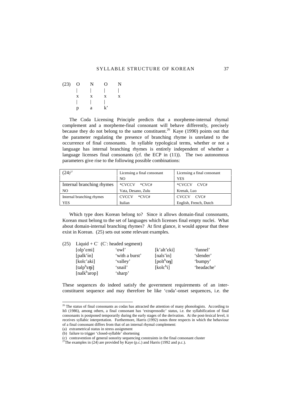(23) O N O N | | | | x x x x | | | p a k'

 The Coda Licensing Principle predicts that a morpheme-internal rhymal complement and a morpheme-final consonant will behave differently, precisely because they do not belong to the same constituent.<sup>26</sup> Kaye (1990) points out that the parameter regulating the presence of branching rhyme is unrelated to the occurrence of final consonants. In syllable typological terms, whether or not a language has internal branching rhymes is entirely independent of whether a language licenses final consonants (cf. the ECP in  $(11)$ ). The two autonomous parameters give rise to the following possible combinations:

| $(24)^{27}$               | Licensing a final consonant | Licensing a final consonant |
|---------------------------|-----------------------------|-----------------------------|
|                           | N <sub>O</sub>              | <b>YES</b>                  |
| Internal branching rhymes | *CVCCV<br>$*CVC#$           | *CVCCV CVC#                 |
| NO.                       | Vata, Desano, Zulu          | Krenak, Luo                 |
| Internal branching rhymes | $*CVC#$<br><b>CVCCV</b>     | <b>CVCCV</b><br>CVC#        |
| YES                       | Italian                     | English, French, Dutch      |

 Which type does Korean belong to? Since it allows domain-final consonants, Korean must belong to the set of languages which licenses final empty nuclei. What about domain-internal branching rhymes? At first glance, it would appear that these exist in Korean. (25) sets out some relevant examples.

| (25) | Liquid + $C^{\circ}$ (C <sup><math>\circ</math></sup> : headed segment) |                |                                  |            |  |  |  |
|------|-------------------------------------------------------------------------|----------------|----------------------------------|------------|--|--|--|
|      | $[olp'$ $\epsilon$ mi $]$                                               | 'owl'          | $[k'alt' \epsilon ki]$           | 'funnel'   |  |  |  |
|      | $[{\rm {palk'}}\overline{\rm in}]$                                      | 'with a burst' | [nals'in]                        | 'slender'  |  |  |  |
|      | [kolc'aki]                                                              | 'valley'       | $[{\rm{pol}}^{\rm{h}}{\rm{on}}]$ | 'bumpy'    |  |  |  |
|      | [talpheni]                                                              | 'snail'        | [kolc <sup>h</sup> i]            | 'headache' |  |  |  |
|      | [nal $k^{\text{h}}$ arop]                                               | 'sharp'        |                                  |            |  |  |  |

These sequences do indeed satisfy the government requirements of an interconstituent sequence and may therefore be like 'coda'-onset sequences, i.e. the

j

 $26$  The status of final consonants as codas has attracted the attention of many phonologists. According to Itô (1986), among others, a final consonant has 'extraprosodic' status, i.e. the syllabification of final consonants is postponed temporarily during the early stages of the derivation. At the post-lexical level, it receives syllabic interpretation. Furthermore, Harris (1992) notes three respects in which the behaviour of a final consonant differs from that of an internal rhymal complement:

<sup>(</sup>a) extrametrical status in stress assignment

<sup>(</sup>b) failure to trigger 'closed-syllable' shortening

<sup>(</sup>c) contravention of general sonority sequencing constraints in the final consonant cluster  $^{27}$ The examples in (24) are provided by Kaye (p.c.) and Harris (1992 and p.c.).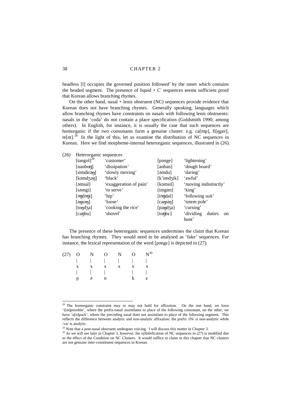headless [l] occupies the governed position followed' by the onset which contains the headed segment. The presence of liquid  $+ C$  sequences seems sufficient proof that Korean allows branching rhymes.

 On the other hand, nasal + lenis obstruent (NC) sequences provide evidence that Korean does not have branching rhymes. Generally speaking, languages which allow branching rhymes have constraints on nasals with following lenis obstruents: nasals in the 'coda' do not contain a place specification (Goldsmith 1990, among others). In English, for instance, it is usually the case that such sequences are homorganic if the two consonants form a genuine cluster: e.g. ca $[mp]$ , fi $[nger]$ , te $[$ ntl $]$ <sup>28</sup> In the light of this, let us examine the distribution of NC sequences in Korean. Here we find morpheme-internal heterorganic sequences, illustrated in (26).

| (26) | Heterorganic sequences         |                        |                            |                                      |
|------|--------------------------------|------------------------|----------------------------|--------------------------------------|
|      | $[tangol]^{29}$                | 'customer'             | [pənge]                    | 'lightening'                         |
|      | [nanbon]                       | 'dissipation'          | [anban]                    | 'dough board'                        |
|      | [simdirən]<br>'slowly moving'  |                        | [əmdu]                     | 'daring'                             |
|      | $[k$ əmd $\overline{3}$ ən $]$ | 'black'                | $[k'$ imdzik]              | 'awful'                              |
|      | [əmsal]                        | 'exaggeration of pain' | [kəmsil]                   | 'moving indistinctly'                |
|      | [səmgi]                        | 'to serve'             | [imgim]                    | 'king'                               |
|      | [əŋdəŋi]                       | 'hip'                  | [təndal]                   | 'following suit'                     |
|      | $[$ ənsən $]$                  | 'loose'                | $[c$ aŋsiŋ]                | 'totem pole'                         |
|      | [tongq3a]                      | 'cooking the rice'     | $[p$ and $\overline{3}$ a] | 'cursing'                            |
|      | [caŋbu]                        | 'shovel'               | $[to \neg be]$             | 'dividing<br>duties<br><sub>on</sub> |
|      |                                |                        |                            | hunt'                                |

 The presence of these heterorganic sequences undermines the claim that Korean has branching rhymes. They would need to be analysed as 'fake' sequences. For instance, the lexical representation of the word  $[pangle]$  is depicted in  $(27)$ .

|  |                   | (27) O N O N O $N^{30}$ |                |  |
|--|-------------------|-------------------------|----------------|--|
|  |                   |                         |                |  |
|  |                   | $X$ $X$ $X$ $X$ $X$ $X$ |                |  |
|  |                   |                         |                |  |
|  | $p \rightarrow n$ |                         | $k = \epsilon$ |  |

 $\overline{a}$ 

<sup>&</sup>lt;sup>28</sup> The homorganic constraint may or may not hold for affixation. On the one hand, we have 'i[m]possible', where the prefix-nasal assimilates to place of the following consonant, on the other, we have 'u[n]pack', where the preceding nasal does not assimilate to place of the following segment. This reflects the difference between analytic and non-analytic affixation: the prefix /iN/ is non-analytic while  $/\text{an}/$  is analytic.

<sup>&</sup>lt;sup>29</sup> Note that a post-nasal obstruent undergoes voicing. I will discuss this matter in Chapter 3.

 $30$  As we will see later in Chapter 3, however, the syllabification of NC sequences in (27) is modified due to the effect of the Condition on NC Clusters. It would suffice to claim in this chapter that NC clusters are not genuine inter-constituent sequences in Korean.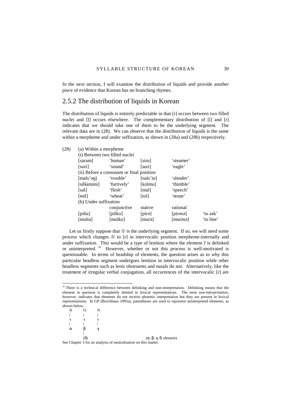In the next section, I will examine the distribution of liquids and provide another piece of evidence that Korean has no branching rhymes.

## 2.5.2 The distribution of liquids in Korean

The distribution of liquids is entirely predictable in that [r] occurs between two filled nuclei and [l] occurs elsewhere. The complementary distribution of [l] and [r] indicates that we should take one of them to be the underlying segment. The relevant data are in (28). We can observe that the distribution of liquids is the same within a morpheme and under suffixation, as shown in (28a) and (28b) respectively.

| (28) | (a) Within a morpheme |                                           |           |           |           |  |  |  |  |
|------|-----------------------|-------------------------------------------|-----------|-----------|-----------|--|--|--|--|
|      |                       | (i) Between two filled nuclei             |           |           |           |  |  |  |  |
|      | [saram]               | 'human'                                   | [siru]    | 'steamer' |           |  |  |  |  |
|      | [sori]                | 'sound'                                   | [suri]    | 'eagle'   |           |  |  |  |  |
|      |                       | (ii) Before a consonant or final position |           |           |           |  |  |  |  |
|      | [mals'ən]             | 'trouble'                                 | [nals'in] | 'slender' |           |  |  |  |  |
|      | [silkiməni]           | 'furtively'                               | [kolmu]   | 'thimble' |           |  |  |  |  |
|      | [sal]                 | 'flesh'                                   | [mal]     | 'speech'  |           |  |  |  |  |
|      | [mil]                 | 'wheat'                                   | [tol]     | 'stone'   |           |  |  |  |  |
|      | (b) Under suffixation |                                           |           |           |           |  |  |  |  |
|      |                       | conjunctive                               | stative   | rational  |           |  |  |  |  |
|      | [pilta]               | [pilko]                                   | [pirə]    | [pirəsə]  | 'to ask'  |  |  |  |  |
|      | [multa]               | [mulko]                                   | [murə]    | [murəsə]  | 'to bite' |  |  |  |  |
|      |                       |                                           |           |           |           |  |  |  |  |

Let us firstly suppose that  $\frac{1}{i}$  is the underlying segment. If so, we will need some process which changes /l/ to [r] in intervocalic position morpheme-internally and under suffixation. This would be a type of lenition where the element  $\hat{i}$  is delinked or uninterpreted. 31 However, whether or not this process is well-motivated is questionable. In terms of headship of elements, the question arises as to why this particular headless segment undergoes lenition in intervocalic position while other headless segments such as lenis obstruents and nasals do not. Alternatively, like the treatment of irregular verbal conjugation, all occurrences of the intervocalic [r] are

<sup>&</sup>lt;sup>31</sup> There is a technical difference between delinking and non-interpretation. Delinking means that the element in question is completely deleted in lexical representations. The term *non-interpretation*, however, indicates that elements do not receive phonetic interpretation but they are present in lexical representations. In GP (Brockhaus 1995a), parentheses are used to represent uninterpreted elements, as shown below.

| X        |            |                                                                 |
|----------|------------|-----------------------------------------------------------------|
|          |            |                                                                 |
| $\alpha$ |            |                                                                 |
|          |            |                                                                 |
|          | <u>(δ)</u> | $(\alpha, \beta, \gamma, \delta)$ : element)                    |
|          |            | See Chapter 3 for an analysis of neutralisation on this matter. |

j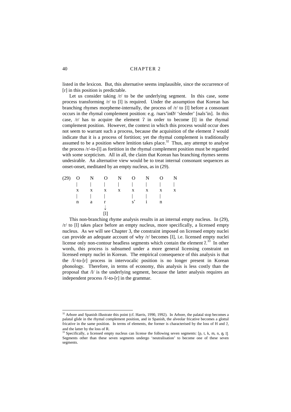listed in the lexicon. But, this alternative seems implausible, since the occurrence of [r] in this position is predictable.

Let us consider taking  $/r/$  to be the underlying segment. In this case, some process transforming /r/ to [l] is required. Under the assumption that Korean has branching rhymes morpheme-internally, the process of /r/ to [l] before a consonant occurs in the rhymal complement position: e.g. /nars'inØ/ 'slender' [nals'in]. In this case,  $/r/$  has to acquire the element ? in order to become [1] in the rhymal complement position. However, the context in which this process would occur does not seem to warrant such a process, because the acquisition of the element ? would indicate that it is a process of fortition; yet the rhymal complement is traditionally assumed to be a position where lenition takes place. $32$  Thus, any attempt to analyse the process /r/-to-[l] as fortition in the rhymal complement position must be regarded with some scepticism. All in all, the claim that Korean has branching rhymes seems undesirable. An alternative view would be to treat internal consonant sequences as onset-onset, meditated by an empty nucleus, as in (29).

|  | (29) O N O N O N O N |  |          |  |
|--|----------------------|--|----------|--|
|  | .                    |  |          |  |
|  | $X$ x x x x x x x    |  |          |  |
|  |                      |  |          |  |
|  | n a r                |  | $s'$ i n |  |
|  |                      |  |          |  |
|  |                      |  |          |  |

 This non-branching rhyme analysis results in an internal empty nucleus. In (29), /r/ to [l] takes place before an empty nucleus, more specifically, a licensed empty nucleus. As we will see Chapter 3, the constraint imposed on licensed empty nuclei can provide an adequate account of why /r/ becomes [l], i.e. licensed empty nuclei license only non-contour headless segments which contain the element  $2^{33}$  In other words, this process is subsumed under a more general licensing constraint on licensed empty nuclei in Korean. The empirical consequence of this analysis is that the /l/-to-[r] process in intervocalic position is no longer present in Korean phonology. Therefore, in terms of economy, this analysis is less costly than the proposal that  $\Lambda$  is the underlying segment, because the latter analysis requires an independent process /l/-to-[r] in the grammar.

 $\overline{a}$ 

 $32$  Arbore and Spanish illustrate this point (cf. Harris, 1990, 1992). In Arbore, the palatal stop becomes a palatal glide in the rhymal complement position, and in Spanish, the alveolar fricative becomes a glottal fricative in the same position. In terms of elements, the former is characterised by the loss of H and /, and the latter by the loss of R.

<sup>&</sup>lt;sup>33</sup> Specifically, a licensed empty nucleus can license the following seven segments:  $[p, t, k, m, n, n]$ . Segments other than these seven segments undergo 'neutralisation' to become one of these seven segments.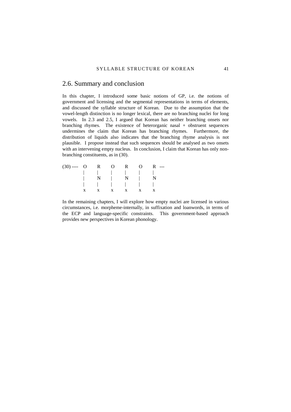## 2.6. Summary and conclusion

In this chapter, I introduced some basic notions of GP, i.e. the notions of government and licensing and the segmental representations in terms of elements, and discussed the syllable structure of Korean. Due to the assumption that the vowel-length distinction is no longer lexical, there are no branching nuclei for long vowels. In 2.3 and 2.5, I argued that Korean has neither branching onsets nor branching rhymes. The existence of heterorganic nasal + obstruent sequences undermines the claim that Korean has branching rhymes. Furthermore, the distribution of liquids also indicates that the branching rhyme analysis is not plausible. I propose instead that such sequences should be analysed as two onsets with an intervening empty nucleus. In conclusion, I claim that Korean has only nonbranching constituents, as in (30).

| $(30)$ ---- O R O R O R --- |  |                         |  |  |
|-----------------------------|--|-------------------------|--|--|
|                             |  |                         |  |  |
|                             |  |                         |  |  |
|                             |  |                         |  |  |
|                             |  | $X$ $X$ $X$ $X$ $X$ $X$ |  |  |

In the remaining chapters, I will explore how empty nuclei are licensed in various circumstances, i.e. morpheme-internally, in suffixation and loanwords, in terms of the ECP and language-specific constraints. This government-based approach provides new perspectives in Korean phonology.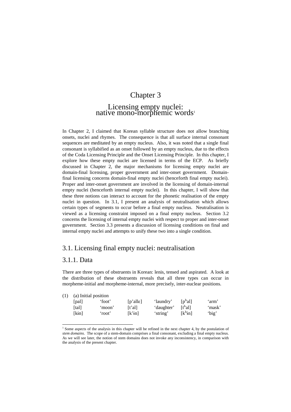## Chapter 3

# Licensing empty nuclei:<br>native mono-morphemic words<sup>1</sup>

In Chapter 2, I claimed that Korean syllable structure does not allow branching onsets, nuclei and rhymes. The consequence is that all surface internal consonant sequences are meditated by an empty nucleus. Also, it was noted that a single final consonant is syllabified as an onset followed by an empty nucleus, due to the effects of the Coda Licensing Principle and the Onset Licensing Principle. In this chapter, I explore how these empty nuclei are licensed in terms of the ECP. As briefly discussed in Chapter 2, the major mechanisms for licensing empty nuclei are domain-final licensing, proper government and inter-onset government. Domainfinal licensing concerns domain-final empty nuclei (henceforth final empty nuclei). Proper and inter-onset government are involved in the licensing of domain-internal empty nuclei (henceforth internal empty nuclei). In this chapter, I will show that these three notions can interact to account for the phonetic realisation of the empty nuclei in question. In 3.1, I present an analysis of neutralisation which allows certain types of segments to occur before a final empty nucleus. Neutralisation is viewed as a licensing constraint imposed on a final empty nucleus. Section 3.2 concerns the licensing of internal empty nuclei with respect to proper and inter-onset government. Section 3.3 presents a discussion of licensing conditions on final and internal empty nuclei and attempts to unify these two into a single condition.

## 3.1. Licensing final empty nuclei: neutralisation

### 3.1.1. Data

j

There are three types of obstruents in Korean: lenis, tensed and aspirated. A look at the distribution of these obstruents reveals that all three types can occur in morpheme-initial and morpheme-internal, more precisely, inter-nuclear positions.

| (1) | (a) Initial position |        |             |            |                            |        |
|-----|----------------------|--------|-------------|------------|----------------------------|--------|
|     | [pal]                | 'foot' | $[p'$ alle] | 'laundry'  | $\lceil p^n a \rceil$      | 'arm'  |
|     | [tal]                | 'moon' | [t'al]      | 'daughter' | $[t^{\text{h}}\text{all}]$ | 'mask' |
|     | [kin]                | 'root' | [k'in]      | 'string'   | $[k^{\text{h}}\text{in}]$  | 'big'  |
|     |                      |        |             |            |                            |        |

<sup>&</sup>lt;sup>1</sup> Some aspects of the analysis in this chapter will be refined in the next chapter 4, by the postulation of *stem domains*. The scope of a stem-domain comprises a final consonant, excluding a final empty nucleus. As we will see later, the notion of stem domains does not invoke any inconsistency, in comparison with the analysis of the present chapter.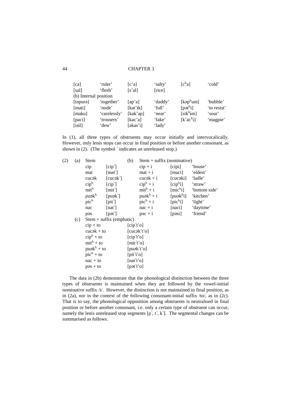| [ca]                  | 'ruler'      | [c'a]    | 'salty' | $[c^{\text{h}}a]$                 | 'cold'      |
|-----------------------|--------------|----------|---------|-----------------------------------|-------------|
| [sal]                 | 'flesh'      | [s'al]   | [rice]  |                                   |             |
| (b) Internal position |              |          |         |                                   |             |
| $[$ təpurə $]$        | 'together'   | [ap'a]   | 'daddy' | [kəp $^{\rm h}$ um]               | 'bubble'    |
| [mati]                | 'node'       | [kat'ik] | 'full'  | [pat <sup>h</sup> i]              | 'to resist' |
| [maku]                | 'carelessly' | [kak'ap] | 'near'  | $[sik^h$ im]                      | 'sour'      |
| [paci]                | 'trousers'   | [kac'a]  | 'fake'  | [k'ac <sup>h</sup> ] <sub>1</sub> | 'magpie'    |
| $[i\sin 1]$           | 'dew'        | [akas'i] | 'lady'  |                                   |             |

In (1), all three types of obstruents may occur initially and intervocalically. However, only lenis stops can occur in final position or before another consonant, as shown in  $(2)$ . (The symbol  $\overline{\ }$  indicates an unreleased stop.)

| (2) | (a) | Stem                                |                            | (b)                  | $Stem + suffix (nominative)$       |                      |               |
|-----|-----|-------------------------------------|----------------------------|----------------------|------------------------------------|----------------------|---------------|
|     |     | cip                                 | $[{\rm cip}]$              |                      | $\text{cip} + \text{i}$            | [cipi]               | 'house'       |
|     |     | mat                                 | [ $\text{mat}$ ]           |                      | $mat + i$                          | [maci]               | 'eldest'      |
|     |     | cucak                               | $[cu \infty k]$            |                      | $cucak + i$                        | $[cu \infty]$        | 'ladle'       |
|     |     | $\text{cip}^{\text{h}}$             | $[{\rm cip}]$              |                      | $\text{cip}^{\text{h}} + \text{i}$ | [cip <sup>h</sup> i] | 'straw'       |
|     |     | mit <sup>h</sup>                    | [mit]                      |                      | $mith + i$                         | $[mic^h i]$          | 'bottom side' |
|     |     | puəkh                               | $[pu\mathfrak{d}k]$        |                      | $puakh + i$                        | [ $puəkhi$ ]         | 'kitchen'     |
|     |     | pic <sup>h</sup>                    | [pit]                      |                      | $pich + i$                         | $[pic^h i]$          | 'light'       |
|     |     | nac                                 | [nat]                      |                      | $nac + i$                          | [naci]               | 'daytime'     |
|     |     | pas                                 | [pot]                      |                      | $p \circ c + i$                    | [pəsi]               | 'friend'      |
|     | (c) |                                     | $Stem + suffix$ (emphatic) |                      |                                    |                      |               |
|     |     | $\dot{\text{cap}} + \text{to}$      |                            | [cip't'0]            |                                    |                      |               |
|     |     | $cucak + to$                        |                            |                      | $[cu \circ k \circ b]$             |                      |               |
|     |     | $\text{cip}^{\text{h}} + \text{to}$ |                            | [cip't'0]            |                                    |                      |               |
|     |     | $mith + to$                         |                            | [mit <sup>t</sup> o] |                                    |                      |               |
|     |     | $puakh + to$                        |                            |                      | $[puək1$ 'o]                       |                      |               |
|     |     | $pich + to$                         |                            | [pit'']              |                                    |                      |               |
|     |     | $nac + to$                          |                            | [nat't'o]            |                                    |                      |               |
|     |     | $pos + to$                          |                            | [pat't'o]            |                                    |                      |               |

 The data in (2b) demonstrate that the phonological distinction between the three types of obstruents is maintained when they are followed by the vowel-initial nominative suffix /i/. However, the distinction is not maintained in final position, as in (2a), nor in the context of the following consonant-initial suffix /to/, as in (2c). That is to say, the phonological opposition among obstruents is neutralised in final position or before another consonant, i.e. only a certain type of obstruent can occur, namely the lenis unreleased stop segments  $[p, t], k$ <sup>-</sup>]. The segmental changes can be summarised as follows.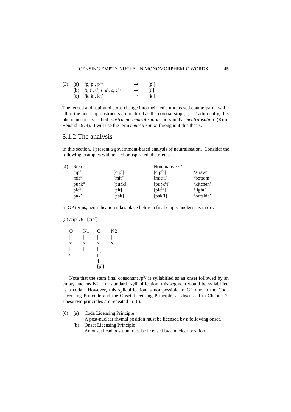|  | (3) (a) $/p, p', p^h/$                                  |               | $\rightarrow$ [p] |
|--|---------------------------------------------------------|---------------|-------------------|
|  | (b) /t, t', t <sup>h</sup> , s, s', c, c <sup>h</sup> / | $\rightarrow$ | [t']              |
|  | (c) /k, k', k <sup>h</sup> /                            |               | $\rightarrow$ [k] |

The tensed and aspirated stops change into their lenis unreleased counterparts, while all of the non-stop obstruents are realised as the coronal stop  $[t]$ . Traditionally, this phenomenon is called *obstruent neutralisation* or simply, *neutralisation* (Kim-Renaud 1974). I will use the term *neutralisation* throughout this thesis.

## 3.1.2 The analysis

In this section, I present a government-based analysis of neutralisation. Consider the following examples with tensed or aspirated obstruents.

| (4) | Stem                    |               | Nominative $\hat{1}$ |           |
|-----|-------------------------|---------------|----------------------|-----------|
|     | $\text{cip}^{\text{h}}$ | $[{\rm cip}]$ | [cip <sup>h</sup> i] | 'straw'   |
|     | mith                    | [mit]         | $[mic^h]$            | 'bottom'  |
|     | $pu \circ kh$           | [puək]        | [ $pu \circ k^h i$ ] | 'kitchen' |
|     | pic <sup>h</sup>        | [pit]         | $[pic^h]$            | 'light'   |
|     | pak'                    | [pak]         | [pak'i]              | 'outside' |

In GP terms, neutralisation takes place before a final empty nucleus, as in (5).

#### $(5)$ /cip<sup>h</sup> $\emptyset$ / [cip<sup>-</sup>]

|             | N1 | 0              | N <sub>2</sub> |
|-------------|----|----------------|----------------|
|             |    |                |                |
| X           | X  | X              | X              |
|             |    |                |                |
| $\mathbf c$ | i  | p <sup>h</sup> |                |
|             |    |                |                |
|             |    | $[p^{\eta}]$   |                |

Note that the stem final consonant  $/p^h$  is syllabified as an onset followed by an empty nucleus N2. In 'standard' syllabification, this segment would be syllabified as a coda. However, this syllabification is not possible in GP due to the Coda Licensing Principle and the Onset Licensing Principle, as discussed in Chapter 2. These two principles are repeated in (6).

(6) (a) Coda Licensing Principle

A post-nuclear rhymal position must be licensed by a following onset.

 (b) Onset Licensing Principle An onset head position must be licensed by a nuclear position.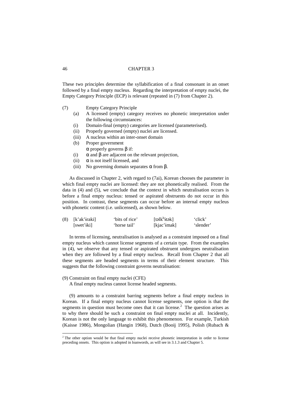These two principles determine the syllabification of a final consonant in an onset followed by a final empty nucleus. Regarding the interpretation of empty nuclei, the Empty Category Principle (ECP) is relevant (repeated in (7) from Chapter 2).

- (7) Empty Category Principle
	- (a) A licensed (empty) category receives no phonetic interpretation under the following circumstances:
	- (i) Domain-final (empty) categories are licensed (parameterised).
	- (ii) Properly governed (empty) nuclei are licensed.
	- (iii) A nucleus within an inter-onset domain
	- (b) Proper government α properly governs β if:
	- (i)  $\alpha$  and  $\beta$  are adjacent on the relevant projection,
	- (ii)  $\alpha$  is not itself licensed, and
	- (iii) No governing domain separates  $\alpha$  from  $\beta$ .

 As discussed in Chapter 2, with regard to (7ai), Korean chooses the parameter in which final empty nuclei are licensed: they are not phonetically realised. From the data in (4) and (5), we conclude that the context in which neutralisation occurs is before a final empty nucleus: tensed or aspirated obstruents do not occur in this position. In contrast, these segments can occur before an internal empty nucleus with phonetic content (*i.e.* unlicensed), as shown below.

| (8) | [k'ak'iraki]        | 'bits of rice' | $[t\partial k^h it\partial k]$        | 'click'   |
|-----|---------------------|----------------|---------------------------------------|-----------|
|     | [ <i>swet'iki</i> ] | 'horse tail'   | [k <sub>i</sub> ac' <sub>i</sub> mak] | 'slender' |

In terms of licensing, neutralisation is analysed as a constraint imposed on a final empty nucleus which cannot license segments of a certain type. From the examples in (4), we observe that any tensed or aspirated obstruent undergoes neutralisation when they are followed by a final empty nucleus. Recall from Chapter 2 that all these segments are headed segments in terms of their element structure. This suggests that the following constraint governs neutralisation:

#### (9) Constraint on final empty nuclei (CFE)

A final empty nucleus cannot license headed segments.

(9) amounts to a constraint barring segments before a final empty nucleus in Korean. If a final empty nucleus cannot license segments, one option is that the segments in question must become ones that it can license. $2$  The question arises as to why there should be such a constraint on final empty nuclei at all. Incidently, Korean is not the only language to exhibit this phenomenon. For example, Turkish (Kaisse 1986), Mongolian (Hangin 1968), Dutch (Booij 1995), Polish (Rubach &

<sup>&</sup>lt;sup>2</sup> The other option would be that final empty nuclei receive phonetic interpretation in order to license preceding onsets. This option is adopted in loanwords, as will see in 3.1.3 and Chapter 5.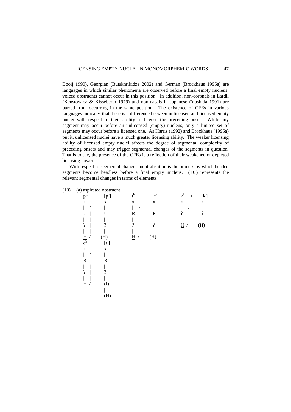Booij 1990), Georgian (Butskhrikidze 2002) and German (Brockhaus 1995a) are languages in which similar phenomena are observed before a final empty nucleus: voiced obstruents cannot occur in this position. In addition, non-coronals in Lardil (Kenstowicz & Kisseberth 1979) and non-nasals in Japanese (Yoshida 1991) are barred from occurring in the same position. The existence of CFEs in various languages indicates that there is a difference between unlicensed and licensed empty nuclei with respect to their ability to license the preceding onset. While any segment may occur before an unlicensed (empty) nucleus, only a limited set of segments may occur before a licensed one. As Harris (1992) and Brockhaus (1995a) put it, unlicensed nuclei have a much greater licensing ability. The weaker licensing ability of licensed empty nuclei affects the degree of segmental complexity of preceding onsets and may trigger segmental changes of the segments in question. That is to say, the presence of the CFEs is a reflection of their weakened or depleted licensing power.

With respect to segmental changes, neutralisation is the process by which headed segments become headless before a final empty nucleus. (10) represents the relevant segmental changes in terms of elements.

(10) (a) aspirated obstruent

| $\mathbf{p}^\mathrm{h}$<br>$\longrightarrow$ | $\left[p^{\gamma}\right]$ | $t^h$<br>$\rightarrow$ | $[t^{\eta}]$ | $k^h \rightarrow$         | $[k]$         |
|----------------------------------------------|---------------------------|------------------------|--------------|---------------------------|---------------|
| $\mathbf X$                                  | $\mathbf X$               | $\mathbf X$            | $\mathbf X$  | $\mathbf X$               | X             |
|                                              |                           |                        |              |                           |               |
| U                                            | U                         | R                      | ${\bf R}$    | $\boldsymbol{\mathsf{?}}$ | $\mathcal{P}$ |
|                                              |                           |                        |              |                           |               |
| $\mathbf 7$                                  | ?                         | $\mathbf 7$            | $\mathbf 7$  | $\underline{H}$ /         | (H)           |
|                                              |                           |                        |              |                           |               |
| $\frac{H}{c^h}$                              | (H)                       | $\underline{H}$ /      | (H)          |                           |               |
| $\rightarrow$                                | $[t^{\eta}]$              |                        |              |                           |               |
| X                                            | $\mathbf X$               |                        |              |                           |               |
|                                              |                           |                        |              |                           |               |
| R I                                          | R                         |                        |              |                           |               |
|                                              |                           |                        |              |                           |               |
| $\boldsymbol{\Omega}$                        | $\boldsymbol{\mathsf{?}}$ |                        |              |                           |               |
|                                              |                           |                        |              |                           |               |
| $\underline{H}$ /                            | (I)                       |                        |              |                           |               |
|                                              |                           |                        |              |                           |               |
|                                              | (H)                       |                        |              |                           |               |
|                                              |                           |                        |              |                           |               |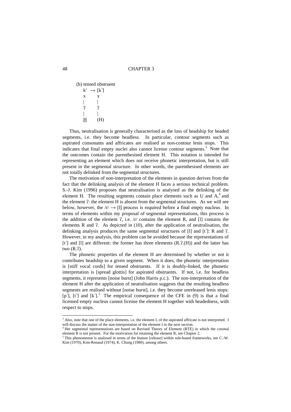```
48 CHAPTER 3
```
(b) tensed obstruent

 $k' \rightarrow [k']$  x x | | *2 2 2*  | |  $H$  (H)

 Thus, neutralisation is generally characterised as the loss of headship for headed segments, i.e. they become headless. In particular, contour segments such as aspirated consonants and affricates are realised as non-contour lenis stops. This indicates that final empty nuclei also cannot license contour segments.<sup>3</sup> Note that the outcomes contain the parenthesised element H. This notation is intended for representing an element which does not receive phonetic interpretation, but is still present in the segmental structure. In other words, the parenthesised elements are not totally delinked from the segmental structures.

The motivation of non-interpretation of the elements in question derives from the fact that the delinking analysis of the element H faces a serious technical problem. S.-J. Kim (1996) proposes that neutralisation is analysed as the delinking of the element H. The resulting segments contain place elements such as U and  $A$ ,  $A$  and the element  $\hat{I}$ : the element  $H$  is absent from the segmental structures. As we will see below, however, the  $/r \rightarrow \text{[1]}$  process is required before a final empty nucleus. In terms of elements within my proposal of segmental representations, this process is the addition of the element  $\hat{I}$ , i.e.  $\hat{I}$  contains the element R, and [1] contains the elements R and  $\hat{P}$ . As depicted in (10), after the application of neutralisation, the delinking analysis produces the same segmental structures of  $[1]$  and  $[t^{\dagger}]$ : R and ?. However, in my analysis, this problem can be avoided because the representations of  $[t]$  and  $[1]$  are different: the former has three elements  $(R.2.(H))$  and the latter has two  $(R.2)$ .

The phonetic properties of the element H are determined by whether or not it contributes headship to a given segment. When it does, the phonetic interpretation is [stiff vocal cords] for tensed obstruents. If it is doubly-linked, the phonetic interpretation is [spread glottis] for aspirated obstruents. If not, i.e. for headless segments, it represents [noise burst] (John Harris p.c.). The non-interpretation of the element H after the application of neutralisation suggests that the resulting headless segments are realised without [noise burst], i.e. they become unreleased lenis stops: [p<sup>T</sup>], [t<sup>T</sup>] and [k<sup>T</sup>].<sup>5</sup> The empirical consequence of the CFE in (9) is that a final licensed empty nucleus cannot license the element H together with headedness, with respect to stops.

 $\overline{a}$ 

<sup>&</sup>lt;sup>3</sup> Also, note that one of the place elements, i.e. the element I, of the aspirated affricate is not interpreted. I will discuss the matter of the non-interpretation of the element I in the next section.

<sup>4</sup> Her segmental representations are based on Revised Theory of Element (RTE) in which the coronal element R is not present. For the motivation for retaining the element R, see Chapter 2.

<sup>5</sup> This phenomenon is analysed in terms of the feature [release] within rule-based frameworks, see C.-W. Kim (1970), Kim-Renaud (1974), K. Chung (1980), among others.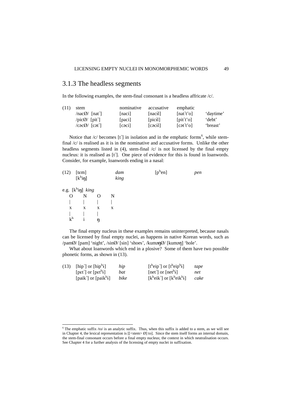## 3.1.3 The headless segments

In the following examples, the stem-final consonant is a headless affricate /c/.

| (11) | stem                              | nominative | accusative | emphatic                |           |
|------|-----------------------------------|------------|------------|-------------------------|-----------|
|      | $/na c \mathcal{O}/\sqrt{na t}$   | [naci]     | [nacil]    | [nat'']                 | 'daytime' |
|      | $\pi$ ic $\varnothing$ [pit]      | [paci]     | [picil]    | [pit'o]                 | 'debt'    |
|      | $\sqrt{c}$ ac $\emptyset$ / [cat] | [cəci]     | [coci]     | [cot <sup>2</sup> t'ol] | 'breast'  |

Notice that /c/ becomes [t<sup> $\cdot$ </sup>] in isolation and in the emphatic forms<sup>6</sup>, while stemfinal /c/ is realised as it is in the nominative and accusative forms. Unlike the other headless segments listed in (4), stem-final /c/ is not licensed by the final empty nucleus: it is realised as  $[t<sup>3</sup>]$ . One piece of evidence for this is found in loanwords. Consider, for example, loanwords ending in a nasal:

| (12)           | $[$ t $\epsilon$ m $]$<br>$[k^{\text{h}}$ iŋ] |          | dam<br>king | $[p^{\text{h}}en]$ | pen |
|----------------|-----------------------------------------------|----------|-------------|--------------------|-----|
|                | e.g. $[k^h$ iŋ] $king$                        |          |             |                    |     |
| O              | N                                             | $\Omega$ | N           |                    |     |
|                |                                               |          |             |                    |     |
| X              | X                                             | X        | X           |                    |     |
|                |                                               |          |             |                    |     |
| k <sup>h</sup> | $\mathbf{i}$                                  | ŋ        |             |                    |     |

The final empty nucleus in these examples remains uninterpreted, because nasals can be licensed by final empty nuclei, as happens in native Korean words, such as  $\gamma$ pamØ/ [pam] 'night', /sinØ/ [sin] 'shoes', /kumanØ/ [kuman] 'hole'.

 What about loanwords which end in a plosive? Some of them have two possible phonetic forms, as shown in (13).

| (13) | $[hip1]$ or $[hiph$ <b>i</b> ]                | hip  | $[t^heip^{\dagger}]$ or $[t^heip^h\mathbf{i}]$ | tape |
|------|-----------------------------------------------|------|------------------------------------------------|------|
|      | [ $pet$ ] or [ $pet$ <sup>h</sup> i]          | bat  | $[net^{\dagger}]$ or $[net^{\dagger}]$         | net  |
|      | [paik <sup>1</sup> ] or [paik <sup>h</sup> i] | bike | $[k^heik^{\dagger}]$ or $[k^heik^h\mathbf{i}]$ | cake |

 $\overline{\phantom{a}}$  The emphatic suffix /to/ is an analytic suffix. Thus, when this suffix is added to a stem, as we will see in Chapter 4, the lexical representation is  $[[\langle \text{stem} \rangle \varnothing]$  to]. Since the stem itself forms an internal domain, the stem-final consonant occurs before a final empty nucleus; the context in which neutralisation occurs. See Chapter 4 for a further analysis of the licensing of empty nuclei in suffixation.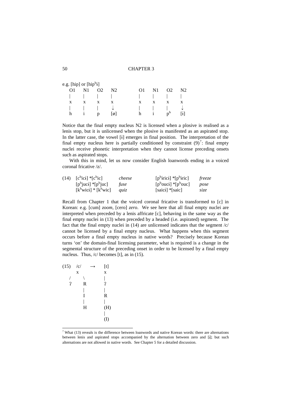| e.g. [hip] or $[hip^h_i]$ |                                                                                                                                                                                                                                      |              |          |    |            |                                                                 |    |
|---------------------------|--------------------------------------------------------------------------------------------------------------------------------------------------------------------------------------------------------------------------------------|--------------|----------|----|------------|-----------------------------------------------------------------|----|
| $\Omega$ .                | N1                                                                                                                                                                                                                                   | $\Omega$     | N2.      | O1 | N1         | $\Omega$                                                        | N2 |
|                           | <b>The Contract of the Contract of the Contract of the Contract of the Contract of the Contract of the Contract of the Contract of the Contract of the Contract of the Contract of the Contract of the Contract of the Contract </b> |              |          |    |            | $\mathbf{1}$ and $\mathbf{1}$ and $\mathbf{1}$ and $\mathbf{1}$ |    |
| X                         | X                                                                                                                                                                                                                                    | $\mathbf{x}$ | x        | X  | X          | X                                                               |    |
|                           | $\begin{array}{ccc} \end{array}$                                                                                                                                                                                                     |              |          |    |            | $\mathbf{1}$ , $\mathbf{1}$ , $\mathbf{1}$ , $\mathbf{1}$       |    |
| h                         | $\mathbf{i}$                                                                                                                                                                                                                         | $\mathbf{D}$ | $\sigma$ |    | $h$ i $ph$ |                                                                 |    |

Notice that the final empty nucleus N2 is licensed when a plosive is realised as a lenis stop, but it is unlicensed when the plosive is manifested as an aspirated stop. In the latter case, the vowel  $[i]$  emerges in final position. The interpretation of the final empty nucleus here is partially conditioned by constraint  $(9)^7$ : final empty nuclei receive phonetic interpretation when they cannot license preceding onsets such as aspirated stops.

 With this in mind, let us now consider English loanwords ending in a voiced coronal fricative /z/.

| $(14)$ $[c^{h}ic^{i}]$ * $[c^{h}ic]$   | cheese | $[p^{\text{h}}\text{irici}]$ * $[p^{\text{h}}\text{iric}]$   | freeze |
|----------------------------------------|--------|--------------------------------------------------------------|--------|
| $[p^{\rm h}j$ uci] * $[p^{\rm h}j$ uc] | fuse   | $[p^{\text{h}}{\text{ouci}}]$ * $[p^{\text{h}}{\text{ouc}}]$ | pose   |
| $[k^h$ wici] * $[k^h$ wic]             | auiz   | $[saici] * [saic]$                                           | size   |

Recall from Chapter 1 that the voiced coronal fricative is transformed to [c] in Korean: e.g. [cum] *zoom*, [cero] *zero*. We see here that all final empty nuclei are interpreted when preceded by a lenis affricate [c], behaving in the same way as the final empty nuclei in (13) when preceded by a headed (i.e. aspirated) segment. The fact that the final empty nuclei in  $(14)$  are unlicensed indicates that the segment  $\sqrt{c}$ cannot be licensed by a final empty nucleus. What happens when this segment occurs before a final empty nucleus in native words? Precisely because Korean turns 'on' the domain-final licensing parameter, what is required is a change in the segmental structure of the preceding onset in order to be licensed by a final empty nucleus. Thus, /c/ becomes [t], as in (15).

 $(15)$  /c/  $\rightarrow$  [t]  $\mathbf x$   $\mathbf x$  $\sqrt{ \ }$ / R / | | I R | |  $H$  (H) | (I)

j

<sup>&</sup>lt;sup>7</sup> What (13) reveals is the difference between loanwords and native Korean words: there are alternations between lenis and aspirated stops accompanied by the alternation between zero and [i]; but such alternations are not allowed in native words. See Chapter 5 for a detailed discussion.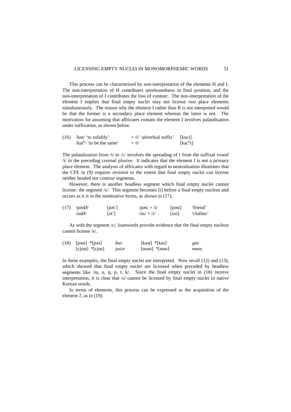This process can be characterised by non-interpretation of the elements H and I. The non-interpretation of H contributes unreleasedness in final position, and the non-interpretation of I contributes the loss of contour. The non-interpretation of the element I implies that final empty nuclei may not license two place elements simultaneously. The reason why the element I rather than R is not interpreted would be that the former is a secondary place element whereas the latter is not. The motivation for assuming that affricates contain the element I involves palatalisation under suffixation, as shown below.

| $(16)$ /kut/ 'to solidify'           | $+$ /i/ 'adverbial suffix' [kuci] |                      |
|--------------------------------------|-----------------------------------|----------------------|
| /kat <sup>h</sup> / 'to be the same' | $+$ /i/                           | [kac <sup>h</sup> i] |

The palatalisation from  $/t$  to  $/c$  involves the spreading of I from the suffixal vowel  $\pi$  to the preceding coronal plosive. It indicates that the element I is not a primary place element. The analysis of affricates with regard to neutralisation illustrates that the CFE in (9) requires revision to the extent that final empty nuclei can license neither headed nor contour segments.

However, there is another headless segment which final empty nuclei cannot license: the segment /s/. This segment becomes [t] before a final empty nucleus and occurs as it is in the nominative forms, as shown in (17).

| $(17)$ /pas $\emptyset$ /    | [pot]                     | $\gamma$ pas $/ + \gamma$ i/ | [pəsi]   | 'friend'  |
|------------------------------|---------------------------|------------------------------|----------|-----------|
| $\sqrt{0}$ s $\varnothing$ / | $\lceil \text{ot} \rceil$ | $\sqrt{OS}$ + $\sqrt{1}$     | $\cos i$ | 'clothes' |

 As with the segment /c/, loanwords provide evidence that the final empty nucleus cannot license /s/.

| $(18)$ [pasi] *[pas] | bus   | $[kas]$ * $[kas]$  | gas  |
|----------------------|-------|--------------------|------|
| $[cjusi]$ * $[cjus]$ | juice | $[masi]$ * $[mas]$ | mass |

In these examples, the final empty nuclei are interpreted. Now recall (12) and (13), which showed that final empty nuclei are licensed when preceded by headless segments like /m, n, n, p, t, k/. Since the final empty nuclei in  $(18)$  receive interpretation, it is clear that /s/ cannot be licensed by final empty nuclei in native Korean words.

 In terms of elements, this process can be expressed as the acquisition of the element  $?$ , as in  $(19)$ .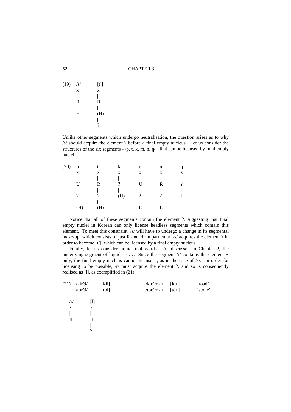```
52 CHAPTER 3
```

| (19) | $\sqrt{s}$ | $[t^r]$       |
|------|------------|---------------|
|      | X          | X             |
|      |            |               |
|      | R          | R             |
|      |            |               |
|      | H          | (H)           |
|      |            |               |
|      |            | $\mathcal{P}$ |

Unlike other segments which undergo neutralisation, the question arises as to why /s/ should acquire the element / before a final empty nucleus. Let us consider the structures of the six segments - /p, t, k, m, n,  $\eta$  - that can be licensed by final empty nuclei.

| (20) | p   |   | k   | m | n | ŋ |
|------|-----|---|-----|---|---|---|
|      | X   | X | X   | X | X | X |
|      |     |   |     |   |   |   |
|      | H   | R |     | П | R |   |
|      |     |   |     |   |   |   |
|      |     |   | (H) | 2 |   |   |
|      |     |   |     |   |   |   |
|      | (Ħ, |   |     |   |   |   |

Notice that all of these segments contain the element ?, suggesting that final empty nuclei in Korean can only license headless segments which contain this element. To meet this constraint, /s/ will have to undergo a change in its segmental make-up, which consists of just R and H: in particular,  $/s/$  acquires the element  $?$  in order to become  $[t]$ , which can be licensed by a final empty nucleus.

 Finally, let us consider liquid-final words. As discussed in Chapter 2, the underlying segment of liquids is  $/r$ . Since the segment  $/r$  contains the element R only, the final empty nucleus cannot license it, as in the case of /s/. In order for licensing to be possible,  $\langle r \rangle$  must acquire the element  $\gamma$ , and so is consequently realised as [l], as exemplified in (21).

| (21)       | $/$ kirØ $/$       | [kil]         | $\overline{\kappa}$ ir $\overline{\kappa}$ + /i/ | [kiri] | 'road'  |
|------------|--------------------|---------------|--------------------------------------------------|--------|---------|
|            | /tor $\emptyset$ / | [tol]         | $/tor/ + /i/$ [tori]                             |        | 'stone' |
| $\sqrt{r}$ |                    | $[1]$         |                                                  |        |         |
| X          |                    | X             |                                                  |        |         |
|            |                    |               |                                                  |        |         |
| R          |                    | R             |                                                  |        |         |
|            |                    |               |                                                  |        |         |
|            |                    | $\mathcal{P}$ |                                                  |        |         |
|            |                    |               |                                                  |        |         |
|            |                    |               |                                                  |        |         |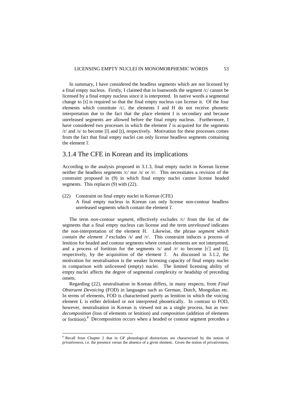In summary, I have considered the headless segments which are not licensed by a final empty nucleus. Firstly, I claimed that in loanwords the segment /c/ cannot be licensed by a final empty nucleus since it is interpreted. In native words a segmental change to [t] is required so that the final empty nucleus can license it. Of the four elements which constitute  $/c$ , the elements I and H do not receive phonetic interpretation due to the fact that the place element I is secondary and because unreleased segments are allowed before the final empty nucleus. Furthermore, I have considered two processes in which the element  $\hat{I}$  is acquired for the segments /r/ and /s/ to become [l] and [t], respectively. Motivation for these processes comes from the fact that final empty nuclei can only license headless segments containing the element ?.

## 3.1.4 The CFE in Korean and its implications

According to the analysis proposed in 3.1.3, final empty nuclei in Korean license neither the headless segments /c/ nor /s/ or /r/. This necessitates a revision of the constraint proposed in (9) in which final empty nuclei cannot license headed segments. This replaces (9) with (22).

(22) Constraint on final empty nuclei in Korean (CFE) A final empty nucleus in Korean can only license non-contour headless unreleased segments which contain the element /.

 The term *non-contour segment*, effectively excludes /c/ from the list of the segments that a final empty nucleus can license and the term *unreleased* indicates the non-interpretation of the element H. Likewise, the phrase *segment which contain the element ?* excludes /s/ and /r/. This constraint induces a process of lenition for headed and contour segments where certain elements are not interpreted, and a process of fortition for the segments  $/s/$  and  $/r/$  to become [t<sup>T</sup>] and [l], respectively, by the acquisition of the element ?. As discussed in 3.1.2, the motivation for neutralisation is the weaker licensing capacity of final empty nuclei in comparison with unlicensed (empty) nuclei. The limited licensing ability of empty nuclei affects the degree of segmental complexity or headship of preceding onsets.

 Regarding (22), neutralisation in Korean differs, in many respects, from *Final Obstruent Devoicing* (FOD) in languages such as German, Dutch, Mongolian etc. In terms of elements, FOD is characterised purely as lenition in which the voicing element L is either delinked or not interpreted phonetically. In contrast to FOD, however, neutralisation in Korean is viewed not as a single process, but as two: *decomposition* (loss of elements or lenition) and *composition* (addition of elements or fortition).<sup>8</sup> Decomposition occurs when a headed or contour segment precedes a

j

<sup>8</sup> Recall from Chapter 2 that in GP phonological distinctions are characterised by the notion of *privativeness*, i.e. the presence versus the absence of a given element. Given the notion of privativeness,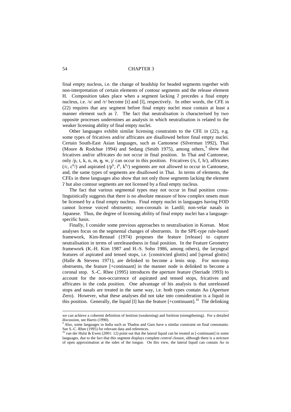final empty nucleus, i.e. the change of headship for headed segments together with non-interpretation of certain elements of contour segments and the release element H. Composition takes place when a segment lacking ? precedes a final empty nucleus, i.e. /s/ and /r/ become [t] and [l], respectively. In other words, the CFE in (22) requires that any segment before final empty nuclei must contain at least a manner element such as ?. The fact that neutralisation is characterised by two opposite processes undermines an analysis in which neutralisation is related to the weaker licensing ability of final empty nuclei.

Other languages exhibit similar licensing constraints to the CFE in (22), e.g. some types of fricatives and/or affricates are disallowed before final empty nuclei. Certain South-East Asian languages, such as Cantonese (Silverman 1992), Thai (Moore & Rodchue 1994) and Sedang (Smith 1975), among others,  $9$  show that fricatives and/or affricates do not occur in final position. In Thai and Cantonese, only /p, t, k, n, m, n, w, i/ can occur in this position. Fricatives (/s, f, h/), affricates (/c, c<sup>h</sup>/) and aspirated (/p<sup>h</sup>, t<sup>h</sup>, k<sup>h</sup>/) segments are not allowed to occur in Cantonese, and, the same types of segments are disallowed in Thai. In terms of elements, the CFEs in these languages also show that not only those segments lacking the element / but also contour segments are not licensed by a final empty nucleus.

The fact that various segmental types may not occur in final position crosslinguistically suggests that there is no absolute measure of how complex onsets must be licensed by a final empty nucleus. Final empty nuclei in languages having FOD cannot license voiced obstruents; non-coronals in Lardil; non-velar nasals in Japanese. Thus, the degree of licensing ability of final empty nuclei has a languagespecific basis.

 Finally, I consider some previous approaches to neutralisation in Korean. Most analyses focus on the segmental changes of obstruents. In the SPE-type rule-based framework, Kim-Renaud (1974) proposes the feature [release] to capture neutralisation in terms of unreleasedness in final position. In the Feature Geometry framework (K.-H. Kim 1987 and H.-S. Sohn 1986, among others), the laryngeal features of aspirated and tensed stops, i.e. [constricted glottis] and [spread glottis] (Halle & Stevens 1971), are delinked to become a lenis stop. For non-stop obstruents, the feature [+continuant] in the manner node is delinked to become a coronal stop. S.-C. Rhee (1995) introduces the aperture feature (Steriade 1993) to account for the non-occurrence of aspirated and tensed stops, fricatives and affricates in the coda position. One advantage of his analysis is that unreleased stops and nasals are treated in the same way, i.e. both types contain Ao (Aperture Zero). However, what these analyses did not take into consideration is a liquid in this position. Generally, the liquid [1] has the feature  $[+$ continuant $]$ .<sup>10</sup> The delinking

we can achieve a coherent definition of lenition (weakening) and fortition (strengthening). For a detailed discussion, see Harris (1990).

<sup>9</sup> Also, some languages in India such as Thadou and Garo have a similar constraint on final consonants. See S.-C. Rhee (1995) for relevant data and references.

<sup>&</sup>lt;sup>10</sup> van der Hulst & Ewen (2001: 12) point out that the lateral liquid can be treated as [-continuant] in some languages, due to the fact that this segment displays complete *central* closure, although there is a stricture of open approximation at the sides of the tongue. On this view, the lateral liquid can contain Ao in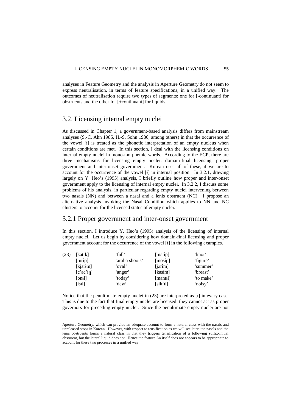analyses in Feature Geometry and the analysis in Aperture Geometry do not seem to express neutralisation, in terms of feature specifications, in a unified way. The outcomes of neutralisation require two types of segments: one for [-continuant] for obstruents and the other for [+continuant] for liquids.

## 3.2. Licensing internal empty nuclei

As discussed in Chapter 1, a government-based analysis differs from mainstream analyses (S.-C. Ahn 1985, H.-S. Sohn 1986, among others) in that the occurrence of the vowel [i] is treated as the phonetic interpretation of an empty nucleus when certain conditions are met. In this section, I deal with the licensing conditions on internal empty nuclei in mono-morphemic words. According to the ECP, there are three mechanisms for licensing empty nuclei: domain-final licensing, proper government and inter-onset government. Korean uses all of these, if we are to account for the occurrence of the vowel  $[i]$  in internal position. In 3.2.1, drawing largely on Y. Heo's (1995) analysis, I briefly outline how proper and inter-onset government apply to the licensing of internal empty nuclei. In 3.2.2, I discuss some problems of his analysis, in particular regarding empty nuclei intervening between two nasals (NN) and between a nasal and a lenis obstruent (NC). I propose an alternative analysis invoking the Nasal Condition which applies to NN and NC clusters to account for the licensed status of empty nuclei.

#### 3.2.1 Proper government and inter-onset government

In this section, I introduce Y. Heo's (1995) analysis of the licensing of internal empty nuclei. Let us begin by considering how domain-final licensing and proper government account for the occurrence of the vowel  $[i]$  in the following examples.

| (23) | 'full'<br>[katik]       |                 | [metric] | 'knot'    |
|------|-------------------------|-----------------|----------|-----------|
|      | [turn]                  | 'aralia shoots' | [mosp]   | 'figure'  |
|      | [kjarim]                | 'oval'          | [iərim]  | 'summer'  |
|      | [c'ac'in]               | 'anger'         | [kasim]  | 'breast'  |
|      | $[0n\ddot{\textbf{i}}]$ | 'today'         | [mantil] | 'to make' |
|      | [isi]                   | 'dew'           | [sik'il] | 'noisy'   |

Notice that the penultimate empty nuclei in  $(23)$  are interpreted as [i] in every case. This is due to the fact that final empty nuclei are licensed: they cannot act as proper governors for preceding empty nuclei. Since the penultimate empty nuclei are not

Aperture Geometry, which can provide an adequate account to form a natural class with the nasals and unreleased stops in Korean. However, with respect to tensification as we will see later, the nasals and the lenis obstruents forms a natural class in that they triggers tensification of a following suffix-initial obstruent, but the lateral liquid does not. Hence the feature Ao itself does not appears to be appropriate to account for these two processes in a unified way.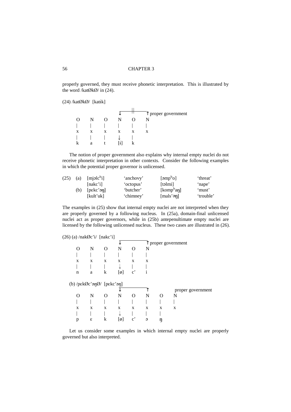properly governed, they must receive phonetic interpretation. This is illustrated by the word /katØkØ/ in (24).

 $(24)$ /katØkØ/ [katik]

|   |   |   |              |   | proper government |
|---|---|---|--------------|---|-------------------|
|   | N |   | N            |   |                   |
|   |   |   | $\mathbf{1}$ |   |                   |
| X | X | X | X            | X | X                 |
|   |   |   |              |   |                   |
|   | a |   |              |   |                   |

 The notion of proper government also explains why internal empty nuclei do not receive phonetic interpretation in other contexts. Consider the following examples in which the potential proper governor is unlicensed.

| (25)<br>(a) | [mjəlc <sup>h</sup> i] | 'anchovy'  | $[omp^h$ o] | 'threat'                      |           |
|-------------|------------------------|------------|-------------|-------------------------------|-----------|
|             |                        | [nakc'i]   | 'octopus'   | [təlmi]                       | 'nape'    |
|             | (b)                    | [pekc'ənl] | 'butcher'   | [komp <sup>h</sup> an]        | 'must'    |
|             |                        | [kult'uk]  | 'chimney'   | $[{\text{mals}}' \circ \eta]$ | 'trouble' |

The examples in (25) show that internal empty nuclei are not interpreted when they are properly governed by a following nucleus. In (25a), domain-final unlicensed nuclei act as proper governors, while in (25b) antepenultimate empty nuclei are licensed by the following unlicensed nucleus. These two cases are illustrated in (26).

|   | $(26)$ (a) /nak $\emptyset$ c'i/ [nakc'i]                           |          |               |                                 |          |          |                   |                   |
|---|---------------------------------------------------------------------|----------|---------------|---------------------------------|----------|----------|-------------------|-------------------|
|   |                                                                     |          |               |                                 |          |          | proper government |                   |
| O | N                                                                   | $\Omega$ | N             | O                               | N        |          |                   |                   |
|   |                                                                     |          |               |                                 |          |          |                   |                   |
| X | X                                                                   | X        | X             | X                               | X        |          |                   |                   |
|   |                                                                     |          |               |                                 |          |          |                   |                   |
| n | a                                                                   | k        | $[\emptyset]$ | $\mathbf{c}^{\ast}$             | 1        |          |                   |                   |
|   | (b) / $p \in \mathcal{C}$ and $\emptyset$ [ $p \in \mathcal{C}$ and |          |               |                                 |          |          |                   | proper government |
| Ω | N                                                                   | $\Omega$ | N             | $\Omega$                        | N        | $\Omega$ | N                 |                   |
|   |                                                                     |          |               |                                 |          |          |                   |                   |
| X | X                                                                   | X        | X             | X                               | X        | X        | X                 |                   |
|   |                                                                     |          |               |                                 |          |          |                   |                   |
| p | ε                                                                   | k        | [ø]           | $\mathbf{c}^{\text{{\tiny ?}}}$ | $\Theta$ | η        |                   |                   |

 Let us consider some examples in which internal empty nuclei are properly governed but also interpreted.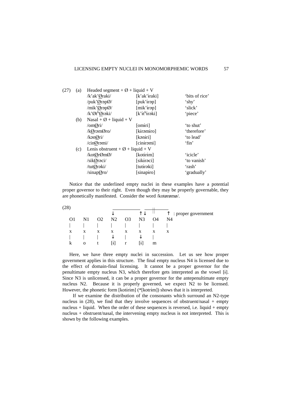| (27 | (a) | Headed segment + $\varnothing$ + liquid + V |                           |                |
|-----|-----|---------------------------------------------|---------------------------|----------------|
|     |     | /k'ak'Øraki/                                | [k'ak'iraki]              | 'bits of rice' |
|     |     | /puk'ØrəpØ/                                 | [puk'irap]                | 'shy'          |
|     |     | /mik' $Q$ rəp $Q$ /                         | [mik'irap]                | 'slick'        |
|     |     | /k'Øt <sup>h</sup> Ørəki/                   | [k'i <sup>th</sup> irəki] | 'piece'        |
|     | (b) | Nasal + $\varnothing$ + liquid + V          |                           |                |
|     |     | /omØri/                                     | [omiri]                   | 'to shut'      |
|     |     | /kØrəmØro/                                  | [kirəmiro]                | 'therefore'    |
|     |     | /kənØri/                                    | [kəniri]                  | 'to lead'      |
|     |     | $/cinQ$ rəmi/                               | [ciniromi]                | 'fin'          |
|     | (c) | Lenis obstruent + $\emptyset$ + liquid + V  |                           |                |
|     |     | /kotØrØmØ/                                  | [kotirim]                 | 'icicle'       |
|     |     | /sikØrəci/                                  | [sikiraci]                | 'to vanish'    |
|     |     | /tutØrəki/                                  | [tutirəki]                | 'rash'         |
|     |     | /sinap $Q$ ro/                              | [sinapiro]                | 'gradually'    |

 Notice that the underlined empty nuclei in these examples have a potential proper governor to their right. Even though they may be properly governable, they are phonetically manifested. Consider the word /kotørømø/.

| (28) |    |          |                |                |                |    |                |                                                      |
|------|----|----------|----------------|----------------|----------------|----|----------------|------------------------------------------------------|
|      |    |          |                |                |                |    |                | $\uparrow \downarrow$ $\uparrow$ : proper government |
|      | O1 | N1       | O <sub>2</sub> | N <sub>2</sub> | O <sup>3</sup> | N3 | O <sub>4</sub> | N4                                                   |
|      |    |          |                |                |                |    |                |                                                      |
|      | X  | X        | X              | X              | X              |    | X              | X                                                    |
|      |    |          | $\perp$        |                |                |    |                |                                                      |
|      |    | $\Omega$ |                | 11             | r              |    | m              |                                                      |

Here, we have three empty nuclei in succession. Let us see how proper government applies in this structure. The final empty nucleus N4 is licensed due to the effect of domain-final licensing. It cannot be a proper governor for the penultimate empty nucleus N3, which therefore gets interpreted as the vowel  $[i]$ . Since N3 is unlicensed, it can be a proper governor for the antepenultimate empty nucleus N2. Because it is properly governed, we expect N2 to be licensed. However, the phonetic form [kotirim] (\*[kotrim]) shows that it is interpreted.

If we examine the distribution of the consonants which surround an N2-type nucleus in  $(28)$ , we find that they involve sequences of obstruent/nasal + empty nucleus  $+$  liquid. When the order of these sequences is reversed, i.e. liquid  $+$  empty nucleus + obstruent/nasal, the intervening empty nucleus is not interpreted. This is shown by the following examples.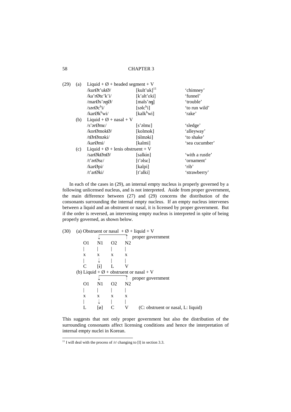| (29)<br>(a) |     | Liquid + $\varnothing$ + headed segment + V   |                                     |                 |
|-------------|-----|-----------------------------------------------|-------------------------------------|-----------------|
|             |     | /kurØt'ukØ/                                   | [kult'uk] $^{11}$                   | 'chimney'       |
|             |     | /ka'rØte'k'i/                                 | $[k'alt' \in ki]$                   | 'funnel'        |
|             |     | /mar $\mathcal{O}$ s' ən $\mathcal{O}$ /      | $[{\text{mals}}' \circ {\text{n}}]$ | 'trouble'       |
|             |     | /sər $\mathcal{O}c^{\mathrm{h}}i/$            | [səlc $h$ i]                        | 'to run wild'   |
|             |     | /kar $Qk^h$ wi/                               | [kal $k^h$ wi]                      | 'rake'          |
|             | (b) | Liquid + $\varnothing$ + nasal + V            |                                     |                 |
|             |     | /s' $\partial$ r $\partial$ m $\varepsilon$ / | $[s^{\prime}$ əlm $\varepsilon]$    | 'sledge'        |
|             |     | /korØmokØ/                                    | [kolmok]                            | 'alleyway'      |
|             |     | /tØrØməki/                                    | [tilməki]                           | 'to shake'      |
|             |     | /karØmi/                                      | [kalmi]                             | 'sea cucumber'  |
|             | (c) | Liquid + $\emptyset$ + lenis obstruent + V    |                                     |                 |
|             |     | /sarØkØnØ/                                    | [salkin]                            | 'with a rustle' |
|             |     | /t' $\sigma$ r $\alpha$ se/                   | $[t'$ əls $\varepsilon$ ]           | 'ornament'      |
|             |     | $/$ kar $\chi$ pi/                            | [kalpi]                             | 'rib            |
|             |     | /t'arØki/                                     | [t'alki]                            | 'strawberry'    |
|             |     |                                               |                                     |                 |

 In each of the cases in (29), an internal empty nucleus is properly governed by a following unlicensed nucleus, and is not interpreted. Aside from proper government, the main difference between (27) and (29) concerns the distribution of the consonants surrounding the internal empty nucleus. If an empty nucleus intervenes between a liquid and an obstruent or nasal, it is licensed by proper government. But if the order is reversed, an intervening empty nucleus is interpreted in spite of being properly governed, as shown below.

| (30) |    |                |                |                | (a) Obstruent or nasal $+\emptyset$ + liquid + V  |
|------|----|----------------|----------------|----------------|---------------------------------------------------|
|      |    |                |                |                | proper government                                 |
|      | O1 | N <sub>1</sub> | O <sub>2</sub> | N <sub>2</sub> |                                                   |
|      |    |                |                |                |                                                   |
|      | X  | X              | X              | X              |                                                   |
|      |    |                |                |                |                                                   |
|      | C  | [i]            | Ι.             |                |                                                   |
|      |    |                |                |                | (b) Liquid + $\emptyset$ + obstruent or nasal + V |
|      |    |                |                |                | proper government                                 |
|      | O1 | N <sub>1</sub> | O <sub>2</sub> | N <sub>2</sub> |                                                   |
|      |    |                |                |                |                                                   |
|      | X  | X              | X              | X              |                                                   |
|      |    |                |                |                |                                                   |
|      |    | [ø]            |                |                | (C: obstruent or nasal, L: liquid)                |

This suggests that not only proper government but also the distribution of the surrounding consonants affect licensing conditions and hence the interpretation of internal empty nuclei in Korean.

 $\overline{a}$ 

<sup>&</sup>lt;sup>11</sup> I will deal with the process of  $/r$  changing to [1] in section 3.3.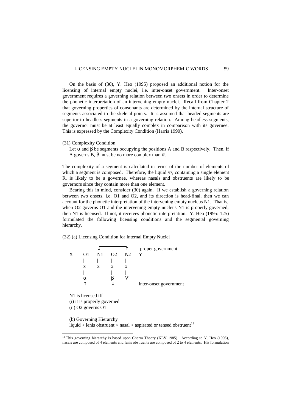On the basis of (30), Y. Heo (1995) proposed an additional notion for the licensing of internal empty nuclei, i.e. inter-onset government. Inter-onset government requires a governing relation between two onsets in order to determine the phonetic interpretation of an intervening empty nuclei. Recall from Chapter 2 that governing properties of consonants are determined by the internal structure of segments associated to the skeletal points. It is assumed that headed segments are superior to headless segments in a governing relation. Among headless segments, the governor must be at least equally complex in comparison with its governee. This is expressed by the Complexity Condition (Harris 1990).

(31) Complexity Condition

j

Let  $\alpha$  and  $\beta$  be segments occupying the positions A and B respectively. Then, if A governs B,  $β$  must be no more complex than  $α$ .

The complexity of a segment is calculated in terms of the number of elements of which a segment is composed. Therefore, the liquid  $/r/$ , containing a single element R, is likely to be a governee, whereas nasals and obstruents are likely to be governors since they contain more than one element.

 Bearing this in mind, consider (30) again. If we establish a governing relation between two onsets, i.e. O1 and O2, and its direction is head-final, then we can account for the phonetic interpretation of the intervening empty nucleus N1. That is, when O2 governs O1 and the intervening empty nucleus N1 is properly governed. then N1 is licensed. If not, it receives phonetic interpretation. Y. Heo (1995: 125) formulated the following licensing conditions and the segmental governing hierarchy.

(32) (a) Licensing Condition for Internal Empty Nuclei



(b) Governing Hierarchy liquid < lenis obstruent < nasal < aspirated or tensed obstruent<sup>12</sup>

<sup>&</sup>lt;sup>12</sup> This governing hierarchy is based upon Charm Theory (KLV 1985). According to Y. Heo (1995), nasals are composed of 4 elements and lenis obstruents are composed of 2 to 4 elements. His formulation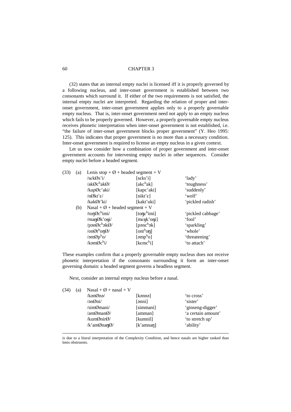(32) states that an internal empty nuclei is licensed iff it is properly governed by a following nucleus, and inter-onset government is established between two consonants which surround it. If either of the two requirements is not satisfied, the internal empty nuclei are interpreted. Regarding the relation of proper and interonset government, inter-onset government applies only to a properly governable empty nucleus. That is, inter-onset government need not apply to an empty nucleus which fails to be properly governed. However, a properly governable empty nucleus receives phonetic interpretation when inter-onset government is not established, i.e. "the failure of inter-onset government blocks proper government" (Y. Heo 1995: 125). This indicates that proper government is no more than a necessary condition. Inter-onset government is required to license an empty nucleus in a given context.

 Let us now consider how a combination of proper government and inter-onset government accounts for intervening empty nuclei in other sequences. Consider empty nuclei before a headed segment.

| (33) | (a) | Lenis stop + $\emptyset$ + headed segment + V       |                          |                   |  |  |  |  |
|------|-----|-----------------------------------------------------|--------------------------|-------------------|--|--|--|--|
|      |     | $/s\epsilon k\mathcal{O}s'i/$                       | [sɛks'i]                 | 'lady'            |  |  |  |  |
|      |     | /ak $\varnothing$ c <sup>h</sup> ak $\varnothing$ / | [akc <sup>h</sup> ak]    | 'toughness'       |  |  |  |  |
|      |     | /kapØc'aki/                                         | [kapc'aki]               | 'suddenly'        |  |  |  |  |
|      |     | $/nQkt'\epsilon/$                                   | [nikt' $\varepsilon$ ]   | 'wolf'            |  |  |  |  |
|      |     | /kakØt'ki/                                          | [kakt'uki]               | 'pickled radish'  |  |  |  |  |
|      | (b) | Nasal + $\emptyset$ + headed segment + V            |                          |                   |  |  |  |  |
|      |     | /ton $\varnothing$ c <sup>h</sup> imi/              | [tonc <sup>h</sup> imi]  | 'pickled cabbage' |  |  |  |  |
|      |     | /manØk'oni/                                         | [mɛŋk'oŋi]               | 'fool'            |  |  |  |  |
|      |     | /pan $\mathcal{O}c^h$ ək $\mathcal{O}/$             | [pənc $^{\rm h}$ ək]     | 'sparkling'       |  |  |  |  |
|      |     | /on $\varnothing$ t <sup>h</sup> on $\varnothing$ / | $[$ ont <sup>h</sup> on] | 'whole'           |  |  |  |  |
|      |     | /əm $\mathcal{O}p^h$ o/                             | [ $amphol$ ]             | 'threatening'     |  |  |  |  |
|      |     | /kəm $\varnothing$ c <sup>h</sup> i/                | [kɛmcʰi]                 | 'to attach'       |  |  |  |  |

These examples confirm that a properly governable empty nucleus does not receive phonetic interpretation if the consonants surrounding it form an inter-onset governing domain: a headed segment governs a headless segment.

Next, consider an internal empty nucleus before a nasal.

| (34) | (a)        | Nasal + $\varnothing$ + nasal + V      |                 |                    |
|------|------------|----------------------------------------|-----------------|--------------------|
|      |            | /kənØnə/                               | [kənnə]         | to cross'          |
|      |            | /ənØni/                                | [9nni]          | 'sister'           |
|      |            | /simØmani/                             | [simmani]       | 'ginseng-digger'   |
|      |            | /amØmanØ/                              | [amman]         | 'a certain amount' |
|      | /kumØnirØ/ | [kumnil]                               | 'to stretch up' |                    |
|      |            | /k'am $\mathcal{O}$ nan $\mathcal{O}/$ | [k'annan]       | 'ability'          |
|      |            |                                        |                 |                    |

 is due to a literal interpretation of the Complexity Condition, and hence nasals are higher ranked than lenis obstruents.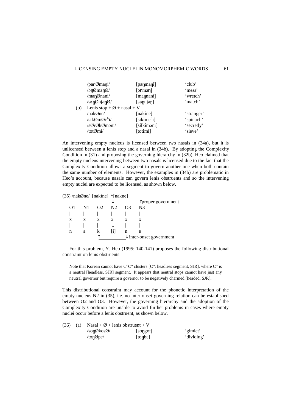|     | /panØmani/                           | [panmani]                   | 'club'     |  |  |  |  |  |
|-----|--------------------------------------|-----------------------------|------------|--|--|--|--|--|
|     | $\sqrt{2n\Omega}$ man $\alpha$       | $[q$ man $]$                | 'mess'     |  |  |  |  |  |
|     | /manØnani/                           | [mannani]                   | 'wretch'   |  |  |  |  |  |
|     | /sanØnjanØ/                          | [sən <sub>1</sub> ]         | 'match'    |  |  |  |  |  |
| (b) | Lenis stop + $\emptyset$ + nasal + V |                             |            |  |  |  |  |  |
|     | /nakØne/                             | [nakine]                    | 'stranger' |  |  |  |  |  |
|     | /sikØmØc $\rm ^{h}i/$                | [sikim $c^h$ i]             | 'spinach'  |  |  |  |  |  |
|     | /sØrØkØməni/                         | $[si]$ kim $\varphi$ ni $]$ | 'secretly' |  |  |  |  |  |
|     | /totØmi/                             | [totimi]                    | 'sieve'    |  |  |  |  |  |
|     |                                      |                             |            |  |  |  |  |  |

An intervening empty nucleus is licensed between two nasals in (34a), but it is unlicensed between a lenis stop and a nasal in (34b). By adopting the Complexity Condition in (31) and proposing the governing hierarchy in (32b), Heo claimed that the empty nucleus intervening between two nasals is licensed due to the fact that the Complexity Condition allows a segment to govern another one when both contain the same number of elements. However, the examples in (34b) are problematic in Heo's account, because nasals can govern lenis obstruents and so the intervening empty nuclei are expected to be licensed, as shown below.

 $(35)$  /nakØne/ [nakine] \*[nakne]

|          |    |                |                |    | Tproper government                  |
|----------|----|----------------|----------------|----|-------------------------------------|
| $\Omega$ | N1 | O <sub>2</sub> | N <sub>2</sub> | OЗ | N3                                  |
|          |    |                |                |    |                                     |
| X        |    | X              | X              | X  | X                                   |
|          |    |                |                |    |                                     |
| n        | a  |                | ΙłΙ            | n  | e                                   |
|          |    |                |                |    | $\downarrow$ inter-onset government |

 For this problem, Y. Heo (1995: 140-141) proposes the following distributional constraint on lenis obstruents.

Note that Korean cannot have  $C^{\circ}C^{\circ}$  clusters  $[C^{\circ}:$  headless segment, SJR], where  $C^{\circ}$  is a neutral [headless, SJR] segment. It appears that neutral stops cannot have just any neutral governor but require a governor to be negatively charmed [headed, SJR].

This distributional constraint may account for the phonetic interpretation of the empty nucleus N2 in (35), i.e. no inter-onset governing relation can be established between O2 and O3. However, the governing hierarchy and the adoption of the Complexity Condition are unable to avoid further problems in cases where empty nuclei occur before a lenis obstruent, as shown below.

| (36) | (a) | Nasal + $\varnothing$ + lenis obstruent + V |          |            |  |  |  |
|------|-----|---------------------------------------------|----------|------------|--|--|--|
|      |     | /sonØkosØ/                                  | [songot] | 'gimlet'   |  |  |  |
|      |     | /ton $Q$ p $\varepsilon$ /                  | [tonbe]  | 'dividing' |  |  |  |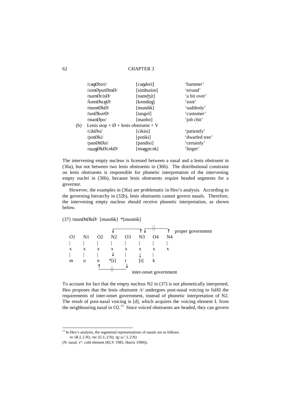|     | /canØtori/                                     | [candori]  | 'hammer'       |  |  |  |  |
|-----|------------------------------------------------|------------|----------------|--|--|--|--|
|     | /simØpurØmØ/                                   | [simburim] | 'errand'       |  |  |  |  |
|     | /namØcisØ/                                     | [namdʒit]  | 'a bit over'   |  |  |  |  |
|     | /kamØtenØ/                                     | [kəmder]   | 'soot'         |  |  |  |  |
|     | /muntØkØ/                                      | [mundik]   | 'suddenly'     |  |  |  |  |
|     | /tanØkorØ/                                     | [tangol]   | 'customer'     |  |  |  |  |
|     | /manØpo/                                       | [manbo]    | 'job chit'     |  |  |  |  |
| (b) | Lenis stop + $\emptyset$ + lenis obstruent + V |            |                |  |  |  |  |
|     | /cikØsi/                                       | [cikis]    | 'patiently'    |  |  |  |  |
|     | /potØki/                                       | [potiki]   | 'dwarfed tree' |  |  |  |  |
|     | /panØtØsi/                                     | [pandisi]  | 'certainly'    |  |  |  |  |
|     | /munØkØcəkØ/                                   | [mungicək] | 'linger'       |  |  |  |  |

The intervening empty nucleus is licensed between a nasal and a lenis obstruent in (36a), but not between two lenis obstruents in (36b). The distributional constraint on lenis obstruents is responsible for phonetic interpretation of the intervening empty nuclei in (36b), because lenis obstruents require headed segments for a governor.

However, the examples in (36a) are problematic in Heo's analysis. According to the governing hierarchy in (32b), lenis obstruents cannot govern nasals. Therefore, the intervening empty nucleus should receive phonetic interpretation, as shown below.

 $(37)$ /munØtØkØ/ [mundik] \*[munitik]



To account for fact that the empty nucleus N2 in (37) is not phonetically interpreted, Heo proposes that the lenis obstruent /t/ undergoes post-nasal voicing to fulfil the requirements of inter-onset government, instead of phonetic interpretation of N2. The result of post-nasal voicing is [d], which acquires the voicing element L from the neighbouring nasal in  $O2<sup>13</sup>$  Since voiced obstruents are headed, they can govern

<sup>13</sup> In Heo's analysis, the segmental representations of nasals are as follows.<br>  $/n/(R.L.2.N); /m/(UL.2.N); /n/(v°. L.2.N)$ <br>
(N) negal  $v°$ ; cold algrest (KI V 1985, Herric 1999))

 $\overline{a}$ 

<sup>(</sup>N: nasal, v°: cold element (KLV 1985, Harris 1990)).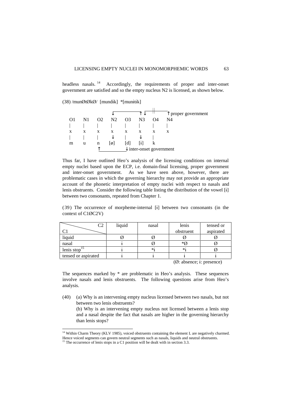headless nasals.<sup>14</sup> Accordingly, the requirements of proper and inter-onset government are satisfied and so the empty nucleus N2 is licensed, as shown below.

(38) /munØtØkØ/ [mundik] \*[munitik]

|            |    |    |                |      |                                     |                | proper government |
|------------|----|----|----------------|------|-------------------------------------|----------------|-------------------|
| $\Omega$ 1 | N1 | Ω2 | N <sub>2</sub> | O3   | N <sub>3</sub>                      | O <sub>4</sub> | N4                |
|            |    |    |                |      |                                     |                |                   |
| X          | X  | X  | X              | X    | X                                   | X              | X                 |
|            |    |    |                |      |                                     |                |                   |
| m          | u  | n  | løI            | ld I | Ħ                                   | k              |                   |
|            |    | ᄉ  |                |      | $\downarrow$ inter-onset government |                |                   |

Thus far, I have outlined Heo's analysis of the licensing conditions on internal empty nuclei based upon the ECP, i.e. domain-final licensing, proper government and inter-onset government. As we have seen above, however, there are problematic cases in which the governing hierarchy may not provide an appropriate account of the phonetic interpretation of empty nuclei with respect to nasals and lenis obstruents. Consider the following table listing the distribution of the vowel  $[i]$ between two consonants, repeated from Chapter 1.

 $(39)$  The occurrence of morpheme-internal  $[i]$  between two consonants (in the context of C1ØC2V)

| Σ2                  | liquid | nasal | lenis     | tensed or |
|---------------------|--------|-------|-----------|-----------|
|                     |        |       | obstruent | aspirated |
| liquid              |        |       |           |           |
| nasal               |        |       | ∗Ø        |           |
| lenis stop $15$     |        |       | $*$       |           |
| tensed or aspirated |        |       |           |           |

 $(\emptyset)$ : absence; i: presence)

The sequences marked by \* are problematic in Heo's analysis. These sequences involve nasals and lenis obstruents. The following questions arise from Heo's analysis.

(40) (a) Why is an intervening empty nucleus licensed between two nasals, but not between two lenis obstruents?

 (b) Why is an intervening empty nucleus not licensed between a lenis stop and a nasal despite the fact that nasals are higher in the governing hierarchy than lenis stops?

j

<sup>&</sup>lt;sup>14</sup> Within Charm Theory (KLV 1985), voiced obstruents containing the element L are negatively charmed. Hence voiced segments can govern neutral segments such as nasals, liquids and neutral obstruents.<br><sup>15</sup> The occurrence of lenis stops in a C1 position will be dealt with in section 3.3.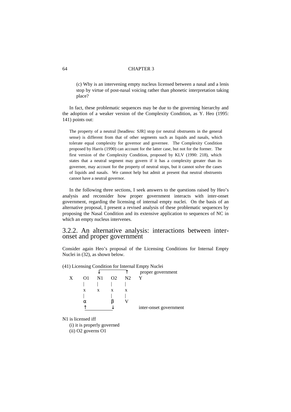(c) Why is an intervening empty nucleus licensed between a nasal and a lenis stop by virtue of post-nasal voicing rather than phonetic interpretation taking place?

 In fact, these problematic sequences may be due to the governing hierarchy and the adoption of a weaker version of the Complexity Condition, as Y. Heo (1995: 141) points out:

The property of a neutral [headless: SJR] stop (or neutral obstruents in the general sense) is different from that of other segments such as liquids and nasals, which tolerate equal complexity for governor and governee. The Complexity Condition proposed by Harris (1990) can account for the latter case, but not for the former. The first version of the Complexity Condition, proposed by KLV (1990: 218), which states that a neutral segment may govern if it has a complexity greater than its governee, may account for the property of neutral stops, but it cannot solve the cases of liquids and nasals. We cannot help but admit at present that neutral obstruents cannot have a neutral governor.

In the following three sections, I seek answers to the questions raised by Heo's analysis and reconsider how proper government interacts with inter-onset government, regarding the licensing of internal empty nuclei. On the basis of an alternative proposal, I present a revised analysis of these problematic sequences by proposing the Nasal Condition and its extensive application to sequences of NC in which an empty nucleus intervenes.

#### 3.2.2. An alternative analysis: interactions between interonset and proper government

Consider again Heo's proposal of the Licensing Conditions for Internal Empty Nuclei in (32), as shown below.

(41) Licensing Condition for Internal Empty Nuclei

|   |    |    |          |    | proper government      |
|---|----|----|----------|----|------------------------|
| X | O1 | N1 | $\Omega$ | N2 | Y                      |
|   |    |    |          |    |                        |
|   | X  | X  | X        | X  |                        |
|   |    |    |          |    |                        |
|   |    |    |          |    |                        |
|   |    |    |          |    | inter-onset government |

N1 is licensed iff

(i) it is properly governed (ii) O2 governs O1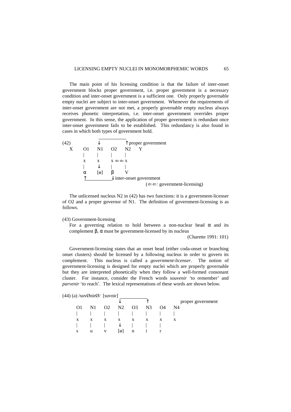The main point of his licensing condition is that the failure of inter-onset government blocks proper government, i.e. proper government is a necessary condition and inter-onset government is a sufficient one. Only properly governable empty nuclei are subject to inter-onset government. Whenever the requirements of inter-onset government are not met, a properly governable empty nucleus always receives phonetic interpretation, i.e. inter-onset government overrides proper government. In this sense, the application of proper government is redundant once inter-onset government fails to be established. This redundancy is also found in cases in which both types of government hold.

| (42 |            |                |                       |                | proper government                   |                                                         |  |
|-----|------------|----------------|-----------------------|----------------|-------------------------------------|---------------------------------------------------------|--|
| X   | $\Omega$ 1 | $\mathbf{N}$ 1 | $\Omega$              | N <sub>2</sub> |                                     |                                                         |  |
|     |            |                |                       |                |                                     |                                                         |  |
|     | X          | X              | $X \Leftrightarrow X$ |                |                                     |                                                         |  |
|     |            |                |                       |                |                                     |                                                         |  |
|     | α          | løI            |                       |                |                                     |                                                         |  |
|     |            |                |                       |                | $\downarrow$ inter-onset government |                                                         |  |
|     |            |                |                       |                |                                     | $(\Leftarrow \Leftarrow : government\text{-}licensing)$ |  |

The unlicensed nucleus N2 in (42) has two functions: it is a government-licenser of O2 and a proper governor of N1. The definition of government-licensing is as follows.

#### (43) Government-licensing

For a governing relation to hold between a non-nuclear head  $\alpha$  and its complement β,  $\alpha$  must be government-licensed by its nucleus

(Charette 1991: 101)

 Government-licensing states that an onset head (either coda-onset or branching onset clusters) should be licensed by a following nucleus in order to govern its complement. This nucleus is called a *government-licenser*. The notion of government-licensing is designed for empty nuclei which are properly governable but they are interpreted phonetically when they follow a well-formed consonant cluster. For instance, consider the French words *souvenir* 'to remember' and *parvenir* 'to reach'. The lexical representations of these words are shown below.

| $(44)$ (a) /suv $\emptyset$ nir $\emptyset$ / [suvnir] |                |               |                                                                                                    |                           |                |                |          |                   |
|--------------------------------------------------------|----------------|---------------|----------------------------------------------------------------------------------------------------|---------------------------|----------------|----------------|----------|-------------------|
|                                                        |                |               |                                                                                                    |                           |                |                |          | proper government |
|                                                        | O <sub>1</sub> | $\mathbf{N}1$ | O <sub>2</sub>                                                                                     | N2                        | O <sup>3</sup> | N <sup>3</sup> | $\Omega$ | N4                |
|                                                        |                |               |                                                                                                    |                           |                |                |          |                   |
| X                                                      |                | X             | X                                                                                                  | $\mathbf{X}$              | $\mathbf{X}$   | $\mathbf{X}$   | X        | X                 |
|                                                        |                |               | $\begin{array}{ccc} \begin{array}{ccc} \end{array} & \begin{array}{ccc} \end{array} & \end{array}$ |                           |                |                |          |                   |
| S                                                      |                | u             | $\mathbf{V}$                                                                                       | $\lceil \emptyset \rceil$ | $n \quad 1$    |                |          |                   |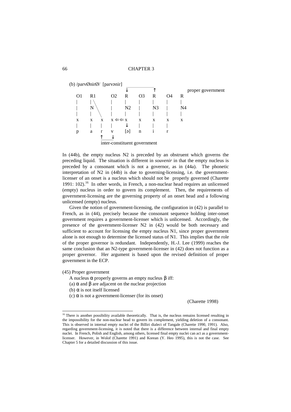

In (44b), the empty nucleus N2 is preceded by an obstruent which governs the preceding liquid. The situation is different in *souvenir* in that the empty nucleus is preceded by a consonant which is not a governor, as in (44a). The phonetic interpretation of N2 in (44b) is due to governing-licensing, i.e. the governmentlicenser of an onset is a nucleus which should not be properly governed (Charette 1991:  $102$ ).<sup>16</sup> In other words, in French, a non-nuclear head requires an unlicensed (empty) nucleus in order to govern its complement. Then, the requirements of government-licensing are the governing property of an onset head and a following unlicensed (empty) nucleus.

 Given the notion of government-licensing, the configuration in (42) is parallel to French, as in (44), precisely because the consonant sequence holding inter-onset government requires a government-licenser which is unlicensed. Accordingly, the presence of the government-licenser N2 in (42) would be both necessary and sufficient to account for licensing the empty nucleus N1, since proper government alone is not enough to determine the licensed status of N1. This implies that the role of the proper governor is redundant. Independently, H.-J. Lee (1999) reaches the same conclusion that an N2-type government-licenser in (42) does not function as a proper governor. Her argument is based upon the revised definition of proper government in the ECP.

(45) Proper government

 $\overline{a}$ 

A nucleus  $\alpha$  properly governs an empty nucleus  $\beta$  iff:

- (a)  $\alpha$  and  $\beta$  are adjacent on the nuclear projection
- (b)  $\alpha$  is not itself licensed
- (c)  $\alpha$  is not a government-licenser (for its onset)

(Charette 1998)

<sup>&</sup>lt;sup>16</sup> There is another possibility available theoretically. That is, the nucleus remains licensed resulting in the impossibility for the non-nuclear head to govern its complement, yielding deletion of a consonant. This is observed in internal empty nuclei of the Billiri dialect of Tangale (Charette 1990, 1991). Also, regarding government-licensing, it is noted that there is a difference between internal and final empty nuclei. In French, Polish and English, among others, licensed final empty nuclei can act as a governmentlicenser. However, in Wolof (Charette 1991) and Korean (Y. Heo 1995), this is not the case. See Chapter 5 for a detailed discussion of this issue.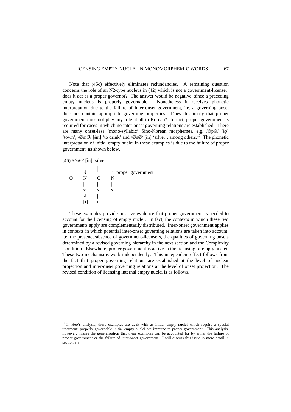Note that (45c) effectively eliminates redundancies. A remaining question concerns the role of an N2-type nucleus in (42) which is not a government-licenser: does it act as a proper governor? The answer would be negative, since a preceding empty nucleus is properly governable. Nonetheless it receives phonetic interpretation due to the failure of inter-onset government, i.e. a governing onset does not contain appropriate governing properties. Does this imply that proper government does not play any role at all in Korean? In fact, proper government is required for cases in which no inter-onset governing relations are established. There are many onset-less 'mono-syllabic' Sino-Korean morphemes, e.g.  $\sqrt{\phi_p\phi}/$  [ip] 'town',  $\varphi$ m $\varphi$  [im] 'to drink' and  $\varphi$ n $\varphi$  [in] 'silver', among others.<sup>17</sup> The phonetic interpretation of initial empty nuclei in these examples is due to the failure of proper government, as shown below.

 $(46)$  / $\emptyset$ n $\emptyset$ / [in] 'silver'

 $\overline{a}$ 

 | | ↓ | | ↑ proper government O N O N | | | x x x ↓ | [Û] n

 These examples provide positive evidence that proper government is needed to account for the licensing of empty nuclei. In fact, the contexts in which these two governments apply are complementarily distributed. Inter-onset government applies in contexts in which potential inter-onset governing relations are taken into account, i.e. the presence/absence of government-licensers, the qualities of governing onsets determined by a revised governing hierarchy in the next section and the Complexity Condition. Elsewhere, proper government is active in the licensing of empty nuclei. These two mechanisms work independently. This independent effect follows from the fact that proper governing relations are established at the level of nuclear projection and inter-onset governing relations at the level of onset projection. The revised condition of licensing internal empty nuclei is as follows.

 $17$  In Heo's analysis, these examples are dealt with as initial empty nuclei which require a special treatment: properly governable initial empty nuclei are immune to proper government. This analysis, however, misses the generalisation that these examples can be accounted for by either the failure of proper government or the failure of inter-onset government. I will discuss this issue in more detail in section 3.3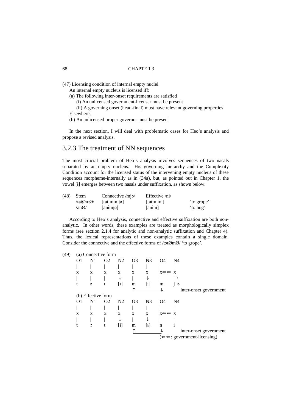(47) Licensing condition of internal empty nuclei

An internal empty nucleus is licensed iff:

(a) The following inter-onset requirements are satisfied

(i) An unlicensed government-licenser must be present

 (ii) A governing onset (head-final) must have relevant governing properties Elsewhere,

(b) An unlicensed proper governor must be present

In the next section, I will deal with problematic cases for Heo's analysis and propose a revised analysis.

# 3.2.3 The treatment of NN sequences

The most crucial problem of Heo's analysis involves sequences of two nasals separated by an empty nucleus. His governing hierarchy and the Complexity Condition account for the licensed status of the intervening empty nucleus of these sequences morpheme-internally as in (34a), but, as pointed out in Chapter 1, the vowel [i] emerges between two nasals under suffixation, as shown below.

| (48) | Stem           | Connective $\text{m}$ ja | Effective $\overline{ni}$ |           |
|------|----------------|--------------------------|---------------------------|-----------|
|      | /tətØmØ/       | $[$ tətimimjə $]$        | [tətimini]                | to grope' |
|      | $\tan \theta/$ | [anim]                   | [anini]                   | 'to hug'  |

 According to Heo's analysis, connective and effective suffixation are both nonanalytic. In other words, these examples are treated as morphologically simplex forms (see section 2.1.4 for analytic and non-analytic suffixation and Chapter 4). Thus, the lexical representations of these examples contain a single domain. Consider the connective and the effective forms of  $/tot\omega_m\omega'$  to grope'.

| O1 | N <sub>1</sub> | O <sub>2</sub> | N2                                                     | O <sub>3</sub>      | N <sub>3</sub> | O <sub>4</sub>                    | N4                                                     |
|----|----------------|----------------|--------------------------------------------------------|---------------------|----------------|-----------------------------------|--------------------------------------------------------|
|    |                |                |                                                        |                     |                |                                   |                                                        |
| X  | X              | X              | X                                                      | X                   | X              | $X \rightleftarrows \leftarrow X$ |                                                        |
|    |                |                |                                                        |                     |                |                                   |                                                        |
| t  | $\Theta$       | t              | $\left[\begin{smallmatrix} 1 \end{smallmatrix}\right]$ | m                   | [i]            | m                                 | $\Theta$<br>$\mathbf{1}$<br>inter-onset government     |
|    |                |                |                                                        |                     |                |                                   |                                                        |
| O1 | N <sub>1</sub> | O <sub>2</sub> | N2                                                     | O <sub>3</sub>      | N <sub>3</sub> | O4                                | N <sub>4</sub>                                         |
|    |                |                |                                                        |                     |                |                                   |                                                        |
| X  | X              | X              | X                                                      | X                   | X              | $X \rightleftarrows \leftarrow X$ |                                                        |
|    |                |                |                                                        |                     |                |                                   |                                                        |
| t  | $\Theta$       | t              | [ɨ]                                                    | m                   | [ɨ]            | n                                 | 1                                                      |
|    |                |                |                                                        |                     |                |                                   | inter-onset government                                 |
|    |                |                |                                                        |                     |                |                                   | $(\Leftarrow \Leftarrow: government\text{-}licensing)$ |
|    |                |                | (b) Effective form                                     | (a) Connective form |                |                                   |                                                        |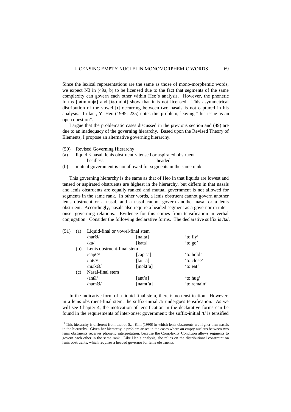Since the lexical representations are the same as those of mono-morphemic words, we expect N3 in (49a, b) to be licensed due to the fact that segments of the same complexity can govern each other within Heo's analysis. However, the phonetic forms [tatimimja] and [tatimini] show that it is not licensed. This asymmetrical distribution of the vowel  $[i]$  occurring between two nasals is not captured in his analysis. In fact, Y. Heo (1995: 225) notes this problem, leaving "this issue as an open question".

 I argue that the problematic cases discussed in the previous section and (49) are due to an inadequacy of the governing hierarchy. Based upon the Revised Theory of Elements, I propose an alternative governing hierarchy.

(50) Revised Governing Hierarchy<sup>18</sup>

 $\overline{a}$ 

- (a) liquid < nasal, lenis obstruent < tensed or aspirated obstruent headless headed
- (b) mutual government is not allowed for segments in the same rank.

 This governing hierarchy is the same as that of Heo in that liquids are lowest and tensed or aspirated obstruents are highest in the hierarchy, but differs in that nasals and lenis obstruents are equally ranked and mutual government is not allowed for segments in the same rank. In other words, a lenis obstruent cannot govern another lenis obstruent or a nasal, and a nasal cannot govern another nasal or a lenis obstruent. Accordingly, nasals also require a headed segment as a governor in interonset governing relations. Evidence for this comes from tensification in verbal conjugation. Consider the following declarative forms. The declarative suffix is /ta/.

| (51) |     | (a) Liquid-final or vowel-final stem |                            |             |  |  |  |
|------|-----|--------------------------------------|----------------------------|-------------|--|--|--|
|      |     | $/nar\cancel{O}/$                    | [nalta]                    | 'to fly'    |  |  |  |
|      |     | /ka/                                 | [kata]                     | 'to go'     |  |  |  |
|      | (b) |                                      | Lenis obstruent-final stem |             |  |  |  |
|      |     | /cap $\varnothing$ /                 | [capt'a]                   | 'to hold'   |  |  |  |
|      |     | /tat $\varnothing$ /                 | $[$ tatt'a]                | 'to close'  |  |  |  |
|      |     | $/m \ge 0$                           | [məkt'a]                   | 'to eat'    |  |  |  |
|      | (c) | Nasal-final stem                     |                            |             |  |  |  |
|      |     | $\tan \varnothing$ /                 | [ant'a]                    | 'to hug'    |  |  |  |
|      |     | /nam $\omega$                        | [namt'a]                   | 'to remain' |  |  |  |
|      |     |                                      |                            |             |  |  |  |

In the indicative form of a liquid-final stem, there is no tensification. However, in a lenis obstruent-final stem, the suffix-initial  $/t/$  undergoes tensification. As we will see Chapter 4, the motivation of tensification in the declarative forms can be found in the requirements of inter-onset government: the suffix-initial  $/t/$  is tensified

<sup>&</sup>lt;sup>18</sup> This hierarchy is different from that of S.J. Kim (1996) in which lenis obstruents are higher than nasals in the hierarchy. Given her hierarchy, a problem arises in the cases where an empty nucleus between two lenis obstruents receives phonetic interpretation, because the Complexity Condition allows segments to govern each other in the same rank. Like Heo's analysis, she relies on the distributional constraint on lenis obstruents, which requires a headed governor for lenis obstruents.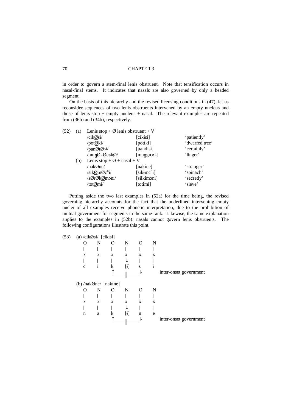in order to govern a stem-final lenis obstruent. Note that tensification occurs in nasal-final stems. It indicates that nasals are also governed by only a headed segment.

 On the basis of this hierarchy and the revised licensing conditions in (47), let us reconsider sequences of two lenis obstruents intervened by an empty nucleus and those of lenis stop  $+$  empty nucleus  $+$  nasal. The relevant examples are repeated from (36b) and (34b), respectively.

| (a) |                                        |                       |                                                                                      |
|-----|----------------------------------------|-----------------------|--------------------------------------------------------------------------------------|
|     | /cikØsi/                               | [cikis]               | 'patiently'                                                                          |
|     | /potØki/                               | [potiki]              | 'dwarfed tree'                                                                       |
|     | /pan $\mathcal{O}$ t $\mathcal{O}$ si/ | [pandisi]             | 'certainly'                                                                          |
|     | /munØkØcəkØ/                           | [mungicək]            | 'linger'                                                                             |
| (b) |                                        |                       |                                                                                      |
|     | /nakØne/                               | [nakine]              | 'stranger'                                                                           |
|     | /sikØmØc $\hbar$ i/                    | [sikim $c^{\rm h}$ i] | 'spinach'                                                                            |
|     | /sØrØkØmani/                           | [silkimani]           | 'secretly'                                                                           |
|     | /totØmi/                               | [totimi]              | 'sieve'                                                                              |
|     |                                        |                       | Lenis stop + $\emptyset$ lenis obstruent + V<br>Lenis stop + $\emptyset$ + nasal + V |

 Putting aside the two last examples in (52a) for the time being, the revised governing hierarchy accounts for the fact that the underlined intervening empty nuclei of all examples receive phonetic interpretation, due to the prohibition of mutual government for segments in the same rank. Likewise, the same explanation applies to the examples in (52b): nasals cannot govern lenis obstruents. The following configurations illustrate this point.

| (53) | (a) $\langle$ cik $\emptyset$ si $\langle$ [cikisi] |   |   |             |          |     |                        |
|------|-----------------------------------------------------|---|---|-------------|----------|-----|------------------------|
|      | ∩                                                   | N | Ω | $\mathbf N$ | $\Omega$ | - N |                        |
|      |                                                     |   |   |             |          |     |                        |
|      | X                                                   | X | X | X           | X        | X   |                        |
|      |                                                     |   |   |             |          |     |                        |
|      | $\mathbf{c}$                                        | 1 | k | $[1]$       | S        |     |                        |
|      |                                                     |   |   |             |          |     | inter-onset government |
|      | (b) $/nakOne/$ [nakine]                             |   |   |             |          |     |                        |
|      | $\mathfrak{g}$                                      | N | Ω | N           | $\Omega$ | N   |                        |
|      |                                                     |   |   |             |          |     |                        |
|      | X                                                   | X | X | X           | X        | X   |                        |
|      |                                                     |   |   |             |          |     |                        |
|      | n                                                   | a | k | $[1]$       | n        | e   |                        |
|      |                                                     |   |   |             |          |     | inter-onset government |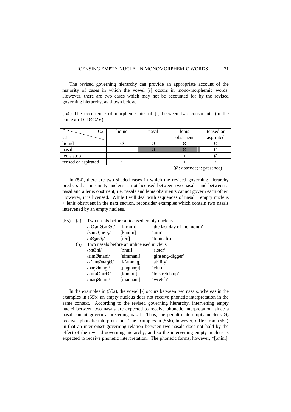The revised governing hierarchy can provide an appropriate account of the majority of cases in which the vowel  $[i]$  occurs in mono-morphemic words. However, there are two cases which may not be accounted for by the revised governing hierarchy, as shown below.

 $(54)$  The occurrence of morpheme-internal  $[i]$  between two consonants (in the context of C1ØC2V)

| C2                  | liquid | nasal | lenis              | tensed or |
|---------------------|--------|-------|--------------------|-----------|
|                     |        |       | obstruent          | aspirated |
| liquid              |        |       |                    |           |
| nasal               |        |       |                    |           |
| lenis stop          |        |       |                    |           |
| tensed or aspirated |        |       |                    |           |
|                     |        |       | $(\alpha, \alpha)$ |           |

 $(\emptyset)$ : absence; i: presence)

In (54), there are two shaded cases in which the revised governing hierarchy predicts that an empty nucleus is not licensed between two nasals, and between a nasal and a lenis obstruent, i.e. nasals and lenis obstruents cannot govern each other. However, it is licensed. While I will deal with sequences of nasal + empty nucleus + lenis obstruent in the next section, reconsider examples which contain two nasals intervened by an empty nucleus.

| (55) | (a) | Two nasals before a licensed empty nucleus      |           |                             |
|------|-----|-------------------------------------------------|-----------|-----------------------------|
|      |     | $\sqrt{k\omega_3m\omega_2m\omega_1}$            | [kimim]   | 'the last day of the month' |
|      |     | $\lambda$ kan $\mathcal{O}_2$ m $\mathcal{O}_1$ | [kanim]   | 'aim'                       |
|      |     | $\ln\phi_2 \cdot n\phi_1$                       | [nin]     | 'topicaliser'               |
|      | (b) | Two nasals before an unlicensed nucleus         |           |                             |
|      |     | /ənØni/                                         | [ənni]    | 'sister'                    |
|      |     | /simØmani/                                      | [simmani] | 'ginseng-digger'            |
|      |     | /k'am $\emptyset$ nan $\emptyset$ /             | [k'annan] | 'ability'                   |
|      |     | /panØmani/                                      | [panmani] | 'club'                      |
|      |     | /kumØnirØ/                                      | [kumnil]  | 'to stretch up'             |
|      |     | /manØnani/                                      | [mannani] | 'wretch'                    |

In the examples in  $(55a)$ , the vowel [i] occurs between two nasals, whereas in the examples in (55b) an empty nucleus does not receive phonetic interpretation in the same context. According to the revised governing hierarchy, intervening empty nuclei between two nasals are expected to receive phonetic interpretation, since a nasal cannot govern a preceding nasal. Thus, the penultimate empty nucleus  $\varnothing$ . receives phonetic interpretation. The examples in (55b), however, differ from (55a) in that an inter-onset governing relation between two nasals does not hold by the effect of the revised governing hierarchy, and so the intervening empty nucleus is expected to receive phonetic interpretation. The phonetic forms, however,  $*$ [ $\alpha$ nini],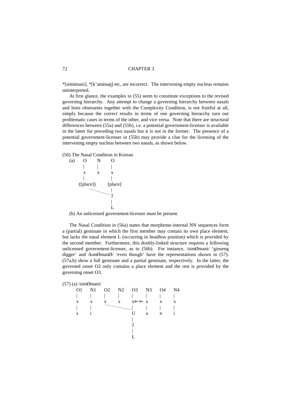\*[simimani], \*[k'aminan] etc, are incorrect. The intervening empty nucleus remains uninterpreted.

 At first glance, the examples in (55) seem to constitute exceptions to the revised governing hierarchy. Any attempt to change a governing hierarchy between nasals and lenis obstruents together with the Complexity Condition, is not fruitful at all, simply because the correct results in terms of one governing hierarchy turn out problematic cases in terms of the other, and vice versa. Note that there are structural differences between (55a) and (55b), i.e. a potential government-licenser is available in the latter for preceding two nasals but it is not in the former. The presence of a potential government-licenser in (55b) may provide a clue for the licensing of the intervening empty nucleus between two nasals, as shown below.





(b) An unlicensed government-licenser must be present.

 The Nasal Condition in (56a) states that morpheme-internal NN sequences form a (partial) geminate in which the first member may contain its own place element, but lacks the nasal element L (occurring in headless position) which is provided by the second member. Furthermore, this doubly-linked structure requires a following unlicensed government-licenser, as in (56b). For instance, /simØmani/ 'ginseng digger' and  $/k$ on $\emptyset$  man $\emptyset$  'even though' have the representations shown in (57). (57a,b) show a full geminate and a partial geminate, respectively. In the latter, the governed onset O2 only contains a place element and the rest is provided by the governing onset O3.



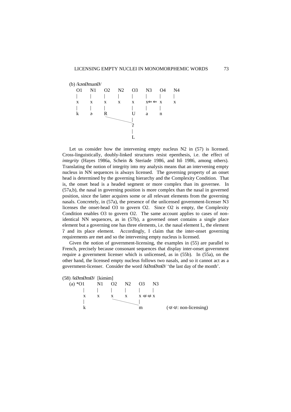

Let us consider how the intervening empty nucleus N2 in (57) is licensed. Cross-linguistically, doubly-linked structures resist epenthesis, i.e. the effect of *integrity* (Hayes 1986a, Schein & Steriade 1986, and Itô 1986, among others). Translating the notion of integrity into my analysis means that an intervening empty nucleus in NN sequences is always licensed. The governing property of an onset head is determined by the governing hierarchy and the Complexity Condition. That is, the onset head is a headed segment or more complex than its governee. In (57a,b), the nasal in governing position is more complex than the nasal in governed position, since the latter acquires some or all relevant elements from the governing nasals. Concretely, in (57a), the presence of the unlicensed government-licenser N3 licenses the onset-head O3 to govern O2. Since O2 is empty, the Complexity Condition enables O3 to govern O2. The same account applies to cases of nonidentical NN sequences, as in (57b), a governed onset contains a single place element but a governing one has three elements, i.e. the nasal element L, the element / and its place element. Accordingly, I claim that the inter-onset governing requirements are met and so the intervening empty nucleus is licensed.

 Given the notion of government-licensing, the examples in (55) are parallel to French, precisely because consonant sequences that display inter-onset government require a government licenser which is unlicensed, as in (55b). In (55a), on the other hand, the licensed empty nucleus follows two nasals, and so it cannot act as a government-licenser. Consider the word /kØmØmØ/ 'the last day of the month'.

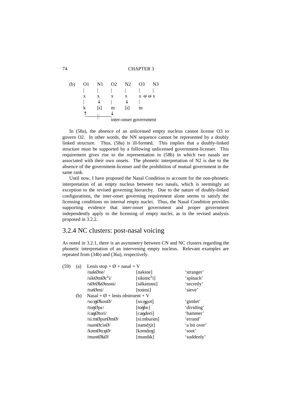| (b) | Ol | $\mathbf{N}1$ | O <sub>2</sub> | N2                     | O <sub>3</sub> | N <sub>3</sub> |
|-----|----|---------------|----------------|------------------------|----------------|----------------|
|     |    |               |                |                        |                |                |
|     | X  | X             | X              | X                      | $X \notin X$   |                |
|     |    |               |                |                        |                |                |
|     | k  | Ħ             | m              | Ħ                      | m              |                |
|     | ᄼ  |               |                |                        |                |                |
|     |    |               |                | inter-onset government |                |                |

In (58a), the absence of an unlicensed empty nucleus cannot license O3 to govern O2. In other words, the NN sequence cannot be represented by a doubly linked structure. Thus, (58a) is ill-formed. This implies that a doubly-linked structure must be supported by a following unlicensed government-licenser. This requirement gives rise to the representation in (58b) in which two nasals are associated with their own onsets. The phonetic interpretation of N2 is due to the absence of the government-licenser and the prohibition of mutual government in the same rank.

 Until now, I have proposed the Nasal Condition to account for the non-phonetic interpretation of an empty nucleus between two nasals, which is seemingly an exception to the revised governing hierarchy. Due to the nature of doubly-linked configurations, the inter-onset governing requirement alone seems to satisfy the licensing conditions on internal empty nuclei. Thus, the Nasal Condition provides supporting evidence that inter-onset government and proper government independently apply to the licensing of empty nuclei, as in the revised analysis proposed in 3.2.2.

# 3.2.4 NC clusters: post-nasal voicing

As noted in 3.2.1, there is an asymmetry between CN and NC clusters regarding the phonetic interpretation of an intervening empty nucleus. Relevant examples are repeated from (34b) and (36a), respectively.

| (a) |                                    |                 |                                                                                     |
|-----|------------------------------------|-----------------|-------------------------------------------------------------------------------------|
|     | /nakØne/                           | [nakine]        | 'stranger'                                                                          |
|     | /sikØmØc $\hbar$ i/                | [sikim $c^h$ i] | 'spinach'                                                                           |
|     | /sØrØkØməni/                       | [silkimani]     | 'secretly'                                                                          |
|     | /tot $Q$ mi/                       | [totimi]        | 'sieve'                                                                             |
| (b) |                                    |                 |                                                                                     |
|     | /so:ŋØkosØ/                        | [so:ngot]       | 'gimlet'                                                                            |
|     | /ton $\mathcal{Q}$ pe/             | [tonbe]         | 'dividing'                                                                          |
|     | /canØtori/                         | [candori]       | 'hammer'                                                                            |
|     | /si:mØpurØmØ/                      | [si:mburim]     | 'errand'                                                                            |
|     | /nam $\emptyset$ cis $\emptyset$ / | [namdʒit]       | 'a bit over'                                                                        |
|     | /kəmØtenØ/                         | [kəmden]        | 'soot'                                                                              |
|     | /muntØkØ/                          | [mundik]        | 'suddenly'                                                                          |
|     |                                    |                 | Lenis stop + $\emptyset$ + nasal + V<br>Nasal + $\varnothing$ + lenis obstruent + V |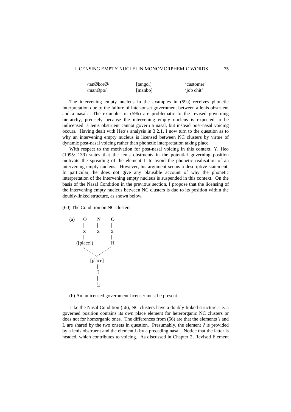## LICENSING EMPTY NUCLEI IN MONOMORPHEMIC WORDS 75

| /tanØkorØ/              | [tangol] | 'customer' |
|-------------------------|----------|------------|
| $/$ man $\Omega$ po $/$ | [manbo]  | 'iob chit' |

The intervening empty nucleus in the examples in (59a) receives phonetic interpretation due to the failure of inter-onset government between a lenis obstruent and a nasal. The examples in (59b) are problematic to the revised governing hierarchy, precisely because the intervening empty nucleus is expected to be unlicensed: a lenis obstruent cannot govern a nasal, but instead post-nasal voicing occurs. Having dealt with Heo's analysis in 3.2.1, I now turn to the question as to why an intervening empty nucleus is licensed between NC clusters by virtue of dynamic post-nasal voicing rather than phonetic interpretation taking place.

 With respect to the motivation for post-nasal voicing in this context, Y. Heo (1995: 139) states that the lenis obstruents in the potential governing position motivate the spreading of the element L to avoid the phonetic realisation of an intervening empty nucleus. However, his argument seems a descriptive statement. In particular, he does not give any plausible account of why the phonetic interpretation of the intervening empty nucleus is suspended in this context. On the basis of the Nasal Condition in the previous section, I propose that the licensing of the intervening empty nucleus between NC clusters is due to its position within the doubly-linked structure, as shown below.

(60) The Condition on NC clusters



(b) An unlicensed government-licenser must be present.

Like the Nasal Condition (56), NC clusters have a doubly-linked structure, i.e. a governed position contains its own place element for heterorganic NC clusters or does not for homorganic ones. The differences from  $(56)$  are that the elements  $\hat{ }$  and L are shared by the two onsets in question. Presumably, the element  $\hat{I}$  is provided by a lenis obstruent and the element L by a preceding nasal. Notice that the latter is headed, which contributes to voicing. As discussed in Chapter 2, Revised Element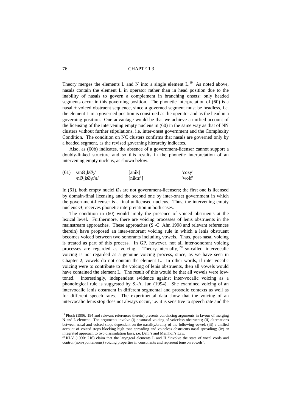Theory merges the elements L and N into a single element  $L^{19}$ . As noted above, nasals contain the element L in operator rather than in head position due to the inability of nasals to govern a complement in branching onsets: only headed segments occur in this governing position. The phonetic interpretation of (60) is a nasal + voiced obstruent sequence, since a governed segment must be headless, i.e. the element L in a governed position is construed as the operator and as the head in a governing position. One advantage would be that we achieve a unified account of the licensing of the intervening empty nucleus in (60) in the same way as that of NN clusters without further stipulations, i.e. inter-onset government and the Complexity Condition. The condition on NC clusters confirms that nasals are governed only by a headed segment, as the revised governing hierarchy indicates.

Also, as (60b) indicates, the absence of a government-licenser cannot support a doubly-linked structure and so this results in the phonetic interpretation of an intervening empty nucleus, as shown below.

| $(61)$ /an $\mathcal{O}_1k\mathcal{O}_2$ /         | [anik]   | 'cozy' |
|----------------------------------------------------|----------|--------|
| $/n\mathcal{O}_1k\mathcal{O}_2t^{\prime}\epsilon/$ | [nikte'] | 'wolf' |

In (61), both empty nuclei  $\emptyset_2$  are not government-licensers; the first one is licensed by domain-final licensing and the second one by inter-onset government in which the government-licenser is a final unlicensed nucleus. Thus, the intervening empty nucleus  $\mathcal{O}_1$  receives phonetic interpretation in both cases.

The condition in (60) would imply the presence of voiced obstruents at the lexical level. Furthermore, there are voicing processes of lenis obstruents in the mainstream approaches. These approaches (S.-C. Ahn 1998 and relevant references therein) have proposed an inter-sonorant voicing rule in which a lenis obstruent becomes voiced between two sonorants including vowels. Thus, post-nasal voicing is treated as part of this process. In GP, however, not all inter-sonorant voicing processes are regarded as voicing. Theory-internally, <sup>20</sup> so-called intervocalic voicing is not regarded as a genuine voicing process, since, as we have seen in Chapter 2, vowels do not contain the element L. In other words, if inter-vocalic voicing were to contribute to the voicing of lenis obstruents, then all vowels would have contained the element L. The result of this would be that all vowels were lowtoned. Interestingly, independent evidence against inter-vocalic voicing as a phonological rule is suggested by S.-A. Jun (1994). She examined voicing of an intervocalic lenis obstruent in different segmental and prosodic contexts as well as for different speech rates. The experimental data show that the voicing of an intervocalic lenis stop does not always occur, i.e. it is sensitive to speech rate and the

 $\overline{a}$ 

<sup>&</sup>lt;sup>19</sup> Ploch (1996: 194 and relevant references therein) presents convincing arguments in favour of merging N and L element. The arguments involve (i) postnasal voicing of voiceless obstruents; (ii) alternations between nasal and voiced stops dependent on the nasality/orality of the following vowel; (iii) a unified account of voiced stops blocking high tone spreading and voiceless obstruents nasal spreading; (iv) an integrated approach to two dissimilation laws, i.e. Dahl's and Meinhof's Law.

<sup>&</sup>lt;sup>20</sup> KLV (1990: 216) claim that the laryngeal elements L and H "involve the state of vocal cords and control (non-spontaneous) voicing properties in consonants and represent tone on vowels".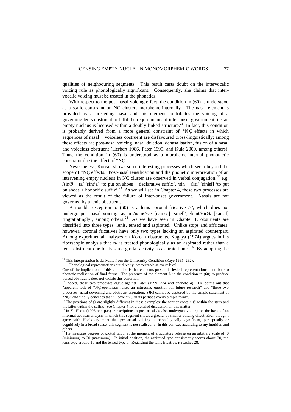qualities of neighbouring segments. This result casts doubt on the intervocalic voicing rule as phonologically significant. Consequently, she claims that intervocalic voicing must be treated in the phonetics.

With respect to the post-nasal voicing effect, the condition in (60) is understood as a static constraint on NC clusters morpheme-internally. The nasal element is provided by a preceding nasal and this element contributes the voicing of a governing lenis obstruent to fulfil the requirements of inter-onset government, i.e. an empty nucleus is licensed within a doubly-linked structure.<sup>21</sup> In fact, this condition is probably derived from a more general constraint of  $N$ C effects in which sequences of nasal + voiceless obstruent are disfavoured cross-linguistically; among these effects are post-nasal voicing, nasal deletion, denasalisation, fusion of a nasal and voiceless obstruent (Herbert 1986, Pater 1999, and Kula 2000, among others). Thus, the condition in (60) is understood as a morpheme-internal phonotactic constraint due the effect of \*NC.

Nevertheless, Korean shows some interesting processes which seem beyond the scope of \*NC effects. Post-nasal tensification and the phonetic interpretation of an intervening empty nucleus in NC cluster are observed in verbal conjugation.<sup>22</sup> e.g.  $\sin\theta$  + ta/ [sint'a] 'to put on shoes + declarative suffix', /sin + Øsi/ [sinisi] 'to put on shoes + honorific suffix'.<sup>23</sup> As we will see in Chapter 4, these two processes are viewed as the result of the failure of inter-onset government. Nasals are not governed by a lenis obstruent.

 A notable exception to (60) is a lenis coronal fricative /s/, which does not undergo post-nasal voicing, as in /nemØse/ [nemse] 'smell', /kanØsirØ/ [kansil] 'ingratiatingly', among others.<sup>24</sup> As we have seen in Chapter 1, obstruents are classified into three types: lenis, tensed and aspirated. Unlike stops and affricates, however, coronal fricatives have only two types lacking an aspirated counterpart. Among experimental analyses on Korean obstruents, Kagaya (1974) argues in his fiberscopic analysis that /s/ is treated phonologically as an aspirated rather than a lenis obstruent due to its same glottal activity as aspirated ones.<sup>25</sup> By adopting the

 $\overline{a}$ 

<sup>&</sup>lt;sup>21</sup> This interpretation is derivable from the Uniformity Condition (Kaye 1995: 292):

Phonological representations are directly interpretable at every level.

One of the implications of this condition is that elements present in lexical representations contribute to phonetic realisation of final forms. The presence of the element L in the condition in (60) to produce voiced obstruents does not violate this condition.<br><sup>22</sup> Indeed, these two processes argue against Pater (1999: 334 and endnote 4). He points out that

<sup>&</sup>quot;apparent lack of \*NC epenthesis raises an intriguing question for future research" and "these two processes [nasal devoicing and obstruent aspiration: SJR] cannot be captured by the simple statement of \*NC" and finally concedes that "I leave \*NC in its perhaps overly simple form".

<sup>&</sup>lt;sup>23</sup> The positions of Ø are slightly different in these examples: the former contain Ø within the stem and the latter within the suffix. See Chapter 4 for a detailed discussion on this matter.

 $24$  In Y. Heo's (1995 and p.c.) transcriptions, a post-nasal /s/ also undergoes voicing on the basis of an informal acoustic analysis in which this segment shows a greater or smaller voicing effect. Even though I agree with Heo's argument that post-nasal voicing is phonologically significant, perceptually or cognitively in a broad sense, this segment is not realised [z] in this context, according to my intuition and others.

 $25$  He measures degrees of glottal width at the moment of articulatory release on an arbitrary scale of 0 (minimum) to 30 (maximum). In initial position, the aspirated type consistently scores above 20, the lenis type around 10 and the tensed type 0. Regarding the lenis fricative, it reaches 28.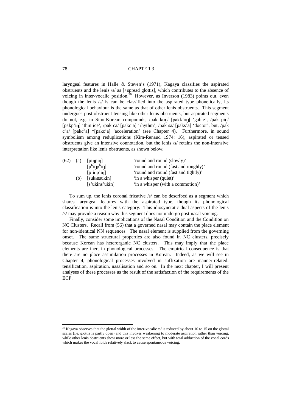laryngeal features in Halle & Steven's (1971), Kagaya classifies the aspirated obstruents and the lenis /s/ as [+spread glottis], which contributes to the absence of voicing in inter-vocalic position.<sup>26</sup> However, as Inverson (1983) points out, even though the lenis  $/s/$  is can be classified into the aspirated type phonetically, its phonological behaviour is the same as that of other lenis obstruents. This segment undergoes post-obstruent tensing like other lenis obstruents, but aspirated segments do not, e.g. in Sino-Korean compounds, /pak kon/ [pakk'on] 'gable', /pak pin/ [pakp'in] 'thin ice', /pak ca/ [pakc'a] 'rhythm', /pak sa/ [paks'a] 'doctor', but, /pak  $c<sup>h</sup>a/$  [pakc<sup>h</sup>a] \*[pakc'a] 'acceleration' (see Chapter 4). Furthermore, in sound symbolism among reduplications (Kim-Renaud 1974: 16), aspirated or tensed obstruents give an intensive connotation, but the lenis /s/ retains the non-intensive interpretation like lenis obstruents, as shown below.

| (62) | (a) | [pimpin]                        | 'round and round (slowly)'           |
|------|-----|---------------------------------|--------------------------------------|
|      |     | $[p^{\rm h}$ in $p^{\rm h}$ in] | 'round and round (fast and roughly)' |
|      |     | [p'inp'in]                      | 'round and round (fast and tightly)' |
|      | (b) | [sukinsukin]                    | 'in a whisper (quiet)'               |
|      |     | [s'ukins'ukin]                  | 'in a whisper (with a commotion)'    |

To sum up, the lenis coronal fricative /s/ can be described as a segment which shares laryngeal features with the aspirated type, though its phonological classification is into the lenis category. This idiosyncratic dual aspects of the lenis /s/ may provide a reason why this segment does not undergo post-nasal voicing.

 Finally, consider some implications of the Nasal Condition and the Condition on NC Clusters. Recall from (56) that a governed nasal may contain the place element for non-identical NN sequences. The nasal element is supplied from the governing onset. The same structural properties are also found in NC clusters, precisely because Korean has heterorganic NC clusters. This may imply that the place elements are inert in phonological processes. The empirical consequence is that there are no place assimilation processes in Korean. Indeed, as we will see in Chapter 4, phonological processes involved in suffixation are manner-related: tensification, aspiration, nasalisation and so on. In the next chapter, I will present analyses of these processes as the result of the satisfaction of the requirements of the ECP.

j

<sup>&</sup>lt;sup>26</sup> Kagaya observes that the glottal width of the inter-vocalic  $/s/$  is reduced by about 10 to 15 on the glottal scales (i.e. glottis is partly open) and this invokes weakening to moderate aspiration rather than voicing, while other lenis obstruents show more or less the same effect, but with total adduction of the vocal cords which makes the vocal folds relatively slack to cause spontaneous voicing.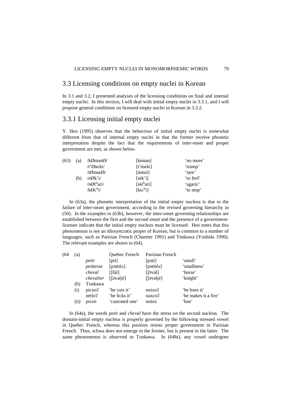# 3.3 Licensing conditions on empty nuclei in Korean

In 3.1 and 3.2, I presented analyses of the licensing conditions on final and internal empty nuclei. In this section, I will deal with initial empty nuclei in 3.3.1, and I will propose general conditions on licensed empty nuclei in Korean in 3.3.2.

## 3.3.1 Licensing initial empty nuclei

Y. Heo (1995) observes that the behaviour of initial empty nuclei is somewhat different from that of internal empty nuclei in that the former receive phonetic interpretation despite the fact that the requirements of inter-onset and proper government are met, as shown below.

| (63) | (a) | /kØmanØ/                             | [kiman]               | 'no more' |
|------|-----|--------------------------------------|-----------------------|-----------|
|      |     | /t'Øneki/                            | [t'ineki]             | 'tramp'   |
|      |     | /tØmurØ/                             | [timul]               | 'rare'    |
|      | (b) | /nØk'i/                              | [nik'i]               | 'to feel' |
|      |     | /n $\varnothing$ t <sup>h</sup> ari/ | $[nit^{\text{h}}ari]$ | 'agaric'  |
|      |     | /k $\varnothing$ c <sup>h</sup> i/   | $[kic^h]$             | 'to stop' |

In (63a), the phonetic interpretation of the initial empty nucleus is due to the failure of inter-onset government, according to the revised governing hierarchy in (50). In the examples in (63b), however, the inter-onset governing relationships are established between the first and the second onset and the presence of a governmentlicenser indicate that the initial empty nucleus must be licensed. Heo notes that this phenomenon is not an idiosyncratic proper of Korean, but is common to a number of languages, such as Parisian French (Charette 1991) and Tonkawa (Yoshida 1990). The relevant examples are shown in (64).

| (64 | (a)  |           | <b>Ouebec French</b> | Parisian French     |                      |
|-----|------|-----------|----------------------|---------------------|----------------------|
|     |      | petit     | [pti]                | [pət1]              | 'small'              |
|     |      | petitesse | $[$ patités]         | [patités]           | 'smallness'          |
|     |      | cheval    | $[$ fál]             | $[$ [ $\delta$ vál] | 'horse'              |
|     |      | chevalier | [svaljé]             | $[$ svaljé]         | 'knight'             |
|     | (b)  | Tonkawa   |                      |                     |                      |
|     | (i)  | picno?    | 'he cuts it'         | notxo?              | 'he hoes it'         |
|     |      | netlo?    | 'he licks it'        | $naxco$ ?           | 'he makes it a fire' |
|     | (11) | picen     | 'castrated one'      | notox               | 'hoe'                |

 In (64a), the words *petit* and *cheval* have the stress on the second nucleus. The domain-initial empty nucleus is properly governed by the following stressed vowel in Quebec French, whereas this position resists proper government in Parisian French. Thus, schwa does not emerge in the former, but is present in the latter. The same phenomenon is observed in Tonkawa. In (64bi), any vowel undergoes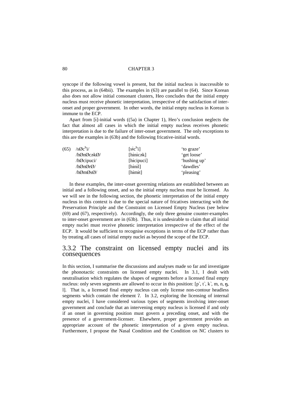syncope if the following vowel is present, but the initial nucleus is inaccessible to this process, as in (64bii). The examples in (63) are parallel to (64). Since Korean also does not allow initial consonant clusters, Heo concludes that the initial empty nucleus must receive phonetic interpretation, irrespective of the satisfaction of interonset and proper government. In other words, the initial empty nucleus in Korean is immune to the ECP.

Apart from  $[i]$ -initial words ((5a) in Chapter 1), Heo's conclusion neglects the fact that almost all cases in which the initial empty nucleus receives phonetic interpretation is due to the failure of inter-onset government. The only exceptions to this are the examples in (63b) and the following fricative-initial words.

| (65) | /s $\varnothing$ c <sup>h</sup> i/ | $[sic^h i]$   | to graze'    |
|------|------------------------------------|---------------|--------------|
|      | /hØnØcəkØ/                         | [hinicək]     | 'get loose'  |
|      | $/h$ Øcipuci/                      | [hicipuci]    | 'hushing up' |
|      | /hØnØrØ/                           | $[\n  hini ]$ | 'dawdles'    |
|      | /hØmØsØ/                           | [himit]       | 'pleasing'   |

In these examples, the inter-onset governing relations are established between an initial and a following onset, and so the initial empty nucleus must be licensed. As we will see in the following section, the phonetic interpretation of the initial empty nucleus in this context is due to the special nature of fricatives interacting with the Preservation Principle and the Constraint on Licensed Empty Nucleus (see below (69) and (67), respectively). Accordingly, the only three genuine counter-examples to inter-onset government are in (63b). Thus, it is undesirable to claim that all initial empty nuclei must receive phonetic interpretation irrespective of the effect of the ECP. It would be sufficient to recognise exceptions in terms of the ECP rather than by treating all cases of initial empty nuclei as beyond the scope of the ECP.

## 3.3.2 The constraint on licensed empty nuclei and its consequences

In this section, I summarise the discussions and analyses made so far and investigate the phonotactic constraints on licensed empty nuclei. In 3.1, I dealt with neutralisation which regulates the shapes of segments before a licensed final empty nucleus: only seven segments are allowed to occur in this position:  $[p^T, t^T, k^T, m, n, \eta,$ l]. That is, a licensed final empty nucleus can only license non-contour headless segments which contain the element ?. In 3.2, exploring the licensing of internal empty nuclei, I have considered various types of segments involving inter-onset government and conclude that an intervening empty nucleus is licensed if and only if an onset in governing position must govern a preceding onset, and with the presence of a government-licenser. Elsewhere, proper government provides an appropriate account of the phonetic interpretation of a given empty nucleus. Furthermore, I propose the Nasal Condition and the Condition on NC clusters to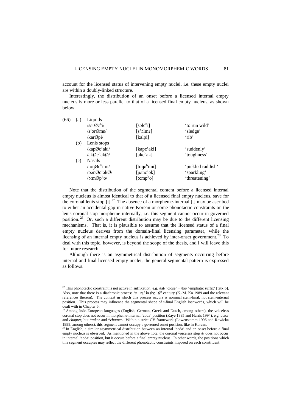account for the licensed status of intervening empty nuclei, i.e. these empty nuclei are within a doubly-linked structure.

Interestingly, the distribution of an onset before a licensed internal empty nucleus is more or less parallel to that of a licensed final empty nucleus, as shown below.

| (66) | (a) | Liquids                                             |                          |                   |
|------|-----|-----------------------------------------------------|--------------------------|-------------------|
|      |     | /sər $\varnothing$ c <sup>h</sup> i/                | $[s\partial c^h i]$      | 'to run wild'     |
|      |     | /s'ər $\mathcal{O}$ m $\varepsilon$ /               | $[s'$ əlm $\varepsilon]$ | 'sledge'          |
|      |     | /karØpi/                                            | [kalpi]                  | 'rib              |
|      | (b) | Lenis stops                                         |                          |                   |
|      |     | /kapØc'aki/                                         | [kapc'aki]               | 'suddenly'        |
|      |     | /ak $\varnothing$ c <sup>h</sup> ak $\varnothing$ / | [akc <sup>h</sup> ak]    | 'toughness'       |
|      | (c) | <b>Nasals</b>                                       |                          |                   |
|      |     | /ton $\varnothing$ c <sup>h</sup> imi/              | [tonc <sup>h</sup> imi]  | 'pickled raddish' |
|      |     | /panØc'akØ/                                         | [panc'ək]                | 'sparkling'       |
|      |     | / $\sin \phi$ <sup>h</sup> o/                       | [s:mp <sup>h</sup> o]    | 'threatening'     |
|      |     |                                                     |                          |                   |

Note that the distribution of the segmental content before a licensed internal empty nucleus is almost identical to that of a licensed final empty nucleus, save for the coronal lenis stop  $[t]$ .<sup>27</sup> The absence of a morpheme-internal  $[t]$  may be ascribed to either an accidental gap in native Korean or some phonotactic constraints on the lenis coronal stop morpheme-internally, i.e. this segment cannot occur in governed position. 28 Or, such a different distribution may be due to the different licensing mechanisms. That is, it is plausible to assume that the licensed status of a final empty nucleus derives from the domain-final licensing parameter, while the licensing of an internal empty nucleus is achieved by inter-onset government.<sup>29</sup> To deal with this topic, however, is beyond the scope of the thesis, and I will leave this for future research.

 Although there is an asymmetrical distribution of segments occurring before internal and final licensed empty nuclei, the general segmental pattern is expressed as follows.

j

<sup>&</sup>lt;sup>27</sup> This phonotactic constraint is not active in suffixation, e.g. /tat/ 'close' + /ko/ 'emphatic suffix' [tatk'o]. Also, note that there is a diachronic process  $/t \rightarrow s$  in the 16<sup>th</sup> century (K.-M. Ko 1989 and the relevant references therein). The context in which this process occurs is nominal stem-final, not stem-internal position. This process may influence the segmental shape of t-final English loanwords, which will be dealt with in Chapter 5.

<sup>&</sup>lt;sup>28</sup> Among Indo-European languages (English, German, Greek and Dutch, among others), the voiceless coronal stop does not occur in morpheme-internal 'coda' position (Kaye 1995 and Harris 1994), e.g. *actor* and *chapter*, but \**atkor* and \**chatper*. Within a strict CV framework (Lowenstamm 1996 and Rowicka

<sup>&</sup>lt;sup>29</sup> In English, a similar asymmetrical distribution between an internal 'coda' and an onset before a final empty nucleus is observed. As mentioned in the above note, the coronal voiceless stop  $/t/$  does not occur in internal 'coda' position, but it occurs before a final empty nucleus. In other words, the positions which this segment occupies may reflect the different phonotactic constraints imposed on each constituent.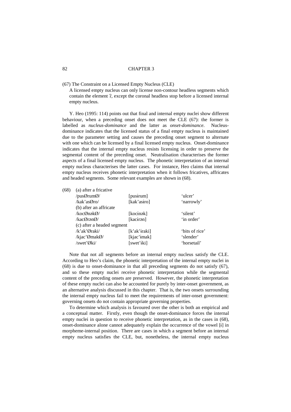(67) The Constraint on a Licensed Empty Nucleus (CLE)

A licensed empty nucleus can only license non-contour headless segments which contain the element ?, except the coronal headless stop before a licensed internal empty nucleus.

 Y. Heo (1995: 114) points out that final and internal empty nuclei show different behaviour, when a preceding onset does not meet the CLE (67): the former is labelled as *nucleus-dominance* and the latter as *onset-dominance*. Nucleusdominance indicates that the licensed status of a final empty nucleus is maintained due to the parameter setting and causes the preceding onset segment to alternate with one which can be licensed by a final licensed empty nucleus. Onset-dominance indicates that the internal empty nucleus resists licensing in order to preserve the segmental content of the preceding onset. Neutralisation characterises the former aspects of a final licensed empty nucleus. The phonetic interpretation of an internal empty nucleus characterises the latter cases. For instance, Heo claims that internal empty nucleus receives phonetic interpretation when it follows fricatives, affricates and headed segments. Some relevant examples are shown in (68).

| (68) | (a) after a fricative      |                                       |                |  |  |  |
|------|----------------------------|---------------------------------------|----------------|--|--|--|
|      | /pusØrumØ/                 | [pusirum]                             | 'ulcer'        |  |  |  |
|      | /kak'asØro/                | [kak'asiro]                           | 'narrowly'     |  |  |  |
|      | (b) after an affricate     |                                       |                |  |  |  |
|      | /kocØnəkØ/                 | [kocinək]                             | 'silent'       |  |  |  |
|      | /kacØrənØ/                 | [kaciron]                             | 'in order'     |  |  |  |
|      | (c) after a headed segment |                                       |                |  |  |  |
|      | /k'ak'Øraki/               | [k'ak'iraki]                          | 'bits of rice' |  |  |  |
|      | /kjac'ØmakØ/               | [k <sub>i</sub> ac' <sub>i</sub> mak] | 'slender'      |  |  |  |
|      | /swet'Øki/                 | $[swet'iki]$                          | 'horsetail'    |  |  |  |

 Note that not all segments before an internal empty nucleus satisfy the CLE. According to Heo's claim, the phonetic interpretation of the internal empty nuclei in (68) is due to onset-dominance in that all preceding segments do not satisfy (67), and so these empty nuclei receive phonetic interpretation while the segmental content of the preceding onsets are preserved. However, the phonetic interpretation of these empty nuclei can also be accounted for purely by inter-onset government, as an alternative analysis discussed in this chapter. That is, the two onsets surrounding the internal empty nucleus fail to meet the requirements of inter-onset government: governing onsets do not contain appropriate governing properties.

 To determine which analysis is favoured over the other is both an empirical and a conceptual matter. Firstly, even though the onset-dominance forces the internal empty nuclei in question to receive phonetic interpretation, as in the cases in (68), onset-dominance alone cannot adequately explain the occurrence of the vowel  $[i]$  in morpheme-internal position. There are cases in which a segment before an internal empty nucleus satisfies the CLE, but, nonetheless, the internal empty nucleus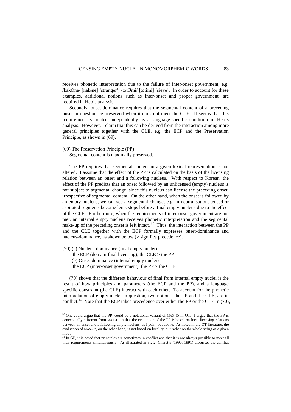receives phonetic interpretation due to the failure of inter-onset government, e.g. /kakØne/ [nakine] 'stranger', /totØmi/ [totimi] 'sieve'. In order to account for these examples, additional notions such as inter-onset and proper government, are required in Heo's analysis.

 Secondly, onset-dominance requires that the segmental content of a preceding onset in question be preserved when it does not meet the CLE. It seems that this requirement is treated independently as a language-specific condition in Heo's analysis. However, I claim that this can be derived from the interaction among more general principles together with the CLE, e.g. the ECP and the Preservation Principle, as shown in (69).

#### (69) The Preservation Principle (PP)

Segmental content is maximally preserved.

The PP requires that segmental content in a given lexical representation is not altered. I assume that the effect of the PP is calculated on the basis of the licensing relation between an onset and a following nucleus. With respect to Korean, the effect of the PP predicts that an onset followed by an unlicensed (empty) nucleus is not subject to segmental change, since this nucleus can license the preceding onset, irrespective of segmental content. On the other hand, when the onset is followed by an empty nucleus, we can see a segmental change, e.g. in neutralisation, tensed or aspirated segments become lenis stops before a final empty nucleus due to the effect of the CLE. Furthermore, when the requirements of inter-onset government are not met, an internal empty nucleus receives phonetic interpretation and the segmental make-up of the preceding onset is left intact.<sup>30</sup> Thus, the interaction between the PP and the CLE together with the ECP formally expresses onset-dominance and nucleus-dominance, as shown below ( $>$  signifies precedence).

(70) (a) Nucleus-dominance (final empty nuclei)

j

- the ECP (domain-final licensing), the  $CLE >$  the PP
- (b) Onset-dominance (internal empty nuclei)
- the ECP (inter-onset government), the  $PP$  > the CLE

(70) shows that the different behaviour of final from internal empty nuclei is the result of how principles and parameters (the ECP and the PP), and a language specific constraint (the CLE) interact with each other. To account for the phonetic interpretation of empty nuclei in question, two notions, the PP and the CLE, are in conflict.<sup>31</sup> Note that the ECP takes precedence over either the PP or the CLE in  $(70)$ ,

 $30$  One could argue that the PP would be a notational variant of MAX-IO in OT. I argue that the PP is conceptually different from MAX-IO in that the evaluation of the PP is based on local licensing relations between an onset and a following empty nucleus, as I point out above. As noted in the OT literature, the evaluation of MAX-IO, on the other hand, is not based on locality, but rather on the whole string of a given input.

<sup>&</sup>lt;sup>31</sup> In GP, it is noted that principles are sometimes in conflict and that it is not always possible to meet all their requirements simultaneously. As illustrated in 3.2.2, Charette (1990, 1991) discusses the conflict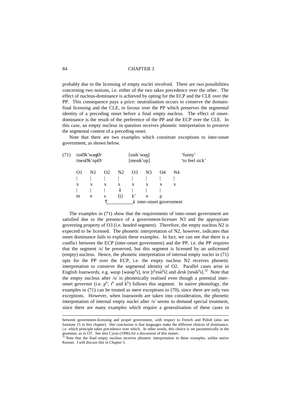probably due to the licensing of empty nuclei involved. There are two possibilities concerning two notions, i.e. either of the two takes precedence over the other. The effect of nucleus-dominance is achieved by opting for the ECP and the CLE over the PP. This consequence pays a price: neutralisation occurs to conserve the domainfinal licensing and the CLE, in favour over the PP which preserves the segmental identity of a preceding onset before a final empty nucleus. The effect of onsetdominance is the result of the preference of the PP and the ECP over the CLE. In this case, an empty nucleus in question receives phonetic interpretation to preserve the segmental content of a preceding onset.

Note that there are two examples which constitute exceptions to inter-onset government, as shown below.

| (71) | /usØk'wang/<br>/mesØk'opØ/ |    |          | [usik'wa <sub>1</sub> ]<br>[mesik'op] |                |                                    |    | 'funny'<br>'to feel sick' |  |
|------|----------------------------|----|----------|---------------------------------------|----------------|------------------------------------|----|---------------------------|--|
|      | O <sub>1</sub>             | N1 | $\Omega$ | N2                                    | O <sub>3</sub> | N <sub>3</sub>                     | O4 | N4                        |  |
|      | X                          | X  | X        | X                                     | X              | X                                  | X  | X                         |  |
|      |                            |    |          | ◡                                     |                |                                    |    |                           |  |
|      | m                          | e  | S<br>∧   | [i]                                   | $\mathbf{k}'$  | $\Omega$<br>inter-onset government | р  |                           |  |

 The examples in (71) show that the requirements of inter-onset government are satisfied due to the presence of a government-licenser N3 and the appropriate governing property of O3 (i.e. headed segment). Therefore, the empty nucleus N2 is expected to be licensed. The phonetic interpretation of N2, however, indicates that onset dominance fails to explain these examples. In fact, we can see that there is a conflict between the ECP (inter-onset government) and the PP, i.e. the PP requires that the segment /s/ be preserved, but this segment is licensed by an unlicensed (empty) nucleus. Hence, the phonetic interpretation of internal empty nuclei in (71) opts for the PP over the ECP, i.e. the empty nucleus N2 receives phonetic interpretation to conserve the segmental identity of O2. Parallel cases arise in English loanwords, e.g. *wasp* [wasip<sup>h</sup>i], *test*  $[t<sup>h</sup>esit<sup>h</sup>i]$  and *desk* [tesik<sup>h</sup>i].<sup>32</sup> Note that the empty nucleus after /s/ is phonetically realised even though a potential interonset governor (i.e.  $p^h$ ,  $t^h$  and  $k^h$ ) follows this segment. In native phonology, the examples in (71) can be treated as mere exceptions to (70), since there are only two exceptions. However, when loanwords are taken into consideration, the phonetic interpretation of internal empty nuclei after /s/ seems to demand special treatment, since there are many examples which require a generalisation of these cases in

between government-licensing and proper government, with respect to French and Polish (also see footnote 15 in this chapter). Her conclusion is that languages make the different choices of dominance, i.e. which principle takes precedence over which. In other words, this choice is set parametrically in the grammar, as in OT. See also Cyran (1996) for a discussion of this matter.

Note that the final empty nucleus receives phonetic interpretation in these examples, unlike native Korean. I will discuss this in Chapter 5.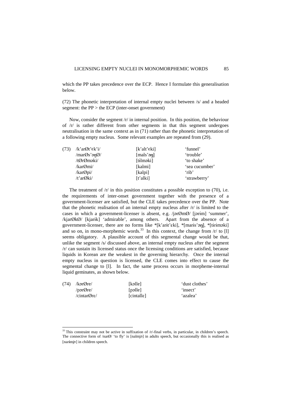which the PP takes precedence over the ECP. Hence I formulate this generalisation below.

(72) The phonetic interpretation of internal empty nuclei between /s/ and a headed segment: the PP > the ECP (inter-onset government)

 Now, consider the segment /r/ in internal position. In this position, the behaviour of /r/ is rather different from other segments in that this segment undergoes neutralisation in the same context as in (71) rather than the phonetic interpretation of a following empty nucleus. Some relevant examples are repeated from (29).

| (73) | /k'arØt' $\epsilon$ k'i/ | $[k'alt' \in ki]$             | 'funnel'       |
|------|--------------------------|-------------------------------|----------------|
|      | $/marØs'$ ən $Ø/$        | $[{\text{mals}}' \circ \eta]$ | 'trouble'      |
|      | /tØrØmaki/               | [tilməki]                     | 'to shake'     |
|      | /karØmi/                 | [kalmi]                       | 'sea cucumber' |
|      | /karØpi/                 | [kalpi]                       | 'rib'          |
|      | /t'arØki/                | [t'alki]                      | 'strawberry'   |

The treatment of  $/r/$  in this position constitutes a possible exception to  $(70)$ , i.e. the requirements of inter-onset government together with the presence of a government-licenser are satisfied, but the CLE takes precedence over the PP. Note that the phonetic realisation of an internal empty nucleus after /r/ is limited to the cases in which a government-licenser is absent, e.g. /j $\sigma$ m $\alpha$ / [j $\sigma$ rim] 'summer',  $\frac{1}{\text{K}}$  /kjar $\frac{1}{\text{K}}$  /kjarik] 'admirable', among others. Apart from the absence of a government-licenser, there are no forms like \*[k'arit' $\epsilon$ ki], \*[maris' and \*[tirimaki] and so on, in mono-morphemic words.<sup>33</sup> In this context, the change from  $/r$  to [1] seems obligatory. A plausible account of this segmental change would be that, unlike the segment /s/ discussed above, an internal empty nucleus after the segment /r/ can sustain its licensed status once the licensing conditions are satisfied, because liquids in Korean are the weakest in the governing hierarchy. Once the internal empty nucleus in question is licensed, the CLE comes into effect to cause the segmental change to [l]. In fact, the same process occurs in morpheme-internal liquid geminates, as shown below.

| /kərØre/                       | [kəlle]    | 'dust clothes' |
|--------------------------------|------------|----------------|
| /par $Q$ re/                   | [pəlle]    | 'insect'       |
| $\ell$ cintar $\chi$ re $\ell$ | [cintalle] | 'azalea'       |
|                                |            |                |

 $\overline{a}$ 

 $33$  This constraint may not be active in suffixation of  $/r$ -final verbs, in particular, in children's speech. The connective form of  $/nar\emptyset/$  'to fly' is [nalmjo] in adults speech, but occasionally this is realised as [narimjə] in children speech.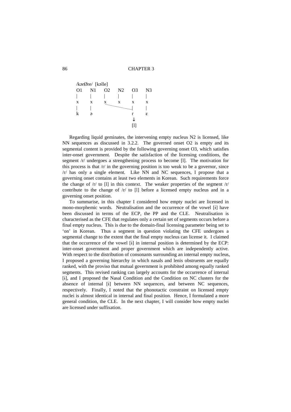```
86 CHAPTER 3
```


 Regarding liquid geminates, the intervening empty nucleus N2 is licensed, like NN sequences as discussed in 3.2.2. The governed onset O2 is empty and its segmental content is provided by the following governing onset O3, which satisfies inter-onset government. Despite the satisfaction of the licensing conditions, the segment /r/ undergoes a strengthening process to become [l]. The motivation for this process is that  $/r/$  in the governing position is too weak to be a governor, since /r/ has only a single element. Like NN and NC sequences, I propose that a governing onset contains at least two elements in Korean. Such requirements force the change of  $/r/$  to [1] in this context. The weaker properties of the segment  $/r/$ contribute to the change of /r/ to [l] before a licensed empty nucleus and in a governing onset position.

 To summarise, in this chapter I considered how empty nuclei are licensed in mono-morphemic words. Neutralisation and the occurrence of the vowel [i] have been discussed in terms of the ECP, the PP and the CLE. Neutralisation is characterised as the CFE that regulates only a certain set of segments occurs before a final empty nucleus. This is due to the domain-final licensing parameter being set to 'on' in Korean. Thus a segment in question violating the CFE undergoes a segmental change to the extent that the final empty nucleus can license it. I claimed that the occurrence of the vowel  $[i]$  in internal position is determined by the ECP: inter-onset government and proper government which are independently active. With respect to the distribution of consonants surrounding an internal empty nucleus, I proposed a governing hierarchy in which nasals and lenis obstruents are equally ranked, with the proviso that mutual government is prohibited among equally ranked segments. This revised ranking can largely accounts for the occurrence of internal [Û], and I proposed the Nasal Condition and the Condition on NC clusters for the absence of internal  $[i]$  between NN sequences, and between NC sequences, respectively. Finally, I noted that the phonotactic constraint on licensed empty nuclei is almost identical in internal and final position. Hence, I formulated a more general condition, the CLE. In the next chapter, I will consider how empty nuclei are licensed under suffixation.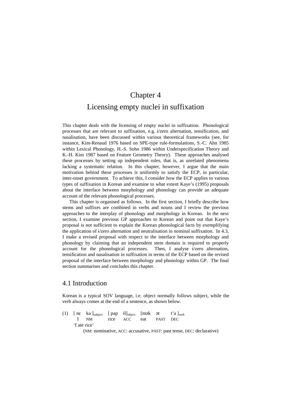# Chapter 4 Licensing empty nuclei in suffixation

This chapter deals with the licensing of empty nuclei in suffixation. Phonological processes that are relevant to suffixation, e.g.  $\frac{i}{\text{zero}}$  alternation, tensification, and nasalisation, have been discussed within various theoretical frameworks (see, for instance, Kim-Renaud 1976 based on SPE-type rule-formulations, S.-C. Ahn 1985 within Lexical Phonology, H.-S. Sohn 1986 within Underspecification Theory and K.-H. Kim 1987 based on Feature Geometry Theory). These approaches analysed these processes by setting up independent rules, that is, as unrelated phenomena lacking a systematic relation. In this chapter, however, I argue that the main motivation behind these processes is uniformly to satisfy the ECP, in particular, inter-onset government. To achieve this, I consider how the ECP applies to various types of suffixation in Korean and examine to what extent Kaye's (1995) proposals about the interface between morphology and phonology can provide an adequate account of the relevant phonological processes.

This chapter is organised as follows. In the first section, I briefly describe how stems and suffixes are combined in verbs and nouns and I review the previous approaches to the interplay of phonology and morphology in Korean. In the next section, I examine previous GP approaches to Korean and point out that Kaye's proposal is not sufficient to explain the Korean phonological facts by exemplifying the application of  $\frac{i}{\text{zero}}$  alternation and neutralisation in nominal suffixation. In 4.3, I make a revised proposal with respect to the interface between morphology and phonology by claiming that an independent stem domain is required to properly account for the phonological processes. Then, I analyse  $\frac{1}{2}$  /zero alternation, tensification and nasalisation in suffixation in terms of the ECP based on the revised proposal of the interface between morphology and phonology within GP. The final section summarises and concludes this chapter.

# 4.1 Introduction

Korean is a typical SOV language, i.e. object normally follows subject, while the verb always comes at the end of a sentence, as shown below.

(1)  $[$  ne ka  $]$ <sub>subject</sub>  $[$  pap  $]$ i $]$ <sub>object</sub>  $[$  mok ot t'a  $]$ <sub>verb</sub>  $[$  NM rice ACC eat PAST DEC I NM rice ACC eat PAST DEC 'I ate rice'

(NM: nominative, ACC: accusative, PAST: past tense, DEC: declarative)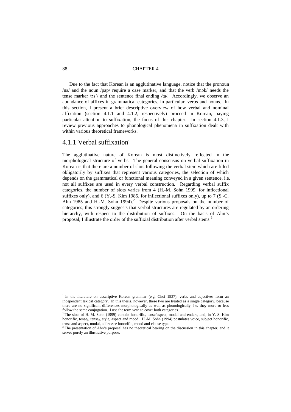Due to the fact that Korean is an agglutinative language, notice that the pronoun  $/ne/$  and the noun  $/pa$ <sup> $p/$ </sup> require a case marker, and that the verb  $/me$  $k/$  needs the tense marker  $\sqrt{ss'}$  and the sentence final ending  $\sqrt{ta'}$ . Accordingly, we observe an abundance of affixes in grammatical categories, in particular, verbs and nouns. In this section, I present a brief descriptive overview of how verbal and nominal affixation (section 4.1.1 and 4.1.2, respectively) proceed in Korean, paying particular attention to suffixation, the focus of this chapter. In section 4.1.3, I review previous approaches to phonological phenomena in suffixation dealt with within various theoretical frameworks.

## 4.1.1 Verbal suffixation<sup>1</sup>

The agglutinative nature of Korean is most distinctively reflected in the morphological structure of verbs. The general consensus on verbal suffixation in Korean is that there are a number of slots following the verbal stem which are filled obligatorily by suffixes that represent various categories, the selection of which depends on the grammatical or functional meaning conveyed in a given sentence, i.e. not all suffixes are used in every verbal construction. Regarding verbal suffix categories, the number of slots varies from 4 (H.-M. Sohn 1999, for inflectional suffixes only), and 6 (Y.-S. Kim 1985, for inflectional suffixes only), up to 7 (S.-C. Ahn 1985 and H.-M. Sohn 1994).<sup>2</sup> Despite various proposals on the number of categories, this strongly suggests that verbal structures are regulated by an ordering hierarchy, with respect to the distribution of suffixes. On the basis of Ahn's proposal, I illustrate the order of the suffixial distribution after verbal stems.<sup>3</sup>

 $\overline{a}$ 

<sup>&</sup>lt;sup>1</sup> In the literature on descriptive Korean grammar (e.g. Choi 1937), verbs and adjectives form an independent lexical category. In this thesis, however, these two are treated as a single category, because there are no significant differences morphologically as well as phonologically, i.e. they more or less follow the same conjugation. I use the term *verb* to cover both categories.

 $2$ <sup>2</sup> The slots of H.-M. Sohn (1999) contain honorific, tense/aspect, modal and enders, and, in Y.-S. Kim honorific, tense<sub>1</sub>, tense<sub>2</sub>, style, aspect and mood. H.-M. Sohn (1994) postulates voice, subject honorific, tense and aspect, modal, addressee honorific, mood and clause type.

<sup>&</sup>lt;sup>3</sup> The presentation of Ahn's proposal has no theoretical bearing on the discussion in this chapter, and it serves purely an illustrative purpose.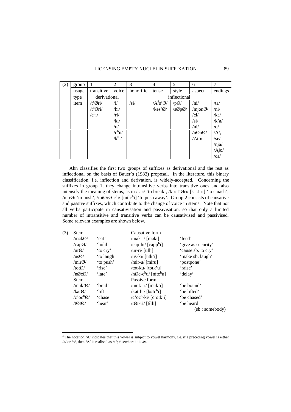## LICENSING EMPTY NUCLEI IN SUFFIXATION 89

| (2) | group |                                            | $\overline{2}$             | 3         | $\overline{4}$             | 5                             | 6                     | 7                  |
|-----|-------|--------------------------------------------|----------------------------|-----------|----------------------------|-------------------------------|-----------------------|--------------------|
|     | usage | transitive                                 | voice                      | honorific | tense                      | style                         | aspect                | endings            |
|     | type  | derivational                               |                            |           |                            | inflectional                  |                       |                    |
|     | item  | $/t'$ Øri/                                 | $\mathbf{u}$               | $s_i/$    | $\sqrt{A^4s'}\mathcal{O}/$ | /pQ/                          | /ni/                  | /ta/               |
|     |       | /t <sup>h</sup> Øri/<br>/c <sup>h</sup> i/ | /hi/                       |           | /kes' $\varnothing$ /      | $/s\mathcal{O}p\mathcal{O}/2$ | $/$ mjən $\emptyset/$ | /ni/               |
|     |       |                                            | /ri/                       |           |                            |                               | /ci/                  | /ka/               |
|     |       |                                            | /ki/                       |           |                            |                               | /si/                  | k'a                |
|     |       |                                            | /u/                        |           |                            |                               | /ni/                  | o                  |
|     |       |                                            | $\sqrt{c}^{\mathrm{h}}$ u/ |           |                            |                               | /nQnQ/                | /A/,               |
|     |       |                                            | $/k^{\rm h}i/$             |           |                            |                               | /Ato/                 | $/$ se $/$         |
|     |       |                                            |                            |           |                            |                               |                       | /nja/              |
|     |       |                                            |                            |           |                            |                               |                       | $\overline{A}$ jo/ |
|     |       |                                            |                            |           |                            |                               |                       | $\sqrt{ca}$        |

 Ahn classifies the first two groups of suffixes as derivational and the rest as inflectional on the basis of Bauer's (1983) proposal. In the literature, this binary classification, i.e. inflection and derivation, is widely-accepted. Concerning the suffixes in group 1, they change intransitive verbs into transitive ones and also intensify the meaning of stems, as in  $/k\infty$  'to break',  $/k\in\infty$ ' $(i\infty)$  [k' $\infty$ t'ri] 'to smash'; /mirØ/ 'to push', /miØrØ-c<sup>h</sup>i/ [milc<sup>h</sup>i] 'to push away'. Group 2 consists of causative and passive suffixes, which contribute to the change of voice in stems. Note that not all verbs participate in causativisation and passivisation, so that only a limited number of intransitive and transitive verbs can be causativised and passivised. Some relevant examples are shown below.

| (3) | <b>Stem</b>                        |            | Causative form                               |                    |
|-----|------------------------------------|------------|----------------------------------------------|--------------------|
|     | $/m \ge 0$                         | 'eat'      | $/m\ge k-i/$ [məki]                          | 'feed'             |
|     | /cap $\varnothing$ /               | 'hold'     | /cap-hi/ $[caph]$                            | 'give as security' |
|     | / $\text{ur}\mathcal{O}/$          | 'to cry'   | /ur-ri/ $[$ ulli $]$                         | 'cause sb. to cry' |
|     | /us $\varnothing$ /                | 'to laugh' | /us-ki/ $[utk'i]$                            | 'make sb. laugh'   |
|     | $/$ mir $\omega$                   | 'to push'  | /mir-u/ [miru]                               | 'postpone'         |
|     | /tot $\varnothing$ /               | 'rise'     | /tot-ku/ [totk'u]                            | 'raise'            |
|     | $/n\mathcal{O}c\mathcal{O}/$       | 'late'     | /nØc-c <sup>h</sup> u/ [nitc <sup>h</sup> u] | 'delay'            |
|     | <b>Stem</b>                        |            | Passive form                                 |                    |
|     | /muk' $\varnothing$ /              | 'bind'     | /muk'-i/ $[{\text{muk'}}]$                   | 'be bound'         |
|     | $/$ kət $\emptyset/$               | 'lift'     | /kət-hi/ [kətc <sup>h</sup> i]               | 'be lifted'        |
|     | /c'oc <sup>h</sup> $\varnothing$ / | 'chase'    | /c'oc <sup>h</sup> -ki/ $[c'otk'i]$          | 'be chased'        |
|     | /tØtØ/                             | 'hear'     | /tØr-ri/ [tilli]                             | 'be heard'         |
|     |                                    |            |                                              | (sb.: somebody)    |

 4 The notation /A/ indicates that this vowel is subject to vowel harmony, i.e. if a preceding vowel is either <sup>4</sup> The notation /A/ indicates that this vowel is subject to  $\frac{1}{a}$  or /o/, then /A/ is realised as /a/; elsewhere it is /o/.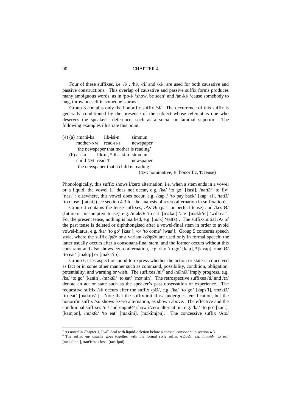Four of these suffixes, i.e. /i/, /hi/, /ri/ and /ki/, are used for both causative and passive constructions. This overlap of causative and passive suffix forms produces many ambiguous words, as in /po-i/ 'show, be seen' and /an-ki/ 'cause somebody to hug, throw oneself in someone's arms'.

 Group 3 contains only the honorific suffix /si/. The occurrence of this suffix is generally conditioned by the presence of the subject whose referent is one who deserves the speaker's deference, such as a social or familial superior. The following examples illustrate this point.

|                 | $(4)$ (a) $\theta$ amani-ka ilk-isi-n    | simmun                                   |
|-----------------|------------------------------------------|------------------------------------------|
|                 | mother-NM read-H-T                       | newspaper                                |
|                 | 'the newspaper that mother is reading'   |                                          |
|                 | (b) ai-ka $i$ ilk-in, * ilk-isi-n simmun |                                          |
| child-NM read-T |                                          | newspaper                                |
|                 | the newspaper that a child is reading'   |                                          |
|                 |                                          | (NM: nominative, H: honorific, T: tense) |

Phonologically, this suffix shows  $\frac{i}{z}$  and  $\frac{j}{z}$  alternation, i.e. when a stem ends in a vowel or a liquid, the vowel [i] does not occur, e.g. /ka/ 'to go' [kasi], /narØ/ 'to fly' [nasi]<sup>5</sup>; elsewhere, this vowel does occur, e.g. /kap<sup>h</sup>/ 'to pay back' [kap<sup>h</sup>isi], /tatØ/ 'to close' [tatisi] (see section 4.3 for the analysis of  $\frac{1}{2}$  /zero alternation in suffixation).

Group 4 contains the tense suffixes,  $/As' \emptyset / (past \ or \ perfect \ tense)$  and  $/kes' \emptyset /$ (future or presumptive tense), e.g.  $/m\&\emptyset$  'to eat' [makat] 'ate' [makk'et] 'will eat'. For the present tense, nothing is marked, e.g.  $[m\delta k]$  'eat(s)'. The suffix-initial /A/ of the past tense is deleted or diphthongised after a vowel-final stem in order to avoid vowel-hiatus, e.g. /ka/ 'to go' [kas'], /o/ 'to come' [was']. Group 5 concerns speech style, where the suffix  $/pQ/$  or a variant  $/sQpQ/$  are used only in formal speech: the latter usually occurs after a consonant-final stem, and the former occurs without this constraint and also shows  $\frac{1}{\text{zero}}$  alternation, e.g. /ka/ 'to go' [kap], \*[kasip], /məkØ/ 'to eat' [məkɨp] or [məks'ɨp].

 Group 6 uses aspect or mood to express whether the action or state is conceived as fact or in some other manner such as command, possibility, condition, obligation, potentiality, and warning or wish. The suffixes  $\sin^{6}$  and  $\sin^{6}$  imply progress, e.g. /ka/ 'to go' [kanin], /məkØ/ 'to eat' [mənnin]. The retrospective suffixes /ti/ and /tə/ denote an act or state such as the speaker's past observation or experience. The requestive suffix /si/ occurs after the suffix  $/pQ/$ , e.g. /ka/ 'to go' [kaps'i], /mək $Q/$ 'to eat' [məkips'i]. Note that the suffix-initial /s/ undergoes tensification, but the honorific suffix  $\langle$ si $\rangle$  shows i $\langle$ zero alternation, as shown above. The effective and the conditional suffixes /ni/ and /mjan $\emptyset$ / show i/zero alternation, e.g. /ka/ 'to go' [kani], [kamjon], /mokØ/ 'to eat' [mokini], [mokimjon]. The concessive suffix /Ato/ conditional suffixes /ni/ and /mjon(9/ show i/zero alternation, e.g. /ka/ 'to go' [kani], [kamjon], /mok(9/ 'to eat' [mokini], [mokimjon]. The concessive suffix /Ato/<br>
<sup>5</sup> As noted in Chapter 1, I will deal with liquid-de

<sup>&</sup>lt;sup>5</sup> As noted in Chapter 1, I will deal with liquid-deletion before a coronal consonant in section 4.3.

The suffix /ni/ usually goes together with the formal style suffix /s $\emptyset$ p $\emptyset$ /, e.g. /mok $\emptyset$ / 'to eat' [moks'ipni], /tat $\emptyset$ / 'to close' [tats'ipni].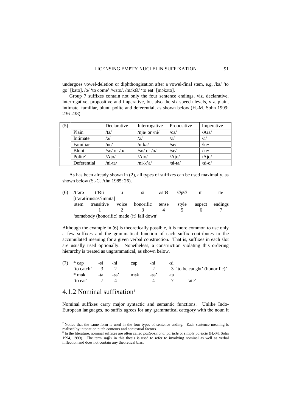undergoes vowel-deletion or diphthongisation after a vowel-final stem, e.g. /ka/ 'to go' [kato],  $\frac{\delta}{\delta}$  (vato/,  $\frac{\delta}{\delta}$  /mak $\frac{\delta}{\delta}$  / to eat' [makato].

 Group 7 suffixes contain not only the four sentence endings, viz. declarative, interrogative, propositive and imperative, but also the six speech levels, viz. plain, intimate, familiar, blunt, polite and deferential, as shown below (H.-M. Sohn 1999: 236-238).

| (5) |                     | Declarative | Interrogative             | Propositive | Imperative  |
|-----|---------------------|-------------|---------------------------|-------------|-------------|
|     | Plain               | /ta/        | $/$ nja $/$ or $/$ ni $/$ | $\alpha$    | /Ara/       |
|     | Intimate            | /ə/         | /ə/                       | /ə/         | /ə/         |
|     | Familiar            | /ne/        | $/n$ -ka $/$              | /se/        | /ke/        |
|     | Blunt               | /so/ or /o/ | /so/ or /o/               | /se/        | /ke/        |
|     | Polite <sup>7</sup> | $/A$ jo $/$ | $/A$ jo $/$               | $/A$ jo $/$ | $/A$ jo $/$ |
|     | Deferential         | /ni-ta/     | $/ni-k'a/$                | $/si-ta/$   | $/si-o/$    |

As has been already shown in (2), all types of suffixes can be used maximally, as shown below (S.-C. Ahn 1985: 26).

|  |      | $f(\delta)$ /t'oro t'Øri                   |                          | S1                                                    | $as\varnothing$ | ØpØ    | $n_{1}$ | ta/ |  |  |
|--|------|--------------------------------------------|--------------------------|-------------------------------------------------------|-----------------|--------|---------|-----|--|--|
|  |      | $[t'$ orgularity is $\sum_{i=1}^{n}$       |                          |                                                       |                 |        |         |     |  |  |
|  | stem |                                            |                          | transitive voice honorific tense style aspect endings |                 |        |         |     |  |  |
|  |      |                                            | $\overline{\phantom{a}}$ | $\sim$ 3                                              |                 | $\sim$ |         |     |  |  |
|  |      | 'somebody (honorific) made (it) fall down' |                          |                                                       |                 |        |         |     |  |  |

Although the example in (6) is theoretically possible, it is more common to use only a few suffixes and the grammatical function of each suffix contributes to the accumulated meaning for a given verbal construction. That is, suffixes in each slot are usually used optionally. Nonetheless, a construction violating this ordering hierarchy is treated as ungrammatical, as shown below.

| $(7)$ * cap -si |               | -hi      | cap | -h1   | $-S1$ |                               |  |
|-----------------|---------------|----------|-----|-------|-------|-------------------------------|--|
| to catch'       | $\mathcal{S}$ |          |     |       |       | 3 'to be caught' (honorific)' |  |
| * mək           |               | -ta -əs' | mək | $-2S$ | -ta   |                               |  |
| to eat'         |               |          |     |       |       | ʻate'                         |  |

# 4.1.2 Nominal suffixation<sup>8</sup>

Nominal suffixes carry major syntactic and semantic functions. Unlike Indo-European languages, no suffix agrees for any grammatical category with the noun it

<sup>&</sup>lt;sup>7</sup> Notice that the same form is used in the four types of sentence ending. Each sentence meaning is realised by intonation pitch contours and contextual factors.

<sup>8</sup> In the literature, nominal suffixes are often called *postpositional particle* or simply *particle* (H.-M. Sohn 1994, 1999). The term *suffix* in this thesis is used to refer to involving nominal as well as verbal inflection and does not contain any theoretical bias.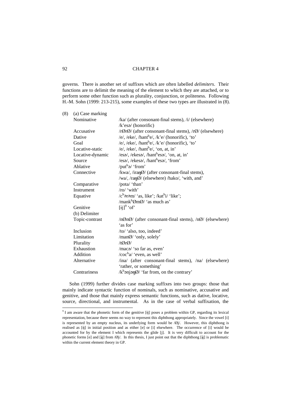governs. There is another set of suffixes which are often labelled *delimiters*. Their functions are to delimit the meaning of the element to which they are attached, or to perform some other function such as plurality, conjunction, or politeness. Following H.-M. Sohn (1999: 213-215), some examples of these two types are illustrated in (8).

| (8) | (a) Case marking |                                                                                                        |  |  |  |  |
|-----|------------------|--------------------------------------------------------------------------------------------------------|--|--|--|--|
|     | Nominative       | $\frac{1}{x}$ (after consonant-final stems), $\frac{1}{y}$ (elsewhere)<br>$k$ 'es $\theta$ (honorific) |  |  |  |  |
|     | Accusative       | /rØrØ/ (after consonant-final stems), /rØ/ (elsewhere)                                                 |  |  |  |  |
|     | Dative           | /e/, /eke/, /hant <sup>h</sup> e/, /k'e/ (honorific), 'to'                                             |  |  |  |  |
|     | Goal             | /e/, /eke/, /hant <sup>h</sup> e/, /k'e/ (honorific), 'to'                                             |  |  |  |  |
|     | Locative-static  | /e/, /eke/, /hant <sup>h</sup> e/, 'on, at, in'                                                        |  |  |  |  |
|     | Locative-dynamic | /esə/, /ekesə/, /hant $h$ esə/, 'on, at, in'                                                           |  |  |  |  |
|     | Source           | $\ell$ esə/, $\ell$ ekesə/, $\ell$ hant <sup>h</sup> esə/, 'from'                                      |  |  |  |  |
|     | Ablative         | /put <sup>h</sup> $\theta$ / 'from'                                                                    |  |  |  |  |
|     | Connective       | /kwa/, /irango/ (after consonant-final stems),                                                         |  |  |  |  |
|     |                  | /wa/, /rango/ (elsewhere) /hako/, 'with, and'                                                          |  |  |  |  |
|     | Comparative      | /pota/ 'than'                                                                                          |  |  |  |  |
|     | Instrument       | $/ro/$ 'with'                                                                                          |  |  |  |  |
|     | Equative         | / $c^{\rm h}$ ərəm/ 'as, like'; /kat $^{\rm h}$ i/ 'like';                                             |  |  |  |  |
|     |                  | /mank <sup>h</sup> $\varnothing$ m $\varnothing$ / 'as much as'                                        |  |  |  |  |
|     | Genitive         | $[ij]^\circ$ 'of'                                                                                      |  |  |  |  |
|     | (b) Delimiter    |                                                                                                        |  |  |  |  |
|     | Topic-contrast   | $\ln\!\phi$ (after consonant-final stems), $\ln\!\phi$ (elsewhere)<br>'as for'                         |  |  |  |  |
|     | Inclusion        | /to/ 'also, too, indeed'                                                                               |  |  |  |  |
|     | Limitation       | /manØ/ 'only, solely'                                                                                  |  |  |  |  |
|     | Plurality        | /tØrØ/                                                                                                 |  |  |  |  |
|     | Exhaustion       | /maca/ 'so far as, even'                                                                               |  |  |  |  |
|     | Addition         | / $\csc$ <sup>h</sup> a/ 'even, as well'                                                               |  |  |  |  |
|     | Alternative      | /ina/ (after consonant-final stems), /na/ (elsewhere)<br>'rather, or something'                        |  |  |  |  |
|     | Contrariness     | / $k^{\text{h}}$ ənjən $\emptyset$ / 'far from, on the contrary'                                       |  |  |  |  |
|     |                  |                                                                                                        |  |  |  |  |

 Sohn (1999) further divides case marking suffixes into two groups: those that mainly indicate syntactic function of nominals, such as nominative, accusative and genitive, and those that mainly express semantic functions, such as dative, locative, source, directional, and instrumental. As in the case of verbal suffixation, the Sohn (1999) further divides case marking suffixes into two groups: those that mainly indicate syntactic function of nominals, such as nominative, accusative and genitive, and those that mainly express semantic functions, mainly indicate syntactic function of nominals, such as nominative, accusative and<br>genitive, and those that mainly express semantic functions, such as dative, locative,<br>source, directional, and instrumental. As in the cas

 $\overline{a}$ 

<sup>9</sup> is represented by an empty nucleus, its underlying form would be /Øj/. However, this diphthong is source, directional, and instrumental. As in the case of verbal suffixation, the<br><sup>9</sup>I am aware that the phonetic form of the genitive [ij] poses a problem within GP, regarding its lexical<br>representation, because there see accounted for by the element I which represents the glide [j]. It is very difficult to account for the <sup>9</sup> I am aware that the phonetic form of the genitive [ij] poses a problem within GP, regarding its lexical representation, because there seems no way to represent this diphthong appropriately. Since the vowel [i] is repr within the current element theory in GP.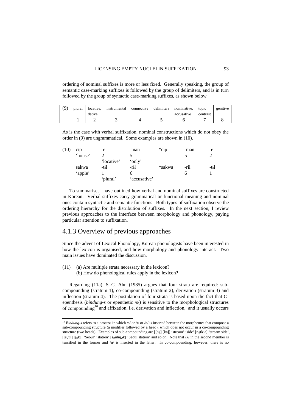ordering of nominal suffixes is more or less fixed. Generally speaking, the group of semantic case-marking suffixes is followed by the group of delimiters, and is in turn followed by the group of syntactic case-marking suffixes, as shown below.

| (9) | plural |        | locative. instrumental | connective | delimiters | nominative. | topic    | genitive |
|-----|--------|--------|------------------------|------------|------------|-------------|----------|----------|
|     |        | dative |                        |            |            | accusative  | contrast |          |
|     |        |        |                        |            |            |             |          |          |

As is the case with verbal suffixation, nominal constructions which do not obey the order in (9) are ungrammatical. Some examples are shown in (10).

| (10) | c <sub>i</sub> | -e         | -man         | $*$ cip | -man  | -e   |
|------|----------------|------------|--------------|---------|-------|------|
|      | 'house'        |            |              |         |       |      |
|      |                | 'locative' | 'only'       |         |       |      |
|      | sakwa          | -til       | -ril         | *sakwa  | $-r1$ | -til |
|      | 'apple'        |            |              |         |       |      |
|      |                | 'plural'   | 'accusative' |         |       |      |

 To summarise, I have outlined how verbal and nominal suffixes are constructed in Korean. Verbal suffixes carry grammatical or functional meaning and nominal ones contain syntactic and semantic functions. Both types of suffixation observe the ordering hierarchy for the distribution of suffixes. In the next section, I review previous approaches to the interface between morphology and phonology, paying particular attention to suffixation.

## 4.1.3 Overview of previous approaches

Since the advent of Lexical Phonology, Korean phonologists have been interested in how the lexicon is organised, and how morphology and phonology interact. Two main issues have dominated the discussion.

(11) (a) Are multiple strata necessary in the lexicon? (b) How do phonological rules apply in the lexicon?

 $\overline{a}$ 

 Regarding (11a), S.-C. Ahn (1985) argues that four strata are required: subcompounding (stratum 1), co-compounding (stratum 2), derivation (stratum 3) and inflection (stratum 4). The postulation of four strata is based upon the fact that Cepenthesis (*bindung-s* or epenthetic /s/) is sensitive to the morphological structures of compounding10 and affixation, i.e. derivation and inflection, and it usually occurs

<sup>&</sup>lt;sup>10</sup> *Bindung-s* refers to a process in which /s/ or /t/ or /n/ is inserted between the morphemes that compose a sub-compounding structure (a modifier followed by a head), which does not occur in a co-compounding epentinests (*binating-s* or epentinetic /s/) is sensitive to the morphological structures<br>of compounding<sup>10</sup> and affixation, i.e. derivation and inflection, and it usually occurs<br> $\frac{10 \text{ B} \text{indung-s}}{10 \text{ B} \text{indung-s}}$  refers of compounding<sup>\*</sup> and affixation, i.e. derivation and inflection, and it usually occurs<br><sup>10</sup> Bindung-s refers to a process in which /s/ or /t/ or /n/ is inserted between the morphemes that compose a<br>sub-compounding struct tensified in the former and  $/n/$  is inserted in the latter. In co-compounding, however, there is no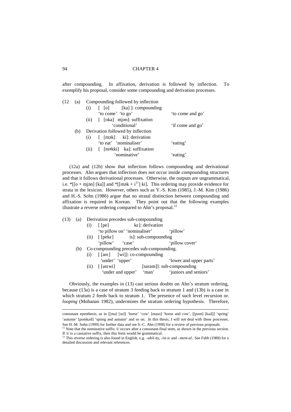after compounding. In affixation, derivation is followed by inflection. To exemplify his proposal, consider some compounding and derivation processes.

| (12) |     | (a) Compounding followed by inflection                      |                  |
|------|-----|-------------------------------------------------------------|------------------|
|      |     | $\begin{bmatrix} 0 \end{bmatrix}$ [ka] : compounding<br>(i) |                  |
|      |     | 'to come' 'to go'                                           | 'to come and go' |
|      |     | $(ii)$ $[6k]$ mj $\partial$ n]: suffixation                 |                  |
|      |     | 'conditional'                                               | 'if come and go' |
|      | (b) | Derivation followed by inflection                           |                  |
|      |     | $(i)$ [ [m $\triangleright$ ki]: derivation                 |                  |
|      |     | 'to eat' 'nominaliser'                                      | 'eating'         |
|      |     | $(ii)$ [ [məkki] ka]: suffixation                           |                  |
|      |     | 'nominative'                                                | 'eating'         |

(12a) and (12b) show that inflection follows compounding and derivational processes. Ahn argues that inflection does not occur inside compounding structures and that it follows derivational processes. Otherwise, the outputs are ungrammatical, i.e. \*[[o + mjən] [ka]] and \*[[mək + i<sup>11</sup>] ki]. This ordering may provide evidence for strata in the lexicon. However, others such as Y.-S. Kim (1985), J.-M. Kim (1986) and H.-S. Sohn (1986) argue that no stratal distinction between compounding and affixation is required in Korean. They point out that the following examples illustrate a reverse ordering compared to Ahn's proposal.<sup>12</sup>

| (13) |     |                   |                         | (a) Derivation precedes sub-compounding            |                                          |                           |
|------|-----|-------------------|-------------------------|----------------------------------------------------|------------------------------------------|---------------------------|
|      |     | $\left( i\right)$ | $\lceil$ [pe]           |                                                    | $k\epsilon$ : derivation                 |                           |
|      |     |                   |                         | 'to pillow on' 'nominaliser'                       |                                          | 'pillow'                  |
|      |     | (i)               | $[$ [pek $\varepsilon]$ |                                                    | is: sub-compounding                      |                           |
|      |     |                   |                         | 'pillow' case'                                     |                                          | 'pillow cover'            |
|      | (b) |                   |                         |                                                    | Co-compounding precedes sub-compounding. |                           |
|      |     | (i)               |                         | $[\text{arc}]$ $[\text{wil}]\colon$ co-compounding |                                          |                           |
|      |     |                   |                         | 'under' 'upper'                                    |                                          | 'lower and upper parts'   |
|      |     | (i)               | [[ar $\epsilon$ wi]     |                                                    |                                          | [saram]]: sub-compounding |
|      |     |                   |                         | 'under and upper' 'man'                            |                                          | 'juniors and seniors'     |
|      |     |                   |                         |                                                    |                                          |                           |

Obviously, the examples in (13) cast serious doubts on Ahn's stratum ordering, because (13a) is a case of stratum 3 feeding back to stratum 1 and (13b) is a case in which stratum 2 feeds back to stratum 1. The presence of such level recursion or. *looping* (Mohanan 1982), undermines the stratum ordering hypothesis. Therefore, Coviously, the examples in (15) cast serious doubts on Alm s stratum ordering,<br>because (13a) is a case of stratum 3 feeding back to stratum 1 and (13b) is a case in<br>which stratum 2 feeds back to stratum 1. The presence of because (13a) is a case of stratum 3 feeding back to stratum 1 and (13b) is a case in<br>which stratum 2 feeds back to stratum 1. The presence of such level recursion or.<br>*looping* (Mohanan 1982), undermines the stratum order

See H.-M. Sohn (1999) for further data and see S.-C. Ahn (1998) for a review of previous proposals.

<sup>&</sup>lt;sup>11</sup> Note that the nominative suffix /i/ occurs after a consonant-final stem, as shown in the previous section. If /i/ is a causative suffix, then this form would be grammatical.

<sup>12</sup> This reverse ordering is also found in English, e.g. –*abil*-*ity*, -*ist*-*ic* and –*ment*-*al*. See Fabb (1988) for a detailed discussion and relevant references.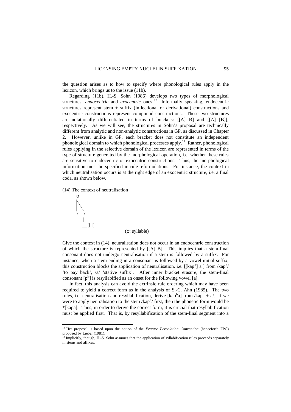the question arises as to how to specify where phonological rules apply in the lexicon, which brings us to the issue (11b).

 Regarding (11b), H.-S. Sohn (1986) develops two types of morphological structures: *endocentric* and *exocentric* ones.<sup>13</sup> Informally speaking, endocentric structures represent stem + suffix (inflectional or derivational) constructions and exocentric constructions represent compound constructions. These two structures are notationally differentiated in terms of brackets: [[A] B] and [[A] [B]], respectively. As we will see, the structures in Sohn's proposal are technically different from analytic and non-analytic constructions in GP, as discussed in Chapter 2. However, unlike in GP, each bracket does not constitute an independent phonological domain to which phonological processes apply.<sup>14</sup> Rather, phonological rules applying in the selective domain of the lexicon are represented in terms of the type of structure generated by the morphological operation, i.e. whether these rules are sensitive to endocentric or exocentric constructions. Thus, the morphological information must be specified in rule-reformulations. For instance, the context in which neutralisation occurs is at the right edge of an exocentric structure, i.e. a final coda, as shown below.

(14) The context of neutralisation

j



Give the context in (14), neutralisation does not occur in an endocentric construction of which the structure is represented by [[A] B]. This implies that a stem-final consonant does not undergo neutralisation if a stem is followed by a suffix. For instance, when a stem ending in a consonant is followed by a vowel-initial suffix, this construction blocks the application of neutralisation, i.e. [[kaph] a 1 from /kaph/ 'to pay back', /a/ 'stative suffix'. After inner bracket erasure, the stem-final consonant  $[p^h]$  is resyllabified as an onset for the following vowel [a].

In fact, this analysis can avoid the extrinsic rule ordering which may have been required to yield a correct form as in the analysis of S.-C. Ahn (1985). The two rules, i.e. neutralisation and resyllabification, derive [kap<sup>h</sup>a] from /kap<sup>h</sup> + a/. If we were to apply neutralisation to the stem  $/$ kap<sup>h</sup>/ first, then the phonetic form would be \*[kapa]. Thus, in order to derive the correct form, it is crucial that resyllabification must be applied first. That is, by resyllabification of the stem-final segment into a

<sup>13</sup> Her proposal is based upon the notion of the *Feature Percolation Convention* (henceforth FPC) proposed by Lieber (1981).

Implicitly, though, H.-S. Sohn assumes that the application of syllabification rules proceeds separately in stems and affixes.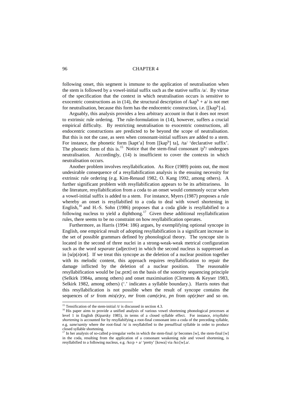following onset, this segment is immune to the application of neutralisation when the stem is followed by a vowel-initial suffix such as the stative suffix /a/. By virtue of the specification that the context in which neutralisation occurs is sensitive to exocentric constructions as in (14), the structural description of  $/kap<sup>h</sup> + a/$  is not met for neutralisation, because this form has the endocentric construction, i.e.  $[[\text{kap}^h]$  a].

Arguably, this analysis provides a less arbitrary account in that it does not resort to extrinsic rule ordering. The rule-formulation in (14), however, suffers a crucial empirical difficulty. By restricting neutralisation to exocentric constructions, all endocentric constructions are predicted to be beyond the scope of neutralisation. But this is not the case, as seen when consonant-initial suffixes are added to a stem. For instance, the phonetic form [kapt'a] from [[kaph] ta],  $/ta/$  'declarative suffix'. The phonetic form of this is.<sup>15</sup> Notice that the stem-final consonant  $/p<sup>h</sup>/$  undergoes neutralisation. Accordingly, (14) is insufficient to cover the contexts in which neutralisation occurs.

Another problem involves resyllabification. As Rice (1989) points out, the most undesirable consequence of a resyllabification analysis is the ensuing necessity for extrinsic rule ordering (e.g. Kim-Renaud 1982, O. Kang 1992, among others). A further significant problem with resyllabification appears to be its arbitrariness. In the literature, resyllabification from a coda to an onset would commonly occur when a vowel-initial suffix is added to a stem. For instance, Myers (1987) proposes a rule whereby an onset is resyllabified to a coda to deal with vowel shortening in English,<sup>16</sup> and H.-S. Sohn (1986) proposes that a coda glide is resyllabified to a following nucleus to yield a diphthong.<sup>17</sup> Given these additional resyllabification rules, there seems to be no constraint on how resyllabification operates.

Furthermore, as Harris (1994: 186) argues, by exemplifying optional syncope in English, one empirical result of adopting resyllabification is a significant increase in the set of possible grammars defined by phonological theory. The syncope site is located in the second of three nuclei in a strong-weak-weak metrical configuration such as the word *separate* (adjective) in which the second nucleus is suppressed as in  $[s\epsilon p(\theta)]$ . If we treat this syncope as the deletion of a nuclear position together with its melodic content, this approach requires resyllabification to repair the damage inflicted by the deletion of a nuclear position. The reasonable resyllabification would be [sɛ.prət] on the basis of the sonority sequencing principle (Selkirk 1984a, among others) and onset maximisation (Clements & Keyser 1983, Selkirk 1982, among others) ('.' indicates a syllable boundary.). Harris notes that this resyllabification is not possible when the result of syncope contains the sequences of *sr* from *mis(e)ry*, *mr* from *cam(e)ra*, *pn* from *op(e)ner* and so on.

j

<sup>&</sup>lt;sup>15</sup> Tensification of the stem-initial  $/t/$  is discussed in section 4.3.

<sup>&</sup>lt;sup>16</sup> His paper aims to provide a unified analysis of various vowel shortening phonological processes at level 1 in English (Kiparsky 1985), in terms of a closed syllable effect. For instance, *trisyllabic shortening* is accounted for by resyllabifying a root-final consonant into a coda of the preceding syllable, e.g. *sane*/*sanity* where the root-final /n/ is resyllabified to the presuffixal syllable in order to produce closed syllable shortening.

<sup>&</sup>lt;sup>17</sup> In her analysis of so-called p-irregular verbs in which the stem-final  $/p/$  becomes [w], the stem-final [w] in the coda, resulting from the application of a consonant weakening rule and vowel shortening, is resyllabified to a following nucleus, e.g. /ko:p + a/ 'pretty' [kowa] via /ko:[w].a/.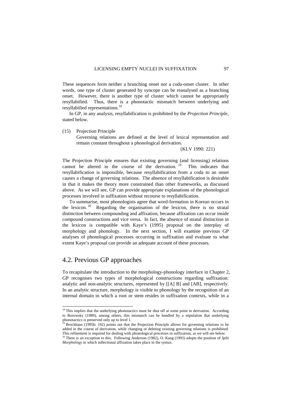These sequences form neither a branching onset nor a coda-onset cluster. In other words, one type of cluster generated by syncope can be reanalysed as a branching onset. However, there is another type of cluster which cannot be appropriately resyllabified. Thus, there is a phonotactic mismatch between underlying and resyllabified representations.18

In GP, in any analysis, resyllabification is prohibited by the *Projection Principle*, stated below.

(15) Projection Principle

Governing relations are defined at the level of lexical representation and remain constant throughout a phonological derivation.

#### (KLV 1990: 221)

The Projection Principle ensures that existing governing (and licensing) relations cannot be altered in the course of the derivation. 19 This indicates that resyllabification is impossible, because resyllabification from a coda to an onset causes a change of governing relations. The absence of resyllabification is desirable in that it makes the theory more constrained than other frameworks, as discussed above. As we will see, GP can provide appropriate explanations of the phonological processes involved in suffixation without recourse to resyllabification.

 To summarise, most phonologists agree that word-formation in Korean occurs in the lexicon. <sup>20</sup> Regarding the organisation of the lexicon, there is no stratal distinction between compounding and affixation, because affixation can occur inside compound constructions and vice versa. In fact, the absence of stratal distinction in the lexicon is compatible with Kaye's (1995) proposal on the interplay of morphology and phonology. In the next section, I will examine previous GP analyses of phonological processes occurring in suffixation and evaluate to what extent Kaye's proposal can provide an adequate account of these processes.

# 4.2. Previous GP approaches

 $\overline{a}$ 

To recapitulate the introduction to the morphology-phonology interface in Chapter 2, GP recognises two types of morphological constructions regarding suffixation: analytic and non-analytic structures, represented by [[A] B] and [AB], respectively. In an analytic structure, morphology is visible to phonology by the recognition of an internal domain in which a root or stem resides in suffixation contexts, while in a

<sup>&</sup>lt;sup>18</sup> This implies that the underlying phonotactics must be shut off at some point in derivation. According to Borowsky (1989), among others, this mismatch can be handled by a stipulation that underlying phonotactics is preserved only up to level 1.

<sup>19</sup> Brockhaus (1995b: 192) points out that the Projection Principle allows for governing relations to be added in the course of derivation, while changing or deleting existing governing relations is prohibited. This refinement is required for dealing with phonological processes in suffixation, as we will see below.

<sup>20</sup> There is an exception to this. Following Anderson (1982), O. Kang (1993) adopts the position of *Split Morphology* in which inflectional affixation takes place in the syntax.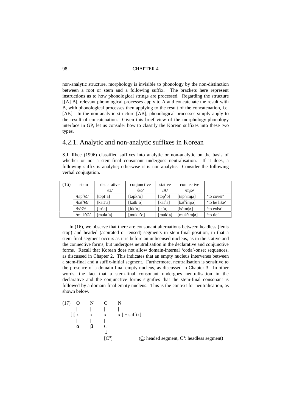non-analytic structure, morphology is invisible to phonology by the non-distinction between a root or stem and a following suffix. The brackets here represent instructions as to how phonological strings are processed. Regarding the structure [[A] B], relevant phonological processes apply to A and concatenate the result with B, with phonological processes then applying to the result of the concatenation, i.e. [AB]. In the non-analytic structure [AB], phonological processes simply apply to the result of concatenation. Given this brief view of the morphology-phonology interface in GP, let us consider how to classify the Korean suffixes into these two types.

## 4.2.1. Analytic and non-analytic suffixes in Korean

S.J. Rhee (1996) classified suffixes into analytic or non-analytic on the basis of whether or not a stem-final consonant undergoes neutralisation. If it does, a following suffix is analytic; otherwise it is non-analytic. Consider the following verbal conjugation.

| (16) | stem                                                             | declarative                      | conjunctive    | stative                         | connective              |              |
|------|------------------------------------------------------------------|----------------------------------|----------------|---------------------------------|-------------------------|--------------|
|      |                                                                  | /ta/                             | /ko/           | /A/                             | /mjə/                   |              |
|      | /təp $^{\rm h}\hspace{-1.2pt}(\hspace{-1.2pt}Q\hspace{-1.2pt}/)$ | $[$ t $\mathsf{opt}'\mathsf{a}]$ | $[$ təpk'o $]$ | $[{\rm{top}}^{\rm{h}}{\rm{a}}]$ | [top <sup>h</sup> imja] | 'to cover'   |
|      | /kat <sup>h</sup> Ø/                                             | [katt'a]                         | [katk'o]       | [ $katha$ ]                     | [ $kat^h$ imjə]         | 'to be like' |
|      | $\sqrt{1}$ s' $\emptyset$ /                                      | [itt'a]                          | [itk'o]        | [is'                            | $[$ is'imiə $]$         | to exist'    |
|      | /muk'Ø/                                                          | [mukt'a]                         | [mukk'o]       | [muk'ə]                         | [muk'imja]              | 'to tie'     |

 In (16), we observe that there are consonant alternations between headless (lenis stop) and headed (aspirated or tensed) segments in stem-final position, in that a stem-final segment occurs as it is before an unlicensed nucleus, as in the stative and the connective forms, but undergoes neutralisation in the declarative and conjunctive forms. Recall that Korean does not allow domain-internal 'coda'-onset sequences, as discussed in Chapter 2. This indicates that an empty nucleus intervenes between a stem-final and a suffix-initial segment. Furthermore, neutralisation is sensitive to the presence of a domain-final empty nucleus, as discussed in Chapter 3. In other words, the fact that a stem-final consonant undergoes neutralisation in the declarative and the conjunctive forms signifies that the stem-final consonant is followed by a domain-final empty nucleus. This is the context for neutralisation, as shown below.

(17) O N O N  
\n
$$
\begin{array}{cccc}\n\begin{array}{cccc}\n\downarrow & \downarrow & \downarrow \\
\downarrow & \downarrow & \downarrow \\
\hline\n\downarrow & & \downarrow \\
\alpha & \beta & \frac{C}{\downarrow} \\
\end{array}\n\end{array}
$$
\n(2: headed segment, C°: heads segment)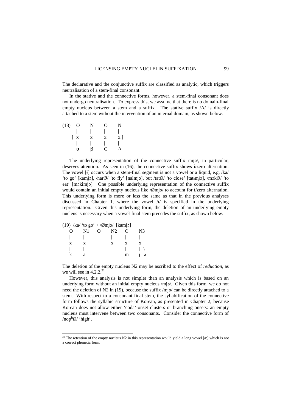The declarative and the conjunctive suffix are classified as analytic, which triggers neutralisation of a stem-final consonant.

 In the stative and the connective forms, however, a stem-final consonant does not undergo neutralisation. To express this, we assume that there is no domain-final empty nucleus between a stem and a suffix. The stative suffix /A/ is directly attached to a stem without the intervention of an internal domain, as shown below.

| (18) | O | N | Ω                       | N        |
|------|---|---|-------------------------|----------|
|      |   |   |                         |          |
|      | X | X | X                       | $x \,$ ] |
|      |   |   |                         |          |
|      | α | β | $\overline{\mathsf{C}}$ | ٩        |

The underlying representation of the connective suffix /mja/, in particular, deserves attention. As seen in  $(16)$ , the connective suffix shows  $\frac{1}{2}$ zero alternation. The vowel  $[i]$  occurs when a stem-final segment is not a vowel or a liquid, e.g. /ka/ 'to go' [kamjə], /nar $\emptyset$ / 'to fly' [nalmjə], but /tat $\emptyset$ / 'to close' [tatimjə], /mək $\emptyset$ / 'to eat' [məkimjə]. One possible underlying representation of the connective suffix would contain an initial empty nucleus like  $\beta/m$ j $\alpha$  to account for i/zero alternation. This underlying form is more or less the same as that in the previous analyses discussed in Chapter 1, where the vowel  $\hat{A}$  is specified in the underlying representation. Given this underlying form, the deletion of an underlying empty nucleus is necessary when a vowel-final stem precedes the suffix, as shown below.

| (19) /ka/ 'to $go' + /Qmj$ ə/ [kamjə] |  |
|---------------------------------------|--|
|---------------------------------------|--|

j

|                |  | 0 N1 0 N2 0 N3 |         |                                  |
|----------------|--|----------------|---------|----------------------------------|
|                |  |                |         |                                  |
| X X            |  | $\mathbf{x}$   | $X$ $X$ |                                  |
| $\mathbb{R}^n$ |  |                |         | $\begin{array}{ccc} \end{array}$ |
| k a            |  |                |         | m j ə                            |
|                |  |                |         |                                  |

The deletion of the empty nucleus N2 may be ascribed to the effect of *reduction*, as we will see in 4.2.2.<sup>21</sup>

However, this analysis is not simpler than an analysis which is based on an underlying form without an initial empty nucleus  $/m$ j $\phi$ . Given this form, we do not need the deletion of N2 in (19), because the suffix  $\langle \text{mi}\rangle$  can be directly attached to a stem. With respect to a consonant-final stem, the syllabification of the connective form follows the syllabic structure of Korean, as presented in Chapter 2, because Korean does not allow either 'coda'-onset clusters or branching onsets: an empty nucleus must intervene between two consonants. Consider the connective form of / $nop<sup>h</sup>Ø/ 'high'.$ 

<sup>&</sup>lt;sup>21</sup> The retention of the empty nucleus N2 in this representation would yield a long vowel [a:] which is not a correct phonetic form.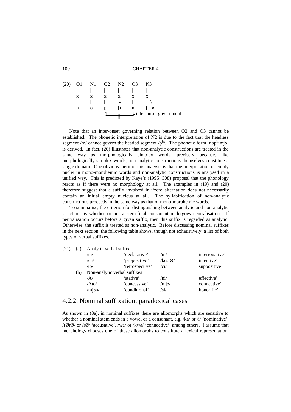

Note that an inter-onset governing relation between O2 and O3 cannot be established. The phonetic interpretation of N2 is due to the fact that the headless segment /m/ cannot govern the headed segment /p<sup>h</sup>/. The phonetic form [nop<sup>h</sup>imjə] is derived. In fact, (20) illustrates that non-analytic constructions are treated in the same way as morphologically simplex words, precisely because, like morphologically simplex words, non-analytic constructions themselves constitute a single domain. One obvious merit of this analysis is that the interpretation of empty nuclei in mono-morphemic words and non-analytic constructions is analysed in a unified way. This is predicted by Kaye's (1995: 308) proposal that the phonology reacts as if there were no morphology at all. The examples in (19) and (20) therefore suggest that a suffix involved in  $\frac{1}{2}$ zero alternation does not necessarily contain an initial empty nucleus at all. The syllabification of non-analytic constructions proceeds in the same way as that of mono-morphemic words.

 To summarise, the criterion for distinguishing between analytic and non-analytic structures is whether or not a stem-final consonant undergoes neutralisation. If neutralisation occurs before a given suffix, then this suffix is regarded as analytic. Otherwise, the suffix is treated as non-analytic. Before discussing nominal suffixes in the next section, the following table shows, though not exhaustively, a list of both types of verbal suffixes.

| (21) | (a) | Analytic verbal suffixes     |                 |                       |                 |  |  |
|------|-----|------------------------------|-----------------|-----------------------|-----------------|--|--|
|      |     | /ta/                         | 'declarative'   | /ni/                  | 'interrogative' |  |  |
|      |     | /ca/                         | 'propositive'   | kes'0                 | 'intentive'     |  |  |
|      |     | /ta                          | 'retrospective' | /ci/<br>'suppositive' |                 |  |  |
|      | (b) | Non-analytic verbal suffixes |                 |                       |                 |  |  |
|      |     | /A/                          | 'stative'       | /ni/                  | 'effective'     |  |  |
|      |     | /Ato/                        | 'concessive'    | $/$ mj $\gtrsim$      | 'connective'    |  |  |
|      |     | $\text{mjan}/$               | 'conditional'   | $/\mathrm{si}/$       | 'honorific'     |  |  |
|      |     |                              |                 |                       |                 |  |  |

# 4.2.2. Nominal suffixation: paradoxical cases

As shown in (8a), in nominal suffixes there are allomorphs which are sensitive to whether a nominal stem ends in a vowel or a consonant, e.g. /ka/ or /i/ 'nominative', /rØrØ/ or /rØ/ 'accusative', /wa/ or /kwa/ 'connective', among others. I assume that morphology chooses one of these allomorphs to constitute a lexical representation.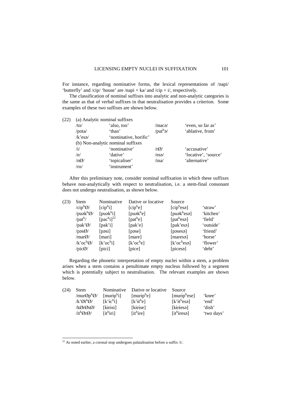For instance, regarding nominative forms, the lexical representations of /napi/ 'butterfly' and /cip/ 'house' are /napi + ka/ and /cip + i/, respectively.

The classification of nominal suffixes into analytic and non-analytic categories is the same as that of verbal suffixes in that neutralisation provides a criterion. Some examples of these two suffixes are shown below.

| (22) | (a) Analytic nominal suffixes     |                       |                                  |                      |  |  |
|------|-----------------------------------|-----------------------|----------------------------------|----------------------|--|--|
|      | /to/                              | 'also, too'           | /macə/                           | 'even, so far as'    |  |  |
|      | /pota/                            | 'than'                | /put <sup>h</sup> <sup>o</sup> / | 'ablative, from'     |  |  |
|      | $k$ 'esə $/$                      | 'nominative, horific' |                                  |                      |  |  |
|      | (b) Non-analytic nominal suffixes |                       |                                  |                      |  |  |
|      | /i/                               | 'nominative'          | /rØ/                             | 'accusative'         |  |  |
|      | /e/                               | 'dative'              | $/$ esə $/$                      | 'locative', 'source' |  |  |
|      | /nØ/                              | 'topicaliser'         | $/$ ina $/$                      | 'alternative'        |  |  |
|      | /ro/                              | 'instrument'          |                                  |                      |  |  |
|      |                                   |                       |                                  |                      |  |  |

 After this preliminary note, consider nominal suffixation in which these suffixes behave non-analytically with respect to neutralisation, i.e. a stem-final consonant does not undergo neutralisation, as shown below.

| (23) | <b>Stem</b>                         | Nominative                                | Dative or locative   | Source                           |           |
|------|-------------------------------------|-------------------------------------------|----------------------|----------------------------------|-----------|
|      | /cip <sup>h</sup> $\varnothing$ /   | [cip <sup>h</sup> i]                      | $[kip^{\rm h}$ e]    | [cip <sup>h</sup> ess]           | 'straw'   |
|      | /puə $k^h$ Ø/                       | $[pu \rightarrow k^h i]$                  | [ $puakhe$ ]         | [ $pu \circ k$ <sup>h</sup> esə] | 'kitchen' |
|      | $/path$ /                           | $\lceil$ pac <sup>h</sup> i $\rceil^{22}$ | [pat <sup>h</sup> e] | [ $pathes9$ ]                    | 'field'   |
|      | /pak' $\varnothing$ /               | [pak'i]                                   | [pak'e]              | [pak'esə]                        | 'outside' |
|      | $\sqrt{p} \cdot \sqrt{p}$           | [pəsi]                                    | [pose]               | $[$ pasesa $]$                   | 'friend'  |
|      | /marØ/                              | [mari]                                    | [mare]               | [maresa]                         | 'horse'   |
|      | $/k'$ oc <sup>h</sup> $\emptyset$ / | [k'oc <sup>h</sup> i]                     | $[k'oc^he]$          | [k'oc <sup>h</sup> ess]          | 'flower'  |
|      | $/pic\emptyset/$                    | [pici]                                    | [pice]               | [picesə]                         | 'debt'    |

 Regarding the phonetic interpretation of empty nuclei within a stem, a problem arises when a stem contains a penultimate empty nucleus followed by a segment which is potentially subject to neutralisation. The relevant examples are shown below.

| (24) | <b>Stem</b>                         | <b>Nominative</b>      | Dative or locative     | Source                   |            |
|------|-------------------------------------|------------------------|------------------------|--------------------------|------------|
|      | /mur $\mathcal{O}p^h\mathcal{O}/$   | [murip <sup>h</sup> i] | [murip <sup>h</sup> e] | [murip <sup>h</sup> ese] | 'knee'     |
|      | $/k' \mathcal{O} t^h \mathcal{O}/k$ | [k'ich]                | [k'i <sup>th</sup> e]  | $[k'i$ <sup>h</sup> esəl | 'end'      |
|      | /kØrØsØ/                            | [kirisi]               | [kirise]               | [kiriesa]                | 'dish'     |
|      | /it <sup>h</sup> ØrØ/               | [it <sup>h</sup> iri]  | [it <sup>h</sup> ire]  | $[it^h$ iresa]           | 'two days' |

 $\overline{a}$ 

 $^{22}$  As noted earlier, a coronal stop undergoes palatalisation before a suffix /i/.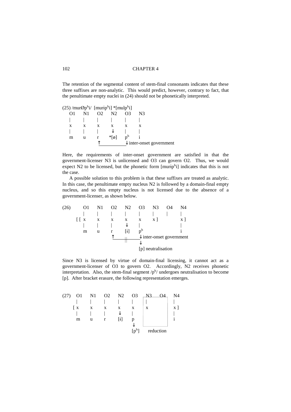The retention of the segmental content of stem-final consonants indicates that these three suffixes are non-analytic. This would predict, however, contrary to fact, that the penultimate empty nuclei in (24) should not be phonetically interpreted.

| $(25)$ /mur $\mathcal{O}p^h$ i/ [muripht] *[mulpht] |    |          |         |    |                                     |
|-----------------------------------------------------|----|----------|---------|----|-------------------------------------|
|                                                     | N1 | $\Omega$ | N2      | OЗ | N3                                  |
|                                                     |    |          |         |    |                                     |
| X                                                   |    |          |         |    |                                     |
|                                                     |    |          |         |    |                                     |
| m                                                   | u  |          | $*$ [ø] |    |                                     |
|                                                     |    |          |         |    | $\downarrow$ inter-onset government |

Here, the requirements of inter-onset government are satisfied in that the government-licenser N3 is unlicensed and O3 can govern O2. Thus, we would expect  $N2$  to be licensed, but the phonetic form  $[murip<sup>h</sup>i]$  indicates that this is not the case.

 A possible solution to this problem is that these suffixes are treated as analytic. In this case, the penultimate empty nucleus N2 is followed by a domain-final empty nucleus, and so this empty nucleus is not licensed due to the absence of a government-licenser, as shown below.

(26) O1 N1 O2 N2 O3 N3 O4 N4 | | | | | | | | [ [ x x x x x x ] x ] | | | ↓ | | m u r [Û] pH i ↑ | | ↓ inter-onset government | | ↓ [p] neutralisation

Since N3 is licensed by virtue of domain-final licensing, it cannot act as a government-licenser of O3 to govern O2. Accordingly, N2 receives phonetic interpretation. Also, the stem-final segment  $/p<sup>h</sup>/$  undergoes neutralisation to become [p]. After bracket erasure, the following representation emerges.

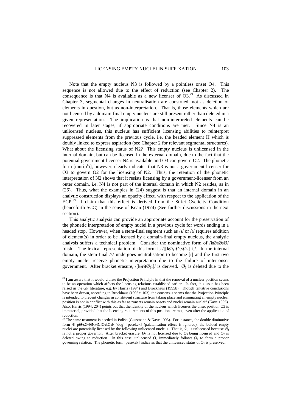Note that the empty nucleus N3 is followed by a pointless onset O4. This sequence is not allowed due to the effect of reduction (see Chapter 2). The consequence is that N4 is available as a new licenser of  $O3<sup>23</sup>$  As discussed in Chapter 3, segmental changes in neutralisation are construed, not as deletion of elements in question, but as non-interpretation. That is, those elements which are not licensed by a domain-final empty nucleus are still present rather than deleted in a given representation. The implication is that non-interpreted elements can be recovered in later stages, if appropriate conditions are met. Since N4 is an unlicensed nucleus, this nucleus has sufficient licensing abilities to reinterpret suppressed elements from the previous cycle, i.e. the headed element H which is doubly linked to express aspiration (see Chapter 2 for relevant segmental structures). What about the licensing status of N2? This empty nucleus is unlicensed in the internal domain, but can be licensed in the external domain, due to the fact that the potential government-licenser N4 is available and O3 can govern O2. The phonetic form  ${\rm [murip^h]}$ , however, clearly indicates that N3 is not a government-licenser for O3 to govern O2 for the licensing of N2. Thus, the retention of the phonetic interpretation of N2 shows that it resists licensing by a government-licenser from an outer domain, i.e. N4 is not part of the internal domain in which N2 resides, as in (26). Thus, what the examples in (24) suggest is that an internal domain in an analytic construction displays an opacity effect, with respect to the application of the ECP.<sup>24</sup> I claim that this effect is derived from the Strict Cyclicity Condition (henceforth SCC) in the sense of Kean (1974) (See further discussions in the next section).

 This analytic analysis can provide an appropriate account for the preservation of the phonetic interpretation of empty nuclei in a previous cycle for words ending in a headed stop. However, when a stem-final segment such as /s/ or /r/ requires addition of element(s) in order to be licensed by a domain-final empty nucleus, the analytic analysis suffers a technical problem. Consider the nominative form of /kØrØsØ/ 'dish'. The lexical representation of this form is  $/[[k\emptyset_{1}r\emptyset_{2}s\emptyset_{3}]i]/$ . In the internal domain, the stem-final /s/ undergoes neutralisation to become [t] and the first two empty nuclei receive phonetic interpretation due to the failure of inter-onset government. After bracket erasure, /[kiritØ<sub>3</sub>i]/ is derived. Ø<sub>3</sub> is deleted due to the

 $\overline{a}$ 

<sup>&</sup>lt;sup>23</sup> I am aware that it would violate the Projection Principle in that the removal of a nuclear position seems to be an operation which affects the licensing relations established earlier. In fact, this issue has been raised in the GP literature, e.g. by Harris (1994) and Brockhaus (1995b). Though tentative conclusions have been drawn, according to Brockhaus (1995a: 103), the consensus seems that the Projection Principle is intended to prevent changes in constituent structure from taking place and eliminating an empty nuclear position is not in conflict with this as far as "onsets remain onsets and nuclei remain nuclei" (Kaye 1995). Also, Harris (1994: 204) points out that the identity of the nucleus which licenses the onset position O3 is immaterial, provided that the licensing requirements of this position are met, even after the application of reduction.

<sup>&</sup>lt;sup>24</sup> The same treatment is needed in Polish (Gussmann & Kaye 1993). For instance, the double diminutive form /[[[p**Ø**<sub>1</sub>sØ<sub>2</sub>]Ø<sub>3</sub>kØ<sub>4</sub>]Ø<sub>5</sub>kØ<sub>6</sub>]/ 'dog' [pesekek] (palatalisation effect is ignored), the bolded empty nuclei are potentially licensed by the following unlicensed nucleus. That is,  $\emptyset_1$  is unlicensed because  $\emptyset_2$ is not a proper governor. After bracket erasure,  $\emptyset_3$  is not licensed due to  $\emptyset_4$  being licensed and  $\emptyset_2$  is deleted owing to reduction. In this case, unlicensed  $\mathcal{O}_3$  immediately follows  $\mathcal{O}_1$  to form a proper governing relation. The phonetic form [pesekek] indicates that the unlicensed status of  $\mathcal{O}_1$  is preserved.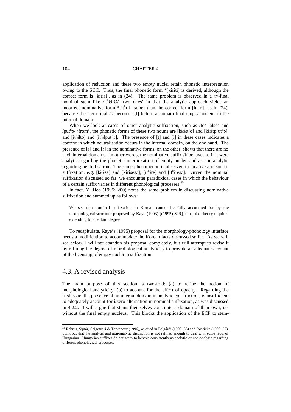application of reduction and these two empty nuclei retain phonetic interpretation owing to the SCC. Thus, the final phonetic form  $*$ [kiriti] is derived, although the correct form is [kirisi], as in (24). The same problem is observed in a /r/-final nominal stem like /it<sup>h</sup>ØrØ/ 'two days' in that the analytic approach yields an incorrect nominative form \*[it<sup>h</sup>ili] rather than the correct form [it<sup>h</sup>iri], as in (24), because the stem-final /r/ becomes [l] before a domain-final empty nucleus in the internal domain.

When we look at cases of other analytic suffixation, such as /to/ 'also' and /put<sup>h</sup> $\theta$  'from', the phonetic forms of these two nouns are [kiritt'o] and [kiritp'ut<sup>h</sup> $\theta$ ], and  $\text{lit}^{\text{h}}$ ltol and  $\text{lit}^{\text{h}}$ ilput<sup>h</sup> $\theta$ . The presence of  $\text{It}$  and  $\text{It}$  in these cases indicates a context in which neutralisation occurs in the internal domain, on the one hand. The presence of [s] and [r] in the nominative forms, on the other, shows that there are no such internal domains. In other words, the nominative suffix  $\pi/2$  behaves as if it were analytic regarding the phonetic interpretation of empty nuclei, and as non-analytic regarding neutralisation. The same phenomenon is observed in locative and source suffixation, e.g. [kirise] and [kirisesə];  $[i^h$ ire] and  $[i^h$ iresə]. Given the nominal suffixation discussed so far, we encounter paradoxical cases in which the behaviour of a certain suffix varies in different phonological processes.25

In fact, Y. Heo (1995: 200) notes the same problem in discussing nominative suffixation and summed up as follows:

We see that nominal suffixation in Korean cannot be fully accounted for by the morphological structure proposed by Kaye (1993) [(1995) SJR], thus, the theory requires extending to a certain degree.

 To recapitulate, Kaye's (1995) proposal for the morphology-phonology interface needs a modification to accommodate the Korean facts discussed so far. As we will see below, I will not abandon his proposal completely, but will attempt to revise it by refining the degree of morphological analyticity to provide an adequate account of the licensing of empty nuclei in suffixation.

# 4.3. A revised analysis

j

The main purpose of this section is two-fold: (a) to refine the notion of morphological analyticity; (b) to account for the effect of opacity. Regarding the first issue, the presence of an internal domain in analytic constructions is insufficient to adequately account for  $\frac{1}{2}$ zero alternation in nominal suffixation, as was discussed in 4.2.2. I will argue that stems themselves constitute a domain of their own, i.e. without the final empty nucleus. This blocks the application of the ECP to stem-

<sup>&</sup>lt;sup>25</sup> Rebrus, Siptár, Szigetvári & Törkenczy (1996), as cited in Polgárdi (1998: 55) and Rowicka (1999: 22), point out that the analytic and non-analytic distinction is not refined enough to deal with some facts of Hungarian. Hungarian suffixes do not seem to behave consistently as analytic or non-analytic regarding different phonological processes.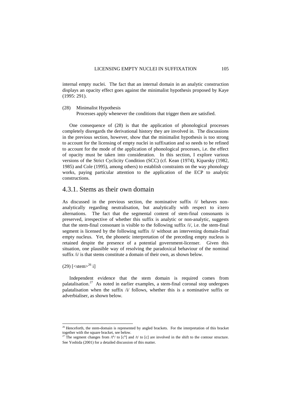internal empty nuclei. The fact that an internal domain in an analytic construction displays an opacity effect goes against the minimalist hypothesis proposed by Kaye (1995: 291).

#### (28) Minimalist Hypothesis

Processes apply whenever the conditions that trigger them are satisfied.

One consequence of (28) is that the application of phonological processes completely disregards the derivational history they are involved in. The discussions in the previous section, however, show that the minimalist hypothesis is too strong to account for the licensing of empty nuclei in suffixation and so needs to be refined to account for the mode of the application of phonological processes, i.e. the effect of opacity must be taken into consideration. In this section, I explore various versions of the Strict Cyclicity Condition (SCC) (cf. Kean (1974), Kiparsky (1982, 1985) and Cole (1995), among others) to establish constraints on the way phonology works, paying particular attention to the application of the ECP to analytic constructions.

# 4.3.1. Stems as their own domain

As discussed in the previous section, the nominative suffix  $/i$  behaves nonanalytically regarding neutralisation, but analytically with respect to  $\frac{1}{2}$  /zero alternations. The fact that the segmental content of stem-final consonants is preserved, irrespective of whether this suffix is analytic or non-analytic, suggests that the stem-final consonant is visible to the following suffix  $/i$ , i.e. the stem-final segment is licensed by the following suffix /i/ without an intervening domain-final empty nucleus. Yet, the phonetic interpretation of the preceding empty nucleus is retained despite the presence of a potential government-licenser. Given this situation, one plausible way of resolving the paradoxical behaviour of the nominal suffix /i/ is that stems constitute a domain of their own, as shown below.

# (29)  $[<\text{stem}>^{26}i]$

 $\overline{a}$ 

 Independent evidence that the stem domain is required comes from palatalisation.27 As noted in earlier examples, a stem-final coronal stop undergoes palatalisation when the suffix  $\pi$  follows, whether this is a nominative suffix or adverbialiser, as shown below.

 $26$  Henceforth, the stem-domain is represented by angled brackets. For the interpretation of this bracket together with the square bracket, see below. <sup>26</sup> Henceforth, the stem-domain is represented by angled brackets. For the interpretation of this bracket together with the square bracket, see below.<br><sup>27</sup> The segment changes from  $/t^h$ / to [c<sup>h</sup>] and /t/ to [c] are inv

See Yoshida (2001) for a detailed discussion of this matter.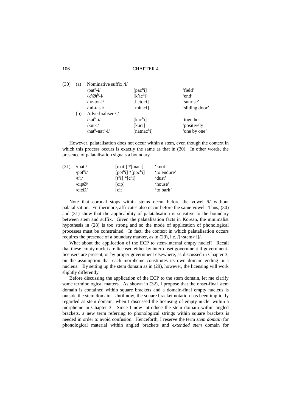| (30) | (a) | Nominative suffix /i/            |                         |                |
|------|-----|----------------------------------|-------------------------|----------------|
|      |     | /pat <sup>h-i/</sup>             | [pack <sup>h</sup> ]    | 'field'        |
|      |     | $/k' \mathcal{O} t^h - i/$       | [k'icl]                 | 'end'          |
|      |     | $/$ he-tot-i $/$                 | [hetoci]                | 'sunrise'      |
|      |     | $/mi$ -tat-i $/$                 | [mitaci]                | 'sliding door' |
|      | (b) | Adverbialiser/i/                 |                         |                |
|      |     | $/$ kat <sup>h</sup> -i $/$      | [kac <sup>h</sup> i]    | 'together'     |
|      |     | $/kut-i/$                        | [kuci]                  | 'positively'   |
|      |     | $/nath$ -nat <sup>h</sup> -i $/$ | [natnac $\mathrm{h}$ i] | 'one by one'   |

 However, palatalisation does not occur within a stem, even though the context in which this process occurs is exactly the same as that in (30). In other words, the presence of palatalisation signals a boundary.

| (31) | /mati/                          | $[mati] * [maci]$         | 'knot'      |
|------|---------------------------------|---------------------------|-------------|
|      | /p $\partial$ t <sup>h</sup> i/ | $[pat^h i]$ * $[pac^h i]$ | 'to endure' |
|      | /t <sup>h</sup> i/              | $[t^h i]$ * $[c^h i]$     | 'dust'      |
|      | $\langle$ cip $\emptyset$       | [cip]                     | 'house'     |
|      | $\angle$ cic $\emptyset$        | [ <i>c</i> it]            | 'to bark'   |

Note that coronal stops within stems occur before the vowel /i/ without palatalisation. Furthermore, affricates also occur before the same vowel. Thus, (30) and (31) show that the applicability of palatalisation is sensitive to the boundary between stem and suffix. Given the palatalisation facts in Korean, the minimalist hypothesis in (28) is too strong and so the mode of application of phonological processes must be constrained. In fact, the context in which palatalisation occurs requires the presence of a boundary marker, as in  $(29)$ , i.e.  $/[\text{~stem~$i$}]/$ .

What about the application of the ECP to stem-internal empty nuclei? Recall that these empty nuclei are licensed either by inter-onset government if governmentlicensers are present, or by proper government elsewhere, as discussed in Chapter 3, on the assumption that each morpheme constitutes its own domain ending in a nucleus. By setting up the stem domain as in (29), however, the licensing will work slightly differently.

Before discussing the application of the ECP to the stem domain, let me clarify some terminological matters. As shown in (32), I propose that the onset-final stem domain is contained within square brackets and a domain-final empty nucleus is outside the stem domain. Until now, the square bracket notation has been implicitly regarded as stem domain, when I discussed the licensing of empty nuclei within a morpheme in Chapter 3. Since I now introduce the stem domain within angled brackets, a new term referring to phonological strings within square brackets is needed in order to avoid confusion. Henceforth, I reserve the term *stem domain* for phonological material within angled brackets and *extended stem* domain for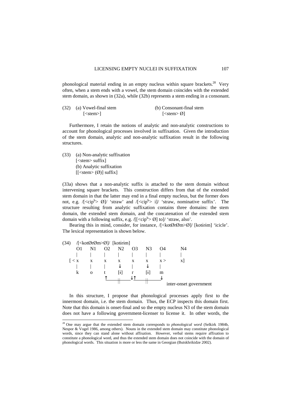phonological material ending in an empty nucleus within square brackets.<sup>28</sup> Very often, when a stem ends with a vowel, the stem domain coincides with the extended stem domain, as shown in (32a), while (32b) represents a stem ending in a consonant.

| $(32)$ (a) Vowel-final stem | (b) Consonant-final stem |
|-----------------------------|--------------------------|
| $\leq$ stem $>$             | $\leq$ stem $> 0$        |

Furthermore, I retain the notions of analytic and non-analytic constructions to account for phonological processes involved in suffixation. Given the introduction of the stem domain, analytic and non-analytic suffixation result in the following structures.

(33) (a) Non-analytic suffixation [<stem> suffix] (b) Analytic suffixation  $[$  (stem>  $(\emptyset)$ ] suffix]

j

(33a) shows that a non-analytic suffix is attached to the stem domain without intervening square brackets. This construction differs from that of the extended stem domain in that the latter may end in a final empty nucleus, but the former does not, e.g.  $/[\langle cip^h \rangle \hat{Q}]$  'straw' and  $/[\langle cip^h \rangle \hat{Q}]$  'straw, nominative suffix'. The structure resulting from analytic suffixation contains three domains: the stem domain, the extended stem domain, and the concatenation of the extended stem domain with a following suffix, e.g.  $/[\langle cip^b \rangle \varnothing]$  to  $]/$  'straw, also'.

Bearing this in mind, consider, for instance,  $/[\langle kot0f\phi m\rangle\phi]/[\langle kotifim]$  'icicle'. The lexical representation is shown below.

| (34)        |    |          |                | /[ <kotørøm>Ø]/ [kotirim]</kotørøm> |                |                |     |                        |
|-------------|----|----------|----------------|-------------------------------------|----------------|----------------|-----|------------------------|
|             | O1 | N1       | O <sub>2</sub> | N <sub>2</sub>                      | O <sup>3</sup> | N <sup>3</sup> | O4  | N4                     |
|             |    |          |                |                                     |                |                |     |                        |
| $\vert < x$ |    | X        | X              | X                                   | X              | X              | X > | X                      |
|             |    |          |                |                                     |                |                |     |                        |
|             | k  | $\Omega$ |                | 1                                   |                | l١             | m   |                        |
|             |    |          |                |                                     |                |                |     |                        |
|             |    |          |                |                                     |                |                |     | inter-onset government |

In this structure, I propose that phonological processes apply first to the innermost domain, i.e. the stem domain. Thus, the ECP inspects this domain first. Note that this domain is onset-final and so the empty nucleus N3 of the stem domain does not have a following government-licenser to license it. In other words, the

<sup>28</sup> One may argue that the extended stem domain corresponds to *phonological word* (Selkirk 1984b, Nespor & Vogel 1986, among others). Nouns in the extended stem domain may constitute phonological words, since they can stand alone without affixation. However, verbal stems require affixation to constitute a phonological word, and thus the extended stem domain does not coincide with the domain of phonological words. This situation is more or less the same in Georgian (Butskhrikidze 2002).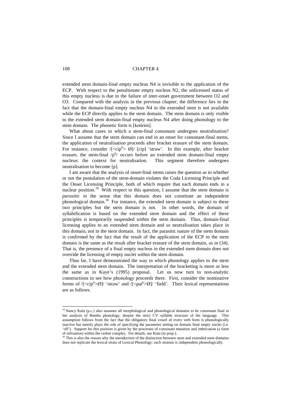extended stem domain-final empty nucleus N4 is invisible to the application of the ECP. With respect to the penultimate empty nucleus N2, the unlicensed status of this empty nucleus is due to the failure of inter-onset government between O2 and O3. Compared with the analysis in the previous chapter, the difference lies in the fact that the domain-final empty nucleus N4 in the extended stem is not available while the ECP directly applies to the stem domain. The stem domain is only visible to the extended stem domain-final empty nucleus N4 after doing phonology to the stem domain. The phonetic form is [kotirim].

What about cases in which a stem-final consonant undergoes neutralisation? Since I assume that the stem domain can end in an onset for consonant-final stems, the application of neutralisation proceeds after bracket erasure of the stem domain. For instance, consider  $/[\langle cip^h \rangle \varnothing] / [cip]$  'straw'. In this example, after bracket erasure, the stem-final  $/p^h$  occurs before an extended stem domain-final empty nucleus: the context for neutralisation. This segment therefore undergoes neutralisation to become [p].

 I am aware that the analysis of onset-final stems raises the question as to whether or not the postulation of the stem-domain violates the Coda Licensing Principle and the Onset Licensing Principle, both of which require that each domain ends in a nuclear position.<sup>29</sup> With respect to this question, I assume that the stem domain is *parasitic* in the sense that this domain does not constitute an independent phonological domain.<sup>30</sup> For instance, the extended stem domain is subject to these two principles but the stem domain is not. In other words, the domain of syllabification is based on the extended stem domain and the effect of these principles is temporarily suspended within the stem domain. Thus, domain-final licensing applies to an extended stem domain and so neutralisation takes place in this domain, not in the stem domain. In fact, the parasitic nature of the stem domain is confirmed by the fact that the result of the application of the ECP to the stem domain is the same as the result after bracket erasure of the stem domain, as in (34). That is, the presence of a final empty nucleus in the extended stem domain does not override the licensing of empty nuclei within the stem domain.

Thus far, I have demonstrated the way in which phonology applies to the stem and the extended stem domain. The interpretation of the bracketing is more or less the same as in Kaye's (1995) proposal. Let us now turn to non-analytic constructions to see how phonology proceeds there. First, consider the nominative forms of  $\sqrt{\frac{\text{c}}{\text{c}}\text{c}}$ // 'straw' and  $\sqrt{\frac{\text{c}}{\text{c}}}$ // 'field'. Their lexical representations are as follows.

 $\overline{a}$ 

<sup>&</sup>lt;sup>29</sup> Nancy Kula (p.c.) also assumes all morphological and phonological domains to be consonant final in her analysis of Bemba phonology, despite the strict CV syllable structure of the language. This assumption follows from the fact that the obligatory final vowel of every verb form is phonologically inactive but merely plays the role of specifying the parameter setting on domain final empty nuclei (i.e. 'off'). Support for this position is given by the processes of consonant mutation and imbrication (a form of infixation) within the verbal complex. For details, see Kula (in prep.).

This is also the reason why the introduction of the distinction between stem and extended stem domains does not replicate the lexical strata of Lexical Phonology: each stratum is independent phonologically.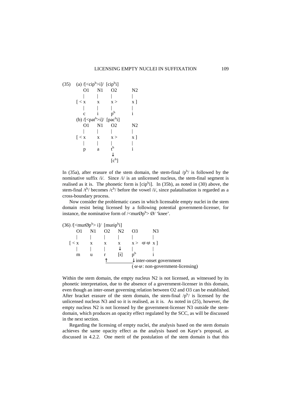

In (35a), after erasure of the stem domain, the stem-final  $/p<sup>h</sup>/$  is followed by the nominative suffix /i/. Since /i/ is an unlicensed nucleus, the stem-final segment is realised as it is. The phonetic form is  $[cip<sup>h</sup>$ ]. In (35b), as noted in (30) above, the stem-final  $/t^h$ / becomes  $/c^h$ / before the vowel /i/, since palatalisation is regarded as a cross-boundary process.

 Now consider the problematic cases in which licensable empty nuclei in the stem domain resist being licensed by a following potential government-licenser, for instance, the nominative form of  $/$ <mur $\mathcal{O}p^h$ > $\mathcal{O}/$  'knee'.

(36) / [
$$
\langle
$$
 murOp<sup>h</sup> > i] / [murip<sup>h</sup>i]  
\n01 N1 O2 N2 O3 N3  
\n| | | | | | | |  $\langle$  x x x x x x  $\rangle$   $\Leftrightarrow$   $\Leftrightarrow$  x]  
\n| | | | |  $\downarrow$  | |  
\nm u r [i] p<sup>h</sup> i  
\n $\uparrow$   $\downarrow$  inter-onset government  
\n( $\Leftrightarrow$ : non-government-licensing)

Within the stem domain, the empty nucleus N2 is not licensed, as witnessed by its phonetic interpretation, due to the absence of a government-licenser in this domain, even though an inter-onset governing relation between O2 and O3 can be established. After bracket erasure of the stem domain, the stem-final  $/p<sup>h</sup>/$  is licensed by the unlicensed nucleus N3 and so it is realised, as it is. As noted in (25), however, the empty nucleus N2 is not licensed by the government-licenser N3 outside the stemdomain, which produces an opacity effect regulated by the SCC, as will be discussed in the next section.

Regarding the licensing of empty nuclei, the analysis based on the stem domain achieves the same opacity effect as the analysis based on Kaye's proposal, as discussed in 4.2.2. One merit of the postulation of the stem domain is that this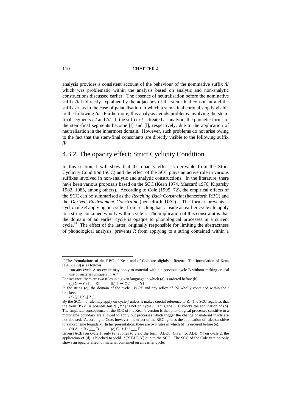analysis provides a consistent account of the behaviour of the nominative suffix /i/ which was problematic within the analysis based on analytic and non-analytic constructions discussed earlier. The absence of neutralisation before the nominative suffix /i/ is directly explained by the adjacency of the stem-final consonant and the suffix /i/, as in the case of palatalisation in which a stem-final coronal stop is visible to the following /i/. Furthermore, this analysis avoids problems involving the stemfinal segments /s/ and /r/. If the suffix  $\frac{1}{i}$  is treated as analytic, the phonetic forms of the stem-final segments become [t] and [l], respectively, due to the application of neutralisation in the innermost domain. However, such problems do not arise owing to the fact that the stem-final consonants are directly visible to the following suffix /i/.

# 4.3.2. The opacity effect: Strict Cyclicity Condition

In this section, I will show that the opacity effect is derivable from the Strict Cyclicity Condition (SCC) and the effect of the SCC plays an active role in various suffixes involved in non-analytic and analytic constructions. In the literature, there have been various proposals based on the SCC (Kean 1974, Mascaró 1976, Kiparsky 1982, 1985, among others). According to Cole (1995: 72), the empirical effects of the SCC can be summarised as the *Reaching Back Constraint* (henceforth RBC) and the *Derived Environment Constraint* (henceforth DEC). The former prevents a cyclic rule *R* applying on cycle *j* from reaching back inside an earlier cycle *i* to apply to a string contained wholly within cycle *i*. The implication of this constraint is that the domain of an earlier cycle is opaque to phonological processes in a current  $cycle.<sup>31</sup>$  The effect of the latter, originally responsible for limiting the abstractness of phonological analysis, prevents *R* from applying to a string contained within a

(a)  $X \rightarrow Y / [Z]$  (b)  $P \rightarrow Q / [Z]$   $Y$ ]

 $\overline{a}$ 

(d)  $A \rightarrow B / \underline{\hspace{1cm}} D$  (e)  $C \rightarrow D / \underline{\hspace{1cm}} E$ 

<sup>&</sup>lt;sup>31</sup> The formulations of the RBC of Kean and of Cole are slightly different. The formulation of Kean (1976: 179) is as follows.

<sup>&</sup>quot;on any cycle A no cyclic may apply to material within a previous cycle B without making crucial use of material uniquely in A.

For instance, there are two rules in a given language in which (a) is ordered before (b).

In the string (c), the domain of the cycle *i* is *PX* and any reflex of *PX* wholly contained within the *i* brackets.

<sup>(</sup>c) [*<sup>j</sup>* [*<sup>i</sup>* PX *i*] Z *j*]

By the SCC, no rule may apply on cycle *j* unless it makes crucial reference to *Z*. The SCC regulates that the form [PYZ] is possible but \*[QYZ] is not on cycle *j*. Thus, the SCC blocks the application of (b). The empirical consequence of the SCC of the Kean's version is that phonological processes sensitive to a morpheme boundary are allowed to apply but processes which trigger the change of material inside are not allowed. According to Cole, however, the effect of the RBC ignores the application of rules sensitive to a morpheme boundary. In her presentation, there are two rules in which (d) is ordered before (e).

Given [ACE] on cycle 1, only (e) applies to yield the form [ADE]. Given [X ADE Y] on cycle 2, the application of (d) is blocked to yield  $*$ [X BDE Y] due to the SCC. The SCC of the Cole version only shows an opacity effect of material contained on an earlier cycle.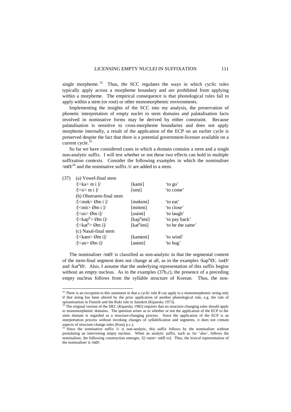single morpheme.<sup>32</sup> Thus, the SCC regulates the ways in which cyclic rules typically apply across a morpheme boundary and are prohibited from applying within a morpheme. The empirical consequence is that phonological rules fail to apply within a stem (or root) or other monomorphemic environments.

 Implementing the insights of the SCC into my analysis, the preservation of phonetic interpretation of empty nuclei in stem domains and palatalisation facts involved in nominative forms may be derived by either constraint. Because palatalisation is sensitive to cross-morpheme boundaries and does not apply morpheme internally, a result of the application of the ECP on an earlier cycle is preserved despite the fact that there is a potential government-licenser available on a current cycle. $3$ 

So far we have considered cases in which a domain contains a stem and a single non-analytic suffix. I will test whether or not these two effects can hold in multiple suffixation contexts. Consider the following examples in which the nominaliser  $/m\omega^{34}$  and the nominative suffix /i/ are added to a stem.

| (37) | (a) Vowel-final stem                                          |                         |                  |
|------|---------------------------------------------------------------|-------------------------|------------------|
|      | / $\sqrt{$ <ka> m i <math>\sqrt{}</math></ka>                 | [kami]                  | 'to go'          |
|      | $\sqrt{5}$ / $\frac{1}{2}$                                    | [omi]                   | 'to come'        |
|      | (b) Obstruent-final stem                                      |                         |                  |
|      | $/$ [ <m<math>\Rightarrow Øm i ]/</m<math>                    | [məkimi]                | 'to eat'         |
|      | / $\vert$ <mit> Øm i <math>\vert</math>/</mit>                | [mitimi]                | 'to close'       |
|      | $/[\langle us \rangle \mathcal{Q}m i]/$                       | [usimi]                 | 'to laugh'       |
|      | / $\vert \langle \text{Kap}^{\text{h}} \rangle$ Øm i]/        | [kap $^{\text{h}}$ imi] | 'to pay back'    |
|      | / $\left[$ <kat<sup>h&gt; Øm i<math>\right]</math>/</kat<sup> | [ $kat^h$ imi]          | 'to be the same' |
|      | (c) Nasal-final stem                                          |                         |                  |
|      | /[ <kam> Øm i]/</kam>                                         | [kamɨmi]                | 'to wind'        |

 $/$ [<an> $\Theta$ m i]/ [animi] 'to hug'

 $\overline{a}$ 

The nominaliser  $/m\mathcal{O}/$  is classified as non-analytic in that the segmental content of the stem-final segment does not change at all, as in the examples  $/$ kap $\frac{h}{\omega}$ ,  $/$ us $\omega$ and  $/kat^h\ddot{\mathcal{O}}/$ . Also, I assume that the underlying representation of this suffix begins without an empty nucleus. As in the examples (37b,c), the presence of a preceding empty nucleus follows from the syllable structure of Korean. Thus, the non-

 $32$  There is an exception to this statement in that a cyclic rule *R* can apply to a monomorphemic string only if that string has been altered by the prior application of another phonological rule, e.g. the rule of spirantisation in Finnish and the Ruki rule in Sanskrit (Kiparsky 1973).

<sup>33</sup> The original version of the DEC (Kiparsky 1982) requires that no structure-changing rules should apply to monomorphemic domains. The question arises as to whether or not the application of the ECP to the stem domain is regarded as a structure-changing process. Since the application of the ECP is an interpretation process without invoking changes of syllabification and segments, it does not contain aspects of structure-change rules (Kooij p.c.).

 $34$  Since the nominative suffix  $\frac{1}{4}$  is non-analytic, this suffix follows by the nominaliser without postulating an intervening empty nucleus. When an analytic suffix, such as /to/ 'also', follows the nominaliser, the following construction emerges,  $/$ [ $\lt$ stem> mØ] to]. Thus, the lexical representation of the nominaliser is /mØ/.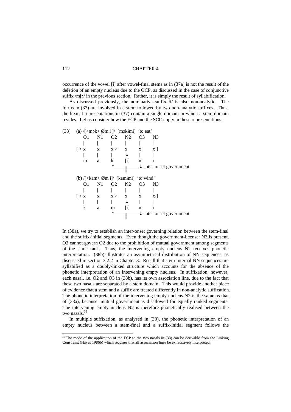occurrence of the vowel  $[i]$  after vowel-final stems as in (37a) is not the result of the deletion of an empty nucleus due to the OCP, as discussed in the case of conjunctive suffix  $\langle m \rangle$  in the previous section. Rather, it is simply the result of syllabification.

As discussed previously, the nominative suffix /i/ is also non-analytic. The forms in (37) are involved in a stem followed by two non-analytic suffixes. Thus, the lexical representations in (37) contain a single domain in which a stem domain resides. Let us consider how the ECP and the SCC apply in these representations.

| (38) | (a) $/$ [ <m<math>\Rightarrow Øm i ]<math>/</math> [m<math>\Rightarrow</math>kimi] 'to eat'</m<math> |              |                |                                                                                                                                                                                                                                                          |                |                                     |
|------|------------------------------------------------------------------------------------------------------|--------------|----------------|----------------------------------------------------------------------------------------------------------------------------------------------------------------------------------------------------------------------------------------------------------|----------------|-------------------------------------|
|      | O1                                                                                                   | N1           | O <sub>2</sub> | N2                                                                                                                                                                                                                                                       | O <sub>3</sub> | N <sub>3</sub>                      |
|      |                                                                                                      |              |                |                                                                                                                                                                                                                                                          |                |                                     |
|      | $\mathbf{K} < \mathbf{X}$                                                                            | $\mathbf{X}$ | X > X          |                                                                                                                                                                                                                                                          | X              | $\mathbf{X}$ ]                      |
|      |                                                                                                      |              |                |                                                                                                                                                                                                                                                          |                |                                     |
|      | m                                                                                                    | $\Theta$     | k              | $[1] % \centering \includegraphics[width=0.47\textwidth]{images/TrDiM-Architecture.png} % \caption{The first two different values of $A$ with the same time. The first two different values of $A$ is shown in the right.} \label{TrDiM-Architecture} %$ | m              |                                     |
|      |                                                                                                      |              |                |                                                                                                                                                                                                                                                          |                | $\downarrow$ inter-onset government |
|      | (b) $/$ [ <kam><math>\emptyset</math>m i]<math>/</math> [kamimi] 'to wind'</kam>                     |              |                |                                                                                                                                                                                                                                                          |                |                                     |
|      | O1                                                                                                   | N1           | O <sub>2</sub> | N2                                                                                                                                                                                                                                                       | O <sub>3</sub> | N <sub>3</sub>                      |
|      |                                                                                                      |              |                |                                                                                                                                                                                                                                                          |                |                                     |
|      | $\vert < x$                                                                                          | $\mathbf{X}$ | X >            | X                                                                                                                                                                                                                                                        | X              | X                                   |
|      |                                                                                                      |              |                |                                                                                                                                                                                                                                                          |                |                                     |
|      | k                                                                                                    | a            | m              | $\vert \mathbf{H} \vert$                                                                                                                                                                                                                                 | m              |                                     |
|      |                                                                                                      |              |                |                                                                                                                                                                                                                                                          |                | $\downarrow$ inter-onset government |

In (38a), we try to establish an inter-onset governing relation between the stem-final and the suffix-initial segments. Even though the government-licenser N3 is present, O3 cannot govern O2 due to the prohibition of mutual government among segments of the same rank. Thus, the intervening empty nucleus N2 receives phonetic interpretation. (38b) illustrates an asymmetrical distribution of NN sequences, as discussed in section 3.2.2 in Chapter 3. Recall that stem-internal NN sequences are syllabified as a doubly-linked structure which accounts for the absence of the phonetic interpretation of an intervening empty nucleus. In suffixation, however, each nasal, i.e. O2 and O3 in (38b), has its own association line, due to the fact that these two nasals are separated by a stem domain. This would provide another piece of evidence that a stem and a suffix are treated differently in non-analytic suffixation. The phonetic interpretation of the intervening empty nucleus N2 is the same as that of (38a), because. mutual government is disallowed for equally ranked segments. The intervening empty nucleus N2 is therefore phonetically realised between the two nasals.<sup>35</sup>

In multiple suffixation, as analysed in (38), the phonetic interpretation of an empty nucleus between a stem-final and a suffix-initial segment follows the

j

 $35$  The mode of the application of the ECP to the two nasals in (38) can be derivable from the Linking Constraint (Hayes 1986b) which requires that all association lines be exhaustively interpreted.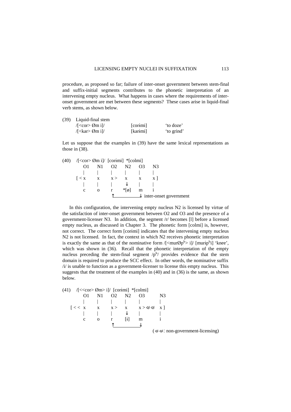procedure, as proposed so far; failure of inter-onset government between stem-final and suffix-initial segments contributes to the phonetic interpretation of an intervening empty nucleus. What happens in cases where the requirements of interonset government are met between these segments? These cases arise in liquid-final verb stems, as shown below.

| (39) Liquid-final stem                       |          |            |
|----------------------------------------------|----------|------------|
| / $\vert \langle \cos 9m \, i \vert \rangle$ | [corimi] | 'to doze'  |
| /[ <kar> Øm i]/</kar>                        | [karimi] | 'to grind' |

Let us suppose that the examples in (39) have the same lexical representations as those in (38).

| $(40)$ /[ <cor> Øm i]/ [corimi] *[colmi]</cor>          |          |              |                                                                   |                  |                                     |
|---------------------------------------------------------|----------|--------------|-------------------------------------------------------------------|------------------|-------------------------------------|
| $\Omega$ 1                                              |          | N1 02 N2     |                                                                   | $\overline{O}$ 3 | N <sub>3</sub>                      |
|                                                         |          |              |                                                                   |                  |                                     |
| $\begin{bmatrix} < x & x & x > x & x & x \end{bmatrix}$ |          |              |                                                                   |                  |                                     |
|                                                         |          |              | $\begin{array}{ccc} \begin{array}{ccc} \end{array} & \end{array}$ |                  |                                     |
| c                                                       | $\Omega$ | $\mathbf{r}$ | *[ø]                                                              | m                |                                     |
|                                                         |          |              |                                                                   |                  | $\downarrow$ inter-onset government |

 In this configuration, the intervening empty nucleus N2 is licensed by virtue of the satisfaction of inter-onset government between O2 and O3 and the presence of a government-licenser N3. In addition, the segment /r/ becomes [l] before a licensed empty nucleus, as discussed in Chapter 3. The phonetic form [colmi] is, however, not correct. The correct form [corimi] indicates that the intervening empty nucleus N2 is not licensed. In fact, the context in which N2 receives phonetic interpretation is exactly the same as that of the nominative form  $/[\langle mur\phi p^h \rangle i]/[murip^h i]$  'knee', which was shown in (36). Recall that the phonetic interpretation of the empty nucleus preceding the stem-final segment  $\overline{p}^{h}$  provides evidence that the stem domain is required to produce the SCC effect. In other words, the nominative suffix  $\pi$  is unable to function as a government-licenser to license this empty nucleus. This suggests that the treatment of the examples in (40) and in (36) is the same, as shown below.

(41) /[<<cor> Øm> i]/ [corÛmi] \*[colmi] O1 N1 O2 N2 O3 N3 | | | | | | [ < < x x x > x x > x ] | | | ↓ | | c o r [Û] m i ↑ ↓

 $(\Leftrightarrow \Leftrightarrow$ : non-government-licensing)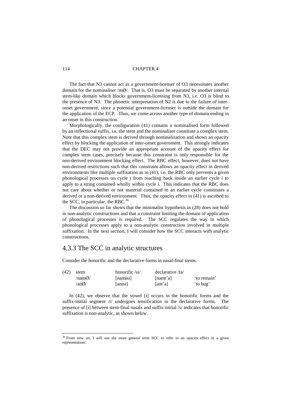The fact that N3 cannot act as a government-licenser of O3 necessitates another domain for the nominaliser /mØ/. That is, O3 must be separated by another internal stem-like domain which blocks government-licensing from N3, i.e. O3 is blind to the presence of N3. The phonetic interpretation of N2 is due to the failure of interonset government, since a potential government-licenser is outside the domain for the application of the ECP. Thus, we come across another type of domain ending in an onset in this construction.

Morphologically, the configuration (41) contains a nominalised form followed by an inflectional suffix, i.e. the stem and the nominaliser constitute a complex stem. Note that this complex stem is derived through nominalization and shows an opacity effect by blocking the application of inter-onset government. This strongly indicates that the DEC may not provide an appropriate account of the opacity effect for complex stem cases, precisely because this constraint is only responsible for the non-derived environment blocking effect. The RBC effect, however, does not have non-derived restrictions such that this constraint allows an opacity effect in derived environments like multiple suffixation as in (41), i.e. the RBC only prevents a given phonological processes on cycle *j* from reaching back inside an earlier cycle *i* to apply to a string contained wholly within cycle *i*. This indicates that the RBC does not care about whether or not material contained in an earlier cycle constitutes a derived or a non-derived environment. Thus, the opacity effect in (41) is ascribed to the SCC, in particular, the RBC. $^{36}$ 

 The discussion so far shows that the minimalist hypothesis in (28) does not hold in non-analytic constructions and that a constraint limiting the domain of application of phonological processes is required. The SCC regulates the way in which phonological processes apply to a non-analytic construction involved in multiple suffixation. In the next section, I will consider how the SCC interacts with analytic constructions.

# 4.3.3 The SCC in analytic structures

Consider the honorific and the declarative forms in nasal-final stems.

| (42) | stem             | honorific $\sin$ | declarative /ta/ |             |
|------|------------------|------------------|------------------|-------------|
|      | /namO/           | [namisi]         | [namt'a]         | 'to remain' |
|      | $\tan \! \omega$ | [anisi]          | [ant'a]          | 'to hug'    |

In  $(42)$ , we observe that the vowel [i] occurs in the honorific forms and the suffix-initial segment /t/ undergoes tensification in the declarative forms. The presence of  $[i]$  between stem-final nasals and suffix-initial /s/ indicates that honorific suffixation is non-analytic, as shown below.

j

 $36$  From now on, I will use the more general term SCC to refer to an opacity effect in a given representation.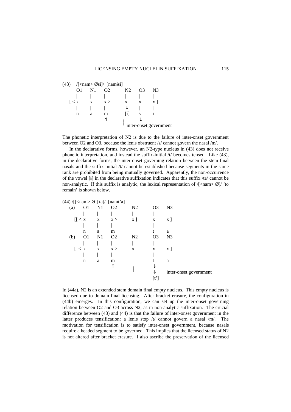

The phonetic interpretation of N2 is due to the failure of inter-onset government between O2 and O3, because the lenis obstruent /s/ cannot govern the nasal /m/.

 In the declarative forms, however, an N2-type nucleus in (43) does not receive phonetic interpretation, and instead the suffix-initial  $/t$  becomes tensed. Like (43), in the declarative forms, the inter-onset governing relation between the stem-final nasals and the suffix-initial /t/ cannot be established because segments in the same rank are prohibited from being mutually governed. Apparently, the non-occurrence of the vowel  $[i]$  in the declarative suffixation indicates that this suffix  $/ta/$  cannot be non-analytic. If this suffix is analytic, the lexical representation of  $/|\langle \text{nam} \rangle \mathcal{O}|/$  'to remain' is shown below.



In (44a), N2 is an extended stem domain final empty nucleus. This empty nucleus is licensed due to domain-final licensing. After bracket erasure, the configuration in (44b) emerges. In this configuration, we can set up the inter-onset governing relation between O2 and O3 across N2, as in non-analytic suffixation. The crucial difference between (43) and (44) is that the failure of inter-onset government in the latter produces tensification: a lenis stop /t/ cannot govern a nasal /m/. The motivation for tensification is to satisfy inter-onset government, because nasals require a headed segment to be governed. This implies that the licensed status of N2 is not altered after bracket erasure. I also ascribe the preservation of the licensed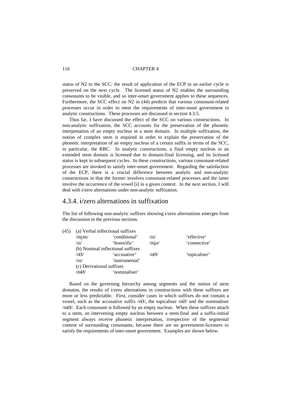status of N2 to the SCC: the result of application of the ECP in an earlier cycle is preserved on the next cycle. The licensed status of N2 enables the surrounding consonants to be visible, and so inter-onset government applies to these sequences. Furthermore, the SCC effect on N2 in (44) predicts that various consonant-related processes occur in order to meet the requirements of inter-onset government in analytic constructions. These processes are discussed in section 4.3.5.

 Thus far, I have discussed the effect of the SCC on various constructions. In non-analytic suffixation, the SCC accounts for the preservation of the phonetic interpretation of an empty nucleus in a stem domain. In multiple suffixation, the notion of complex stem is required in order to explain the preservation of the phonetic interpretation of an empty nucleus of a certain suffix in terms of the SCC, in particular, the RBC. In analytic constructions, a final empty nucleus in an extended stem domain is licensed due to domain-final licensing, and its licensed status is kept in subsequent cycles. In these constructions, various consonant-related processes are invoked to satisfy inter-onset government. Regarding the satisfaction of the ECP, there is a crucial difference between analytic and non-analytic constructions in that the former involves consonant-related processes and the latter involve the occurrence of the vowel  $[i]$  in a given context. In the next section, I will deal with i/zero alternations under non-analytic suffixation.

# 4.3.4.  $\frac{1}{2}$  /zero alternations in suffixation

The list of following non-analytic suffixes showing  $\frac{i}{\sqrt{2}}$  alternations emerges from the discussion in the previous sections.

| (45) | (a) Verbal inflectional suffixes    |                                   |                  |               |  |  |  |
|------|-------------------------------------|-----------------------------------|------------------|---------------|--|--|--|
|      | $/$ mj $\mathsf{an}/$               | 'conditional'                     | /ni/             | 'effective'   |  |  |  |
|      | /si/                                | 'honorific'                       | $/$ mj $\gtrsim$ | 'connective'  |  |  |  |
|      |                                     | (b) Nominal inflectional suffixes |                  |               |  |  |  |
|      | /rØ/                                | 'accusative'                      | /nQ/             | 'topicaliser' |  |  |  |
|      | /ro/                                | 'instrumental'                    |                  |               |  |  |  |
|      | (c) Derivational suffixes           |                                   |                  |               |  |  |  |
|      | $^{\prime} \mathrm{m}\mathcal{O}$ / | 'nominaliser'                     |                  |               |  |  |  |

Based on the governing hierarchy among segments and the notion of stem domains, the results of  $\frac{1}{2}$ zero alternations in constructions with these suffixes are more or less predictable. First, consider cases in which suffixes do not contain a vowel, such as the accusative suffix  $\langle r\phi \rangle$ , the topicaliser  $\langle r\phi \rangle$  and the nominaliser /mØ/. Each consonant is followed by an empty nucleus. When these suffixes attach to a stem, an intervening empty nucleus between a stem-final and a suffix-initial segment always receive phonetic interpretation, irrespective of the segmental content of surrounding consonants, because there are no government-licensers to satisfy the requirements of inter-onset government. Examples are shown below.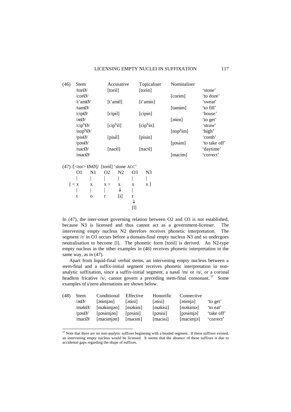#### LICENSING EMPTY NUCLEI IN SUFFIXATION 117

| (46) | <b>Stem</b>                                   | Accusative            | Topicaliser                 | Nominaliser           |               |
|------|-----------------------------------------------|-----------------------|-----------------------------|-----------------------|---------------|
|      | /tor $\varnothing$ /                          | [toril]               | [torin]                     |                       | 'stone'       |
|      | $/cor\cancel{\omega}$                         |                       |                             | [corim]               | 'to doze'     |
|      | /t'am $\varnothing$ /                         | [t'ami!]              | [t'amin]                    |                       | 'sweat'       |
|      | /tam $\varnothing$ /                          |                       |                             | [tamim]               | 'to fill'     |
|      | /cip $\varnothing$ /                          | [cipil]               | [cipin]                     |                       | 'house'       |
|      | $\sqrt{atQ}/$                                 |                       |                             | $[$ ətim $]$          | 'to get'      |
|      | / $\operatorname{cip}^{\text{h}}\mathcal{O}/$ | [cip <sup>h</sup> il] | $[cip^{\text{h}}\text{in}]$ |                       | 'straw'       |
|      | $\ln \frac{h}{Q}$                             |                       |                             | [nop <sup>h</sup> im] | 'high'        |
|      | $/pis\emptyset/$                              | [pisil]               | [pisin]                     |                       | 'comb'        |
|      | /pəs $\emptyset$ /                            |                       |                             | [pəsim]               | 'to take off' |
|      | /na <b>Q</b> /                                | [nacil]               | [nacil]                     |                       | 'daytime'     |
|      | /macØ/                                        |                       |                             | [macim]               | 'correct'     |
|      |                                               |                       |                             |                       |               |

$$
(47)
$$
 /[  $\text{Or} \varnothing$ ] / [toril] 'stone ACC'

j

|             | N1        |          | O2 N2        | O <sub>3</sub> | N <sub>3</sub> |
|-------------|-----------|----------|--------------|----------------|----------------|
|             |           |          |              |                |                |
| $\vert < x$ | $X \tX >$ |          | $\mathbf{X}$ | $\mathbf{X}$   | $\mathbf{X}$   |
|             |           |          |              |                |                |
| t           | $\Omega$  | $r \sim$ | fil          |                |                |
|             |           |          |              |                |                |
|             |           |          |              |                |                |

In (47), the inter-onset governing relation between O2 and O3 is not established, because N3 is licensed and thus cannot act as a government-licenser. The intervening empty nucleus N2 therefore receives phonetic interpretation. The segment /r/ in O3 occurs before a domain-final empty nucleus N3 and so undergoes neutralisation to become [1]. The phonetic form [toril] is derived. An N2-type empty nucleus in the other examples in (46) receives phonetic interpretation in the same way, as in (47).

Apart from liquid-final verbal stems, an intervening empty nucleus between a stem-final and a suffix-initial segment receives phonetic interpretation in nonanalytic suffixation, since a suffix-initial segment, a nasal /m/ or /n/, or a coronal headless fricative /s/, cannot govern a preceding stem-final consonant.<sup>37</sup> Some examples of i/zero alternations are shown below.

| (48) | <b>Stem</b>         | Conditional         | Effective               | Honorific                  | Connective      |            |
|------|---------------------|---------------------|-------------------------|----------------------------|-----------------|------------|
|      | /ət $\varnothing$ / | [ətimjən]           | [ətini]                 | [ətis]                     | [ətimja]        | 'to get'   |
|      | /məkØ/              | [məkimjən]          | [məkini]                | $[m \geq k$ isi]           | [məkimə]        | to eat'    |
|      | /pəs $\emptyset/$   | $[$ pəsimjən $]$    | $[$ p $\sigma$ sini $]$ | [ <i>p</i> ə <i>s</i> isi] | $[$ pəsimjə $]$ | 'take off' |
|      | /macØ/              | $[\text{macimjan}]$ | [macini]                | [macisi]                   | [macimja]       | 'correct'  |

 $37$  Note that there are no non-analytic suffixes beginning with a headed segment. If these suffixes existed, an intervening empty nucleus would be licensed. It seems that the absence of these suffixes is due to accidental gaps regarding the shape of suffixes.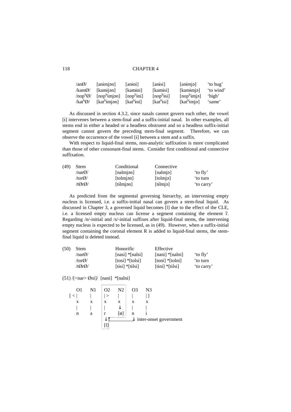| $\tan \varnothing$ / | $[$ animj $\varphi$ n $]$             | [anini]                 | [anisi]                | [anim]                               | 'to hug'  |
|----------------------|---------------------------------------|-------------------------|------------------------|--------------------------------------|-----------|
| /kamØ/               | [kamijan]                             | [kamini]                | [kamisi]               | [kamimjə]                            | 'to wind' |
| $\ln \frac{h}{Q}$    | [nop <sup>h</sup> imjan]              | [nop <sup>h</sup> ini]  | [nop <sup>h</sup> isi] | [nop <sup>h</sup> imiə]              | 'high'    |
| /kat <sup>h</sup> Ø/ | [kat <sup>h</sup> im <sub>i</sub> on] | [kat $^{\text{h}}$ ini] | [kat <sup>h</sup> isi] | [kat <sup>h</sup> imi <sub>9</sub> ] | 'same'    |

As discussed in section 4.3.2, since nasals cannot govern each other, the vowel  $[i]$  intervenes between a stem-final and a suffix-initial nasal. In other examples, all stems end in either a headed or a headless obstruent and so a headless suffix-initial segment cannot govern the preceding stem-final segment. Therefore, we can observe the occurrence of the vowel [i] between a stem and a suffix.

With respect to liquid-final stems, non-analytic suffixation is more complicated than those of other consonant-final stems. Consider first conditional and connective suffixation.

| (49) | <b>Stem</b> | Conditional            | Connective |            |
|------|-------------|------------------------|------------|------------|
|      | /narØ/      | [nalmjən]              | [nalmja]   | 'to fly'   |
|      | /torØ/      | [tolm <sub>j</sub> ən] | [tolmjə]   | to turn    |
|      | /tØrØ/      | [tilmjan]              | [tilmja]   | 'to carry' |

As predicted from the segmental governing hierarchy, an intervening empty nucleus is licensed, i.e. a suffix-initial nasal can govern a stem-final liquid. As discussed in Chapter 3, a governed liquid becomes [l] due to the effect of the CLE, i.e. a licensed empty nucleus can license a segment containing the element /. Regarding /n/-initial and /s/-initial suffixes after liquid-final stems, the intervening empty nucleus is expected to be licensed, as in (49). However, when a suffix-initial segment containing the coronal element R is added to liquid-final stems, the stemfinal liquid is deleted instead.

| (50) | <b>Stem</b>   | Honorific            | Effective          |           |
|------|---------------|----------------------|--------------------|-----------|
|      | /narØ/        | $[nasi]$ * $[nalsi]$ | $[nani] * [nalmi]$ | 'to fly'  |
|      | /tor $\omega$ | $[tosi] * [tolsi]$   | $[toni] * [tolni]$ | to turn   |
|      | /tØrØ/        | $[tis]$ $[tis]$      | $[tini]$ * $[ti]$  | to carry' |

 $(51)$  /[<nar> Øni]/ [nani] \*[nalni]

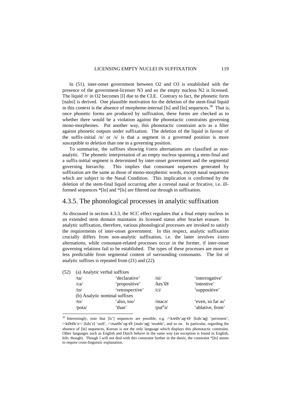In (51), inter-onset government between O2 and O3 is established with the presence of the government-licenser N3 and so the empty nucleus N2 is licensed. The liquid /r/ in O2 becomes [l] due to the CLE. Contrary to fact, the phonetic form [nalni] is derived. One plausible motivation for the deletion of the stem-final liquid in this context is the absence of morpheme-internal [ls] and [ln] sequences.<sup>38</sup> That is, once phonetic forms are produced by suffixation, these forms are checked as to whether there would be a violation against the phonotactic constraints governing mono-morphemes. Put another way, this phonotactic constraint acts as a filter against phonetic outputs under suffixation. The deletion of the liquid in favour of the suffix-initial  $/n/$  or  $/s/$  is that a segment in a governed position is more susceptible to deletion than one in a governing position.

To summarise, the suffixes showing  $\frac{1}{2}$  /zero alternations are classified as nonanalytic. The phonetic interpretation of an empty nucleus spanning a stem-final and a suffix-initial segment is determined by inter-onset government and the segmental governing hierarchy. This implies that consonant sequences generated by suffixation are the same as those of mono-morphemic words, except nasal sequences which are subject to the Nasal Condition. This implication is confirmed by the deletion of the stem-final liquid occurring after a coronal nasal or fricative, i.e. illformed sequences \*[ln] and \*[ls] are filtered out through in suffixation.

# 4.3.5. The phonological processes in analytic suffixation

As discussed in section 4.3.3, the SCC effect regulates that a final empty nucleus in an extended stem domain maintains its licensed status after bracket erasure. In analytic suffixation, therefore, various phonological processes are invoked to satisfy the requirements of inter-onset government. In this respect, analytic suffixation crucially differs from non-analytic suffixation, i.e. the latter involves  $\frac{i}{z}$  /zero alternations, while consonant-related processes occur in the former, if inter-onset governing relations fail to be established. The types of these processes are more or less predictable from segmental content of surrounding consonants. The list of analytic suffixes is repeated from (21) and (22).

| /ta/                          | 'declarative'   | /ni/                         | 'interrogative'   |  |  |
|-------------------------------|-----------------|------------------------------|-------------------|--|--|
| /ca/                          | 'propositive'   | /kes' $\varnothing$ /        | 'intentive'       |  |  |
| /ta                           | 'retrospective' | /ci/                         | 'suppositive'     |  |  |
| (b) Analytic nominal suffixes |                 |                              |                   |  |  |
| /to/                          | 'also, too'     | /macə/                       | 'even, so far as' |  |  |
| $\prime$ pota $\prime$        | 'than'          | /put <sup>h</sup> $\alpha$ / | 'ablative, from'  |  |  |

absence of [ln] sequences, Korean is not the only language which displays this phonotactic constraint. Other languages such as English and Dutch behave in the same way (an exception is found in English, *kiln*, though). Though I will not deal with this constraint further in the thesis, the constraint \*[ln] seems to require cross-linguistic explanation.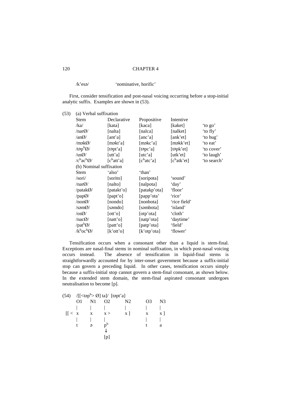$/k$ 'es $\phi$  'nominative, horific'

First, consider tensification and post-nasal voicing occurring before a stop-initial analytic suffix. Examples are shown in (53).

| (53) | (a) Verbal suffixation               |                        |                          |                |             |  |
|------|--------------------------------------|------------------------|--------------------------|----------------|-------------|--|
|      | Stem                                 | Declarative            | Propositive              | Intentive      |             |  |
|      | /ka/                                 | [kata]                 | [kaca]                   | [kaket]        | 'to go'     |  |
|      | $/nar\cancel{O}/$                    | [nalta]                | [nalca]                  | [nalket]       | 'to fly'    |  |
|      | $\tan \varnothing$ /                 | [ant'a]                | [anc'a]                  | [ank'et]       | 'to hug'    |  |
|      | /məkØ/                               | [məkt'a]               | [məkc'a]                 | [məkk'et]      | 'to eat'    |  |
|      | /təp $h\cancel{O}$ /                 | [təpt'a]               | $[$ tapc'a $]$           | [təpk'et]      | 'to cover'  |  |
|      | /us $\varnothing$ /                  | [utt'a]                | $[$ utc'a]               | [utk'et]       | 'to laugh'  |  |
|      | $/c^{\rm h}$ ac $^{\rm h}$ Ø/        | [c <sup>h</sup> att'a] | [c <sup>h</sup> at c' a] | $[c^h$ atk'et] | 'to search' |  |
|      | (b) Nominal suffixation              |                        |                          |                |             |  |
|      | <b>Stem</b>                          | 'also'                 | 'than'                   |                |             |  |
|      | /sori/                               | [sorito]               | [soripota]               | 'sound'        |             |  |
|      | $/nar\cancel{O}/$                    | [nalto]                | [nalpota]                | 'day'          |             |  |
|      | /patakØ/                             | [patakt'o]             | [patakp'ota]             | 'floor'        |             |  |
|      | /pap $\emptyset$ /                   | [papt'o]               | [papp'ota'               | 'rice'         |             |  |
|      | /non $\emptyset$ /                   | [nondo]                | [nonbota]                | 'rice field'   |             |  |
|      | /səmØ/                               | [səmdo]                | [səmbota]                | 'island'       |             |  |
|      | $\sqrt{cos\theta}$                   | [ott'o]                | [otp'ota]                | 'cloth'        |             |  |
|      | $/na c \cancel{O}$                   | [natt'o]               | [natp'ota]               | 'daytime'      |             |  |
|      | /path $\varnothing$ /                | [patt'o]               | [patp'ota]               | 'field'        |             |  |
|      | $/k$ <sup>h</sup> oc <sup>h</sup> Ø/ | [k'ott'0]              | [k'otp'ota]              | 'flower'       |             |  |

 Tensification occurs when a consonant other than a liquid is stem-final. Exceptions are nasal-final stems in nominal suffixation, in which post-nasal voicing occurs instead. The absence of tensification in liquid-final stems is straightforwardly accounted for by inter-onset government because a suffix-initial stop can govern a preceding liquid. In other cases, tensification occurs simply because a suffix-initial stop cannot govern a stem-final consonant, as shown below. In the extended stem domain, the stem-final aspirated consonant undergoes neutralisation to become [p].

(54) 
$$
\begin{array}{cccc}\n\text{(54)} & \text{([(150)^{h})} & \text{(6)} & \text{(150)^{h}} \\
\text{(1)} & \text{(1)} & \text{(1)} & \text{(1)} & \text{(1)} & \text{(1)} \\
\text{(1)} & \text{(1)} & \text{(1)} & \text{(1)} & \text{(1)} & \text{(1)} \\
\text{(1)} & \text{(1)} & \text{(1)} & \text{(1)} & \text{(1)} & \text{(1)} \\
\text{(1)} & \text{(1)} & \text{(1)} & \text{(1)} & \text{(1)} & \text{(1)} \\
\text{(1)} & \text{(2)} & \text{(3)} & \text{(4)} & \text{(5)} & \text{(6)} & \text{(6)} \\
\text{(5)} & \text{(6)} & \text{(6)} & \text{(6)} & \text{(6)} & \text{(6)} & \text{(6)} & \text{(6)} \\
\text{(7)} & \text{(8)} & \text{(9)} & \text{(1)} & \text{(1)} & \text{(1)} & \text{(1)} & \text{(1)} & \text{(1)} & \text{(1)} & \text{(1)} & \text{(1)} \\
\end{array}
$$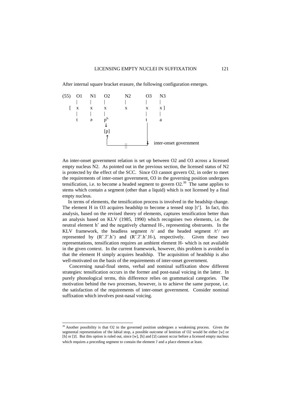After internal square bracket erasure, the following configuration emerges.



An inter-onset government relation is set up between O2 and O3 across a licensed empty nucleus N2. As pointed out in the previous section, the licensed status of N2 is protected by the effect of the SCC. Since O3 cannot govern O2, in order to meet the requirements of inter-onset government, O3 in the governing position undergoes tensification, i.e. to become a headed segment to govern O2.39 The same applies to stems which contain a segment (other than a liquid) which is not licensed by a final empty nucleus.

 In terms of elements, the tensification process is involved in the headship change. The element H in O3 acquires headship to become a tensed stop [t']. In fact, this analysis, based on the revised theory of elements, captures tensification better than an analysis based on KLV (1985, 1990) which recognises two elements, i.e. the neutral element h $\degree$  and the negatively charmed H-, representing obstruents. In the KLV framework, the headless segment  $/t$  and the headed segment  $/t'$  are represented by  $(R^{\circ}.7^{\circ}.h^{\circ})$  and  $(R^{\circ}.7^{\circ}.h^{\circ}.H^{\circ})$ , respectively. Given these two representations, tensification requires an ambient element H- which is not available in the given context. In the current framework, however, this problem is avoided in that the element H simply acquires headship. The acquisition of headship is also well-motivated on the basis of the requirements of inter-onset government.

 Concerning nasal-final stems, verbal and nominal suffixation show different strategies: tensification occurs in the former and post-nasal voicing in the latter. In purely phonological terms, this difference relies on grammatical categories. The motivation behind the two processes, however, is to achieve the same purpose, i.e. the satisfaction of the requirements of inter-onset government. Consider nominal suffixation which involves post-nasal voicing.

j

 $39$  Another possibility is that O2 in the governed position undergoes a weakening process. Given the segmental representation of the labial stop, a possible outcome of lenition of O2 would be either [w] or <sup>39</sup> Another possibility is that O2 in the governed position undergoes a weakening process. Given the segmental representation of the labial stop, a possible outcome of lenition of O2 would be either [w] or [h] or [?]. Bu <sup>39</sup> Another possibility is that O2 in the governed position undergoes a weakening proceding segmental representation of the labial stop, a possible outcome of lenition of O2 would [h] or [?]. But this option is ruled out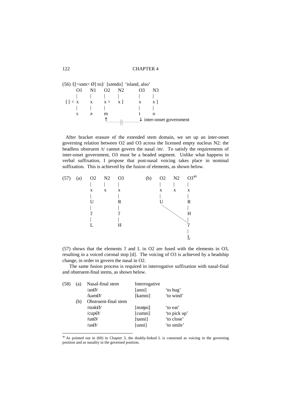

After bracket erasure of the extended stem domain, we set up an inter-onset governing relation between O2 and O3 across the licensed empty nucleus N2: the headless obstruent /t/ cannot govern the nasal /m/. To satisfy the requirements of inter-onset government, O3 must be a headed segment. Unlike what happens in verbal suffixation, I propose that post-nasal voicing takes place in nominal suffixation. This is achieved by the fusion of elements, as shown below.



 $(57)$  shows that the elements  $\hat{ }$  and  $\hat{ }$  L in O2 are fused with the elements in O3, resulting in a voiced coronal stop [d]. The voicing of O3 is achieved by a headship change, in order to govern the nasal in O2.

 The same fusion process is required in interrogative suffixation with nasal-final and obstruent-final stems, as shown below.

| (58) | (a) | Nasal-final stem     | Interrogative |              |
|------|-----|----------------------|---------------|--------------|
|      |     | $\tan \varnothing$ / | [anni]        | 'to hug'     |
|      |     | /kamØ/               | [kamni]       | 'to wind'    |
|      | (b) | Obstruent-final stem |               |              |
|      |     | /mək $\emptyset$ /   | $[$ mənni $]$ | 'to eat'     |
|      |     | /cup $\varnothing$ / | [cumni]       | 'to pick up' |
|      |     | /tat $\varnothing$ / | [tanni]       | 'to close'   |
|      |     | /usØ/                | [unni]        | 'to smile'   |
|      |     |                      |               |              |

 $40$  As pointed out in (60) in Chapter 3, the doubly-linked L is construed as voicing in the governing position and as nasality in the governed position.

j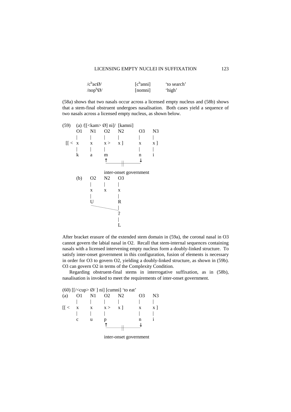| / $c^{\rm h}$ ac $\emptyset$ /                  | [c <sup>h</sup> anni] | to search' |
|-------------------------------------------------|-----------------------|------------|
| $\ln \frac{\text{op}^{\text{h}}\mathcal{O}}{1}$ | [nomni]               | 'high'     |

(58a) shows that two nasals occur across a licensed empty nucleus and (58b) shows that a stem-final obstruent undergoes nasalisation. Both cases yield a sequence of two nasals across a licensed empty nucleus, as shown below.



After bracket erasure of the extended stem domain in (59a), the coronal nasal in O3 cannot govern the labial nasal in O2. Recall that stem-internal sequences containing nasals with a licensed intervening empty nucleus form a doubly-linked structure. To satisfy inter-onset government in this configuration, fusion of elements is necessary in order for O3 to govern O2, yielding a doubly-linked structure, as shown in (59b). O3 can govern O2 in terms of the Complexity Condition.

 Regarding obstruent-final stems in interrogative suffixation, as in (58b), nasalisation is invoked to meet the requirements of inter-onset government.



inter-onset government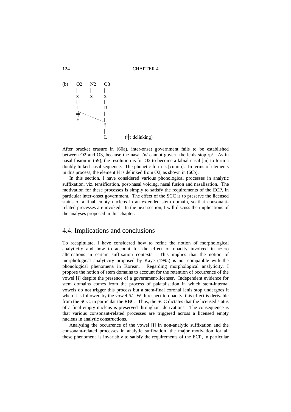



After bracket erasure in (60a), inter-onset government fails to be established between O2 and O3, because the nasal  $/n/$  cannot govern the lenis stop  $/p/$ . As in nasal fusion in (59), the resolution is for O2 to become a labial nasal [m] to form a doubly-linked nasal sequence. The phonetic form is [cumin]. In terms of elements in this process, the element H is delinked from O2, as shown in (60b).

 In this section, I have considered various phonological processes in analytic suffixation, viz. tensification, post-nasal voicing, nasal fusion and nasalisation. The motivation for these processes is simply to satisfy the requirements of the ECP, in particular inter-onset government. The effect of the SCC is to preserve the licensed status of a final empty nucleus in an extended stem domain, so that consonantrelated processes are invoked. In the next section, I will discuss the implications of the analyses proposed in this chapter.

# 4.4. Implications and conclusions

To recapitulate, I have considered how to refine the notion of morphological analyticity and how to account for the effect of opacity involved in  $i$ /zero alternations in certain suffixation contexts. This implies that the notion of alternations in certain suffixation contexts. morphological analyticity proposed by Kaye (1995) is not compatible with the phonological phenomena in Korean. Regarding morphological analyticity, I propose the notion of stem domains to account for the retention of occurrence of the vowel  $[i]$  despite the presence of a government-licenser. Independent evidence for stem domains comes from the process of palatalisation in which stem-internal vowels do not trigger this process but a stem-final coronal lenis stop undergoes it when it is followed by the vowel /i/. With respect to opacity, this effect is derivable from the SCC, in particular the RBC. Thus, the SCC dictates that the licensed status of a final empty nucleus is preserved throughout derivations. The consequence is that various consonant-related processes are triggered across a licensed empty nucleus in analytic constructions.

Analysing the occurrence of the vowel [i] in non-analytic suffixation and the consonant-related processes in analytic suffixation, the major motivation for all these phenomena is invariably to satisfy the requirements of the ECP, in particular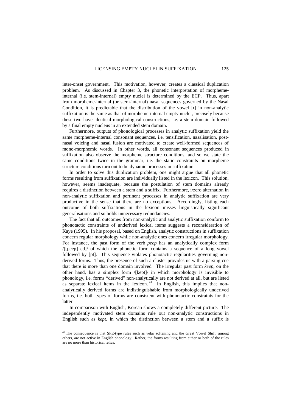inter-onset government. This motivation, however, creates a classical duplication problem. As discussed in Chapter 3, the phonetic interpretation of morphemeinternal (i.e. stem-internal) empty nuclei is determined by the ECP. Thus, apart from morpheme-internal (or stem-internal) nasal sequences governed by the Nasal Condition, it is predictable that the distribution of the vowel  $[i]$  in non-analytic suffixation is the same as that of morpheme-internal empty nuclei, precisely because these two have identical morphological constructions, i.e. a stem domain followed by a final empty nucleus in an extended stem domain.

 Furthermore, outputs of phonological processes in analytic suffixation yield the same morpheme-internal consonant sequences, i.e. tensification, nasalisation, postnasal voicing and nasal fusion are motivated to create well-formed sequences of mono-morphemic words. In other words, all consonant sequences produced in suffixation also observe the morpheme structure conditions, and so we state the same conditions twice in the grammar, i.e. the static constraints on morpheme structure conditions turn out to be dynamic processes in suffixation.

 In order to solve this duplication problem, one might argue that all phonetic forms resulting from suffixation are individually listed in the lexicon. This solution, however, seems inadequate, because the postulation of stem domains already requires a distinction between a stem and a suffix. Furthermore,  $\frac{i}{z}$ ero alternation in non-analytic suffixation and pertinent processes in analytic suffixation are very productive in the sense that there are no exceptions. Accordingly, listing each outcome of both suffixations in the lexicon misses linguistically significant generalisations and so holds unnecessary redundancies.

 The fact that all outcomes from non-analytic and analytic suffixation conform to phonotactic constraints of underived lexical items suggests a reconsideration of Kaye (1995). In his proposal, based on English, analytic constructions in suffixation concern regular morphology while non-analytic ones concern irregular morphology. For instance, the past form of the verb *peep* has an analytically complex form /[[peep] ed]/ of which the phonetic form contains a sequence of a long vowel followed by [pt]. This sequence violates phonotactic regularities governing nonderived forms. Thus, the presence of such a cluster provides us with a parsing cue that there is more than one domain involved. The irregular past form *keep*, on the other hand, has a simplex form /[kept]/ in which morphology is invisible to phonology, i.e. forms "derived" non-analytically are not derived at all, but are listed as separate lexical items in the lexicon.<sup>41</sup> In English, this implies that nonanalytically derived forms are indistinguishable from morphologically underived forms, i.e. both types of forms are consistent with phonotactic constraints for the latter.

 In comparison with English, Korean shows a completely different picture. The independently motivated stem domains rule out non-analytic constructions in English such as *kept*, in which the distinction between a stem and a suffix is

j

<sup>&</sup>lt;sup>41</sup> The consequence is that SPE-type rules such as velar softening and the Great Vowel Shift, among others, are not active in English phonology. Rather, the forms resulting from either or both of the rules are no more than historical relics.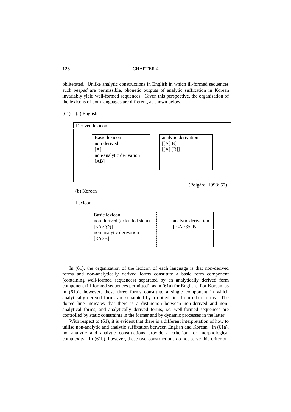obliterated. Unlike analytic constructions in English in which ill-formed sequences such *peeped* are permissible, phonetic outputs of analytic suffixation in Korean invariably yield well-formed sequences. Given this perspective, the organisation of the lexicons of both languages are different, as shown below.

 $(61)$  (a) English



### (b) Korean



 In (61), the organization of the lexicon of each language is that non-derived forms and non-analytically derived forms constitute a basic form component (containing well-formed sequences) separated by an analytically derived form component (ill-formed sequences permitted), as in (61a) for English. For Korean, as in (61b), however, these three forms constitute a single component in which analytically derived forms are separated by a dotted line from other forms. The dotted line indicates that there is a distinction between non-derived and nonanalytical forms, and analytically derived forms, i.e. well-formed sequences are controlled by static constraints in the former and by dynamic processes in the latter.

With respect to  $(61)$ , it is evident that there is a different interpretation of how to utilise non-analytic and analytic suffixation between English and Korean. In (61a), non-analytic and analytic constructions provide a criterion for morphological complexity. In (61b), however, these two constructions do not serve this criterion.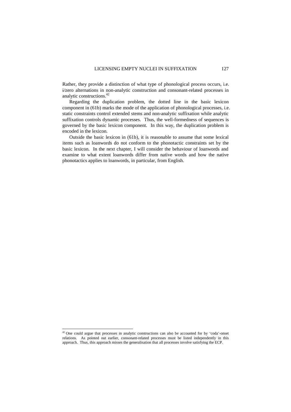Rather, they provide a distinction of what type of phonological process occurs, i.e. i/zero alternations in non-analytic construction and consonant-related processes in analytic constructions.<sup>42</sup>

 Regarding the duplication problem, the dotted line in the basic lexicon component in (61b) marks the mode of the application of phonological processes, i.e. static constraints control extended stems and non-analytic suffixation while analytic suffixation controls dynamic processes. Thus, the well-formedness of sequences is governed by the basic lexicon component. In this way, the duplication problem is encoded in the lexicon.

 Outside the basic lexicon in (61b), it is reasonable to assume that some lexical items such as loanwords do not conform to the phonotactic constraints set by the basic lexicon. In the next chapter, I will consider the behaviour of loanwords and examine to what extent loanwords differ from native words and how the native phonotactics applies to loanwords, in particular, from English.

j

 $42$  One could argue that processes in analytic constructions can also be accounted for by 'coda'-onset relations. As pointed out earlier, consonant-related processes must be listed independently in this approach. Thus, this approach misses the generalisation that all processes involve satisfying the ECP.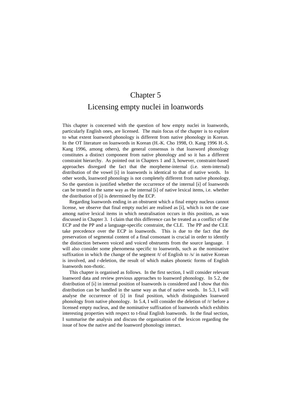# Chapter 5 Licensing empty nuclei in loanwords

This chapter is concerned with the question of how empty nuclei in loanwords, particularly English ones, are licensed. The main focus of the chapter is to explore to what extent loanword phonology is different from native phonology in Korean. In the OT literature on loanwords in Korean (H.-K. Cho 1998, O. Kang 1996 H.-S. Kang 1996, among others), the general consensus is that loanword phonology constitutes a distinct component from native phonology and so it has a different constraint hierarchy. As pointed out in Chapters 1 and 3, however, constraint-based approaches disregard the fact that the morpheme-internal (i.e. stem-internal) distribution of the vowel  $[i]$  in loanwords is identical to that of native words. In other words, loanword phonology is not completely different from native phonology. So the question is justified whether the occurrence of the internal [i] of loanwords can be treated in the same way as the internal  $[i]$  of native lexical items, i.e. whether the distribution of [i] is determined by the ECP.

Regarding loanwords ending in an obstruent which a final empty nucleus cannot license, we observe that final empty nuclei are realised as [i], which is not the case among native lexical items in which neutralisation occurs in this position, as was discussed in Chapter 3. I claim that this difference can be treated as a conflict of the ECP and the PP and a language-specific constraint, the CLE. The PP and the CLE take precedence over the ECP in loanwords. This is due to the fact that the preservation of segmental content of a final consonant is crucial in order to identify the distinction between voiced and voiced obstruents from the source language. I will also consider some phenomena specific to loanwords, such as the nominative suffixation in which the change of the segment  $/t/$  of English to  $/s/$  in native Korean is involved, and r-deletion, the result of which makes phonetic forms of English loanwords non-rhotic.

 This chapter is organised as follows. In the first section, I will consider relevant loanword data and review previous approaches to loanword phonology. In 5.2, the distribution of  $[i]$  in internal position of loanwords is considered and I show that this distribution can be handled in the same way as that of native words. In 5.3, I will analyse the occurrence of [i] in final position, which distinguishes loanword phonology from native phonology. In 5.4, I will consider the deletion of /r/ before a licensed empty nucleus, and the nominative suffixation of loanwords which exhibits interesting properties with respect to t-final English loanwords. In the final section, I summarise the analysis and discuss the organisation of the lexicon regarding the issue of how the native and the loanword phonology interact.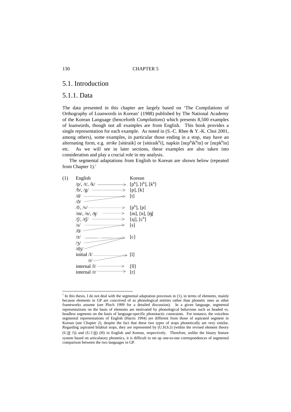# 5.1. Introduction

# 5.1.1. Data

The data presented in this chapter are largely based on 'The Compilations of Orthography of Loanwords in Korean' (1988) published by The National Academy of the Korean Language (henceforth *Compilations*) which presents 8,500 examples of loanwords, though not all examples are from English. This book provides a single representation for each example. As noted in (S.-C. Rhee & Y.-K. Choi 2001, among others), some examples, in particular those ending in a stop, may have an alternating form, e.g. *strike* [sitiraik] or [sitiraik<sup>h</sup>i], napkin [n $\varepsilon$ p<sup>h</sup>ik<sup>h</sup>in] or [n $\varepsilon$ pk<sup>h</sup>in] etc. As we will see in later sections, these examples are also taken into consideration and play a crucial role in my analysis.

 The segmental adaptations from English to Korean are shown below (repeated from Chapter  $1$ ).<sup>1</sup>



<sup>&</sup>lt;sup>1</sup> In this thesis, I do not deal with the segmental adaptation processes in (1), in terms of elements, mainly because elements in GP are conceived of as phonological entities rather than phonetic ones as other frameworks assume (see Ploch 1999 for a detailed discussion). In a given language, segmental representations on the basis of elements are motivated by phonological behaviour such as headed vs. headless segments on the basis of language-specific phonotactic constraints. For instance, the voiceless segmental representations of English (Harris 1994) are different from those of aspirated segment in Korean (see Chapter 2), despite the fact that these two types of stops phonetically are very similar. Regarding aspirated bilabial stops, they are represented by (U.H.h.?) (within the revised element theory (U.H )) and (U.7. $H$ ) (H) in English and Korean, respectively. Therefore, unlike the binary feature system based on articulatory phonetics, it is difficult to set up one-to-one correspondences of segmental comparison between the two languages in GP.

 $\overline{a}$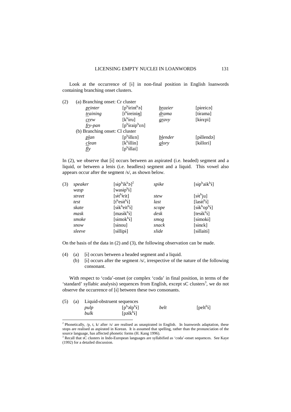Look at the occurrence of  $[i]$  in non-final position in English loanwords containing branching onset clusters.

| (2) | (a) Branching onset: Cr cluster |                                                        |         |                  |
|-----|---------------------------------|--------------------------------------------------------|---------|------------------|
|     | printer                         | $[p^{\text{h}}\text{if}\text{if}^{\text{h}}\text{if}]$ | brazier | [pireica]        |
|     | training                        | [t <sup>h</sup> ireinin]                               | drama   | [tirama]         |
|     | crew                            | $[k^{\text{h}}\text{iru}]$                             | gravy   | [kirepi]         |
|     | fry-pan                         | $[p^{\text{h}}\text{iraip}^{\text{h}}\text{en}]$       |         |                  |
|     | (b) Branching onset: Cl cluster |                                                        |         |                  |
|     | <u>pl</u> an                    | $[p^{\text{h}}$ illen]                                 | blender | $[p$ illendə $]$ |
|     | clean                           | $[k^h$ illin]                                          | glory   | [killori]        |
|     | <u>fl</u> y                     | $[p^{\text{h}}$ illai]                                 |         |                  |

In  $(2)$ , we observe that  $[i]$  occurs between an aspirated (i.e. headed) segment and a liquid, or between a lenis (i.e. headless) segment and a liquid. This vowel also appears occur after the segment /s/, as shown below.

| (3) | speaker | $[sip^hik^h\vartheta]^2$             | spike           | $[sip^h a i k^h i]$                |
|-----|---------|--------------------------------------|-----------------|------------------------------------|
|     | wasp    | [wasip $h_i$ ]                       |                 |                                    |
|     | street  | $[sit^h\text{irit}]$                 | stew            | $[$ sit <sup>h</sup> ju]           |
|     | test    | [t <sup>h</sup> esit <sup>h</sup> i] | last            | [last <sup>h</sup> <sub>i</sub> ]  |
|     | skate   | $[sik^heit^h]$                       | scope           | $[sik^hop^h]$                      |
|     | mask    | [ $maskhi$ ]                         | $\frac{d}{dsk}$ | [tesik <sup>h</sup> ] <sub>i</sub> |
|     | smoke   | [simok <sup>h</sup> i]               | smog            | [simoki]                           |
|     | snow    | [sinou]                              | snack           | [sinek]                            |
|     | sleeve  | [sillipi]                            | slide           | [sillaiti]                         |
|     |         |                                      |                 |                                    |

On the basis of the data in (2) and (3), the following observation can be made.

- (4) (a)  $[i]$  occurs between a headed segment and a liquid.
	- (b)  $[i]$  occurs after the segment /s/, irrespective of the nature of the following consonant.

With respect to 'coda'-onset (or complex 'coda' in final position, in terms of the 'standard' syllabic analysis) sequences from English, except  $sC$  clusters<sup>3</sup>, we do not observe the occurrence of  $[i]$  between these two consonants.

| (5) | (a) Liquid-obstruent sequences |                                |      |                        |  |
|-----|--------------------------------|--------------------------------|------|------------------------|--|
|     | pulp                           | $[p^{\rm h}$ əl $p^{\rm h}$ i] | belt | $[{\rm pelt}^{\rm h}]$ |  |
|     | bulk                           | $[p\partial k^h i]$            |      |                        |  |

<sup>&</sup>lt;sup>2</sup> Phonetically, /p, t, k/ after /s/ are realised as unaspirated in English. In loanwords adaptation, these stops are realised as aspirated in Korean. It is assumed that spelling, rather than the pronunciation of the source language, has affected phonetic forms (H. Kang 1996).

<sup>&</sup>lt;sup>3</sup> Recall that sC clusters in Indo-European languages are syllabified as 'coda'-onset sequences. See Kaye (1992) for a detailed discussion.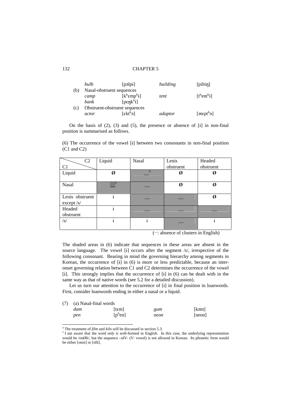|     | bulb                      | [pəlp <sub>i</sub> ]                     | building | [piltin]                              |
|-----|---------------------------|------------------------------------------|----------|---------------------------------------|
| (b) | Nasal-obstruent sequences |                                          |          |                                       |
|     | camp                      | $[k^hemp^h]$                             | tent     | $[t^h$ ent $h$ <sup>i</sup> $]$       |
|     | bank                      | $[perk^h]$                               |          |                                       |
| (c) |                           | Obstruent-obstruent sequences            |          |                                       |
|     | actor                     | $\lceil \epsilon k t^h \vartheta \rceil$ | adaptor  | $[$ ət $\epsilon$ pt $^{\rm h}$ ə $]$ |

On the basis of  $(2)$ ,  $(3)$  and  $(5)$ , the presence or absence of  $[i]$  in non-final position is summarised as follows.

(6) The occurrence of the vowel  $[i]$  between two consonants in non-final position (C1 and C2)

| C <sub>2</sub>  | Liquid | Nasal      | Lenis     | Headed     |
|-----------------|--------|------------|-----------|------------|
| C <sub>1</sub>  |        |            | obstruent | obstruent  |
| Liquid          | Ø      |            | Ø         | Ø          |
|                 |        |            |           |            |
| Nasal           | 5      |            | Ø         | Ø          |
|                 |        |            |           |            |
| Lenis obstruent |        |            |           | Ø          |
| except /s/      |        |            |           |            |
| Headed          |        |            |           |            |
| obstruent       |        |            |           |            |
| $\sqrt{s}$      |        | $\ddagger$ |           | $\ddagger$ |
|                 |        |            |           |            |

 $(\neg$ : absence of clusters in English)

The shaded areas in (6) indicate that sequences in these areas are absent in the source language. The vowel  $[i]$  occurs after the segment /s/, irrespective of the following consonant. Bearing in mind the governing hierarchy among segments in Korean, the occurrence of  $[i]$  in  $(6)$  is more or less predictable, because an interonset governing relation between C1 and C2 determines the occurrence of the vowel  $[i]$ . This strongly implies that the occurrence of  $[i]$  in (6) can be dealt with in the same way as that of native words (see 5.2 for a detailed discussion).

Let us turn our attention to the occurrence of  $[i]$  in final position in loanwords. First, consider loanwords ending in either a nasal or a liquid.

| (7) (a) Nasal-final words |                    |      |                     |  |  |
|---------------------------|--------------------|------|---------------------|--|--|
| dam                       | $ \text{tem} $     | gum  | [k <sub>5</sub> cm] |  |  |
| pen                       | $[p^{\text{h}}en]$ | neon | [neon]              |  |  |

<sup>&</sup>lt;sup>4</sup> The treatment of *film* and *kiln* will be discussed in section 5.3.  $\frac{5}{5}$  I am aware that the word only is well formed in English. In

I am aware that the word *only* is well-formed in English. In this case, the underlying representation would be /onØli/, but the sequence –nlV- (V: vowel) is not allowed in Korean. Its phonetic form would be either [onni] or [olli].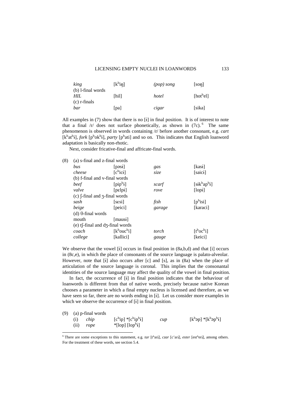#### LICENSING EMPTY NUCLEI IN LOANWORDS 133

| king<br>(b) l-final words | $[k^{\text{h}}$ in] | (pop) song | [son]                 |
|---------------------------|---------------------|------------|-----------------------|
| HIL.<br>$(c)$ r-finals    | [hill]              | hotel      | [hot <sup>h</sup> el] |
| bar                       | [pa]                | cigar      | [sika]                |

All examples in  $(7)$  show that there is no  $[i]$  in final position. It is of interest to note that a final  $/r/$  does not surface phonetically, as shown in  $(7c)$ . <sup>6</sup> The same phenomenon is observed in words containing /r/ before another consonant, e.g. *cart*  $[k<sup>h</sup>a<sup>th</sup>i]$ , *fork* [p<sup>h</sup>ok<sup>h</sup>i], *party* [p<sup>h</sup>ati] and so on. This indicates that English loanword adaptation is basically non-rhotic.

Next, consider fricative-final and affricate-final words.

| (8) | (a) s-final and z-final words |                                                   |        |                         |  |  |  |
|-----|-------------------------------|---------------------------------------------------|--------|-------------------------|--|--|--|
|     | bus                           | [pəsi]                                            | gas    | [kasi]                  |  |  |  |
|     | cheese                        | $[c^{\text{h}}ic\mathbf{i}]$                      | size   | [saici]                 |  |  |  |
|     |                               | (b) f-final and v-final words                     |        |                         |  |  |  |
|     | beef                          | $[pip^h i]$                                       | scarf  | $[sik^hap^h\mathbf{i}]$ |  |  |  |
|     | valve                         | [pelpi]                                           | rove   | [lop <sub>i</sub> ]     |  |  |  |
|     |                               | (c) $\int$ -final and $\tau$ -final words         |        |                         |  |  |  |
|     | sash                          | [sesi]                                            | fish   | $[p^{\text{h}}$ isi]    |  |  |  |
|     | beige                         | [peici]                                           | garage | [karaci]                |  |  |  |
|     | (d) $\theta$ -final words     |                                                   |        |                         |  |  |  |
|     | mouth                         | [maus]                                            |        |                         |  |  |  |
|     |                               | (e) $t$ f-final and d $\overline{3}$ -final words |        |                         |  |  |  |
|     | coach                         | $[k^{\text{h}}$ ouc $\text{h}$ i]                 | torch  | $[t^h$ oc $h$ i]        |  |  |  |
|     | college                       | [kallici]                                         | gauge  | [keici]                 |  |  |  |
|     |                               |                                                   |        |                         |  |  |  |

We observe that the vowel  $[i]$  occurs in final position in  $(8a,b,d)$  and that  $[i]$  occurs in (8c,e), in which the place of consonants of the source language is palato-alveolar. However, note that  $[i]$  also occurs after  $[c]$  and  $[s]$ , as in  $(8a)$  when the place of articulation of the source language is coronal. This implies that the consonantal identities of the source language may affect the quality of the vowel in final position.

In fact, the occurrence of  $[i]$  in final position indicates that the behaviour of loanwords is different from that of native words, precisely because native Korean chooses a parameter in which a final empty nucleus is licensed and therefore, as we have seen so far, there are no words ending in [i]. Let us consider more examples in which we observe the occurrence of  $[i]$  in final position.

|     | $(9)$ (a) p-final words |                                |     |                                        |
|-----|-------------------------|--------------------------------|-----|----------------------------------------|
| (1) | chip                    | $[c^{h}ip]$ * $[c^{h}ip^{h}i]$ | cup | $[k^h$ əp] * $[k^h$ əp <sup>h</sup> i] |
| (i) | rope                    | $\text{*[lop] [lop^h_i]}$      |     |                                        |

<sup>&</sup>lt;sup>6</sup> There are some exceptions to this statement, e.g. *tar* [t<sup>h</sup>ari], *czar* [c'ari], *ester* [est<sup>h</sup>eri], among others. For the treatment of these words, see section 5.4.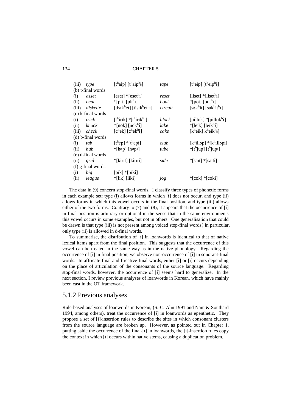| (iii) | type                | $[t^{\text{h}}$ aip] $[t^{\text{h}}$ aip <sup>h</sup> i] | tape    | $[thejp]$ $[thejphi]$                       |
|-------|---------------------|----------------------------------------------------------|---------|---------------------------------------------|
|       | (b) t-final words   |                                                          |         |                                             |
| (i)   | asset               | $[eset]$ * $[eset^h_i]$                                  | reset   | $[{\rm listed}]$ * $[{\rm listed}^{\rm h}]$ |
| (ii)  | beat                | $\vert$ <sup>*</sup> [pit] [pit <sup>h</sup> i]          | boat    | $*$ [pot] [pot <sup>h</sup> i]              |
| (iii) | diskette            | [tisik $^{h}$ et] [tisik $^{h}$ et $^{h}$ i]             | circuit | $[s \infty]$ [sakhith]                      |
|       | (c) k-final words   |                                                          |         |                                             |
| (i)   | trick               | $[t^h$ irik] * $[t^h$ irik $h$ i]                        | block   | $[pi$ llok] * $[pi]$ llok $^h$ i]           |
| (ii)  | knock               | $\frac{\text{F[}}{\text{mok}}$ [nok <sup>h</sup> i]      | lake    | $*$ [leik] [leik $^{\text{h}}$ i]           |
| (iii) | check               | $[c^hek][c^hek^h]$                                       | cake    | [ $k^h$ eik] $k^h$ eik $h^h$ i]             |
|       | (d) b-final words   |                                                          |         |                                             |
| (i)   | tab                 | $[t^{h}$ εp] *[t <sup>h</sup> εpi]                       | club    | $[k^h$ illəp] * $[k^h$ illəpi]              |
| (ii)  | hub                 | $*$ [həp] [həpi]                                         | tube    | $*[t^h]$ up] [ $t^h$ jupi]                  |
|       | (e) d-final words   |                                                          |         |                                             |
| (ii)  | grid                | $*$ [kirit] [kiriti]                                     | side    | $\frac{1}{2}$ [saiti]                       |
|       | $(f)$ g-final words |                                                          |         |                                             |
| (i)   | big                 | $[pik]$ * $[piki]$                                       |         |                                             |
| (ii)  | league              | $*$ [lik] [liki]                                         | jog     | $\epsilon$ [cok] $\epsilon$ [coki]          |
|       |                     |                                                          |         |                                             |

The data in (9) concern stop-final words. I classify three types of phonetic forms in each example set: type  $(i)$  allows forms in which  $[i]$  does not occur, and type  $(ii)$ allows forms in which this vowel occurs in the final position, and type (iii) allows either of the two forms. Contrary to  $(7)$  and  $(8)$ , it appears that the occurrence of [i] in final position is arbitrary or optional in the sense that in the same environments this vowel occurs in some examples, but not in others. One generalisation that could be drawn is that type (iii) is not present among voiced stop-final words', in particular, only type (ii) is allowed in d-final words.

To summarise, the distribution of  $[i]$  in loanwords is identical to that of native lexical items apart from the final position. This suggests that the occurrence of this vowel can be treated in the same way as in the native phonology. Regarding the occurrence of  $[i]$  in final position, we observe non-occurrence of  $[i]$  in sonorant-final words. In affricate-final and fricative-final words, either [i] or [i] occurs depending on the place of articulation of the consonants of the source language. Regarding stop-final words, however, the occurrence of  $[i]$  seems hard to generalize. In the next section, I review previous analyses of loanwords in Korean, which have mainly been cast in the OT framework.

### 5.1.2 Previous analyses

Rule-based analyses of loanwords in Korean, (S.-C. Ahn 1991 and Nam & Southard 1994, among others), treat the occurrence of  $[i]$  in loanwords as epenthetic. They propose a set of  $[i]$ -insertion rules to describe the sites in which consonant clusters from the source language are broken up. However, as pointed out in Chapter 1, putting aside the occurrence of the final-[i] in loanwords, the [i]-insertion rules copy the context in which  $[i]$  occurs within native stems, causing a duplication problem.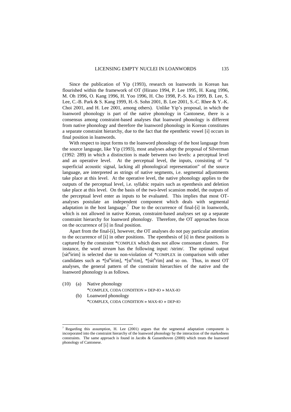Since the publication of Yip (1993), research on loanwords in Korean has flourished within the framework of OT (Hirano 1994, P. Lee 1995, H. Kang 1996, M. Oh 1996, O. Kang 1996, H. Yoo 1996, H. Cho 1998, P.-S. Ku 1999, B. Lee, S. Lee, C.-B. Park & S. Kang 1999, H.-S. Sohn 2001, B. Lee 2001, S.-C. Rhee & Y.-K. Choi 2001, and H. Lee 2001, among others). Unlike Yip's proposal, in which the loanword phonology is part of the native phonology in Cantonese, there is a consensus among constraint-based analyses that loanword phonology is different from native phonology and therefore the loanword phonology in Korean constitutes a separate constraint hierarchy, due to the fact that the epenthetic vowel  $[i]$  occurs in final position in loanwords.

 With respect to input forms to the loanword phonology of the host language from the source language, like Yip (1993), most analyses adopt the proposal of Silverman (1992: 289) in which a distinction is made between two levels: a perceptual level and an operative level. At the perceptual level, the inputs, consisting of "a superficial acoustic signal, lacking all phonological representation" of the source language, are interpreted as strings of native segments, i.e. segmental adjustments take place at this level. At the operative level, the native phonology applies to the outputs of the perceptual level, i.e. syllabic repairs such as epenthesis and deletion take place at this level. On the basis of the two-level scansion model, the outputs of the perceptual level enter as inputs to be evaluated. This implies that most OTanalyses postulate an independent component which deals with segmental adaptation in the host language.<sup>7</sup> Due to the occurrence of final-[i] in loanwords, which is not allowed in native Korean, constraint-based analyses set up a separate constraint hierarchy for loanword phonology. Therefore, the OT approaches focus on the occurrence of [i] in final position.

Apart from the final- $[i]$ , however, the OT analyses do not pay particular attention to the occurrence of  $[i]$  in other positions. The epenthesis of  $[i]$  in these positions is captured by the constraint \*COMPLEX which does not allow consonant clusters. For instance, the word *stream* has the following input: /strim/. The optimal output [sit $^{\text{th}}$ irim] is selected due to non-violation of \*COMPLEX in comparison with other candidates such as \*[sthtat], \*[sthtat], \*[sithtat], and so on. Thus, in most OT analyses, the general pattern of the constraint hierarchies of the native and the loanword phonology is as follows.

(10) (a) Native phonology \*COMPLEX, CODA CONDITION » DEP-IO » MAX-IO

j

 (b) Loanword phonology \*COMPLEX, CODA CONDITION » MAX-IO » DEP-IO

<sup>7</sup> Regarding this assumption, H. Lee (2001) argues that the segmental adaptation component is incorporated into the constraint hierarchy of the loanword phonology by the interaction of the markedness constraints. The same approach is found in Jacobs & Gussenhoven (2000) which treats the loanword phonology of Cantonese.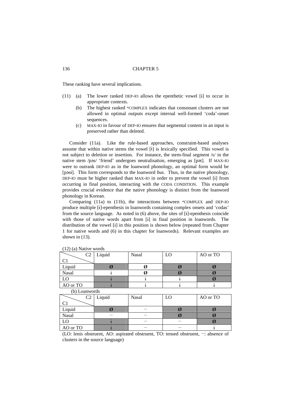These ranking have several implications.

- (11) (a) The lower ranked DEP-IO allows the epenthetic vowel  $[i]$  to occur in appropriate contexts.
	- (b) The highest ranked \*COMPLEX indicates that consonant clusters are not allowed in optimal outputs except internal well-formed 'coda'-onset sequences.
	- (c) MAX-IO in favour of DEP-IO ensures that segmental content in an input is preserved rather than deleted.

 Consider (11a). Like the rule-based approaches, constraint-based analyses assume that within native stems the vowel  $[i]$  is lexically specified. This vowel is not subject to deletion or insertion. For instance, the stem-final segment /s/ in the native stem /pəs/ 'friend' undergoes neutralisation, emerging as [pət]. If MAX-IO were to outrank DEP-IO as in the loanword phonology, an optimal form would be [pssi]. This form corresponds to the loanword *bus*. Thus, in the native phonology, DEP-IO must be higher ranked than MAX-IO in order to prevent the vowel  $[i]$  from occurring in final position, interacting with the CODA CONDITION. This example provides crucial evidence that the native phonology is distinct from the loanword phonology in Korean.

Comparing (11a) to (11b), the interactions between \*COMPLEX and DEP-IO produce multiple [Û]-epenthesis in loanwords containing complex onsets and 'codas' from the source language. As noted in  $(6)$  above, the sites of  $[i]$ -epenthesis coincide with those of native words apart from  $[i]$  in final position in loanwords. The distribution of the vowel  $[i]$  in this position is shown below (repeated from Chapter 1 for native words and (6) in this chapter for loanwords). Relevant examples are shown in (13).

| C2             | Liquid | Nasal | LO | AO or TO |  |
|----------------|--------|-------|----|----------|--|
|                |        |       |    |          |  |
| Liquid         |        | Ø     | Ø  |          |  |
| <b>Nasal</b>   |        | Ø     | Ø  |          |  |
| LO             |        |       |    |          |  |
| AO or TO       |        |       |    |          |  |
| (b) Loanwords  |        |       |    |          |  |
| C <sub>2</sub> | Liquid | Nasal | LO | AO or TO |  |
| C1             |        |       |    |          |  |
| Liquid         |        |       |    |          |  |

 $\overline{\phantom{a}}$ 

(LO: lenis obstruent, AO: aspirated obstruent, TO: tensed obstruent,  $\overline{\phantom{a}}$ : absence of clusters in the source language)

Nasal **| - | - | Ø | Ø** LO Û \_\_ \_\_ **Ø**  AO or TO Û \_\_ \_\_ Û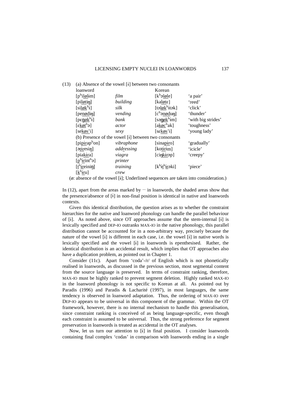| $(13)$ (a) Absence of the vowel [i] between two consonants |  |
|------------------------------------------------------------|--|
|------------------------------------------------------------|--|

| loanword                                            |                                                        | Korean                               |                    |
|-----------------------------------------------------|--------------------------------------------------------|--------------------------------------|--------------------|
| $[p^{\text{h}}\text{ilølim}]$                       | film                                                   | [k <sup>h</sup> ə <u>løl</u> e]      | 'a pair'           |
| [piløtin]                                           | building                                               | [kaløt $\varepsilon$ ]               | 'reed'             |
| $[si\omega k^h i]$                                  | silk                                                   | [tə <u>løk<sup>h</sup>it</u> ək]     | 'click'            |
| [penødin]                                           | vending                                                | [c <sup>h</sup> ə <u>nød</u> uŋ]     | 'thunder'          |
| $[$ penøk $^{\text{h}}$ i]                          | bank                                                   | [sə <u>nøk<sup>h</sup>im]</u>        | 'with big strides' |
| $[\epsilon \underline{k \emptyset t}^{\text{h}}$ ə] | actor                                                  | [a <u>køc</u> <sup>h</sup> ak]       | 'toughness'        |
| [se <u>køs'</u> i]                                  | sexy                                                   | [sɛ <u>køs</u> 'i]                   | 'young lady'       |
|                                                     | (b) Presence of the vowel $[i]$ between two consonants |                                      |                    |
| [pi <u>pir</u> ap <sup>h</sup> on]                  | vibraphone                                             | [sinapiro]                           | 'gradually'        |
| $[ət$ iresin $]$                                    | addressing                                             | [kot <del>i</del> rim]               | 'icicle'           |
| [piakira]                                           | viagra                                                 | [ci <sub>0</sub> ki <sub>1</sub> op] | 'creepy'           |
| $[p^h$ irint <sup>h</sup> ə]                        | printer                                                |                                      |                    |
| $[\underline{t}^{\text{h}}\underline{i}$ reiniŋ]    | training                                               | [kʰitʰirəki]                         | 'piece'            |
| [ $\underline{k}^{\text{h}}$ iru]                   | crew                                                   |                                      |                    |
|                                                     |                                                        |                                      |                    |

 $(\emptyset)$ : absence of the vowel [i]; Underlined sequences are taken into consideration.)

In (12), apart from the areas marked by  $-$  in loanwords, the shaded areas show that the presence/absence of [i] in non-final position is identical in native and loanwords contexts.

Given this identical distribution, the question arises as to whether the constraint hierarchies for the native and loanword phonology can handle the parallel behaviour of  $[i]$ . As noted above, since OT approaches assume that the stem-internal  $[i]$  is lexically specified and DEP-IO outranks MAX-IO in the native phonology, this parallel distribution cannot be accounted for in a non-arbitrary way, precisely because the nature of the vowel  $[i]$  is different in each case, i.e. the vowel  $[i]$  in native words is lexically specified and the vowel  $[i]$  in loanwords is epenthesised. Rather, the identical distribution is an accidental result, which implies that OT approaches also have a duplication problem, as pointed out in Chapter 1.

Consider (11c). Apart from 'coda'- $/r$  of English which is not phonetically realised in loanwords, as discussed in the previous section, most segmental content from the source language is preserved. In terms of constraint ranking, therefore, MAX-IO must be highly ranked to prevent segment deletion. Highly ranked MAX-IO in the loanword phonology is not specific to Korean at all. As pointed out by Paradis (1996) and Paradis & Lacharité (1997), in most languages, the same tendency is observed in loanword adaptation. Thus, the ordering of MAX-IO over DEP-IO appears to be universal in this component of the grammar. Within the OT framework, however, there is no internal mechanism to handle this generalisation, since constraint ranking is conceived of as being language-specific, even though each constraint is assumed to be universal. Thus, the strong preference for segment preservation in loanwords is treated as accidental in the OT analyses.

 Now, let us turn our attention to [Û] in final position. I consider loanwords containing final complex 'codas' in comparison with loanwords ending in a single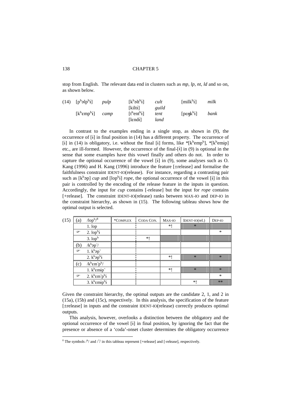stop from English. The relevant data end in clusters such as *mp*, *lp*, *nt*, *ld* and so on, as shown below.

| (14) $[p^{\text{h}} \text{al} p^{\text{h}}]$ | pulp | $[k^h$ əlt $h^h$ i]                               | cult                  | [milk <sup>h</sup> i] | milk |
|----------------------------------------------|------|---------------------------------------------------|-----------------------|-----------------------|------|
| $[k^h\varepsilon m p^h i]$                   | camp | [kilti]<br>$[t^h$ ent <sup>h</sup> i]<br>[length] | guild<br>tent<br>land | $[perk^h]$            | bank |

In contrast to the examples ending in a single stop, as shown in (9), the occurrence of  $[i]$  in final position in  $(14)$  has a different property. The occurrence of [i] in (14) is obligatory, i.e. without the final [i] forms, like  $K[k^hemp^h]$ ,  $K[k^hemp]$ etc., are ill-formed. However, the occurrence of the final- $[i]$  in (9) is optional in the sense that some examples have this vowel finally and others do not. In order to capture the optional occurrence of the vowel  $[i]$  in (9), some analyses such as O. Kang (1996) and H. Kang (1996) introduce the feature [±release] and formalise the faithfulness constraint IDENT-IO(release). For instance, regarding a contrasting pair such as  $[k^h$ **ap** *cup* and  $[lop^h$ **i** *rope*, the optional occurrence of the vowel [i] in this pair is controlled by the encoding of the release feature in the inputs in question. Accordingly, the input for *cup* contains [-release] but the input for *rope* contains [+release]. The constraint IDENT-IO(release) ranks between MAX-IO and DEP-IO in the constraint hierarchy, as shown in (15). The following tableau shows how the optimal output is selected.

| (15) | (a) | $\ln 10^{h/8}$                                       | *COMPLEX | CODA CON. | MAX-IO | $IDENT-IO$ (rel.) | DEP-IO |
|------|-----|------------------------------------------------------|----------|-----------|--------|-------------------|--------|
|      |     | $1.1$ op                                             |          |           | *1     | $\ast$            |        |
|      | ☞   | $2.$ lop $h_i$                                       |          |           |        |                   | *      |
|      |     | $3.1$ op $h$                                         |          | $*1$      |        |                   |        |
|      | (b) | $/k^h$ əp'/                                          |          |           |        |                   |        |
|      | ☞   | $1. kh$ əp'                                          |          |           |        |                   |        |
|      |     | 2. $k^h$ $\mathfrak{sp}^h$ <b>i</b>                  |          |           | $*!$   | $*$               | $*$    |
|      | (c) | $/k^h \epsilon m^{\nu} p^h$ /                        |          |           |        |                   |        |
|      |     | $1. k^h$ εmip <sup>1</sup>                           |          |           | $*!$   | $*$               | $*$    |
|      | ☞   | 2. $k^h$ $\epsilon m^{\nu}$ $p^h$ $\dot{\mathbf{i}}$ |          |           |        |                   | $\ast$ |
|      |     | 3. $k^h$ emip $h_i$                                  |          |           |        | $\ast$            | $**$   |

Given the constraint hierarchy, the optimal outputs are the candidate 2, 1, and 2 in (15a), (15b) and (15c), respectively. In this analysis, the specification of the feature [±release] in inputs and the constraint IDENT-IO(release) correctly produces optimal outputs.

This analysis, however, overlooks a distinction between the obligatory and the optional occurrence of the vowel  $[i]$  in final position, by ignoring the fact that the presence or absence of a 'coda'-onset cluster determines the obligatory occurrence

 $\overline{a}$ 

<sup>&</sup>lt;sup>8</sup> The symbols  $/h$  and  $/1$  in this tableau represent [+release] and [-release], respectively.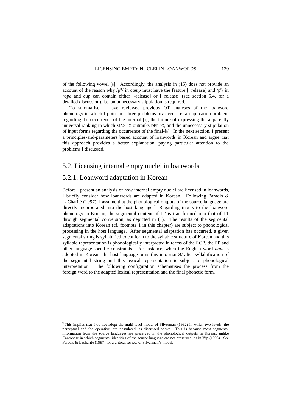of the following vowel  $[i]$ . Accordingly, the analysis in (15) does not provide an account of the reason why  $/p^h$  in *camp* must have the feature [+release] and  $/p^h$  in *rope* and *cup* can contain either [-release] or [+release] (see section 5.4. for a detailed discussion), i.e. an unnecessary stipulation is required.

To summarise, I have reviewed previous OT analyses of the loanword phonology in which I point out three problems involved, i.e. a duplication problem regarding the occurrence of the internal- $[i]$ , the failure of expressing the apparently universal ranking in which MAX-IO outranks DEP-IO, and the unnecessary stipulation of input forms regarding the occurrence of the final- $[i]$ . In the next section, I present a principles-and-parameters based account of loanwords in Korean and argue that this approach provides a better explanation, paying particular attention to the problems I discussed.

## 5.2. Licensing internal empty nuclei in loanwords

# 5.2.1. Loanword adaptation in Korean

 $\overline{a}$ 

Before I present an analysis of how internal empty nuclei are licensed in loanwords, I briefly consider how loanwords are adapted in Korean. Following Paradis & LaCharité (1997), I assume that the phonological outputs of the source language are directly incorporated into the host language. $9$  Regarding inputs to the loanword phonology in Korean, the segmental content of L2 is transformed into that of L1 through segmental conversion, as depicted in (1). The results of the segmental adaptations into Korean (cf. footnote 1 in this chapter) are subject to phonological processing in the host language. After segmental adaptation has occurred, a given segmental string is syllabified to conform to the syllable structure of Korean and this syllabic representation is phonologically interpreted in terms of the ECP, the PP and other language-specific constraints. For instance, when the English word *dam* is adopted in Korean, the host language turns this into /temØ/ after syllabification of the segmental string and this lexical representation is subject to phonological interpretation. The following configuration schematises the process from the foreign word to the adapted lexical representation and the final phonetic form.

<sup>&</sup>lt;sup>9</sup> This implies that I do not adopt the multi-level model of Silverman (1992) in which two levels, the perceptual and the operative, are postulated, as discussed above. This is because most segmental information from the source languages are preserved in the phonological outputs in Korean, unlike Cantonese in which segmental identities of the source language are not preserved, as in Yip (1993). See Paradis & Lacharité (1997) for a critical review of Silverman's model.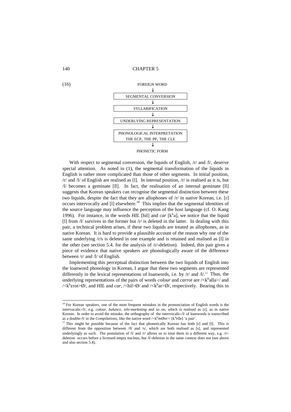

PHONETIC FORM

With respect to segmental conversion, the liquids of English,  $\pi$  and  $\pi$ , deserve special attention. As noted in (1), the segmental transformation of the liquids in English is rather more complicated than those of other segments. In initial position, /r/ and /l/ of English are realised as [l]. In internal position, /r/ is realised as it is, but /l/ becomes a geminate [ll]. In fact, the realisation of an internal geminate [ll] suggests that Korean speakers can recognise the segmental distinction between these two liquids, despite the fact that they are allophones of  $/r/$  in native Korean, i.e. [r] occurs intervocally and [1] elsewhere.<sup>10</sup> This implies that the segmental identities of the source language may influence the perception of the host language (cf. O. Kang 1996). For instance, in the words  $HIL$  [hil] and *car* [ $k<sup>h</sup>a$ ], we notice that the liquid [1] from  $\Lambda$ / survives in the former but  $\Lambda$ /r/ is deleted in the latter. In dealing with this pair, a technical problem arises, if these two liquids are treated as allophones, as in native Korean. It is hard to provide a plausible account of the reason why one of the same underlying /r/s is deleted in one example and is retained and realised as [l] in the other (see section 5.4. for the analysis of /r/-deletion). Indeed, this pair gives a piece of evidence that native speakers are phonologically aware of the difference between /r/ and /l/ of English.

 Implementing this perceptual distinction between the two liquids of English into the loanword phonology in Korean, I argue that these two segments are represented differently in the lexical representations of loanwords, i.e. by /r/ and /l/.<sup>11</sup> Thus, the underlying representations of the pairs of words *colour* and *carrot* are  $\langle \langle k^{\text{h}} \text{all} a \rangle$  and  $\frac{\lambda}{k}$ erot $\frac{g}{g}$ , and *HIL* and *car*,  $\frac{\lambda}{h}$ il  $\frac{g}{g}$  and  $\frac{\lambda}{k}$ ar  $\frac{g}{g}$ , respectively. Bearing this in

 $\overline{a}$ 

<sup>&</sup>lt;sup>10</sup> For Korean speakers, one of the most frequent mistakes in the pronunciation of English words is the intervocalic-/l/, e.g. *colour*, *balance*, *tele-marketing* and so on, which is realised as [r], as in native Korean. In order to avoid the mistake, the orthography of the intervocalic-/l/ of loanwords is transcribed as a double-/l/ in the *Compilations*, like the native word  $/\langle k^h \text{or} \mathcal{O}r \text{e}\rangle / [k^h \text{olle}]$  'a pair'. <sup>11</sup> This might be possible because of the fact that phonetically Korean has both [r] and [l]. This is

different from the opposition between / $\theta$ / and /s/, which are both realised as [s], and represented underlyingly as such. The postulation of  $/l$  and  $/r$  allows us to treat them in a different way, e.g.  $/r$ deletion occurs before a licensed empty nucleus, but /l/-deletion in the same context does not (see above and also section 5.4).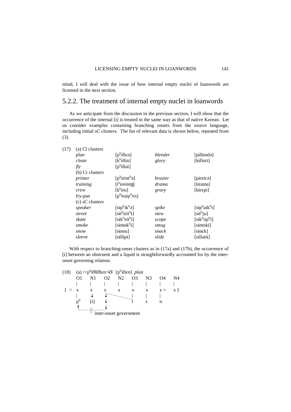mind, I will deal with the issue of how internal empty nuclei of loanwords are licensed in the next section.

# 5.2.2. The treatment of internal empty nuclei in loanwords

 As we anticipate from the discussion in the previous section, I will show that the occurrence of the internal  $[i]$  is treated in the same way as that of native Korean. Let us consider examples containing branching onsets from the source language, including initial sC clusters. The list of relevant data is shown below, repeated from (3).

| (17)<br>(a) Cl clusters |                               |  |
|-------------------------|-------------------------------|--|
| plan                    | blender<br>$[p\text{-}illend$ |  |
| clean                   | [killori]                     |  |
| fly                     |                               |  |
| (b) Cr clusters         |                               |  |
| printer                 | [pireica]<br>brazier          |  |
| training                | [tirama]                      |  |
| crew                    | [kir $\epsilon$ pi]           |  |
| fry-pan                 |                               |  |
| $(c)$ sC clusters       |                               |  |
| speaker                 | $[sip^h a i k^h i]$           |  |
| street                  | $[sit^h]$ iu]                 |  |
| skate                   | $[sik^hop^h]$                 |  |
| smoke                   | [simoki]                      |  |
| snow                    | [sinek]                       |  |
| sleeve                  | [sillaiti]                    |  |
|                         |                               |  |

With respect to branching-onset clusters as in (17a) and (17b), the occurrence of  $[i]$  between an obstruent and a liquid is straightforwardly accounted for by the interonset governing relation.

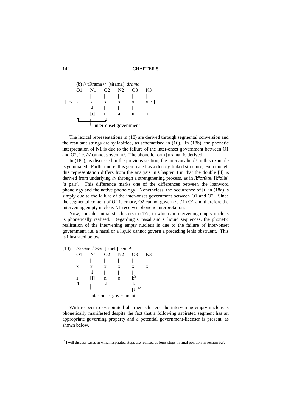```
142 CHAPTER 5
```


 The lexical representations in (18) are derived through segmental conversion and the resultant strings are syllabified, as schematised in (16). In (18b), the phonetic interpretation of N1 is due to the failure of the inter-onset government between O1 and O2, i.e.  $/r$  cannot govern  $/t$ . The phonetic form [tirama] is derived.

In (18a), as discussed in the previous section, the intervocalic  $\Lambda$  in this example is geminated. Furthermore, this geminate has a doubly-linked structure, even though this representation differs from the analysis in Chapter 3 in that the double [ll] is derived from underlying /r/ through a strengthening process, as in /khar $\Phi$ re/ [kh]le] 'a pair'. This difference marks one of the differences between the loanword phonology and the native phonology. Nonetheless, the occurrence of  $[i]$  in (18a) is simply due to the failure of the inter-onset government between O1 and O2. Since the segmental content of O2 is empty, O2 cannot govern  $/p<sup>h</sup>/$  in O1 and therefore the intervening empty nucleus N1 receives phonetic interpretation.

Now, consider initial sC clusters in (17c) in which an intervening empty nucleus is phonetically realised. Regarding s+nasal and s+liquid sequences, the phonetic realisation of the intervening empty nucleus is due to the failure of inter-onset government, i.e. a nasal or a liquid cannot govern a preceding lenis obstruent. This is illustrated below.



With respect to s+aspirated obstruent clusters, the intervening empty nucleus is phonetically manifested despite the fact that a following aspirated segment has an appropriate governing property and a potential government-licenser is present, as shown below.

 $\overline{a}$ 

 $12$  I will discuss cases in which aspirated stops are realised as lenis stops in final position in section 5.3.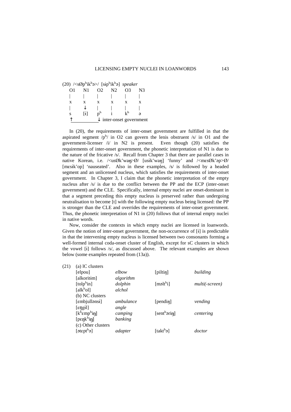| (20) $\sqrt{sp}$ <sup>n</sup> ik <sup>n</sup> ə>/ [sip <sup>n</sup> ik <sup>n</sup> ə] speaker |  |  |
|------------------------------------------------------------------------------------------------|--|--|
|------------------------------------------------------------------------------------------------|--|--|

| 0 I I | N1  | O <sub>2</sub> | N2                     | OЗ | N3 |
|-------|-----|----------------|------------------------|----|----|
|       |     |                |                        |    |    |
| X     | X   | X              | x                      | X  | x  |
|       |     |                |                        |    |    |
| S     | fil | $p^h$          |                        | ւհ |    |
|       |     | ↓              | inter-onset government |    |    |

In (20), the requirements of inter-onset government are fulfilled in that the aspirated segment  $/p^h$  in O2 can govern the lenis obstruent /s/ in O1 and the government-licenser /i/ in N2 is present. Even though (20) satisfies the requirements of inter-onset government, the phonetic interpretation of N1 is due to the nature of the fricative /s/. Recall from Chapter 3 that there are parallel cases in native Korean, i.e.  $/\langle us\emptyset k'wa\eta\rangle\emptyset/$  [usik'wan] 'funny' and  $/\langle mes\emptyset k'ap\rangle\emptyset/$ [mesik'op] 'nauseated'. Also in these examples, /s/ is followed by a headed segment and an unlicensed nucleus, which satisfies the requirements of inter-onset government. In Chapter 3, I claim that the phonetic interpretation of the empty nucleus after /s/ is due to the conflict between the PP and the ECP (inter-onset government) and the CLE. Specifically, internal empty nuclei are onset-dominant in that a segment preceding this empty nucleus is preserved rather than undergoing neutralisation to become [t] with the following empty nucleus being licensed: the PP is stronger than the CLE and overrides the requirements of inter-onset government. Thus, the phonetic interpretation of N1 in (20) follows that of internal empty nuclei in native words.

Now, consider the contexts in which empty nuclei are licensed in loanwords. Given the notion of inter-onset government, the non-occurrence of  $[i]$  is predictable in that the intervening empty nucleus is licensed between two consonants forming a well-formed internal coda-onset cluster of English, except for sC clusters in which the vowel  $[i]$  follows /s/, as discussed above. The relevant examples are shown below (some examples repeated from (13a)).

| (21) | (a) IC clusters                    |           |                  |                        |
|------|------------------------------------|-----------|------------------|------------------------|
|      | [elpou]                            | elbow     | [piltin]         | building               |
|      | [alkoritim]                        | algorithm |                  |                        |
|      | [tolp <sup>h</sup> in]             | dolphin   | [məlt $h$ i]     | <i>multi</i> (-screen) |
|      | [al $k^{\text{h}}$ ol]             | alchol    |                  |                        |
|      | (b) NC clusters                    |           |                  |                        |
|      | [embjullənsi]                      | ambulance | [pendin]         | vending                |
|      | [engil]                            | angle     |                  |                        |
|      | $[k^h$ <i>emp</i> <sup>h</sup> in] | camping   | $[senthəri\eta]$ | centering              |
|      | [perk <sup>h</sup> in]             | banking   |                  |                        |
|      | (c) Other clusters                 |           |                  |                        |
|      | $[$ ət $\epsilon$ pt $^h$ ə]       | adapter   | [taktʰə]         | doctor                 |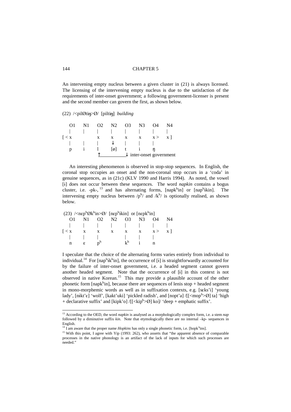An intervening empty nucleus between a given cluster in (21) is always licensed. The licensing of the intervening empty nucleus is due to the satisfaction of the requirements of inter-onset government; a following government-licenser is present and the second member can govern the first, as shown below.

(22) /<pilØtin >Ø/ [piltin] *building* 

|             | N1 | O2           | N2  | 03           | N3           | O <sub>4</sub>                      | N4 |
|-------------|----|--------------|-----|--------------|--------------|-------------------------------------|----|
|             |    |              |     |              |              |                                     |    |
| $\vert < x$ |    | $\mathbf{X}$ | X   | $\mathbf{X}$ | $\mathbf{X}$ | X > X                               |    |
|             |    |              | ↓   |              |              |                                     |    |
| D           |    |              | [ø] |              |              |                                     |    |
|             |    |              |     |              |              | $\downarrow$ inter-onset government |    |

 An interesting phenomenon is observed in stop-stop sequences. In English, the coronal stop occupies an onset and the non-coronal stop occurs in a 'coda' in genuine sequences, as in (21c) (KLV 1990 and Harris 1994). As noted, the vowel [i] does not occur between these sequences. The word *napkin* contains a bogus cluster, i.e.  $-bk-1^3$  and has alternating forms. [napk<sup>h</sup>in] or [nap<sup>h</sup>ikin]. The cluster, i.e.  $-pk-$ ,  $^{13}$  and has alternating forms,  $[nap^h$ in or  $[nap^h$ ikin]. intervening empty nucleus between  $/b^h$  and  $/k^h$  is optionally realised, as shown below.

| (23) $/\langle n\varepsilon p^h \mathcal{O} k^h i n \rangle \mathcal{O}/\left[n\varepsilon p^h i k i n\right]$ or $[n\varepsilon p k^h i n]$ |               |              |              |    |                |                 |  |
|----------------------------------------------------------------------------------------------------------------------------------------------|---------------|--------------|--------------|----|----------------|-----------------|--|
|                                                                                                                                              | N1            | $\Omega$     | N2           | O3 | N <sup>3</sup> | O4              |  |
|                                                                                                                                              |               |              |              |    |                |                 |  |
| $\mathbf{K} < \mathbf{X}$                                                                                                                    |               | $\mathbf{X}$ | $\mathbf{X}$ |    |                | $X \tX \tX > X$ |  |
|                                                                                                                                              |               |              |              |    |                |                 |  |
| n                                                                                                                                            | $\varepsilon$ |              |              |    |                | n               |  |

I speculate that the choice of the alternating forms varies entirely from individual to individual.<sup>14</sup> For  $[na<sub>p</sub><sup>h</sup><sub>i</sub><sub>k</sub><sup>h</sup><sub>i</sub><sub>h</sub>]$ , the occurrence of  $[i]$  is straightforwardly accounted for by the failure of inter-onset government, i.e. a headed segment cannot govern another headed segment. Note that the occurrence of  $[i]$  in this context is not observed in native Korean.<sup>15</sup> This may provide a plausible account of the other phonetic form  $[napk<sup>h</sup>in]$ , because there are sequences of lenis stop + headed segment in mono-morphemic words as well as in suffixation contexts, e.g. [sEks'i] 'young lady', [nikt'ɛ] 'wolf', [kakt'uki] 'pickled radish', and  $\lceil n \text{opt'}a \rceil / \lceil \langle \text{map}^h \rangle \emptyset \rceil$  ta] 'high + declarative suffix' and [kipk'o] /[[<kiph>Ø] ko]/ 'deep + emphatic suffix'.

 $\overline{a}$ 

<sup>13</sup> According to the OED, the word *napkin* is analysed as a morphologically complex form, i.e. a stem *nap* followed by a diminutive suffix *kin*. Note that etymologically there are no internal –kp- sequences in English.<br> $^{14}$  I am aware that the proper name *Hopkins* has only a single phonetic form, i.e. [hopk<sup>h</sup>ins].

<sup>&</sup>lt;sup>15</sup> With this point, I agree with Yip (1993: 262), who asserts that "the apparent absence of comparable processes in the native phonology is an artifact of the lack of inputs for which such processes are needed."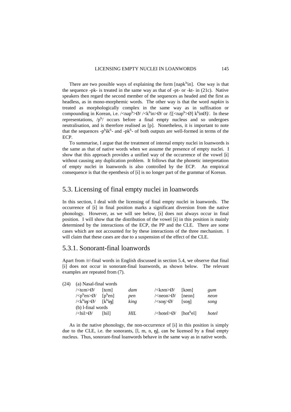There are two possible ways of explaining the form [napk<sup>h</sup>in]. One way is that the sequence -pk- is treated in the same way as that of -pt- or -kt- in (21c). Native speakers then regard the second member of the sequences as headed and the first as headless, as in mono-morphemic words. The other way is that the word *napkin* is treated as morphologically complex in the same way as in suffixation or compounding in Korean, i.e.  $\langle \text{cap}^h \rangle \mathcal{O}/\langle k^h \text{in} \rangle \mathcal{O}/\langle \text{or } /[ \langle \text{cap}^h \rangle \mathcal{O} ] k^h \text{in} \mathcal{O} ]/$ . In these representations,  $/p<sup>h</sup>/$  occurs before a final empty nucleus and so undergoes neutralisation, and is therefore realised as [p]. Nonetheless, it is important to note that the sequences  $-p^h$ ik<sup>h</sup>- and -pk<sup>h</sup>- of both outputs are well-formed in terms of the ECP.

To summarise, I argue that the treatment of internal empty nuclei in loanwords is the same as that of native words when we assume the presence of empty nuclei. I show that this approach provides a unified way of the occurrence of the vowel  $[i]$ without causing any duplication problem. It follows that the phonetic interpretation of empty nuclei in loanwords is also controlled by the ECP. An empirical consequence is that the epenthesis of  $[i]$  is no longer part of the grammar of Korean.

### 5.3. Licensing of final empty nuclei in loanwords

In this section, I deal with the licensing of final empty nuclei in loanwords. The occurrence of [Û] in final position marks a significant diversion from the native phonology. However, as we will see below, [i] does not always occur in final position. I will show that the distribution of the vowel  $[i]$  in this position is mainly determined by the interactions of the ECP, the PP and the CLE. There are some cases which are not accounted for by these interactions of the three mechanism. I will claim that these cases are due to a suspension of the effect of the CLE.

### 5.3.1. Sonorant-final loanwords

Apart from /r/-final words in English discussed in section 5.4, we observe that final [Û] does not occur in sonorant-final loanwords, as shown below. The relevant examples are repeated from (7).

| (a) Nasal-final words          |  |  |  |  |  |  |  |
|--------------------------------|--|--|--|--|--|--|--|
| Ikəml<br>gum                   |  |  |  |  |  |  |  |
| [neon]<br>neon                 |  |  |  |  |  |  |  |
| [son]<br>song                  |  |  |  |  |  |  |  |
|                                |  |  |  |  |  |  |  |
| [hot <sup>h</sup> el]<br>hotel |  |  |  |  |  |  |  |
|                                |  |  |  |  |  |  |  |

As in the native phonology, the non-occurrence of  $[i]$  in this position is simply due to the CLE, i.e. the sonorants,  $[I, m, n, n]$ , can be licensed by a final empty nucleus. Thus, sonorant-final loanwords behave in the same way as in native words.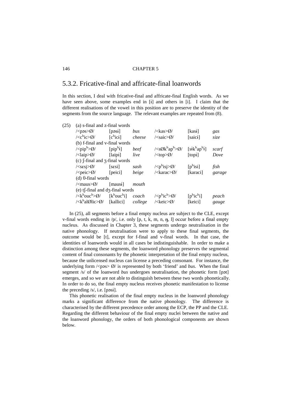# 5.3.2. Fricative-final and affricate-final loanwords

In this section, I deal with fricative-final and affricate-final English words. As we have seen above, some examples end in [i] and others in [i]. I claim that the different realisations of the vowel in this position are to preserve the identity of the segments from the source language. The relevant examples are repeated from (8).

| (25) | (a) s-final and z-final words                                                                                  |                            |         |                                                         |                                |        |  |  |
|------|----------------------------------------------------------------------------------------------------------------|----------------------------|---------|---------------------------------------------------------|--------------------------------|--------|--|--|
|      | $\ell$                                                                                                         | $[$ p $\sigma$ si $]$      | bus     | / <kas>Ø/</kas>                                         | [kas]                          | gas    |  |  |
|      | $\left  \langle c^{\text{h}}\text{i}\text{c}\rangle \mathcal{O}\right $                                        | $[c^{\text{h}}ic\text{i}]$ | cheese  | $\frac{\pi}{3}$                                         | [saici]                        | size   |  |  |
|      | (b) f-final and v-final words                                                                                  |                            |         |                                                         |                                |        |  |  |
|      | $\ell$ $\langle$ pip <sup>h</sup> $\rangle$ Ø $\ell$                                                           | $[pip^h i]$                | beef    | $\frac{\log h}{\log h}$ / <s<math>\varnothing/</s<math> | $[sik^hap^h]$                  | scarf  |  |  |
|      | $\ell$ laip>Ø $\ell$                                                                                           | [laipi]                    | live    | $\ell$ top $\gg$                                        | [topi]                         | Dove   |  |  |
|      | (c) $\int$ -final and $\overline{3}$ -final words                                                              |                            |         |                                                         |                                |        |  |  |
|      | $\frac{\log 1}{\log 1}$                                                                                        | [ssii]                     | sash    | $\sqrt{p}$ isj>Ø/                                       | $[p^{\text{h}}$ isi]           | fish   |  |  |
|      | $\sqrt{p}eic\sqrt{g}$                                                                                          | [peici]                    | beige   | $\frac{\angle \text{karac}}{0}$                         | [karaci]                       | garage |  |  |
|      | (d) $\theta$ -final words                                                                                      |                            |         |                                                         |                                |        |  |  |
|      | $\ell$ maus $\gg$                                                                                              | [mausi]                    | mouth   |                                                         |                                |        |  |  |
|      | (e) tf-final and d3-final words                                                                                |                            |         |                                                         |                                |        |  |  |
|      | $\langle \langle k^{\rm h} \text{ouc}^{\rm h} \rangle \varnothing \rangle$ [k <sup>h</sup> ouc <sup>h</sup> i] |                            | coach   | $\ell$                                                  | $[p^{\text{h}}ic^{\text{h}}i]$ | peach  |  |  |
|      | / <k<sup>halØlic&gt;Ø/</k<sup>                                                                                 | [kallici]                  | college | $\ell$ -keic>Ø $\ell$                                   | [keici]                        | gauge  |  |  |
|      |                                                                                                                |                            |         |                                                         |                                |        |  |  |

 In (25), all segments before a final empty nucleus are subject to the CLE, except v-final words ending in /p/, i.e. only [p, t, k, m, n, n, ]] occur before a final empty nucleus. As discussed in Chapter 3, these segments undergo neutralisation in the native phonology. If neutralisation were to apply to these final segments, the outcome would be [t], except for f-final and v-final words. In that case, the identities of loanwords would in all cases be indistinguishable. In order to make a distinction among these segments, the loanword phonology preserves the segmental content of final consonants by the phonetic interpretation of the final empty nucleus, because the unlicensed nucleus can license a preceding consonant. For instance, the underlying form  $\ell$  pas $> \mathcal{O}/i$  is represented by both 'friend' and *bus*. When the final segment /s/ of the loanword *bus* undergoes neutralisation, the phonetic form [pot] emerges, and so we are not able to distinguish between these two words phonetically. In order to do so, the final empty nucleus receives phonetic manifestation to license the preceding  $/s/$ , i.e. [pasi].

This phonetic realisation of the final empty nucleus in the loanword phonology marks a significant difference from the native phonology. The difference is characterised by the different precedence order among the ECP, the PP and the CLE. Regarding the different behaviour of the final empty nuclei between the native and the loanword phonology, the orders of both phonological components are shown below.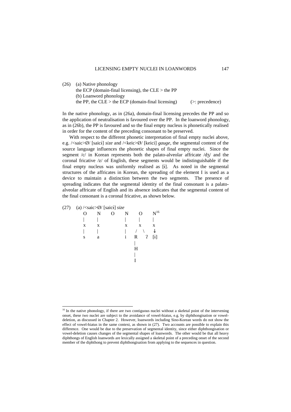(26) (a) Native phonology the ECP (domain-final licensing), the  $CLE >$  the PP (b) Loanword phonology the PP, the  $CLE >$  the  $ECP$  (domain-final licensing) ( $>$ : precedence)

In the native phonology, as in (26a), domain-final licensing precedes the PP and so the application of neutralisation is favoured over the PP. In the loanword phonology, as in (26b), the PP is favoured and so the final empty nucleus is phonetically realised in order for the content of the preceding consonant to be preserved.

With respect to the different phonetic interpretation of final empty nuclei above, e.g.  $\frac{1}{\sqrt{2}}$  [saici] size and  $\frac{1}{\sqrt{2}}$  [keici] gauge, the segmental content of the source language influences the phonetic shapes of final empty nuclei. Since the segment /c/ in Korean represents both the palato-alveolar affricate  $\frac{d}{dx}$  and the coronal fricative /z/ of English, these segments would be indistinguishable if the final empty nucleus was uniformly realised as  $[i]$ . As noted in the segmental structures of the affricates in Korean, the spreading of the element I is used as a device to maintain a distinction between the two segments. The presence of spreading indicates that the segmental identity of the final consonant is a palatoalveolar affricate of English and its absence indicates that the segmental content of the final consonant is a coronal fricative, as shown below.



 $\overline{a}$ 

| ╰<br>$\overline{\phantom{a}}$ | $\cdots$<br>$\sim$<br>. | $\cdots$ . The same state $\cdots$ | л. | $\cdots$ |                              |          |
|-------------------------------|-------------------------|------------------------------------|----|----------|------------------------------|----------|
|                               |                         | N                                  |    | N        | Ω                            | $N^{16}$ |
|                               |                         |                                    |    |          |                              |          |
|                               | X                       | X                                  |    | X        | X                            | X        |
|                               |                         |                                    |    |          |                              |          |
|                               | S                       | a                                  |    | i        | $\mathbf{R}$<br>$\mathbf{R}$ | $[1]$    |
|                               |                         |                                    |    |          |                              |          |
|                               |                         |                                    |    |          | Н                            |          |
|                               |                         |                                    |    |          |                              |          |
|                               |                         |                                    |    |          |                              |          |
|                               |                         |                                    |    |          |                              |          |

<sup>&</sup>lt;sup>16</sup> In the native phonology, if there are two contiguous nuclei without a skeletal point of the intervening onset, these two nuclei are subject to the avoidance of vowel-hiatus, e.g. by diphthongisation or voweldeletion, as discussed in Chapter 2. However, loanwords including Sino-Korean words do not show the effect of vowel-hiatus in the same context, as shown in (27). Two accounts are possible to explain this difference. One would be due to the preservation of segmental identity, since either diphthongisation or vowel-deletion causes changes of the segmental shapes of loanwords. The other would be that all heavy diphthongs of English loanwords are lexically assigned a skeletal point of a preceding onset of the second member of the diphthong to prevent diphthongisation from applying to the sequences in question.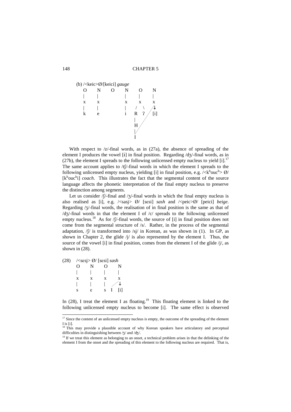

With respect to /z/-final words, as in (27a), the absence of spreading of the element I produces the vowel [i] in final position. Regarding  $\frac{d}{dx}$ -final words, as in (27b), the element I spreads to the following unlicensed empty nucleus to yield  $[i]$ .<sup>17</sup> The same account applies to  $/t$   $\lceil$ -final words in which the element I spreads to the following unlicensed empty nucleus, yielding [i] in final position, e.g.  $\langle \langle k^{\text{h}} \text{ouc}^{\text{h}} \rangle \mathcal{D}/\mathcal{D}$  $[k^{\text{h}}$ <sub>0</sub> coach. This illustrates the fact that the segmental content of the source language affects the phonetic interpretation of the final empty nucleus to preserve the distinction among segments.

Let us consider / $\int$ -final and / $\tau$ /-final words in which the final empty nucleus is also realised as [i], e.g. /<sasj> Ø/ [sEsi] *sash* and /<peic>Ø/ [peici] *beige*. Regarding  $\sqrt{z}$ -final words, the realisation of in final position is the same as that of  $\frac{d}{dx}$ -final words in that the element I of  $\frac{c}{dx}$  spreads to the following unlicensed empty nucleus.<sup>18</sup> As for / $\int$ /-final words, the source of [i] in final position does not come from the segmental structure of /s/. Rather, in the process of the segmental adaptation,  $\sqrt{ }$  is transformed into  $\sqrt{s}$  in Korean, as was shown in (1). In GP, as shown in Chapter 2, the glide  $jj$  is also represented by the element I. Thus, the source of the vowel [i] in final position, comes from the element I of the glide  $/j$ , as shown in (28).

(28) /<sEsj> Ø/ [sEsi] *sash* O N O N | | | |

 $\overline{a}$ 

 $X$   $X$   $X$   $X$ | | | | /↓ s  $\varepsilon$  s I [i]

In  $(28)$ , I treat the element I as floating.<sup>19</sup> This floating element is linked to the following unlicensed empty nucleus to become [i]. The same effect is observed

 $17$  Since the content of an unlicensed empty nucleus is empty, the outcome of the spreading of the element I is [i].

<sup>&</sup>lt;sup>18</sup> This may provide a plausible account of why Korean speakers have articulatory and perceptual difficulties in distinguishing between / $\frac{z}{d}$  and /d $\frac{z}{d}$ .<br><sup>19</sup> If we treat this element as belonging to an onset, a technical problem arises in that the delinking of the

element I from the onset and the spreading of this element to the following nucleus are required. That is,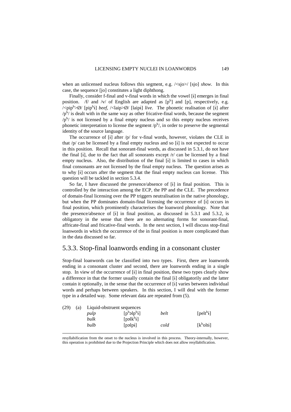when an unlicensed nucleus follows this segment, e.g.  $\langle \langle s \rangle \rangle$  [sjo] *show*. In this case, the sequence [jo] constitutes a light diphthong.

Finally, consider f-final and v-final words in which the vowel  $[i]$  emerges in final position. /f/ and /v/ of English are adapted as  $[p^h]$  and  $[p]$ , respectively, e.g. /<pip<sup>h</sup>>Ø/ [pip<sup>h</sup>i] *beef,* /<laip>Ø/ [laipi] *live*. The phonetic realisation of [i] after  $/p<sup>h</sup>/$  is dealt with in the same way as other fricative-final words, because the segment  $/p<sup>h</sup>$  is not licensed by a final empty nucleus and so this empty nucleus receives phonetic interpretation to license the segment  $/p<sup>h</sup>/$ , in order to preserve the segmental identity of the source language.

The occurrence of  $\overline{[i]}$  after /p/ for v-final words, however, violates the CLE in that  $/p$  can be licensed by a final empty nucleus and so  $[i]$  is not expected to occur in this position. Recall that sonorant-final words, as discussed in 5.3.1, do not have the final  $[i]$ , due to the fact that all sonorants except  $\gamma r$  can be licensed by a final empty nucleus. Also, the distribution of the final [i] is limited to cases in which final consonants are not licensed by the final empty nucleus. The question arises as to why  $[i]$  occurs after the segment that the final empty nucleus can license. This question will be tackled in section 5.3.4.

So far, I have discussed the presence/absence of [i] in final position. This is controlled by the interaction among the ECP, the PP and the CLE. The precedence of domain-final licensing over the PP triggers neutralisation in the native phonology, but when the PP dominates domain-final licensing the occurrence of  $[i]$  occurs in final position, which prominently characterises the loanword phonology. Note that the presence/absence of  $[i]$  in final position, as discussed in 5.3.1 and 5.3.2, is obligatory in the sense that there are no alternating forms for sonorant-final, affricate-final and fricative-final words. In the next section, I will discuss stop-final loanwords in which the occurrence of the in final position is more complicated than in the data discussed so far.

### 5.3.3. Stop-final loanwords ending in a consonant cluster

Stop-final loanwords can be classified into two types. First, there are loanwords ending in a consonant cluster and second, there are loanwords ending in a single stop. In view of the occurrence of  $[i]$  in final position, these two types clearly show a difference in that the former usually contain the final  $[i]$  obligatorily and the latter contain it optionally, in the sense that the occurrence of  $[i]$  varies between individual words and perhaps between speakers. In this section, I will deal with the former type in a detailed way. Some relevant data are repeated from (5).

| (29) | (a) | Liquid-obstruent sequences |                                |      |                              |  |  |
|------|-----|----------------------------|--------------------------------|------|------------------------------|--|--|
|      |     | pulp                       | $[p^{\rm h}$ əl $p^{\rm h}$ i] | belt | $[{\rm pelt}^{\rm h}]$       |  |  |
|      |     | bulk                       | $[p\partial k^h i]$            |      |                              |  |  |
|      |     | bulb                       | [pəlp <sub>i</sub> ]           | cold | $[k^{\text{h}} \text{ol} t]$ |  |  |
|      |     |                            |                                |      |                              |  |  |

 resyllabification from the onset to the nucleus is involved in this process. Theory-internally, however, this operation is prohibited due to the Projection Principle which does not allow resyllabification.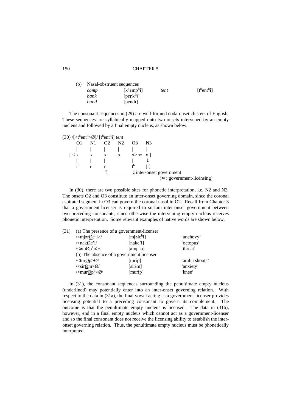| (b) | Nasal-obstruent sequences |                  |      |                                 |  |  |
|-----|---------------------------|------------------|------|---------------------------------|--|--|
|     | camp                      | $[k^hemp^h]$     | tent | $[t^h$ ent $h$ <sup>i</sup> $]$ |  |  |
|     | bank                      | $[$ pen $k^h$ i] |      |                                 |  |  |
|     | band                      | [pendi]          |      |                                 |  |  |

The consonant sequences in (29) are well-formed coda-onset clusters of English. These sequences are syllabically mapped onto two onsets intervened by an empty nucleus and followed by a final empty nucleus, as shown below.

|          |                | (30) / $\lceil <$ t <sup>h</sup> ent <sup>h</sup> >Ø]/ $\lceil$ t <sup>h</sup> ent <sup>h</sup> i] <i>tent</i> |             |       |                              |                                             |
|----------|----------------|----------------------------------------------------------------------------------------------------------------|-------------|-------|------------------------------|---------------------------------------------|
|          | $\Omega$ 1     | N1                                                                                                             | $\Omega$    | N2 03 |                              | N <sub>3</sub>                              |
|          |                |                                                                                                                |             |       |                              |                                             |
| $\sim x$ |                |                                                                                                                |             |       | $X \t X \t X \t X \t \geq X$ |                                             |
|          |                |                                                                                                                |             |       |                              |                                             |
|          | f <sup>h</sup> | e                                                                                                              | $\mathbf n$ |       |                              |                                             |
|          |                |                                                                                                                |             |       |                              | $\downarrow$ inter-onset government         |
|          |                |                                                                                                                |             |       |                              | $(\Leftarrow: government\text{-}licensing)$ |

 In (30), there are two possible sites for phonetic interpretation, i.e. N2 and N3. The onsets O2 and O3 constitute an inter-onset governing domain, since the coronal aspirated segment in O3 can govern the coronal nasal in O2. Recall from Chapter 3 that a government-licenser is required to sustain inter-onset government between two preceding consonants, since otherwise the intervening empty nucleus receives phonetic interpretation. Some relevant examples of native words are shown below.

| (31) |                                                                     | (a) The presence of a government-licenser |                 |
|------|---------------------------------------------------------------------|-------------------------------------------|-----------------|
|      | $\frac{\text{mipr}}{\text{Qc}^{\text{h}}\text{p}}$                  | [mjəlc <sup>h</sup> i]                    | 'anchovy'       |
|      | / <nakøc'i <="" td=""><td>[nakc'i]</td><td>'octopus'</td></nakøc'i> | [nakc'i]                                  | 'octopus'       |
|      | $\ell$ am $\chi$ $p^{\text{h}}$ o $\gg$                             | $[omp^h$ o]                               | 'threat'        |
|      |                                                                     | (b) The absence of a government licenser  |                 |
|      | / <turøp>Ø/</turøp>                                                 | [turn]                                    | 'aralia shoots' |
|      | $\sqrt{\sin 9m}$                                                    | [sirim]                                   | 'anxiety'       |
|      | / <mur<math>\mathcal{Q}p^h&gt;<math>\mathcal{O}/</math></mur<math>  | [murip]                                   | 'knee'          |

In (31), the consonant sequences surrounding the penultimate empty nucleus (underlined) may potentially enter into an inter-onset governing relation. With respect to the data in (31a), the final vowel acting as a government-licenser provides licensing potential to a preceding consonant to govern its complement. The outcome is that the penultimate empty nucleus is licensed. The data in (31b), however, end in a final empty nucleus which cannot act as a government-licenser and so the final consonant does not receive the licensing ability to establish the interonset governing relation. Thus, the penultimate empty nucleus must be phonetically interpreted.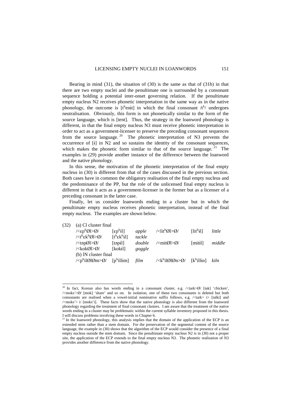Bearing in mind (31), the situation of (30) is the same as that of (31b) in that there are two empty nuclei and the penultimate one is surrounded by a consonant sequence holding a potential inter-onset governing relation. If the penultimate empty nucleus N2 receives phonetic interpretation in the same way as in the native phonology, the outcome is  $[t^h$ enit] in which the final consonant  $/t^h$  undergoes neutralisation. Obviously, this form is not phonetically similar to the form of the source language, which is [tent]. Thus, the strategy in the loanword phonology is different, in that the final empty nucleus N3 must receive phonetic interpretation in order to act as a government-licenser to preserve the preceding consonant sequences from the source language.<sup>20</sup> The phonetic interpretation of N3 prevents the occurrence of  $[i]$  in N2 and so sustains the identity of the consonant sequences, which makes the phonetic form similar to that of the source language.<sup>21</sup> The examples in (29) provide another instance of the difference between the loanword and the native phonology.

 In this sense, the motivation of the phonetic interpretation of the final empty nucleus in (30) is different from that of the cases discussed in the previous section. Both cases have in common the obligatory realisation of the final empty nucleus and the predominance of the PP, but the role of the unlicensed final empty nucleus is different in that it acts as a government-licenser in the former but as a licenser of a preceding consonant in the latter case.

 Finally, let us consider loanwords ending in a cluster but in which the penultimate empty nucleus receives phonetic interpretation, instead of the final empty nucleus. The examples are shown below.

| (a) Cl cluster final<br>(32) |  |
|------------------------------|--|
|------------------------------|--|

j

| $\ell$ $\ll$ ep $\log$ b $\ell$                                   | $\lceil \epsilon p^{\text{h}}$ il] | apple                                                             | $\ell$ lit <sup>h</sup> Øl>Ø   | $[$ lit <sup>h</sup> il] | little |
|-------------------------------------------------------------------|------------------------------------|-------------------------------------------------------------------|--------------------------------|--------------------------|--------|
| $\ll$ t <sup>h</sup> ek <sup>h</sup> Øl>Ø/                        | $[t^h \varepsilon k^h i]]$         | tackle                                                            |                                |                          |        |
| / <təpøl>Ø/</təpøl>                                               | [topil]                            | double                                                            | / <mitøl>Ø/</mitøl>            | [mitil]                  | middle |
| / <kokøl>Ø</kokøl>                                                | [kokil]                            | goggle                                                            |                                |                          |        |
|                                                                   |                                    |                                                                   |                                |                          |        |
| $\sqrt{p^{\text{h}}}$ il $\emptyset$ l $\emptyset$ m> $\emptyset$ | $[p^{\text{h}}\text{illim}]$       | film                                                              | $\ll$ k <sup>h</sup> ilØlØn>Ø/ | $[k^h$ illin]            | kiln   |
|                                                                   |                                    | $\mathcal{L}$ of cruster in $\mathcal{L}$<br>(b) IN cluster final |                                |                          |        |

<sup>&</sup>lt;sup>20</sup> In fact, Korean also has words ending in a consonant cluster, e.g.  $\langle \langle \langle \langle \rangle \rangle \rangle$  [tak] 'chicken',  $\ell$  moks'> $\Omega$  [mok] 'share' and so on. In isolation, one of these two consonants is deleted but both consonants are realised when a vowel-initial nominative suffix follows, e.g.  $\langle \langle \langle \langle \rangle \rangle \rangle$  [talki] and /<moks'> i/ [moks'i]. These facts show that the native phonology is also different from the loanword phonology regarding the treatment of final consonant clusters. I am aware that the treatment of the native words ending in a cluster may be problematic within the current syllable inventory proposed in this thesis. I will discuss problems involving these words in Chapter 6.

<sup>&</sup>lt;sup>21</sup> In the loanword phonology, this analysis implies that the domain of the application of the ECP is an extended stem rather than a stem domain. For the preservation of the segmental content of the source language, the example in (30) shows that the algorithm of the ECP would consider the presence of a final empty nucleus outside the stem domain. Since the penultimate empty nucleus N2 is in (30) not a proper site, the application of the ECP extends to the final empty nucleus N3. The phonetic realisation of N3 provides another difference from the native phonology.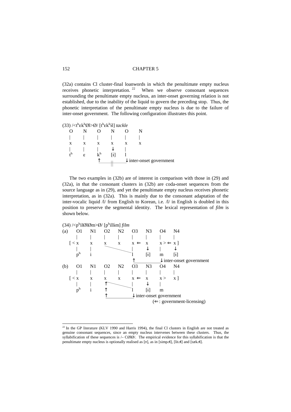(32a) contains Cl cluster-final loanwords in which the penultimate empty nucleus receives phonetic interpretation. 22 When we observe consonant sequences surrounding the penultimate empty nucleus, an inter-onset governing relation is not established, due to the inability of the liquid to govern the preceding stop. Thus, the phonetic interpretation of the penultimate empty nucleus is due to the failure of inter-onset government. The following configuration illustrates this point.

 $(33)$  /<t<sup>h</sup>εk<sup>h</sup>Øl>Ø/ [t<sup>h</sup>εk<sup>h</sup>il] *tackle* 

| X  |    | х   |  |                                |  |
|----|----|-----|--|--------------------------------|--|
|    |    |     |  |                                |  |
| ∔n | £. | l-h |  |                                |  |
|    |    |     |  | $\perp$ inter-onset government |  |

 The two examples in (32b) are of interest in comparison with those in (29) and (32a), in that the consonant clusters in (32b) are coda-onset sequences from the source language as in (29), and yet the penultimate empty nucleus receives phonetic interpretation, as in (32a). This is mainly due to the consonant adaptation of the inter-vocalic liquid  $\Lambda$  from English to Korean, i.e.  $\Lambda$  in English is doubled in this position to preserve the segmental identity. The lexical representation of *film* is shown below.



 $^{22}$  In the GP literature (KLV 1990 and Harris 1994), the final Cl clusters in English are not treated as genuine consonant sequences, since an empty nucleus intervenes between these clusters. Thus, the syllabification of these sequences is  $\angle$  CØlØ $\angle$ . The empirical evidence for this syllabification is that the penultimate empty nucleus is optionally realised as  $[\circ]$ , as in [simp $\circ$ ], [lit $\circ$ ] and [tæk $\circ$ ].

 $\overline{a}$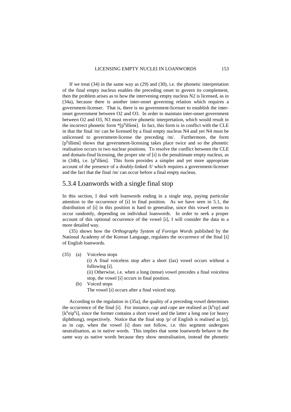If we treat  $(34)$  in the same way as  $(29)$  and  $(30)$ , i.e. the phonetic interpretation of the final empty nucleus enables the preceding onset to govern its complement, then the problem arises as to how the intervening empty nucleus N2 is licensed, as in (34a), because there is another inter-onset governing relation which requires a government-licenser. That is, there is no government-licenser to establish the interonset government between O2 and O3. In order to maintain inter-onset government between O2 and O3, N3 must receive phonetic interpretation, which would result in the incorrect phonetic form  $[p^h$ **i**ll**imi**]. In fact, this form is in conflict with the CLE in that the final /m/ can be licensed by a final empty nucleus N4 and yet N4 must be unlicensed to government-license the preceding /m/. Furthermore, the form  $[p^h$ illimil shows that government-licensing takes place twice and so the phonetic realisation occurs in two nuclear positions. To resolve the conflict between the CLE and domain-final licensing, the proper site of  $[i]$  is the penultimate empty nucleus, as in  $(34b)$ , i.e.  $[p^h$ illim]. This form provides a simpler and yet more appropriate account of the presence of a doubly-linked /l/ which requires a government-licenser and the fact that the final /m/ can occur before a final empty nucleus.

## 5.3.4 Loanwords with a single final stop

In this section, I deal with loanwords ending in a single stop, paying particular attention to the occurrence of  $[i]$  in final position. As we have seen in 5.1, the distribution of [i] in this position is hard to generalise, since this vowel seems to occur randomly, depending on individual loanwords. In order to seek a proper account of this optional occurrence of the vowel  $[i]$ , I will consider the data in a more detailed way.

(35) shows how the *Orthography System of Foreign Word*s published by the National Academy of the Korean Language, regulates the occurrence of the final [i] of English loanwords.

(35) (a) Voiceless stops

 (i) A final voiceless stop after a short (lax) vowel occurs without a following [i].

 (ii) Otherwise, i.e. when a long (tense) vowel precedes a final voiceless stop, the vowel  $[i]$  occurs in final position.

 (b) Voiced stops The vowel  $[i]$  occurs after a final voiced stop.

According to the regulation in (35a), the quality of a preceding vowel determines the occurrence of the final [i]. For instance, *cap* and *cape* are realised as  $[k<sup>h</sup> \epsilon p]$  and  $[k^heip^h]$ , since the former contains a short vowel and the latter a long one (or heavy diphthong), respectively. Notice that the final stop  $/p/$  of English is realised as [p], as in *cap*, when the vowel  $[i]$  does not follow, i.e. this segment undergoes neutralisation, as in native words. This implies that some loanwords behave in the same way as native words because they show neutralisation, instead the phonetic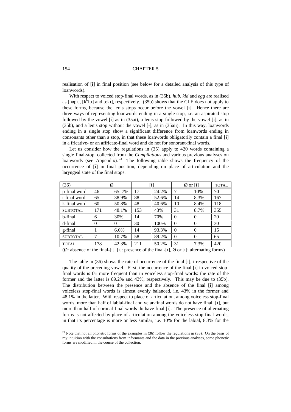realisation of  $[i]$  in final position (see below for a detailed analysis of this type of loanwords).

With respect to voiced stop-final words, as in (35b), *hub*, *kid* and *egg* are realised as [həpi],  $[k^h$ iti] and [eki], respectively. (35b) shows that the CLE does not apply to these forms, because the lenis stops occur before the vowel  $[i]$ . Hence there are three ways of representing loanwords ending in a single stop, i.e. an aspirated stop followed by the vowel  $[i]$  as in (35ai), a lenis stop followed by the vowel  $[i]$ , as in  $(35b)$ , and a lenis stop without the vowel [i], as in  $(35aii)$ . In this way, loanwords ending in a single stop show a significant difference from loanwords ending in consonants other than a stop, in that these loanwords obligatorily contain a final  $[i]$ in a fricative- or an affricate-final word and do not for sonorant-final words.

Let us consider how the regulations in (35) apply to 420 words containing a single final-stop, collected from the *Compilations* and various previous analyses on loanwords (see Appendix). <sup>23</sup> The following table shows the frequency of the occurrence of [i] in final position, depending on place of articulation and the laryngeal state of the final stops.

| 36)             |     | Ø     |     | $[\mathfrak{i}]$ |          | $\emptyset$ or [i] | <b>TOTAL</b> |
|-----------------|-----|-------|-----|------------------|----------|--------------------|--------------|
| p-final word    | 46  | 65.7% | 17  | 24.2%            | 7        | 10%                | 70           |
| t-final word    | 65  | 38.9% | 88  | 52.6%            | 14       | 8.3%               | 167          |
| k-final word    | 60  | 50.8% | 48  | 40.6%            | 10       | 8.4%               | 118          |
| <b>SUBTOTAL</b> | 171 | 48.1% | 153 | 43%              | 31       | 8.7%               | 355          |
| b-final         | 6   | 30%   | 14  | 70%              | $\theta$ |                    | 20           |
| d-final         | 0   | 0     | 30  | 100%             | $\Omega$ |                    | 30           |
| g-final         |     | 6.6%  | 14  | 93.3%            | $\Omega$ | 0                  | 15           |
| SUBTOTAL.       | 7   | 10.7% | 58  | 89.2%            | $\theta$ |                    | 65           |
| <b>TOTAL</b>    | 178 | 42.3% | 211 | 50.2%            | 31       | 7.3%               | 420          |

( $\emptyset$ : absence of the final-[i], [i]: presence of the final-[i],  $\emptyset$  or [i]: alternating forms)

The table in  $(36)$  shows the rate of occurrence of the final [i], irrespective of the quality of the preceding vowel. First, the occurrence of the final  $[i]$  in voiced stopfinal words is far more frequent than in voiceless stop-final words: the rate of the former and the latter is 89.2% and 43%, respectively. This may be due to (35b). The distribution between the presence and the absence of the final  $[i]$  among voiceless stop-final words is almost evenly balanced, i.e. 43% in the former and 48.1% in the latter. With respect to place of articulation, among voiceless stop-final words, more than half of labial-final and velar-final words do not have final [i], but more than half of coronal-final words do have final  $[i]$ . The presence of alternating forms is not affected by place of articulation among the voiceless stop-final words, in that its percentage is more or less similar, i.e. 10% for the labial, 8.3% for the

 $\overline{a}$ 

<sup>&</sup>lt;sup>23</sup> Note that not all phonetic forms of the examples in  $(36)$  follow the regulations in  $(35)$ . On the basis of my intuition with the consultations from informants and the data in the previous analyses, some phonetic forms are modified in the course of the collection.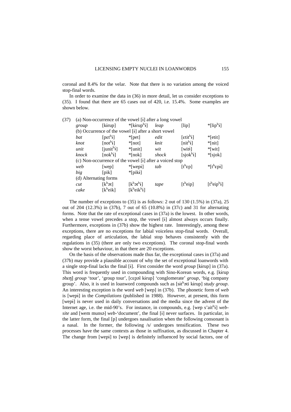coronal and 8.4% for the velar. Note that there is no variation among the voiced stop-final words.

In order to examine the data in (36) in more detail, let us consider exceptions to (35). I found that there are 65 cases out of 420, i.e. 15.4%. Some examples are shown below.

| $*$ [kirup <sup>h</sup> i]<br>[kirup]<br>leap<br>group<br>(b) Occurrence of the vowel [i] after a short vowel | [lip]                       | $*$ [lip <sup>h</sup> i] |
|---------------------------------------------------------------------------------------------------------------|-----------------------------|--------------------------|
|                                                                                                               |                             |                          |
|                                                                                                               |                             |                          |
| [pet <sup>h</sup> i]<br>$*$ [pet]<br>edit<br>bat                                                              | $[$ etit <sup>h</sup> i $]$ | $*$ [etit]               |
| $[{\rm not}^{\rm h}]$<br>$*[not]$<br>knit<br>knot                                                             | $[nit^h]$                   | $*$ [nit]                |
| $\left[\text{junit}^{\text{h}}\right]$<br>unit<br>$*$ [unit]<br>wit                                           | $[\text{witi}]$             | $*$ [wit]                |
| [nok <sup>h</sup> i]<br>knock<br>$*[nok]$<br>shock                                                            | [sjok <sup>h</sup> i]       | $*[sjok]$                |
| (c) Non-occurrence of the vowel [i] after a voiced stop                                                       |                             |                          |
| $*$ [wepi]<br>web<br>tab<br>[wep]                                                                             | $[t^h\varepsilon p]$        | $*[t^h\varepsilon p]$    |
| $*$ [piki]<br>big<br>[pik]                                                                                    |                             |                          |
| (d) Alternating forms                                                                                         |                             |                          |
| $[k^h$ ət <sup>h</sup> il<br>$[k^h$ ət]<br>cut<br>tape                                                        | [t <sup>h</sup> eip]        | $[t^heip^h]$             |
| [ $k^h$ ei $k^h$ i]<br>$[k^h$ eik]<br>cake                                                                    |                             |                          |

The number of exceptions to  $(35)$  is as follows: 2 out of 130  $(1.5\%)$  in  $(37a)$ , 25 out of 204 (12.3%) in (37b), 7 out of 65 (10.8%) in (37c) and 31 for alternating forms. Note that the rate of exceptional cases in (37a) is the lowest. In other words, when a tense vowel precedes a stop, the vowel  $[i]$  almost always occurs finally. Furthermore, exceptions in (37b) show the highest rate. Interestingly, among these exceptions, there are no exceptions for labial voiceless stop-final words. Overall, regarding place of articulation, the labial stop behaves consistently with the regulations in (35) (there are only two exceptions). The coronal stop-final words show the worst behaviour, in that there are 20 exceptions.

 On the basis of the observations made thus far, the exceptional cases in (37a) and (37b) may provide a plausible account of why the set of exceptional loanwords with a single stop-final lacks the final [i]. First consider the word *group* [kirup] in (37a). This word is frequently used in compounding with Sino-Korean words, e.g. [kirup]  $\phi$  ahen] *group* 'tour', 'group tour', [cepal kirup] 'conglomerate' *group*, 'big company group'. Also, it is used in loanword compounds such as [sit<sup>h</sup>oti kirup] *study group*. An interesting exception is the word *web* [wep] in (37b). The phonetic form of *web* is [wepi] in the *Compilations* (published in 1988). However, at present, this form [wepi] is never used in daily conversations and the media since the advent of the Internet age, i.e. the mid-90's. For instance, in compounds, e.g. [wep s'ait<sup>h</sup>i]  $web$ *site* and [wem munsa] *web*-'document', the final  $[i]$  never surfaces. In particular, in the latter form, the final [p] undergoes nasalisation when the following consonant is a nasal. In the former, the following /s/ undergoes tensification. These two processes have the same contexts as those in suffixation, as discussed in Chapter 4. The change from [wepi] to [wep] is definitely influenced by social factors, one of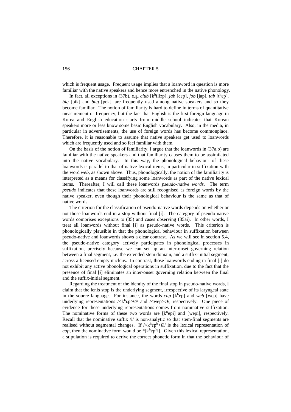which is frequent usage. Frequent usage implies that a loanword in question is more familiar with the native speakers and hence more entrenched in the native phonology.

In fact, all exceptions in (37b), e.g. *club* [kh]llap], *jab* [cep], *job* [jap], *tab* [thep], *big* [pik] and *bag* [pek], are frequently used among native speakers and so they become familiar. The notion of familiarity is hard to define in terms of quantitative measurement or frequency, but the fact that English is the first foreign language in Korea and English education starts from middle school indicates that Korean speakers more or less know some basic English vocabulary. Also, in the media, in particular in advertisements, the use of foreign words has become commonplace. Therefore, it is reasonable to assume that native speakers get used to loanwords which are frequently used and so feel familiar with them.

 On the basis of the notion of familiarity, I argue that the loanwords in (37a,b) are familiar with the native speakers and that familiarity causes them to be assimilated into the native vocabulary. In this way, the phonological behaviour of these loanwords is parallel to that of native lexical items, in particular in suffixation with the word *web*, as shown above. Thus, phonologically, the notion of the familiarity is interpreted as a means for classifying some loanwords as part of the native lexical items. Thereafter, I will call these loanwords *pseudo-native words*. The term *pseudo* indicates that these loanwords are still recognised as foreign words by the native speaker, even though their phonological behaviour is the same as that of native words.

 The criterion for the classification of pseudo-native words depends on whether or not those loanwords end in a stop without final  $[i]$ . The category of pseudo-native words comprises exceptions to (35) and cases observing (35ai). In other words, I treat all loanwords without final [Û] as pseudo-native words. This criterion is phonologically plausible in that the phonological behaviour in suffixation between pseudo-native and loanwords shows a clear contrast. As we will see in section 5.4, the pseudo-native category actively participates in phonological processes in suffixation, precisely because we can set up an inter-onset governing relation between a final segment, i.e. the extended stem domain, and a suffix-initial segment, across a licensed empty nucleus. In contrast, those loanwords ending in final [i] do not exhibit any active phonological operations in suffixation, due to the fact that the presence of final [i] eliminates an inter-onset governing relation between the final and the suffix-initial segment.

 Regarding the treatment of the identity of the final stop in pseudo-native words, I claim that the lenis stop is the underlying segment, irrespective of its laryngeal state in the source language. For instance, the words  $cap$   $[k<sup>h</sup>ep]$  and  $web$  [wep] have underlying representations  $\langle \langle k^{\text{h}} \rangle \rangle \phi$  and  $\langle \langle \langle \text{w} \rangle \rangle \phi$ , respectively. One piece of evidence for these underlying representations comes from nominative suffixation. The nominative forms of these two words are  $[k^h$ epil and [wepil, respectively. Recall that the nominative suffix /i/ is non-analytic so that stem-final segments are realised without segmental changes. If  $\langle \langle k^h \rangle \rangle \phi$  is the lexical representation of *cap*, then the nominative form would be  $*$ [ $k<sup>h</sup>$ ep<sup>h</sup>i]. Given this lexical representation, a stipulation is required to derive the correct phonetic form in that the behaviour of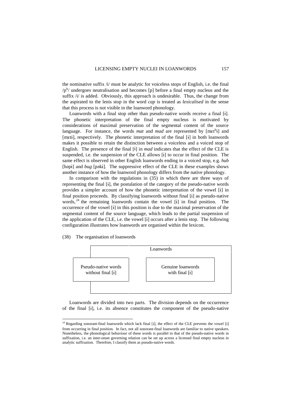the nominative suffix /i/ must be analytic for voiceless stops of English, i.e. the final  $/p<sup>h</sup>$  undergoes neutralisation and becomes [p] before a final empty nucleus and the suffix  $/i$  is added. Obviously, this approach is undesirable. Thus, the change from the aspirated to the lenis stop in the word *cap* is treated as *lexicalised* in the sense that this process is not visible in the loanword phonology.

Loanwords with a final stop other than pseudo-native words receive a final  $[i]$ . The phonetic interpretation of the final empty nucleus is motivated by considerations of maximal preservation of the segmental content of the source language. For instance, the words *mat* and *mad* are represented by  $[met<sup>h</sup>$ <sup>i</sup>l and [meti], respectively. The phonetic interpretation of the final [i] in both loanwords makes it possible to retain the distinction between a voiceless and a voiced stop of English. The presence of the final  $[i]$  in *mad* indicates that the effect of the CLE is suspended, i.e. the suspension of the CLE allows  $[i]$  to occur in final position. The same effect is observed in other English loanwords ending in a voiced stop, e.g. *hub* [hpo<sup>i</sup>] and *bug* [poki]. The suppressive effect of the CLE in these examples shows another instance of how the loanword phonology differs from the native phonology.

In comparison with the regulations in (35) in which there are three ways of representing the final [i], the postulation of the category of the pseudo-native words provides a simpler account of how the phonetic interpretation of the vowel  $[i]$  in final position proceeds. By classifying loanwords without final [i] as pseudo-native words,  $24$  the remaining loanwords contain the vowel [i] in final position. The occurrence of the vowel [i] in this position is due to the maximal preservation of the segmental content of the source language, which leads to the partial suspension of the application of the CLE, i.e. the vowel  $[i]$  occurs after a lenis stop. The following configuration illustrates how loanwords are organised within the lexicon.

(38) The organisation of loanwords

 $\overline{a}$ 



 Loanwords are divided into two parts. The division depends on the occurrence of the final  $[i]$ , i.e. its absence constitutes the component of the pseudo-native

 $24$  Regarding sonorant-final loanwords which lack final [i], the effect of the CLE prevents the vowel [i] from occurring in final position. In fact, not all sonorant-final loanwords are familiar to native speakers. Nonetheless, the phonological behaviour of these words is parallel to that of the pseudo-native words in suffixation, i.e. an inter-onset governing relation can be set up across a licensed final empty nucleus in analytic suffixation. Therefore, I classify them as pseudo-native words.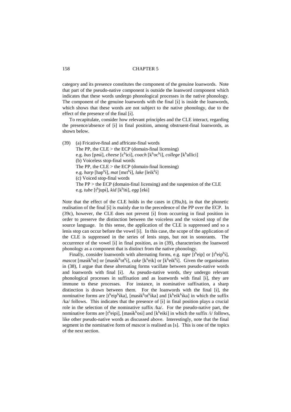category and its presence constitutes the component of the genuine loanwords. Note that part of the pseudo-native component is outside the loanword component which indicates that these words undergo phonological processes in the native phonology. The component of the genuine loanwords with the final  $[i]$  is inside the loanwords, which shows that these words are not subject to the native phonology, due to the effect of the presence of the final  $[i]$ .

 To recapitulate, consider how relevant principles and the CLE interact, regarding the presence/absence of  $[i]$  in final position, among obstruent-final loanwords, as shown below.

(39) (a) Fricative-final and affricate-final words The PP, the  $CLE >$  the  $ECP$  (domain-final licensing) e.g. *bus* [pəsi], *cheese* [c<sup>h</sup>ici], *coach* [k<sup>h</sup>oc<sup>h</sup>i], *college* [k<sup>h</sup>allici] (b) Voiceless stop-final words The PP, the  $CLE >$  the  $ECP$  (domain-final licensing) e.g. *harp* [hap<sup>h</sup>i], *mat* [mɛt<sup>h</sup>i], *lake* [leik<sup>h</sup>i] (c) Voiced stop-final words The  $PP$  > the ECP (domain-final licensing) and the suspension of the CLE e.g.  $tube$  [t<sup>h</sup>jupi],  $kid$  [k<sup>h</sup>iti],  $egg$  [eki]

Note that the effect of the CLE holds in the cases in (39a,b), in that the phonetic realisation of the final [i] is mainly due to the precedence of the PP over the ECP. In  $(39c)$ , however, the CLE does not prevent [i] from occurring in final position in order to preserve the distinction between the voiceless and the voiced stop of the source language. In this sense, the application of the CLE is suppressed and so a lenis stop can occur before the vowel  $[i]$ . In this case, the scope of the application of the CLE is suppressed in the series of lenis stops, but not in sonorants. The occurrence of the vowel  $[i]$  in final position, as in (39), characterises the loanword phonology as a component that is distinct from the native phonology.

Finally, consider loanwords with alternating forms, e.g. *tape* [ $t^h$ eip] or  $[t^h$ eip<sup>h</sup>i], *mascot* [masik<sup>h</sup>ot] or [masik<sup>h</sup>ot<sup>h</sup>i], *cake* [k<sup>h</sup>eik] or [k<sup>h</sup>eik<sup>h</sup>i]. Given the organisation in (38), I argue that these alternating forms vacillate between pseudo-native words and loanwords with final  $[i]$ . As pseudo-native words, they undergo relevant phonological processes in suffixation and as loanwords with final [i], they are immune to these processes. For instance, in nominative suffixation, a sharp distinction is drawn between them. For the loanwords with the final  $[i]$ , the nominative forms are  $[t^heip^h$ ika], [masik $^hei^h$ ika] and  $[k^heik^h$ ika] in which the suffix  $/ka$  follows. This indicates that the presence of  $[i]$  in final position plays a crucial role in the selection of the nominative suffix /ka/. For the pseudo-native part, the nominative forms are [t<sup>h</sup>eipi], [masik<sup>h</sup>osi] and [k<sup>h</sup>eiki] in which the suffix /i/ follows, like other pseudo-native words as discussed above. Interestingly, note that the final segment in the nominative form of *mascot* is realised as [s]. This is one of the topics of the next section.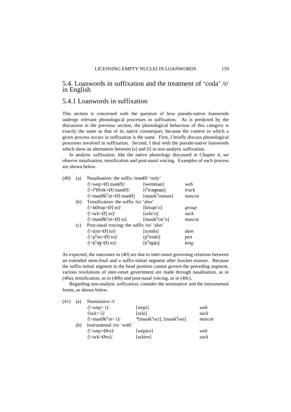# 5.4. Loanwords in suffixation and the treatment of 'coda' /r/ in English

# 5.4.1 Loanwords in suffixation

This section is concerned with the question of how pseudo-native loanwords undergo relevant phonological processes in suffixation. As is predicted by the discussion in the previous section, the phonological behaviour of this category is exactly the same as that of its native counterpart, because the context in which a given process occurs in suffixation is the same. First, I briefly discuss phonological processes involved in suffixation. Second, I deal with the pseudo-native loanwords which show an alternation between [s] and [t] in non-analytic suffixation.

 In analytic suffixation, like the native phonology discussed in Chapter 4, we observe nasalisation, tensification and post-nasal voicing. Examples of each process are shown below.

| (40 | (a) | Nasalisation: the suffix /manØ/ 'only'                                |                       |        |
|-----|-----|-----------------------------------------------------------------------|-----------------------|--------|
|     |     | $/[\langle wep \rangle \emptyset]$ man $\emptyset$ ]/                 | [wemman]              | web    |
|     |     | $/[<^{\text{h}}\mathcal{O}r$ ək $> \mathcal{O}]$ man $\mathcal{O}$ ]/ | $[th$ irənman]        | truck  |
|     |     | /[ <masøk<sup>hot&gt;Ø] manØ]</masøk<sup>                             | [ $maskhonman$ ]      | mascot |
|     | (b) | Tensification: the suffix /to/ 'also'                                 |                       |        |
|     |     | $/[<\&\mathcal{O}rup>\mathcal{O}]$ to $]/$                            | [kirupt'o]            | group  |
|     |     | $/[\langle$ sek>Ø] to]/                                               | [sɛkt'o]              | sack   |
|     |     | /[ <masøk<sup>hot&gt;Ø] to]</masøk<sup>                               | [masik $^{h}$ ott'o]  | mascot |
|     | (c) | Post-nasal voicing: the suffix /to/ 'also'                            |                       |        |
|     |     | $/[\langle \text{term} \rangle \emptyset]$ to $]/$                    | [tɛmdo]               | dam    |
|     |     | / $[\langle p^{\text{h}}\text{en}\rangle\emptyset]$ to]/              | $[p^{\text{h}}$ endo] | pen    |
|     |     | $/[\langle k^h \text{in} \rangle \emptyset]$ to]/                     | $[k^h$ indo]          | king   |

As expected, the outcomes in (40) are due to inter-onset governing relations between an extended stem-final and a suffix-initial segment after bracket erasure. Because the suffix-initial segment in the head position cannot govern the preceding segment, various resolutions of inter-onset government are made through nasalisation, as in (40a), tensification, as in (40b) and post-nasal voicing, as in (40c).

 Regarding non-analytic suffixation, consider the nominative and the instrumental forms, as shown below.

| (41) | (a) | Nominative /i/                               |                                                        |        |
|------|-----|----------------------------------------------|--------------------------------------------------------|--------|
|      |     | $/[\langle wep \rangle i]$                   | [wepi]                                                 | web    |
|      |     | $/[s\epsilon k > i]$                         | [sεki]                                                 | sack   |
|      |     | / $\vert$ <masøk<sup>hot&gt; i]/</masøk<sup> | $*$ [masik <sup>h</sup> oci], [masik <sup>h</sup> osi] | mascot |
|      | (b) | Instrumental /ro/ 'with'                     |                                                        |        |
|      |     | /[ <wep>Øro]/</wep>                          | [wepiro]                                               | web    |
|      |     | $/[s\varepsilonk$ $\sim$ 0ro $]/$            | [skiro]                                                | sack   |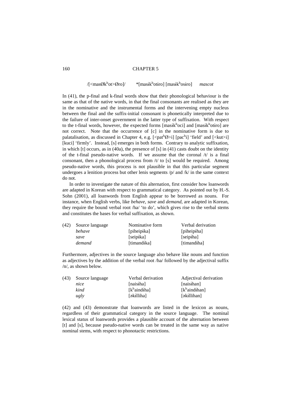/[<masØk<sup>h</sup>ot>Øro]/ \*[masik<sup>h</sup>otiro] [masik<sup>h</sup>osiro] *mascot* 

In (41), the p-final and k-final words show that their phonological behaviour is the same as that of the native words, in that the final consonants are realised as they are in the nominative and the instrumental forms and the intervening empty nucleus between the final and the suffix-initial consonant is phonetically interpreted due to the failure of inter-onset government in the latter type of suffixation. With respect to the t-final words, however, the expected forms  $[mask<sup>h</sup>oci]$  and  $[mask<sup>h</sup>otiro]$  are not correct. Note that the occurrence of [c] in the nominative form is due to palatalisation, as discussed in Chapter 4, e.g.  $\lceil \langle \text{pat}^{\text{h}}(0) \rangle \rceil$  [pac<sup>h</sup>i] 'field' and  $\lceil \langle \text{kut} \rangle \rceil$ ] [kuci] 'firmly'. Instead, [s] emerges in both forms. Contrary to analytic suffixation, in which  $[t]$  occurs, as in (40a), the presence of  $[s]$  in (41) casts doubt on the identity of the t-final pseudo-native words. If we assume that the coronal  $/t$  is a final consonant, then a phonological process from  $/t/$  to [s] would be required. Among pseudo-native words, this process is not plausible in that this particular segment undergoes a lenition process but other lenis segments  $/p/$  and  $/k/$  in the same context do not.

In order to investigate the nature of this alternation, first consider how loanwords are adapted in Korean with respect to grammatical category. As pointed out by H.-S. Sohn (2001), all loanwords from English appear to be borrowed as nouns. For instance, when English verbs, like *behave*, *save* and *demand*, are adapted in Korean, they require the bound verbal root /ha/ 'to do', which gives rise to the verbal stems and constitutes the bases for verbal suffixation, as shown.

| (42) | Source language | Nominative form | Verbal derivation |
|------|-----------------|-----------------|-------------------|
|      | behave          | [piheipika]     | [piheipiha]       |
|      | save            | [seipika]       | [seipiha]         |
|      | demand          | [timandika]     | [timandiha]       |

Furthermore, adjectives in the source language also behave like nouns and function as adjectives by the addition of the verbal root /ha/ followed by the adjectival suffix /n/, as shown below.

| Source language | Verbal derivation              | Adjectival derivation    |
|-----------------|--------------------------------|--------------------------|
| nice            | [naisiha]                      | [naisihan]               |
| kind            | $[k^{\text{h}}\text{aindiha}]$ | $[k^h$ aindihan]         |
| uglv            | [əkilliha]                     | [ək <sub>i</sub> llihan] |
|                 |                                |                          |

(42) and (43) demonstrate that loanwords are listed in the lexicon as nouns, regardless of their grammatical category in the source language. The nominal lexical status of loanwords provides a plausible account of the alternation between [t] and [s], because pseudo-native words can be treated in the same way as native nominal stems, with respect to phonotactic restrictions.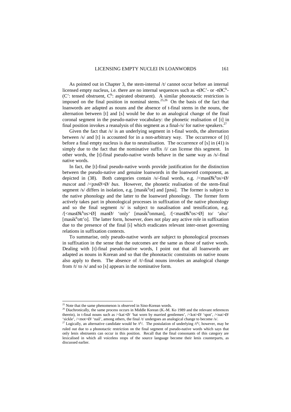As pointed out in Chapter 3, the stem-internal /t/ cannot occur before an internal licensed empty nucleus, i.e. there are no internal sequences such as  $-\mathfrak{t}\mathcal{O}C$  - or  $-\mathfrak{t}\mathcal{O}C^{\text{h}}$ - $(C^{\prime})$ : tensed obstruent,  $C^{\text{h}}$ : aspirated obstruent). A similar phonotactic restriction is imposed on the final position in nominal stems.<sup>25,26</sup> On the basis of the fact that loanwords are adapted as nouns and the absence of t-final stems in the nouns, the alternation between [t] and [s] would be due to an analogical change of the final coronal segment in the pseudo-native vocabulary: the phonetic realisation of [t] in final position invokes a reanalysis of this segment as a final-/s/ for native speakers.<sup>27</sup>

Given the fact that /s/ is an underlying segment in t-final words, the alternation between /s/ and [t] is accounted for in a non-arbitrary way. The occurrence of [t] before a final empty nucleus is due to neutralisation. The occurrence of [s] in (41) is simply due to the fact that the nominative suffix  $\pi/2$  can license this segment. In other words, the [t]-final pseudo-native words behave in the same way as /s/-final native words.

 In fact, the [t]-final pseudo-native words provide justification for the distinction between the pseudo-native and genuine loanwords in the loanword component, as depicted in (38). Both categories contain /s/-final words, e.g.  $\frac{\text{cos}Q}{\text{cos}Q}$ *mascot* and  $\langle \text{pos}\emptyset \rangle \emptyset$  *bus.* However, the phonetic realisation of the stem-final segment /s/ differs in isolation, e.g. [masik $<sup>h</sup>$ ot] and [pəsi]. The former is subject to</sup> the native phonology and the latter to the loanword phonology. The former form actively takes part in phonological processes in suffixation of the native phonology and so the final segment  $/s/$  is subject to nasalisation and tensification, e.g.  $/[\langle \text{masQk}^{\text{h}} \text{os} \rangle]$  man $\varnothing$ / 'only' [masik<sup>h</sup>onman],  $/[\langle \text{masQk}^{\text{h}} \text{os} \rangle]$  to/ 'also'  $[masik<sup>h</sup>ot'$ <sup>o</sup>. The latter form, however, does not play any active role in suffixation due to the presence of the final [i] which eradicates relevant inter-onset governing relations in suffixation contexts.

 To summarise, only pseudo-native words are subject to phonological processes in suffixation in the sense that the outcomes are the same as those of native words. Dealing with [t]-final pseudo-native words, I point out that all loanwords are adapted as nouns in Korean and so that the phonotactic constraints on native nouns also apply to them. The absence of  $/t$ -final nouns invokes an analogical change from /t/ to /s/ and so [s] appears in the nominative form.

j

<sup>&</sup>lt;sup>25</sup> Note that the same phenomenon is observed in Sino-Korean words.

<sup>&</sup>lt;sup>26</sup> Diachronically, the same process occurs in Middle Korean (K.-M. Ko 1989 and the relevant references therein), in t-final nouns such as  $\langle \langle \langle \rangle \rangle$  'hat worn by married gentlemen',  $\langle \langle \langle \rangle \rangle$  'spot',  $\langle \langle \rangle$ nat $\langle \langle \rangle$ 'sickle',  $\frac{\sinh(\theta)}{\sinh(\theta)}$ ' nail', among others, the final /t/ undergoes an analogical change to become /s/.

<sup>&</sup>lt;sup>27</sup> Logically, an alternative candidate would be  $/t^h$ . The postulation of underlying  $/t^h$ , however, may be ruled out due to a phonotactic restriction on the final segment of pseudo-native words which says that only lenis obstruents can occur in this position. Recall that the final consonants of this category are lexicalised in which all voiceless stops of the source language become their lenis counterparts, as discussed earlier.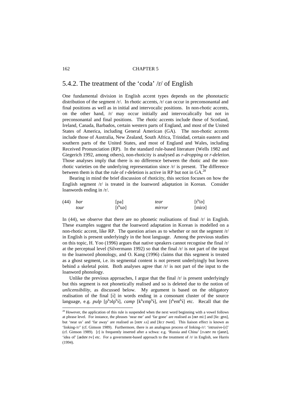# 5.4.2. The treatment of the 'coda' /r/ of English

One fundamental division in English accent types depends on the phonotactic distribution of the segment /r/. In rhotic accents, /r/ can occur in preconsonantal and final positions as well as in initial and intervocalic positions. In non-rhotic accents, on the other hand, /r/ may occur initially and intervocalically but not in preconsonantal and final positions. The rhotic accents include those of Scotland, Ireland, Canada, Barbados, certain western parts of England, and most of the United States of America, including General American (GA). The non-rhotic accents include those of Australia, New Zealand, South Africa, Trinidad, certain eastern and southern parts of the United States, and most of England and Wales, including Received Pronunciation (RP). In the standard rule-based literature (Wells 1982 and Giegerich 1992, among others), non-rhoticity is analysed as *r-dropping* or *r-deletion*. Those analyses imply that there is no difference between the rhotic and the nonrhotic varieties on the underlying representation since /r/ is present. The difference between them is that the rule of r-deletion is active in RP but not in GA.<sup>28</sup>

 Bearing in mind the brief discussion of rhoticity, this section focuses on how the English segment /r/ is treated in the loanword adaptation in Korean. Consider loanwords ending in /r/.

| $(44)$ <i>bar</i> |      | [pa]       | tear   | $[th$ iə] |
|-------------------|------|------------|--------|-----------|
|                   | tour | $[t^h$ uə] | mirror | [min]     |

In (44), we observe that there are no phonetic realisations of final  $/r/$  in English. These examples suggest that the loanword adaptation in Korean is modelled on a non-rhotic accent, like RP. The question arises as to whether or not the segment /r/ in English is present underlyingly in the host language. Among the previous studies on this topic, H. Yoo (1996) argues that native speakers cannot recognise the final /r/ at the perceptual level (Silvermann 1992) so that the final /r/ is not part of the input to the loanword phonology, and O. Kang (1996) claims that this segment is treated as a ghost segment, i.e. its segmental content is not present underlyingly but leaves behind a skeletal point. Both analyses agree that  $/r/$  is not part of the input to the loanword phonology.

Unlike the previous approaches, I argue that the final  $/r/$  is present underlyingly but this segment is not phonetically realised and so is deleted due to the notion of *unlicensibility*, as discussed below. My argument is based on the obligatory realisation of the final  $[i]$  in words ending in a consonant cluster of the source language, e.g. *pulp*  $[p^h \circ l p^h i]$ , *camp*  $[k^h \circ mp^h i]$ , *tent*  $[t^h \circ r h^h i]$  etc. Recall that the

 $\overline{a}$ 

 $2<sup>28</sup>$  However, the application of this rule is suspended when the next word beginning with a vowel follows at phrase level. For instance, the phrases 'near me' and 'far gone' are realised as [nI mi:] and [fa: gpn], but 'near us' and 'far away' are realised as [nIPT AS] and [fa:r pweI]. This liaison effect is known as 'linking-/r/' (cf. Gimson 1989). Furthermore, there is an analogous process of linking-/r/: 'intrusive-[r]' (cf. Gimson 1989). [r] is frequently inserted after a schwa: e.g. 'Russia and China' [rAsIor on tfaIno], 'idea of' [aIdIor ov] etc. For a government-based approach to the treatment of  $/r/$  in English, see Harris (1994).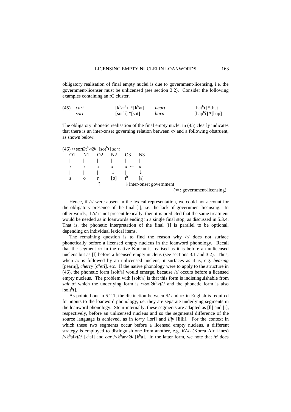obligatory realisation of final empty nuclei is due to government-licensing, i.e. the government-licenser must be unlicensed (see section 3.2). Consider the following examples containing an rC cluster.

| $(45)$ cart |      | $[k^hat{h}]$ *[ $k^hat{h}$ ]   | heart | [hat <sup>h</sup> i] *[hat]   |
|-------------|------|--------------------------------|-------|-------------------------------|
|             | sort | $[soft^{\text{h}}]$ * $[soft]$ | harp  | $[{\rm hap}^{\rm h}i]$ *[hap] |

The obligatory phonetic realisation of the final empty nuclei in (45) clearly indicates that there is an inter-onset governing relation between /r/ and a following obstruent, as shown below.

| $(46)$ / <sor<math>\varnothingt<sup>h</sup>&gt;<math>\varnothing</math>/ [sot<sup>h</sup>i] <i>sort</i></sor<math> |               |                |                           |                  |                                     |  |
|--------------------------------------------------------------------------------------------------------------------|---------------|----------------|---------------------------|------------------|-------------------------------------|--|
| $\Omega$                                                                                                           | $\mathbf{N}1$ | O <sub>2</sub> | N2                        | $\Omega$         | N3                                  |  |
|                                                                                                                    |               |                |                           |                  |                                     |  |
| X                                                                                                                  |               | $X$ $X$ $X$    |                           | $X \leftarrow X$ |                                     |  |
|                                                                                                                    |               |                | $\downarrow$              |                  |                                     |  |
| S                                                                                                                  | $\mathbf{O}$  | r              | $\lceil \emptyset \rceil$ | $th$ [i]         |                                     |  |
|                                                                                                                    |               | ∧              |                           |                  | $\downarrow$ inter-onset government |  |
|                                                                                                                    |               |                |                           |                  | $\ell$ assemblant linear            |  |

(⇐: government-licensing)

Hence, if /r/ were absent in the lexical representation, we could not account for the obligatory presence of the final [Û], i.e. the lack of government-licensing. In other words, if /r/ is not present lexically, then it is predicted that the same treatment would be needed as in loanwords ending in a single final stop, as discussed in 5.3.4. That is, the phonetic interpretation of the final  $[i]$  is parallel to be optional, depending on individual lexical items.

The remaining question is to find the reason why  $\pi$  does not surface phonetically before a licensed empty nucleus in the loanword phonology. Recall that the segment /r/ in the native Korean is realised as it is before an unlicensed nucleus but as [l] before a licensed empty nucleus (see sections 3.1 and 3.2). Thus, when /r/ is followed by an unlicensed nucleus, it surfaces as it is, e.g. *bearing* [pearin], *cherry* [c<sup>h</sup>eri], etc. If the native phonology were to apply to the structure in (46), the phonetic form [solt<sup>h</sup>i] would emerge, because  $\pi$  occurs before a licensed empty nucleus. The problem with  $[solt^{h_i}]$  is that this form is indistinguishable from *salt* of which the underlying form is  $\frac{\text{csol}(\mathcal{O}t^h) - \text{c}(\mathcal{O})}{\text{c}(\mathcal{O}t)}$  and the phonetic form is also  $[solt^{h_i}]$ .

As pointed out in 5.2.1, the distinction between /l/ and /r/ in English is required for inputs to the loanword phonology, i.e. they are separate underlying segments in the loanword phonology. Stem-internally, these segments are adapted as [ll] and [r], respectively, before an unlicensed nucleus and so the segmental difference of the source language is achieved, as in *lorry* [lori] and *lily* [lilli]. For the context in which these two segments occur before a licensed empty nucleus, a different strategy is employed to distinguish one from another, e.g. *KAL* (Korea Air Lines)  $/\langle k^h a \rangle$   $\varnothing$  (k<sup>h</sup>all and *car*  $/\langle k^h a \rangle$   $\varnothing$  (k<sup>h</sup>al. In the latter form, we note that /r/ does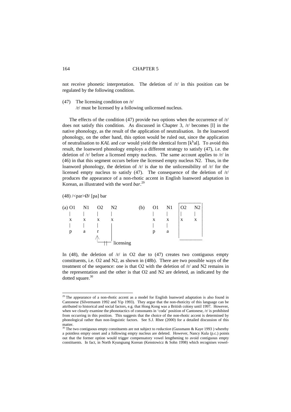not receive phonetic interpretation. The deletion of  $/r/$  in this position can be regulated by the following condition.

(47) The licensing condition on /r/

/r/ must be licensed by a following unlicensed nucleus.

The effects of the condition (47) provide two options when the occurrence of  $\frac{r}{r}$ does not satisfy this condition. As discussed in Chapter 3, /r/ becomes [l] in the native phonology, as the result of the application of neutralisation. In the loanword phonology, on the other hand, this option would be ruled out, since the application of neutralisation to *KAL* and *car* would vield the identical form [k<sup>h</sup>al]. To avoid this result, the loanword phonology employs a different strategy to satisfy (47), i.e. the deletion of  $/r/$  before a licensed empty nucleus. The same account applies to  $/r/$  in (46) in that this segment occurs before the licensed empty nucleus N2. Thus, in the loanword phonology, the deletion of  $/r/$  is due to the unlicensibility of  $/r/$  for the licensed empty nucleus to satisfy  $(47)$ . The consequence of the deletion of  $\pi$ produces the appearance of a non-rhotic accent in English loanword adaptation in Korean, as illustrated with the word *bar*. 29

 $(48)$  /<par> $\emptyset$ / [pa] bar

j

| (a) O1 |   | N1 02 | N2        | (b) | O1 | N1 | $\overline{O2}$ | N2 |
|--------|---|-------|-----------|-----|----|----|-----------------|----|
|        |   |       |           |     |    |    |                 |    |
| X      | X | X     | X         |     | X  | X  | X               | X  |
|        |   |       |           |     |    |    |                 |    |
| p      | a |       |           |     | D  | a  |                 |    |
|        |   |       | licensing |     |    |    |                 |    |

In (48), the deletion of  $/r/$  in O2 due to (47) creates two contiguous empty constituents, i.e. O2 and N2, as shown in (48b). There are two possible ways of the treatment of the sequence: one is that O2 with the deletion of  $/r/$  and N2 remains in the representation and the other is that O2 and N2 are deleted, as indicated by the dotted square.<sup>30</sup>

<sup>&</sup>lt;sup>29</sup> The appearance of a non-rhotic accent as a model for English loanword adaptation is also found in Cantonese (Silvermanm 1992 and Yip 1993). They argue that the non-rhoticity of this language can be attributed to historical and social factors, e.g. that Hong Kong was a British colony until 1997. However, when we closely examine the phonotactics of consonants in 'coda' position of Cantonese, /r/ is prohibited from occurring in this position. This suggests that the choice of the non-rhotic accent is determined by phonological rather than non-linguistic factors. See S.J. Rhee (2000) for a detailed discussion of this matter.

<sup>&</sup>lt;sup>30</sup> The two contiguous empty constituents are not subject to *reduction* (Gussmann & Kaye 1993) whereby a pointless empty onset and a following empty nucleus are deleted. However, Nancy Kula (p.c.) points out that the former option would trigger compensatory vowel lengthening to avoid contiguous empty constituents. In fact, in North Kyungsang Korean (Kenstowicz & Sohn 1998) which recognises vowel-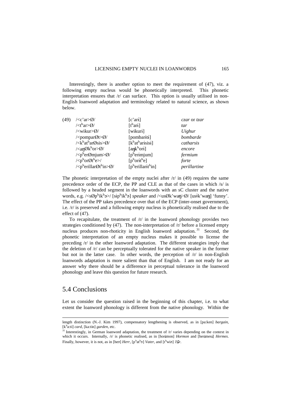Interestingly, there is another option to meet the requirement of (47), viz. a following empty nucleus would be phonetically interpreted. This phonetic interpretation ensures that  $/r/c$  can surface. This option is usually utilised in non-English loanword adaptation and terminology related to natural science, as shown below.

|                                                                                                                                          | tar           |
|------------------------------------------------------------------------------------------------------------------------------------------|---------------|
| $\ell$ ar>Ø $\ell$<br>[t <sup>h</sup> ari]                                                                                               |               |
| [wikuri]<br>/ <wikur>Ø/</wikur>                                                                                                          | <b>Uighur</b> |
| [pombariti]<br>/ <pomparøt>Ø/</pomparøt>                                                                                                 | bombarde      |
| $\sqrt{\langle k^{\text{h}}at^{\text{h}}at^{\text{h}}ar\varnothing\text{sis}\rangle\varnothing}$<br>$[k^hat^h$ arisisi]                  | catharsis     |
| [an $k^{\rm h}$ ori]<br>$\ell$ anglest $\ell$ and $\ell$                                                                                 | encore        |
| $[p^{\text{h}}$ erimjum]<br>$\sqrt{p}$ erØmjum>Ø/                                                                                        | fermium       |
| $\sqrt{p^h}$ or $\cancel{O}t^h$ e>/<br>$[p^{\text{h}}\text{orit}^{\text{h}}e]$                                                           | forte         |
| $\ell$ > $\epsilon$ p <sup>h</sup> erillar $\varnothing$ t <sup>h</sup> in > $\varnothing$<br>$[p^{\text{h}}$ erillarit <sup>h</sup> in] | perillartine  |

The phonetic interpretation of the empty nuclei after  $/r/$  in (49) requires the same precedence order of the ECP, the PP and CLE as that of the cases in which  $\sqrt{s}$  is followed by a headed segment in the loanwords with an sC cluster and the native words, e.g.  $\frac{\log N - 2}{N}$  [sip<sup>h</sup>ik<sup>h</sup>a] *speaker* and  $\frac{\log N}{N}$  wan $\geq 0$  [usik' wan] 'funny'. The effect of the PP takes precedence over that of the ECP (inter-onset government), i.e. /r/ is preserved and a following empty nucleus is phonetically realised due to the effect of (47).

To recapitulate, the treatment of  $/r/$  in the loanword phonology provides two strategies conditioned by  $(47)$ . The non-interpretation of  $\pi$  before a licensed empty nucleus produces non-rhoticity in English loanword adaptation.<sup>31</sup> Second, the phonetic interpretation of an empty nucleus makes it possible to license the preceding /r/ in the other loanword adaptation. The different strategies imply that the deletion of /r/ can be perceptually tolerated for the native speaker in the former but not in the latter case. In other words, the perception of /r/ in non-English loanwords adaptation is more salient than that of English. I am not ready for an answer why there should be a difference in perceptual tolerance in the loanword phonology and leave this question for future research.

# 5.4 Conclusions

Let us consider the question raised in the beginning of this chapter, i.e. to what extent the loanword phonology is different from the native phonology. Within the

length distinction (N.-J. Kim 1997), compensatory lengthening is observed, as in [pa:ken] *bargain*, [k<sup>h</sup>a:ti] *card*, [ka:tin] *garden*, etc.<br><sup>31</sup> Interestingly, in German loanword adaptation, the treatment of /r/ varies depending on the context in

which it occurs. Internally, /r/ is phonetic realised, as in [horimon] *Hormon* and [herimesi] *Hermes*. Finally, however, it is not, as in [hea] *Herr*,  $[p^h$ at<sup>h</sup> $]$  *Vater*, and  $[t^h$ wia]  $T\tilde{u}$ r.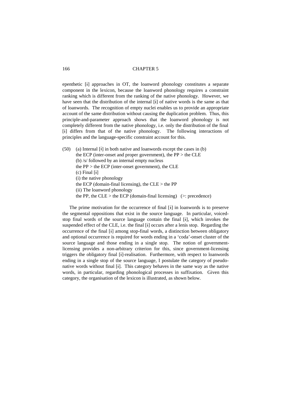epenthetic  $[i]$  approaches in OT, the loanword phonology constitutes a separate component in the lexicon, because the loanword phonology requires a constraint ranking which is different from the ranking of the native phonology. However, we have seen that the distribution of the internal  $[i]$  of native words is the same as that of loanwords. The recognition of empty nuclei enables us to provide an appropriate account of the same distribution without causing the duplication problem. Thus, this principle-and-parameter approach shows that the loanword phonology is not completely different from the native phonology, i.e. only the distribution of the final [i] differs from that of the native phonology. The following interactions of principles and the language-specific constraint account for this.

(50) (a) Internal  $[i]$  in both native and loanwords except the cases in (b) the ECP (inter-onset and proper government), the  $PP$  > the CLE (b) /s/ followed by an internal empty nucleus the  $PP$  > the ECP (inter-onset government), the CLE  $(c)$  Final  $[i]$  (i) the native phonology the ECP (domain-final licensing), the  $CLE >$  the PP (ii) The loanword phonology the PP, the CLE  $>$  the ECP (domain-final licensing) ( $>$ : precedence)

The prime motivation for the occurrence of final [i] in loanwords is to preserve the segmental oppositions that exist in the source language. In particular, voicedstop final words of the source language contain the final  $[i]$ , which invokes the suspended effect of the CLE, i.e. the final [i] occurs after a lenis stop. Regarding the occurrence of the final  $[i]$  among stop-final words, a distinction between obligatory and optional occurrence is required for words ending in a 'coda'-onset cluster of the source language and those ending in a single stop. The notion of governmentlicensing provides a non-arbitrary criterion for this, since government-licensing triggers the obligatory final  $[i]$ -realisation. Furthermore, with respect to loanwords ending in a single stop of the source language, I postulate the category of pseudonative words without final [i]. This category behaves in the same way as the native words, in particular, regarding phonological processes in suffixation. Given this category, the organisation of the lexicon is illustrated, as shown below.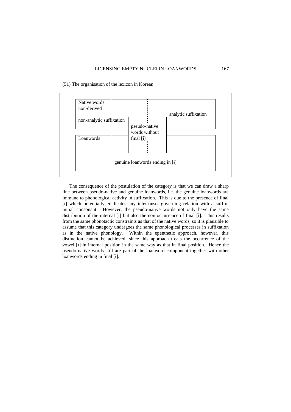

#### (51) The organisation of the lexicon in Korean

The consequence of the postulation of the category is that we can draw a sharp line between pseudo-native and genuine loanwords, i.e. the genuine loanwords are immune to phonological activity in suffixation. This is due to the presence of final [i] which potentially eradicates any inter-onset governing relation with a suffixinitial consonant. However, the pseudo-native words not only have the same distribution of the internal  $[i]$  but also the non-occurrence of final  $[i]$ . This results from the same phonotactic constraints as that of the native words, so it is plausible to assume that this category undergoes the same phonological processes in suffixation as in the native phonology. Within the epenthetic approach, however, this distinction cannot be achieved, since this approach treats the occurrence of the vowel [i] in internal position in the same way as that in final position. Hence the pseudo-native words still are part of the loanword component together with other loanwords ending in final  $[i]$ .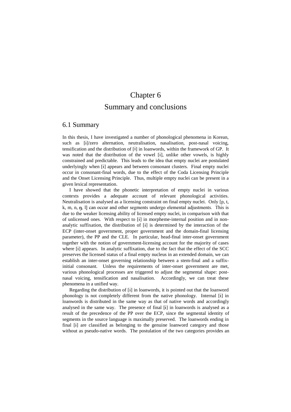# Chapter 6 Summary and conclusions

## 6.1 Summary

In this thesis, I have investigated a number of phonological phenomena in Korean, such as  $[i]/zero$  alternation, neutralisation, nasalisation, post-nasal voicing, tensification and the distribution of  $[i]$  in loanwords, within the framework of GP. It was noted that the distribution of the vowel  $[i]$ , unlike other vowels, is highly constrained and predictable. This leads to the idea that empty nuclei are postulated underlyingly when [i] appears and between consonant clusters. Final empty nuclei occur in consonant-final words, due to the effect of the Coda Licensing Principle and the Onset Licensing Principle. Thus, multiple empty nuclei can be present in a given lexical representation.

I have showed that the phonetic interpretation of empty nuclei in various contexts provides a adequate account of relevant phonological activities. Neutralisation is analysed as a licensing constraint on final empty nuclei. Only [p, t, k, m, n, n, Il can occur and other segments undergo elemental adjustments. This is due to the weaker licensing ability of licensed empty nuclei, in comparison with that of unlicensed ones. With respect to  $[i]$  in morpheme-internal position and in nonanalytic suffixation, the distribution of [i] is determined by the interaction of the ECP (inter-onset government, proper government and the domain-final licensing parameter), the PP and the CLE. In particular, head-final inter-onset government together with the notion of government-licensing account for the majority of cases where  $[i]$  appears. In analytic suffixation, due to the fact that the effect of the SCC preserves the licensed status of a final empty nucleus in an extended domain, we can establish an inter-onset governing relationship between a stem-final and a suffixinitial consonant. Unless the requirements of inter-onset government are met, various phonological processes are triggered to adjust the segmental shape: postnasal voicing, tensification and nasalisation. Accordingly, we can treat these phenomena in a unified way.

Regarding the distribution of  $[i]$  in loanwords, it is pointed out that the loanword phonology is not completely different from the native phonology. Internal [i] in loanwords is distributed in the same way as that of native words and accordingly analysed in the same way. The presence of final  $[i]$  in loanwords is analysed as a result of the precedence of the PP over the ECP, since the segmental identity of segments in the source language is maximally preserved. The loanwords ending in final [Û] are classified as belonging to the genuine loanword category and those without as pseudo-native words. The postulation of the two categories provides an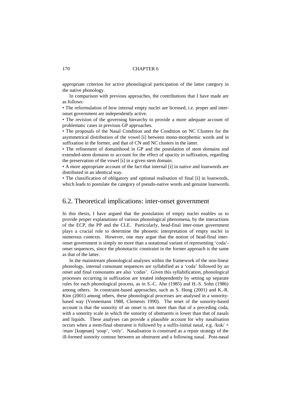appropriate criterion for active phonological participation of the latter category in the native phonology.

In comparison with previous approaches, the contributions that I have made are as follows:

• The reformulation of how internal empty nuclei are licensed, i.e. proper and interonset government are independently active.

• The revision of the governing hierarchy to provide a more adequate account of problematic cases in previous GP approaches.

• The proposals of the Nasal Condition and the Condition on NC Clusters for the asymmetrical distribution of the vowel [i] between mono-morphemic words and in suffixation in the former, and that of CN and NC clusters in the latter.

• The refinement of domainhood in GP and the postulation of stem domains and extended-stem domains to account for the effect of opacity in suffixation, regarding the preservation of the vowel  $[i]$  in a given stem domain.

• A more appropriate account of the fact that internal  $[i]$  in native and loanwords are distributed in an identical way.

• The classification of obligatory and optional realisation of final [i] in loanwords, which leads to postulate the category of pseudo-native words and genuine loanwords.

# 6.2. Theoretical implications: inter-onset government

In this thesis, I have argued that the postulation of empty nuclei enables us to provide proper explanations of various phonological phenomena, by the interactions of the ECP, the PP and the CLE. Particularly, head-final inter-onset government plays a crucial role to determine the phonetic interpretation of empty nuclei in numerous contexts. However, one may argue that the notion of head-final interonset government is simply no more than a notational variant of representing 'coda' onset sequences, since the phonotactic constraint in the former approach is the same as that of the latter.

In the mainstream phonological analyses within the framework of the non-linear phonology, internal consonant sequences are syllabified as a 'coda' followed by an onset and final consonants are also 'codas'. Given this syllabification, phonological processes occurring in suffixation are treated independently by setting up separate rules for each phonological process, as in S.-C. Ahn (1985) and H.-S. Sohn (1986) among others. In constraint-based approaches, such as S. Hong (2001) and K.-R. Kim (2001) among others, these phonological processes are analysed in a sonoritybased way (Vennemann 1988, Clements 1990). The tenet of the sonority-based account is that the sonority of an onset is not more than that of a preceding coda, with a sonority scale in which the sonority of obstruents is lower than that of nasals and liquids. These analyses can provide a plausible account for why nasalisation occurs when a stem-final obstruent is followed by a suffix-initial nasal, e.g.  $/kuk/ +$  $/$ man $/$ [kunman] 'soup', 'only'. Nasalisation is construed as a repair strategy of the ill-formed sonority contour between an obstruent and a following nasal. Post-nasal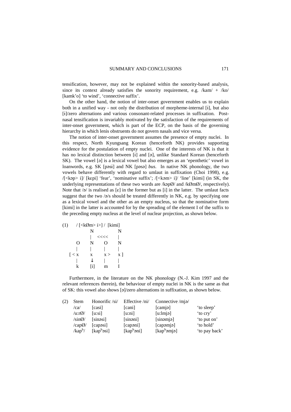tensification, however, may not be explained within the sonority-based analysis, since its context already satisfies the sonority requirement, e.g. /kam/ + /ko/ [kamk'o] 'to wind', 'connective suffix'.

On the other hand, the notion of inter-onset government enables us to explain both in a unified way - not only the distribution of morpheme-internal  $[i]$ , but also [i]/zero alternations and various consonant-related processes in suffixation. Postnasal tensification is invariably motivated by the satisfaction of the requirements of inter-onset government, which is part of the ECP, on the basis of the governing hierarchy in which lenis obstruents do not govern nasals and vice versa.

The notion of inter-onset government assumes the presence of empty nuclei. In this respect, North Kyungsang Korean (henceforth NK) provides supporting evidence for the postulation of empty nuclei. One of the interests of NK is that it has no lexical distinction between  $[i]$  and  $[j]$ , unlike Standard Korean (henceforth SK). The vowel [a] is a lexical vowel but also emerges as an 'epenthetic' vowel in loanwords, e.g. SK [pəsi] and NK [pəsə] bus. In native NK phonology, the two vowels behave differently with regard to umlaut in suffixation (Choi 1998), e.g.  $/|\langle \text{kap}\rangle|$  i]/ [kepi] 'fear', 'nominative suffix';  $/|\langle \text{kmm}\rangle|$  i]/ 'line' [kimi] (in SK, the underlying representations of these two words are  $/$ kapØ $/$  and  $/$ kØmØ $/$ , respectively). Note that  $\sqrt{2}$  is realised as  $\lceil \varepsilon \rceil$  in the former but as  $\lceil \varepsilon \rceil$  in the latter. The umlaut facts suggest that the two  $/9$ 's should be treated differently in NK, e.g. by specifying one as a lexical vowel and the other as an empty nucleus, so that the nominative form [kimi] in the latter is accounted for by the spreading of the element I of the suffix to the preceding empty nucleus at the level of nuclear projection, as shown below.

(1) 
$$
/[ i>]/
$$
 [kimi]  
\nN  
\nN  
\nN  
\nO  
\nN  
\n1  
\n $[\begin{array}{ccc} & & & \\ x & & \\ 1 & & \\ 1 & & \\ 1 & & \\ k & & \\ \end{array} \quad \begin{array}{ccc} & & & \\ 1 & & \\ 1 & & \\ 1 & & \\ 1 & & \\ 1 & & \\ k & & \\ \end{array}$ 

Furthermore, in the literature on the NK phonology (N.-J. Kim 1997 and the relevant references therein), the behaviour of empty nuclei in NK is the same as that of SK: this vowel also shows  $\lceil \frac{1}{2} \rceil$  alternations in suffixation, as shown below.

| (2) | Stem                 | Honorific $\langle$ si $\rangle$ | Effective /ni/         | Connective $\text{m}$ ja |               |
|-----|----------------------|----------------------------------|------------------------|--------------------------|---------------|
|     | $\alpha$             | [casi]                           | [cani]                 | [camiə]                  | 'to sleep'    |
|     | /u:rØ/               | [u:si]                           | [u:n]                  | [u:lm]                   | 'to cry'      |
|     | $\sin \varnothing$ / | [sinəsi]                         | [sinəni]               | [sinəmja]                | 'to put on'   |
|     | /cap $\varnothing$ / | [caposi]                         | [caponi]               | [capamja]                | 'to hold'     |
|     | $/$ kap $h/$         | [ $kaphəsi$ ]                    | [kap <sup>h</sup> əni] | [kap <sup>h</sup> əmja]  | 'to pay back' |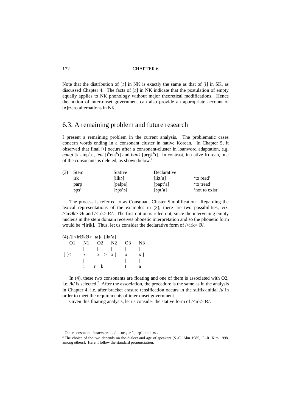Note that the distribution of  $[3]$  in NK is exactly the same as that of  $[i]$  in SK, as discussed Chapter 4. The facts of  $[q]$  in NK indicate that the postulation of empty equally applies to NK phonology without major theoretical modifications. Hence the notion of inter-onset government can also provide an appropriate account of [a]/zero alternations in NK.

# 6.3. A remaining problem and future research

I present a remaining problem in the current analysis. The problematic cases concern words ending in a consonant cluster in native Korean. In Chapter 5, it observed that final  $[i]$  occurs after a consonant-cluster in loanword adaptation, e.g. *camp*  $[k^hemph{th}]$ , *tent*  $[t^hemth{th}]$  and *bank* [pen $[k^h]$ ]. In contrast, in native Korean, one of the consonants is deleted, as shown below.<sup>1</sup>

| (3) | <b>Stem</b>  | Stative       | Declarative       |                |
|-----|--------------|---------------|-------------------|----------------|
|     | irk          | [ilkə]        | [ikt'a]           | to read'       |
|     | parp         | [palpa]       | [papt'a]          | to tread'      |
|     | $_{\rm 2DS}$ | $[$ əps'ə $]$ | $[\partial pt a]$ | 'not to exist' |

The process is referred to as Consonant Cluster Simplification. Regarding the lexical representations of the examples in (3), there are two possibilities, viz.  $\langle \langle \text{ir} \mathcal{O} \rangle \rangle$  and  $\langle \langle \text{ir} \rangle \rangle \langle \mathcal{O} \rangle$ . The first option is ruled out, since the intervening empty nucleus in the stem domain receives phonetic interpretation and so the phonetic form would be \*[irik]. Thus, let us consider the declarative form of  $\langle \langle \text{irk} \rangle \mathcal{Q} \rangle$ .

| (4) /[ $\langle \text{ir} \emptyset \text{k} \emptyset \rangle$   ta]/ [ikt'a] |              |           |                |                |                |
|--------------------------------------------------------------------------------|--------------|-----------|----------------|----------------|----------------|
| O1                                                                             | N1           | O2        | N <sub>2</sub> | O <sub>3</sub> | N <sub>3</sub> |
|                                                                                |              |           |                |                |                |
| $\lceil \lceil \leq$                                                           | X            | $x > x$ ] |                | $\mathbf{X}$   | $\mathbf{x}$   |
|                                                                                |              |           |                |                |                |
|                                                                                | $\mathbf{i}$ | r k       |                |                | я              |

 In (4), these two consonants are floating and one of them is associated with O2, i.e.  $/k$  is selected.<sup>2</sup> After the association, the procedure is the same as in the analysis in Chapter 4, i.e. after bracket erasure tensification occurs in the suffix-initial  $/t$  in order to meet the requirements of inter-onset government.

Given this floating analysis, let us consider the stative form of  $\langle \langle \text{irk} \rangle \mathcal{Q} \rangle$ .

j

<sup>1</sup> <sup>1</sup> Other consonant clusters are -ks'-, -nc-, -rt<sup>h</sup>-, -rp<sup>h</sup>- and -rs-.<sup>2</sup> The choice of the two depends on the dielect and age of a

<sup>&</sup>lt;sup>2</sup> The choice of the two depends on the dialect and age of speakers (S.-C. Ahn 1985, G.-R. Kim 1998, among others). Here, I follow the standard pronunciation.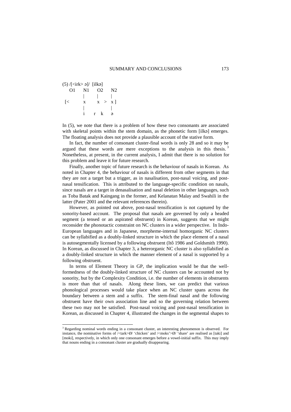$$
(5) / [\text{cirk} > 9] / [\text{ilka}]
$$

 O1 N1 O2 N2 | | | [< x x > x ] | | i r k

In (5), we note that there is a problem of how these two consonants are associated with skeletal points within the stem domain, as the phonetic form [ilka] emerges. The floating analysis does not provide a plausible account of the stative form.

 In fact, the number of consonant cluster-final words is only 28 and so it may be argued that these words are mere exceptions to the analysis in this thesis.<sup>3</sup> Nonetheless, at present, in the current analysis, I admit that there is no solution for this problem and leave it for future research.

 Finally, another topic of future research is the behaviour of nasals in Korean. As noted in Chapter 4, the behaviour of nasals is different from other segments in that they are not a target but a trigger, as in nasalisation, post-nasal voicing, and postnasal tensification. This is attributed to the language-specific condition on nasals, since nasals are a target in denasalisation and nasal deletion in other languages, such as Toba Batak and Kaingang in the former, and Kelanatan Malay and Swahili in the latter (Pater 2001 and the relevant references therein).

However, as pointed out above, post-nasal tensification is not captured by the sonority-based account. The proposal that nasals are governed by only a headed segment (a tensed or an aspirated obstruent) in Korean, suggests that we might reconsider the phonotactic constraint on NC clusters in a wider perspective. In Indo-European languages and in Japanese, morpheme-internal homorganic NC clusters can be syllabified as a doubly-linked structure in which the place element of a nasal is autosegmentally licensed by a following obstruent (Itô 1986 and Goldsmith 1990). In Korean, as discussed in Chapter 3, a heterorganic NC cluster is also syllabified as a doubly-linked structure in which the manner element of a nasal is supported by a following obstruent.

In terms of Element Theory in GP, the implication would be that the wellformedness of the doubly-linked structure of NC clusters can be accounted not by sonority, but by the Complexity Condition, i.e. the number of elements in obstruents is more than that of nasals. Along these lines, we can predict that various phonological processes would take place when an NC cluster spans across the boundary between a stem and a suffix. The stem-final nasal and the following obstruent have their own association line and so the governing relation between these two may not be satisfied. Post-nasal voicing and post-nasal tensification in Korean, as discussed in Chapter 4, illustrated the changes in the segmental shapes to

<sup>&</sup>lt;sup>3</sup> Regarding nominal words ending in a consonant cluster, an interesting phenomenon is observed. For instance, the nominative forms of  $/\langle \text{dark} \rangle \emptyset / \langle \text{thicken'} \rangle$  and  $/\langle \text{moks'} \rangle \emptyset / \langle \text{share'} \rangle$  are realised as [taki] and [moki], respectively, in which only one consonant emerges before a vowel-initial suffix. This may imply that nouns ending in a consonant cluster are gradually disappearing.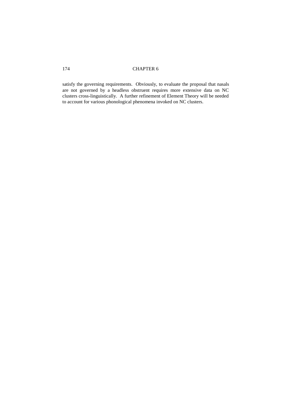satisfy the governing requirements. Obviously, to evaluate the proposal that nasals are not governed by a headless obstruent requires more extensive data on NC clusters cross-linguistically. A further refinement of Element Theory will be needed to account for various phonological phenomena invoked on NC clusters.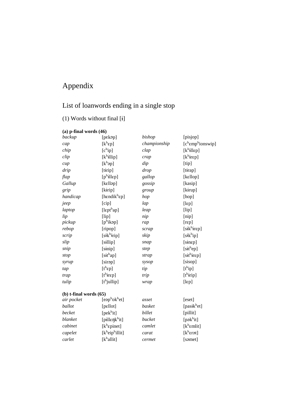# Appendix

# List of loanwords ending in a single stop

# (1) Words without final  $[i]$

| $(a)$ p-final words $(46)$ |                                    |              |                                           |  |  |  |  |
|----------------------------|------------------------------------|--------------|-------------------------------------------|--|--|--|--|
| backup                     | [pɛkəp]                            | bishop       | [pisjop]                                  |  |  |  |  |
| cap                        | $[k^h \epsilon p]$                 | championship | [c <sup>h</sup> emp <sup>h</sup> ionswip] |  |  |  |  |
| chip                       | $[c^{\mathrm{h}}ip]$               | clap         | $[k^{\text{h}}\text{illep}]$              |  |  |  |  |
| clip                       | $[k^h$ illip]                      | crap         | $[k^{\text{h}}\text{irep}]$               |  |  |  |  |
| cup                        | $[k^h$ əp]                         | dip          | [tip]                                     |  |  |  |  |
| drip                       | [tirip]                            | drop         | [tirap]                                   |  |  |  |  |
| flap                       | $[p^{\text{h}}\text{illep}]$       | gallop       | [kɛllop]                                  |  |  |  |  |
| Gallup                     | [kɛlləp]                           | gossip       | [kasip]                                   |  |  |  |  |
| grip                       | [kirip]                            | group        | [kirup]                                   |  |  |  |  |
| handicap                   | [hɛndik $^h$ ɛp]                   | hop          | [hop]                                     |  |  |  |  |
| jeep                       | [cip]                              | lap          | [lep]                                     |  |  |  |  |
| laptop                     | $[{\rm lept}^{\rm h} {\rm ap}]$    | leap         | [lip]                                     |  |  |  |  |
| lip                        | [lip]                              | nip          | [nip]                                     |  |  |  |  |
| pickup                     | $[p^{\text{h}}\text{ikop}]$        | rap          | [rep]                                     |  |  |  |  |
| rebop                      | [ripop]                            | scrap        | $[sik^hirep]$                             |  |  |  |  |
| scrip                      | $[sik^h$ irip]                     | skip         | $[sik^hip]$                               |  |  |  |  |
| slip                       | [sillip]                           | snap         | [sinep]                                   |  |  |  |  |
| snip                       | [sinip]                            | step         | [sitep]                                   |  |  |  |  |
| stop                       | $[$ sit $^{\text{h}}$ ap]          | strap        | [sit <sup>h</sup> irep]                   |  |  |  |  |
| syrup                      | [sirop]                            | sysop        | [sisop]                                   |  |  |  |  |
| tap                        | $[t^h\varepsilon p]$               | tip          | [t <sup>h</sup> ip]                       |  |  |  |  |
| trap                       | $[th$ irep]                        | trip         | $[t^h$ irip]                              |  |  |  |  |
| tulip                      | $[th]$ ullip]                      | wrap         | [lep]                                     |  |  |  |  |
| $(b)$ t-final words $(65)$ |                                    |              |                                           |  |  |  |  |
| air pocket                 | $[e^{i\phi}$ ok $he^{i\phi}$       | asset        | [eset]                                    |  |  |  |  |
| ballot                     | [pɛllot]                           | basket       | [pasik <sup>h</sup> et]                   |  |  |  |  |
| becket                     | [pek <sup>h</sup> it]              | billet       | [pillit]                                  |  |  |  |  |
| blanket                    | $[p$ ill $\varepsilon$ n $k^h$ it] | bucket       | $[p \partial k^h it]$                     |  |  |  |  |
| cabinet                    | [ $k^h$ epinet]                    | camlet       | $[k^h$ emlit]                             |  |  |  |  |
| capelet                    | $[k^heip^h$ illit]                 | carat        | $[k^h$ erət]                              |  |  |  |  |
| carlet                     | $[k^{\text{h}}$ allit]             | cermet       | [samet]                                   |  |  |  |  |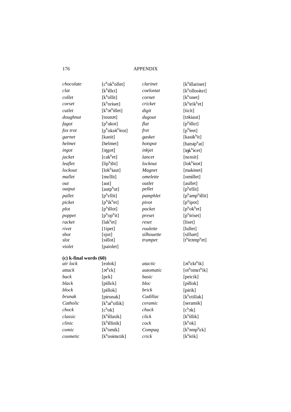176 APPENDIX

| chocolate                  | $[c^{\text{h}} \circ k^{\text{h}} \circ \text{left}]$ | clarinet   | $[k^h$ illarinet]                                   |
|----------------------------|-------------------------------------------------------|------------|-----------------------------------------------------|
| clat                       | $[k^h$ illet]                                         | coelostat  | $[k^h$ ollositet]                                   |
| collet                     | $[k^{\text{h}}$ ollit]                                | cornet     | $[k^h$ onet]                                        |
| corset                     | $[k^{\text{h}}\text{or}\text{iset}]$                  | cricket    | $[k^h$ iri $k^h$ et]                                |
| cutlet                     | $[k^h$ ət $^h$ illet]                                 | digit      | [ticit]                                             |
| doughnut                   | [tounat]                                              | dugout     | [təkiaut]                                           |
| fagot                      | $[p^h$ akot]                                          | flat       | $[p^{\text{h}}\text{illet}]$                        |
| fox trot                   | $[p^h$ oksit <sup>h</sup> irot]                       | fret       | $[p^{\text{h}}\text{iret}]$                         |
| garnet                     | [kanit]                                               | gasket     | [kasi $k^h$ it]                                     |
| helmet                     | [helmet]                                              | hotspot    | [hatsiphat]                                         |
| ingot                      | [ingot]                                               | inkjet     | $[ink^h$ icet]                                      |
| jacket                     | [cak <sup>h</sup> et]                                 | lancet     | [nensit]                                            |
| $\emph{leaflet}$           | $[$ lip <sup>h</sup> ilit]                            | locknut    | $[lokh$ inət]                                       |
| lockout                    | $[lok^h$ iaut]                                        | Magnet     | [makinet]                                           |
| mallet                     | [mɛllit]                                              | omelette   | [omillet]                                           |
| out                        | [aut]                                                 | outlet     | [aullet]                                            |
| output                     | $[{\rm autp}^{\rm h} {\rm ut}]$                       | pellet     | $[p^{\text{h}}$ ellit]                              |
| pallet                     | $[p^h$ ellit]                                         | pamphlet   | $[p^{\text{h}}amp^{\text{h}}\text{illit}]$          |
| picket                     | $[p^h$ ik $^h$ et]                                    | pivot      | $[p^{\text{h}}ipot]$                                |
| plot                       | $[p^{\text{h}}\text{illot}]$                          | pocket     | $[p^{\mathrm{h}} \text{ok}^{\mathrm{h}} \text{et}]$ |
| poppet                     | $[p^{\rm h}op^{\rm h}it]$                             | preset     | $[p^h$ iriset]                                      |
| racket                     | [1ak <sup>h</sup> et]                                 | reset      | [liset]                                             |
| rivet                      | [lipet]                                               | roulette   | [lullet]                                            |
| shot                       | [sjot]                                                | silhouette | [silluet]                                           |
| slot                       | [silot]                                               | trumpet    | $[t^h$ irəmp $^h$ et]                               |
| violet                     | [paiolet]                                             |            |                                                     |
| $(c)$ k-final words $(60)$ |                                                       |            |                                                     |
| air lock                   | [eəlok]                                               | atactic    | $[$ ət <sup>h</sup> $\epsilon$ kt <sup>h</sup> ik]  |
| attack                     | $[\mathfrak{a}^{\text{th}}\mathfrak{e}\mathfrak{k}]$  | automatic  | [ $ot$ <sup>h</sup> om $et$ <sup>h</sup> ik]        |
| back                       | [pek]                                                 | basic      | [peicik]                                            |
| black                      | $[p\text{-}illek]$                                    | bloc       | [pillok]                                            |
| block                      | [pillok]                                              | brick      | [pirik]                                             |
| brunak                     | [pirunak]                                             | Cadillac   | [k <sup>h</sup> ɛtillak]                            |
| Catholic                   | $[k^hat^b$ ollik]                                     | ceramic    | [seramik]                                           |
| chock                      | $[c^h \circ k]$                                       | chuck      | $[c^{\mathrm{h}}\mathfrak{d}k]$                     |
| classic                    | $[k^h$ illasik]                                       | click      | $[k^h$ illik]                                       |
| clinic                     | $[k^h$ illinik]                                       | cock       | $[k^h$ ok]                                          |
| comic                      | $[k^{\text{h}}$ omik]                                 | Compaq     | $[k^h$ əmp $^h$ $\epsilon k]$                       |
| cosmetic                   | $[k^h$ osimetik]                                      | crick      | $[k^h$ irik]                                        |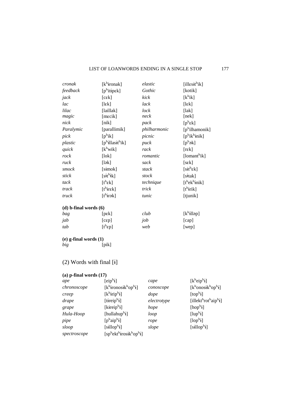### LIST OF LOANWORDS ENDING IN A SINGLE STOP 177

| cronak                    | $[k^h$ ironak]                     | elastic      | [ill $\epsilon$ sit $^h$ ik]  |
|---------------------------|------------------------------------|--------------|-------------------------------|
| feedback                  | $[p^{\text{h}}$ itip $\epsilon$ k] | Gothic       | [kotik]                       |
| jack                      | [cek]                              | kick         | $[k^h$ ik]                    |
| lac                       | $[$ l $\epsilon$ k]                | lack         | $[1 \epsilon k]$              |
| lilac                     | [laillak]                          | lock         | [1ak]                         |
| magic                     | [meck]                             | neck         | [nek]                         |
| nick                      | [nik]                              | pack         | $[p^h \varepsilon k]$         |
| Paralymic                 | [parallimik]                       | philharmonic | $[p^h$ ilhamonik]             |
| pick                      | $[p^h$ ik]                         | picnic       | $[p^h$ ik $^h$ inik]          |
| plastic                   | $[p^h$ illasit <sup>h</sup> ik]    | puck         | $[p^{\mathrm{h}}$ ək]         |
| quick                     | $[k^h$ wik]                        | rack         | [rk]                          |
| rock                      | [lok]                              | romantic     | [lomant <sup>h</sup> ik]      |
| ruck                      | [lək]                              | sack         | $[s\epsilon k]$               |
| smock                     | [simok]                            | stack        | $[sit^h \varepsilon k]$       |
| stick                     | $[sit^hik]$                        | stock        | [ <b>s</b> itak]              |
| tack                      | $[t^h \epsilon k]$                 | technique    | $[t^h$ ek $^h$ inik]          |
| track                     | $[th$ ir $\epsilon$ k]             | trick        | [t <sup>h</sup> irik]         |
| truck                     | $[th$ irək]                        | tunic        | [tjunik]                      |
| $(d)$ b-final words $(6)$ |                                    |              |                               |
| bag                       | [pek]                              | club         | $[k^{\text{h}}\text{il}$ lap] |
| jab                       | [cep]                              | job          | [cap]                         |
| tab                       | $[t^h\varepsilon p]$               | web          | [wep]                         |

### **(e) g-final words (1)**

*big* [pik]

## (2) Words with final  $[i]$

### (a) **p-final words (17)**<br>  $ape$   $[eip<sup>h</sup>i]$ *ape* [eip<sup>h</sup>i] *cape* [k<sup>h</sup>eip<sup>h</sup>i] *cape* [k<sup>h</sup>eip<sup>h</sup>i] *chronoscope* [k<sup>h</sup>onosik<sup>h</sup>op<sup>h</sup>i] *conoscope* [k<sup>h</sup>onosik<sup>h</sup>op<sup>h</sup>i] *chronoscope* [k<sup>h</sup>ironosik<sup>h</sup>op<sup>h</sup>i] *conoscope creep*  $[k^h$ **irip**<sup>h</sup>**i**] *dope* [top<sup>h</sup>**i**] *drape* [tireip<sup>h</sup>i] *electrotype* [illekt<sup>h</sup>rot<sup>h</sup>aip<sup>h</sup>i]<br>grape [kireip<sup>h</sup>i] *hope* [hop<sup>h</sup>i] *grape* [kireip<sup>h</sup>i] *hope* [hop<sup>h</sup>i]<br> *Hula-Hoop* [hullahup<sup>h</sup>i] *loop* [lup<sup>h</sup>i] *Hula-Hoop* [hullahup<sup>h</sup>i] *loop*  $pipe$  [p<sup>h</sup>aip<sup>h</sup>i] *rope* [lop<sup>h</sup>i] *sloop* [sillop<sup>h</sup>i] *slope* [sillop<sup>h</sup>i] *slope* [sillop<sup>h</sup>i] *spectroscope* [sp<sup>h</sup>ekt<sup>h</sup>irosik<sup>h</sup>op<sup>h</sup>i]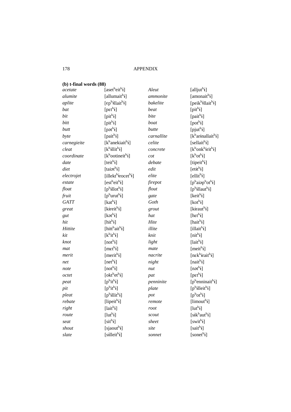178 APPENDIX

### **(b) t-final words (88)**

*slate* [sÛlleitHÛ] *sonnet* [sonetHÛ]

*acetate* [aset<sup>h</sup>eit<sup>h</sup>i] *Aleut* [alljut<sup>h</sup>i] *alumite* [allumait<sup>h</sup>i] *ammonite* [amonait<sup>h</sup>i] *aplite* [Ep<sup>h</sup>illait<sup>h</sup>i] *bakelite* [peik<sup>h</sup>illait<sup>h</sup>i] *bat* [pet<sup>h</sup>i] *beat* [pit<sup>h</sup>i] *beat* [pit<sup>h</sup>i] *bit* [pit<sup>h</sup>i] *bite* [pait<sup>h</sup>i]  $bit$  [pit<sup>h</sup>i] *boat* [pot<sup>h</sup>i] *butt* [put<sup>h</sup>i] *butte* [pjut<sup>h</sup>i] *byte* [pait<sup>h</sup>i] *carnallite* [k<sup>h</sup>arinallait<sup>h</sup>i] *carnegieite* [k<sup>h</sup>anekiait<sup>h</sup>i] *celite* [sellait<sup>h</sup>i] *cleat*  $[k^h$ illit<sup>h</sup>i] *concrete*  $[k^h$ onk<sup>h</sup>irit<sup>h</sup>i]  $coordinate$   $[k^{\text{h}}\text{ootineit}^{\text{h}}\text{i}]$   $cot$   $[k^{\text{h}}\text{ot}^{\text{h}}\text{i}]$ *date* [teit<sup>h</sup>i] *debate* [tipeit<sup>h</sup>i] *diet* [taingthet] *edit* [etithet] *electrojet* [illekt<sup>h</sup>irocet<sup>h</sup>i] *elite* [ellit<sup>h</sup>i]  $\epsilon$ *estate* [est<sup>h</sup>eit<sup>h</sup>i] *firepot* [p<sup>h</sup>aiap<sup>h</sup>ot<sup>h</sup>i] *float* [p<sup>h</sup>illot<sup>h</sup>i] *flout* [p<sup>h</sup>illaut<sup>h</sup>i] *flout* [p<sup>h</sup>illaut<sup>h</sup>i] *fruit* [p<sup>h</sup>urut<sup>h</sup>i] *gate* [keit<sup>h</sup>i]  $GATT$  [kat<sup>h</sup>i]  $Goth$  [kot<sup>h</sup>i] *great* [kireit<sup>h</sup>i] *grout* [kiraut<sup>h</sup>i] *gut* [kət<sup>h</sup>i] *hat* [h $\varepsilon$ <sup>h</sup>i] *hat* [h $\varepsilon$ <sup>h</sup>i] *hit* [hit<sup>h</sup>i] *Hite* [hait<sup>h</sup>i] *Hittite* [hitt<sup>h</sup>ait<sup>h</sup>i] *illite* [illait<sup>h</sup>i] **illite** [illait<sup>h</sup>i]  $kit$  [k<sup>h</sup>it<sup>h</sup>i] *knit* [nit<sup>h</sup>i]  $knot$  [not<sup>h</sup>i] *light* [lait<sup>h</sup>i] *light* [[laith]  $\text{mat}$  [met<sup>h</sup>i] *mate* [meit<sup>h</sup>i] *merit* [merit<sup>h</sup>i] *nacrite* [nEk<sup>h</sup>irait<sup>h</sup>i] *net* [net<sup>h</sup>i] *night* [nait<sup>h</sup>i]  $note$  [not<sup>h</sup>i] *nut* [nət<sup>h</sup>i] *nut* [nət<sup>h</sup>i]  $octet$   $[okt<sup>h</sup>t]<sup>1</sup>$  *pat*  $[pet<sup>h</sup>t]$ *peat*  $[p^h i^h i]$  *penninite*  $[p^h$ enninait<sup>h</sup>i  $pit$  [p<sup>h</sup>it<sup>h</sup>i] *plate* [p<sup>h</sup>illeit<sup>h</sup>i]  $\mu$ leat [p<sup>h</sup>illit<sup>h</sup>i] *pot* [p<sup>h</sup>ot<sup>h</sup>i] *rebate* [lipeit<sup>h</sup>i] *remote* [limout<sup>h</sup>i]  $right$  [lait<sup>h</sup>i] *root* [lut<sup>h</sup>i] *route* [lut<sup>h</sup>i] *scout* [sik<sup>h</sup>aut<sup>h</sup>i] *seat* [sit<sup>h</sup>i] *sheet* [swit<sup>h</sup>i] *shout* [sjaout<sup>h</sup>i] *site* [sait<sup>h</sup>i] *site* [sait<sup>h</sup>i]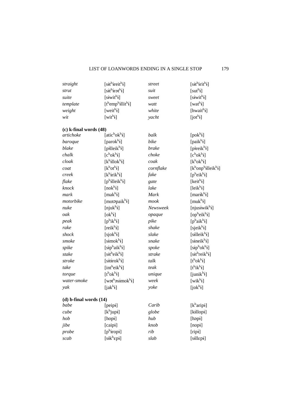### LIST OF LOANWORDS ENDING IN A SINGLE STOP 179

| straight                                | $[$ sit <sup>h</sup> ireit <sup>h</sup> i]           | street          | $[sit^h\text{irit}^h\text{i}]$         |
|-----------------------------------------|------------------------------------------------------|-----------------|----------------------------------------|
| strut                                   | $[$ sit <sup>h</sup> irat <sup>h</sup> i]            | suit            | [ <sup>h</sup> i]                      |
| suite                                   | [si with]                                            | sweet           | [si with <sup>h</sup> i]               |
| template                                | $[t^hemp^h$ illit <sup>h</sup> i]                    | watt            | [wat <sup>h</sup> i]                   |
| weight                                  | $[weith$ i]                                          | white           | [hwait <sup>h</sup> i]                 |
| wit                                     | [with]                                               | yacht           | $[$ jot $^{\text{h}}$ i]               |
|                                         |                                                      |                 |                                        |
| $(c)$ k-final words $(48)$<br>artichoke | [atic $h$ <sup>h</sup> ok $h$ <sup>i</sup> i]        | balk            | [pok <sup>h</sup> <sub>i</sub> ]       |
| baroque                                 | [paro $k^h$ i]                                       | bike            | [ $paikhi$ ]                           |
| blake                                   | $[pi]$ llei $k^h$ i]                                 | <b>brake</b>    | [ $pireikhi$ ]                         |
| chalk                                   | $[c^h \circ k^h \mathbf{i}]$                         | choke           | $[c^h \circ k^h \mathbf{i}]$           |
| cloak                                   | $[k^h$ illo $k^h$ i]                                 | $\mathit{coak}$ | $[k^h$ o $k^h$ i]                      |
| coat                                    | $[k^{\mathrm{h}}\mathrm{ot}^{\mathrm{h}}\mathbf{i}]$ | cornflake       | $[k^h$ onp <sup>h</sup> illei $k^h$ i] |
| creek                                   | $[k^h$ iri $k^h$ i]                                  | fake            | $[p^heik^h]$                           |
| flake                                   | $[p^{\text{h}}$ illeik $^{\text{h}}$ i]              | gate            | [ $keithi$ ]                           |
| knock                                   | [nok <sup>h</sup> i]                                 | lake            | $\left[$ leik $^{\rm h}$ i $\right]$   |
| mark                                    | $[makh$ i]                                           | Mark            | [mari $k^h$ i]                         |
| motorbike                               | [motopaik $h_i$ <sup>h</sup>                         | mook            | $[{\rm muk}^{\rm h}\mathbf{i}]$        |
| nuke                                    | [njuk <sup>h</sup> i]                                | Newsweek        | $[n]$ usiwik $h$ i]                    |
| oak                                     | $[okh$ i]                                            | opaque          | $[opheihh$ i]                          |
| peak                                    | $[p^h$ ik $h$ i]                                     | pike            | $[p^{\text{h}}\text{aik}^{\text{h}}]$  |
| rake                                    | $[reikh$ i]                                          | shake           | [sjeik <sup>h</sup> i]                 |
| shock                                   | [sjok <sup>h</sup> i]                                | slake           | $[s$ illei $k^h$ i]                    |
| smoke                                   | [simok <sup>h</sup> i]                               | snake           | [sinei $k^h$ i]                        |
| spike                                   | $[sip^h a i k^h i]$                                  | spoke           | $[sip^h$ ok $h$ i]                     |
| stake                                   | [siteik <sup>h</sup> i]                              | strake          | [site <sup>h</sup>                     |
| stroke                                  | [sitirok <sup>h</sup> i]                             | talk            | $[t^h$ o $k^h$ i]                      |
| take                                    | $[int^h eik^h i]$                                    | teak            | $[t^h$ ik $h$ <sup>i</sup> l           |
| torque                                  | $[t^h$ o $k^h$ i]                                    | unique          | [junik $^{\rm h}$ i]                   |
| water-smoke                             | [wət $^{\rm h}$ əsimok $^{\rm h}$ i]                 | week            | $[wikh$ i]                             |
| yak                                     | [iak <sup>h</sup> ] <sub>i</sub>                     | yoke            | $[~j\text{o}~k^{\text{h}}\text{i}]$    |
|                                         |                                                      |                 |                                        |
| $(d)$ b-final words $(14)$<br>babe      | [peipi]                                              | Carib           | [k <sup>h</sup> aripi]                 |
| cube                                    | $[k^h]$ iupi]                                        | globe           | [killopi]                              |
| hob                                     | [hopi]                                               | hub             | $[{\rm h}$                             |
| jibe                                    | [caipi]                                              | knob            | [nop <sub>i</sub> ]                    |
| probe                                   | $[p^{\text{h}}irop]$                                 | rib             | [ripi]                                 |
| scab                                    | $[sikhepi]$                                          | slab            | [sillepi]                              |
|                                         |                                                      |                 |                                        |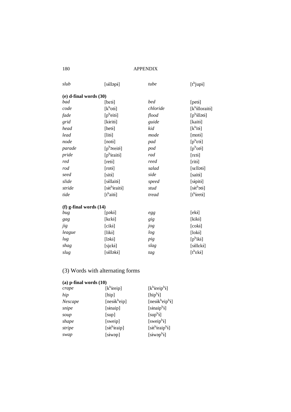180 APPENDIX

| slub                       | [sillapi]                                    | tube     | [t <sup>h</sup> jupi]         |
|----------------------------|----------------------------------------------|----------|-------------------------------|
| $(e)$ d-final words $(30)$ |                                              |          |                               |
| bad                        | [beti]                                       | bed      | [peti]                        |
| code                       | $[k^h$ oti]                                  | chloride | $[k^h$ illoraiti]             |
| fade                       | $[p^{\text{h}}e\text{it}]$                   | flood    | $[p^{\text{h}}$ illəti]       |
| grid                       | [kiriti]                                     | guide    | [kaiti]                       |
| head                       | [het <sub>i</sub> ]                          | kid      | $[k^h$ iti]                   |
| lead                       | $[$ liti $]$                                 | mode     | [mot <sup>i</sup> ]           |
| node                       | [noti]                                       | pad      | $[p^h$ $\epsilon$ ti]         |
| parade                     | $[p^{\rm h}$ <sub>2</sub> reiti <sup>1</sup> | pod      | $[p^{\rm h}$ oti]             |
| pride                      | $[p^h$ iraiti]                               | rad      | [reti]                        |
| red                        | [reti]                                       | reed     | $[$ riti $]$                  |
| rod                        | [roti]                                       | salad    | [self]                        |
| seed                       | [sit]                                        | side     | [saiti]                       |
| slide                      | [sillaiti]                                   | speed    | [sipiti]                      |
| stride                     | $[$ sit $^{\text{h}}$ iraiti]                | stud     | $[$ sit <sup>h</sup> əti]     |
| tide                       | [t <sup>h</sup> aiti]                        | tread    | [t <sup>h</sup> ireti]        |
| $(f)$ g-final words $(14)$ |                                              |          |                               |
| bug                        | [pəki]                                       | egg      | [eki]                         |
| gag                        | $[k\epsilon k]$                              | gig      | [kik]                         |
| jig                        | [cik]                                        | jog      | [ <i>cok</i> ] <sub>i</sub> ] |
| league                     | $[$ liki $]$                                 | $\log$   | [lok <sub>i</sub> ]           |
| lug                        | [1əki]                                       | pig      | $[p^h$ iki]                   |
| shag                       | $[sj\epsilon k\mathbf{i}]$                   | slag     | $[sill\epsilon k]$            |
| slug                       | [silləki]                                    | tag      | $[t^h$ εki]                   |

# (3) Words with alternating forms

# **(a) p-final words (10)**

| crape   | $[k^{\text{h}}\text{ireip}]$ | $[k^{\text{h}}\text{ireip}^{\text{h}}\text{i}]$ |
|---------|------------------------------|-------------------------------------------------|
| hip     | [hip]                        | $[hip^h i]$                                     |
| Nescape | [ $nesikhejp$ ]              | [nesik <sup>h</sup> ejp <sup>h</sup> i]         |
| snipe   | [sinaip]                     | [sinaip $h_i$ ]                                 |
| soup    | [sup]                        | $[suph$ i]                                      |
| shape   | [sweip]                      | [sweip <sup>h</sup> i]                          |
| stripe  | $[$ sit $^{\text{h}}$ iraip] | $[$ sit <sup>h</sup> iraip <sup>h</sup> i]      |
| swap    | [si wap]                     | [si wop <sup>h</sup> i]                         |
|         |                              |                                                 |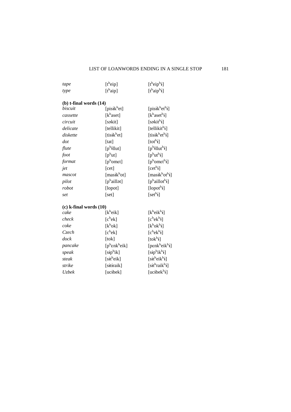### LIST OF LOANWORDS ENDING IN A SINGLE STOP 181

| tape | [t <sup>h</sup> eip] | $[t^{\text{he}}; p^{\text{h}}]$ |
|------|----------------------|---------------------------------|
| type | [t <sup>h</sup> aip] | $[t^{\rm h}$ aip $^{\rm h}$ i]  |

| $(b)$ t-final words $(14)$ |                              |                                                      |
|----------------------------|------------------------------|------------------------------------------------------|
| biscuit                    | [ $pisikhet$ ]               | [pisik $^{h}$ et $^{h}$ i]                           |
| cassette                   | [k <sup>h</sup> aset]        | [ $k^{\text{h}}$ aset $^{\text{h}}$ i]               |
| circuit                    | [səkit]                      | [səkit $^{\rm h}$ i]                                 |
| delicate                   | [tellikit]                   | [tellikit <sup>h</sup> i]                            |
| diskette                   | [tisi $k^h$ et]              | [tisik $^{h}$ et $^{h}$ i]                           |
| dot                        | [tat]                        | [tot <sup>h</sup> i]                                 |
| flute                      | $[p^{\text{h}}\text{illut}]$ | $[p^{\text{h}}\text{illut}^{\text{h}}\text{i}]$      |
| foot                       | $[p^h$ ut]                   | $[p^{\mathrm{h}}\mathrm{ut}^{\mathrm{h}}\mathbf{i}]$ |
| format                     | $[p^{\rm h}$ omet]           | $[p^{\rm h}$ omet $^{\rm h}$ i]                      |
| jet                        | [cet]                        | $[cet^h i]$                                          |
| mascot                     | [masi $k^h$ ot]              | [masik <sup>h</sup> ot <sup>h</sup> i]               |
| pilot                      | $[p^{\text{h}}$ aillət]      | $[p^{\text{h}}\text{aillot}^{\text{h}}]$             |
| robot                      | [lopot]                      | $[lopoth$ i]                                         |
| set                        | [set]                        | [set <sup>h</sup> <sub>i</sub> ]                     |
| $(c)$ k-final words $(10)$ |                              |                                                      |
| cake                       | [k <sup>h</sup> e i k]       | $[k^heik^h]$                                         |
| check                      | $[c^hek]$                    | $[c^h e k^h i]$                                      |
| coke                       | $[k^h$ ok]                   | $[k^h$ o $k^h$ i]                                    |
| Czech                      | $[c^hek]$                    | $[c^h e k^h i]$                                      |
|                            | 1 <sub>1</sub>               | e abso                                               |

| check   | c <sup>n</sup> ek     | $ c^{\mu}ek^{\mu}1 $                         |
|---------|-----------------------|----------------------------------------------|
| coke    | $[k^h$ ok]            | $[k^h$ o $k^h$ i]                            |
| Czech   | $[c^hek]$             | $[c^h e k^h i]$                              |
| dock    | [tok]                 | $[tokh$ i]                                   |
| pancake | $[p^h$ enk $h^h$ eik] | [ $penk$ <sup>h</sup> ei $k$ <sup>h</sup> i] |
| speak   | $[sip^hik]$           | $[sip^hik^h]$                                |
| steak   | $[sit^heik]$          | $[sit^heik^h]$                               |
| strike  | [sitiraik]            | $[sit^h$ raik $h$ <sup>i</sup> ]             |
| Uzbek   | [ucibek]              | $[ucibekh$ i]                                |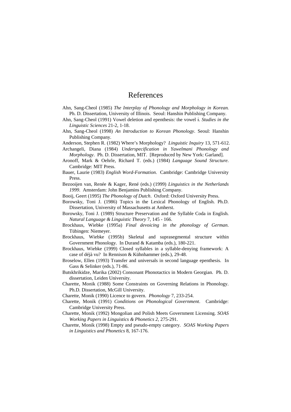## References

- Ahn, Sang-Cheol (1985) *The Interplay of Phonology and Morphology in Korean*. Ph. D. Dissertation, University of Illinois. Seoul: Hanshin Publishing Company.
- Ahn, Sang-Cheol (1991) Vowel deletion and epenthesis: the vowel i. *Studies in the Linguistic Sciences* 21-2, 1-18.
- Ahn, Sang-Cheol (1998) *An Introduction to Korean Phonology*. Seoul: Hanshin Publishing Company.
- Anderson, Stephen R. (1982) Where's Morphology? *Linguistic Inquiry* 13, 571-612.
- Archangeli, Diana (1984) *Underspecification in Yawelmani Phonology and Morphology*. Ph. D. Dissertation, MIT. [Reproduced by New York: Garland].
- Aronoff, Mark & Oehrle, Richard T. (eds.) (1984) *Language Sound Structure*. Cambridge: MIT Press.
- Bauer, Laurie (1983) *English Word-Formation*. Cambridge: Cambridge University Press.
- Bezooijen van, Renée & Kager, René (eds.) (1999) *Linguistics in the Netherlands 1999*. Amsterdam: John Benjamins Publishing Company.
- Booij, Geert (1995) *The Phonology of Dutch*. Oxford: Oxford University Press.
- Borowsky, Toni J. (1986) Topics in the Lexical Phonology of English. Ph.D. Dissertation, University of Massachusetts at Amherst.
- Borowsky, Toni J. (1989) Structure Preservation and the Syllable Coda in English. *Natural Language & Linguistic Theory* 7, 145 - 166.
- Brockhaus, Wiebke (1995a) *Final devoicing in the phonology of German*. Tübingen: Niemeyer.
- Brockhaus, Wiebke (1995b) Skeletal and suprasegmental structure within Government Phonology. In Durand & Katamba (eds.), 180-221.
- Brockhaus, Wiebke (1999) Closed syllables in a syllable-denying framework: A case of déjà vu? In Rennison & Kühnhammer (eds.), 29-48.
- Broselow, Ellen (1993) Transfer and universals in second language epenthesis. In Gass & Selinker (eds.), 71-86.
- Butskhrikidze, Marika (2002) Consonant Phonotactics in Modern Georgian. Ph. D. dissertation, Leiden University.
- Charette, Monik (1988) Some Constraints on Governing Relations in Phonology. Ph.D. Dissertation, McGill University.
- Charette, Monik (1990) Licence to govern. *Phonology* 7, 233-254.
- Charette, Monik (1991) *Conditions on Phonological Government*. Cambridge: Cambridge University Press.
- Charette, Monik (1992) Mongolian and Polish Meets Government Licensing. *SOAS Working Papers in Linguistics & Phonetics 2*, 275-291.
- Charette, Monik (1998) Empty and pseudo-empty category. *SOAS Working Papers in Linguistics and Phonetics* 8, 167-176.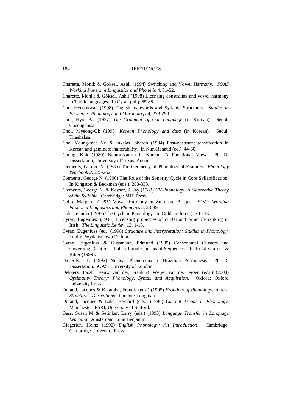- Charette, Monik & Göksel, Ashli (1994) Switching and Vowel Harmony. *SOAS Working Papers in Linguistics and Phonetic* 4, 31-52.
- Charette, Monik & Göksel, Ashli (1998) Licensing constraints and vowel harmony in Turkic languages. In Cyran (ed.), 65-88.
- Cho, Hyeonkwan (1998) English loanwords and Syllable Structures. *Studies in Phonetics, Phonology and Morphology* 4, 273-290.
- Choi, Hyon-Pai (1937) *The Grammar of Our Language* (in Korean). Seoul: Cheongemsa.
- Choi, Myeong-Ok (1998) *Korean Phonology and data* (in Korean). Seoul: Thaehaksa.
- Cho, Young-mee Yu & Inkelas, Sharon (1994) Post-obstruent tensification in Korean and geminate inalterability. In Kim-Renaud (ed.), 44-60.
- Chung, Kuk (1980) Neutralization in Korean: A Functional View. Ph. D. Dissertation, University of Texas, Austin.
- Clements, George N. (1985) The Geometry of Phonological Features. *Phonology Yearbook 2*, 225-252.
- Clements, George N. (1990) The Role of the Sonority Cycle in Core Syllabification. In Kingston & Beckman (eds.), 283-333.
- Clements, George N. & Keyser, S. Jay (1983) *CV Phonology: A Generative Theory of the Syllable*. Cambridge: MIT Press.
- Cobb, Margaret (1995) Vowel Harmony in Zulu and Basque. *SOAS Working Papers in Linguistics and Phonetics* 5, 23-39.
- Cole, Jennifer (1995) The Cycle in Phonology. In Goldsmith (ed.), 70-113.
- Cyran, Eugeniusz (1996) Licensing properties of nuclei and principle ranking in Irish. *The Linguistic Review* 13, 1-13.
- Cyran, Eugeniusz (ed.) (1998) *Structure and Interpretation: Studies in Phonology*. Lublin: Wydawnictwo Folium.
- Cyran, Eugeniusz & Gussmann, Edmund (1999) Consonantal Clusters and Governing Relations: Polish Initial Consonant Sequences. In Hulst van der & Ritter (1999).
- Da Silva, T. (1992) Nuclear Phenomena in Brazilian Portuguese. Ph. D. Dissertation, SOAS, University of London.
- Dekkers, Joost, Leeuw van der, Frank & Weijer van de, Jeroen (eds.) (2000) *Optimality Theory: Phonology, Syntax and Acquisition*. Oxford: Oxford University Press.
- Durand, Jacques & Katamba, Francis (eds.) (1995) *Frontiers of Phonology: Atoms, Structures, Derivations*. London: Longman.
- Durand, Jacques & Laks, Bernard (eds.) (1996) *Current Trends in Phonology*. Manchester: ESRI, University of Salford.
- Gass, Susan M & Selinker, Larry (eds.) (1993) *Language Transfer in Language Learning*. Amsterdam: John Benjamin.
- Giegerich, Heinz (1992) *English Phonology: An Introduction*. Cambridge: Cambridge University Press.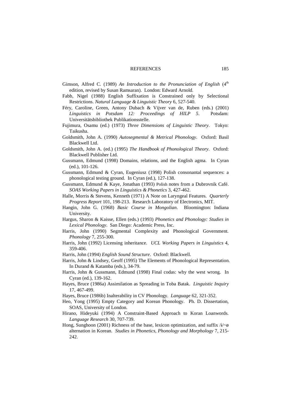- Gimson, Alfred C. (1989) An Introduction to the Pronunciation of English (4<sup>th</sup> edition, revised by Susan Ramsaran). London: Edward Arnold.
- Fabb, Nigel (1988) English Suffixation is Constrained only by Selectional Restrictions. *Natural Language & Linguistic Theory* 6, 527-540.
- Féry, Caroline, Green, Antony Dubach & Vijver van de, Ruben (eds.) (2001) *Linguistics in Potsdam 12: Proceedings of HILP 5*. Potsdam: Universitätsbibliothek Publikationsstelle.
- Fujimura, Osamu (ed.) (1973) *Three Dimensions of Linguistic Theory*. Tokyo: Taikusha.
- Goldsmith, John A. (1990) *Autosegmental & Metrical Phonology*. Oxford: Basil Blackwell Ltd.
- Goldsmith, John A. (ed.) (1995) *The Handbook of Phonological Theory*. Oxford: Blackwell Publisher Ltd.
- Gussmann, Edmund (1998) Domains, relations, and the English agma. In Cyran (ed.), 101-126.
- Gussmann, Edmund & Cyran, Eugeniusz (1998) Polish consonantal sequences: a phonological testing ground. In Cyran (ed.), 127-138.
- Gussmann, Edmund & Kaye, Jonathan (1993) Polish notes from a Dubrovnik Café. *SOAS Working Papers in Linguistics & Phonetics* 3, 427-462.
- Halle, Morris & Stevens, Kenneth (1971) A Note on Laryngeal Features. *Quarterly Progress Report* 101, 198-213. Research Laboratory of Electronics, MIT.
- Hangin, John G. (1968) *Basic Course in Mongolian*. Bloomington: Indiana University.
- Hargus, Sharon & Kaisse, Ellen (eds.) (1993) *Phonetics and Phonology: Studies in Lexical Phonology*. San Diego: Academic Press, Inc.
- Harris, John (1990) Segmental Complexity and Phonological Government. *Phonology* 7, 255-300.
- Harris, John (1992) Licensing inheritance. *UCL Working Papers in Linguistics* 4, 359-406.
- Harris, John (1994) *English Sound Structure*. Oxford: Blackwell.
- Harris, John & Lindsey, Geoff (1995) The Elements of Phonological Representation. In Durand & Katamba (eds.), 34-79.
- Harris, John & Gussmann, Edmund (1998) Final codas: why the west wrong. In Cyran (ed.), 139-162.
- Hayes, Bruce (1986a) Assimilation as Spreading in Toba Batak. *Linguistic Inquiry*  17, 467-499.
- Hayes, Bruce (1986b) Inalterability in CV Phonology. *Language* 62, 321-352.
- Heo, Yong (1995) Empty Category and Korean Phonology. Ph. D. Dissertation, SOAS, University of London.
- Hirano, Hideyuki (1994) A Constraint-Based Approach to Koran Loanwords. *Language Research* 30, 707-739.
- Hong, Sunghoon (2001) Richness of the base, lexicon optimization, and suffix  $/i/\sim \phi$ alternation in Korean. *Studies in Phonetics, Phonology and Morphology* 7, 215- 242.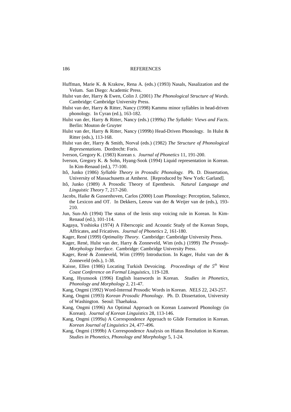- Huffman, Marie K. & Krakow, Rena A. (eds.) (1993) Nasals, Nasalization and the Velum. San Diego: Academic Press.
- Hulst van der, Harry & Ewen, Colin J. (2001) *The Phonological Structure of Words*. Cambridge: Cambridge University Press.
- Hulst van der, Harry & Ritter, Nancy (1998) Kammu minor syllables in head-driven phonology. In Cyran (ed.), 163-182.
- Hulst van der, Harry & Ritter, Nancy (eds.) (1999a) *The Syllable: Views and Facts*. Berlin: Mouton de Gruyter
- Hulst van der, Harry & Ritter, Nancy (1999b) Head-Driven Phonology. In Hulst & Ritter (eds.), 113-168.
- Hulst van der, Harry & Smith, Norval (eds.) (1982) *The Structure of Phonological Representations*. Dordrecht: Foris.
- Iverson, Gregory K. (1983) Korean *s*. *Journal of Phonetics* 11, 191-200.
- Iverson, Gregory K. & Sohn, Hyang-Sook (1994) Liquid representation in Korean. In Kim-Renaud (ed.), 77-100.
- Itô, Junko (1986) *Syllable Theory in Prosodic Phonology*. Ph. D. Dissertation, University of Massachusetts at Amherst. [Reproduced by New York: Garland].
- Itô, Junko (1989) A Prosodic Theory of Epenthesis. *Natural Language and Linguistic Theory* 7, 217-260.
- Jacobs, Haike & Gussenhoven, Carlos (2000) Loan Phonology: Perception, Salience, the Lexicon and OT. In Dekkers, Leeuw van der & Weijer van de (eds.), 193- 210.
- Jun, Sun-Ah (1994) The status of the lenis stop voicing rule in Korean. In Kim-Renaud (ed.), 101-114.
- Kagaya, Yoshioka (1974) A Fiberscopic and Acoustic Study of the Korean Stops, Affricates, and Fricatives. *Journal of Phonetics* 2, 161-180.
- Kager, René (1999) *Optimality Theory*. Cambridge: Cambridge University Press.
- Kager, René, Hulst van der, Harry & Zonneveld, Wim (eds.) (1999) *The Prosody-Morphology Interface*. Cambridge: Cambridge University Press.
- Kager, René & Zonneveld, Wim (1999) Introduction. In Kager, Hulst van der & Zonneveld (eds.), 1-38.
- Kaisse, Ellen (1986) Locating Turkish Devoicing. *Proceedings of the 5th West Coast Conference on Formal Linguistics*, 119-128.
- Kang, Hyunsook (1996) English loanwords in Korean. *Studies in Phonetics, Phonology and Morphology* 2, 21-47.
- Kang, Ongmi (1992) Word-Internal Prosodic Words in Korean. *NELS* 22, 243-257.
- Kang, Ongmi (1993) *Korean Prosodic Phonology*. Ph. D. Dissertation, University of Washington. Seoul: Thaehaksa.
- Kang, Ongmi (1996) An Optimal Approach on Korean Loanword Phonology (in Korean). *Journal of Korean Linguistics* 28, 113-146.
- Kang, Ongmi (1999a) A Correspondence Approach to Glide Formation in Korean. *Korean Journal of Linguistics* 24, 477-496.
- Kang, Ongmi (1999b) A Correspondence Analysis on Hiatus Resolution in Korean. *Studies in Phonetics, Phonology and Morphology* 5, 1-24.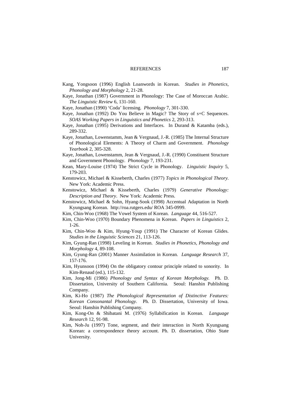- Kang, Yongsoon (1996) English Loanwords in Korean. *Studies in Phonetics, Phonology and Morphology* 2, 21-28.
- Kaye, Jonathan (1987) Government in Phonology: The Case of Moroccan Arabic. *The Linguistic Review* 6, 131-160.
- Kaye, Jonathan (1990) 'Coda' licensing. *Phonology* 7, 301-330.
- Kaye, Jonathan (1992) Do You Believe in Magic? The Story of s+C Sequences. *SOAS Working Papers in Linguistics and Phonetics* 2, 293-313.
- Kaye, Jonathan (1995) Derivations and Interfaces. In Durand & Katamba (eds.), 289-332.
- Kaye, Jonathan, Lowenstamm, Jean & Vergnaud, J.-R. (1985) The Internal Structure of Phonological Elements: A Theory of Charm and Government. *Phonology Yearbook* 2, 305-328.
- Kaye, Jonathan, Lowenstamm, Jean & Vergnaud, J.-R. (1990) Constituent Structure and Government Phonology. *Phonology* 7, 193-231.
- Kean, Mary-Louise (1974) The Strict Cycle in Phonology. *Linguistic Inquiry* 5, 179-203.
- Kenstowicz, Michael & Kisseberth, Charles (1977) *Topics in Phonological Theory*. New York: Academic Press.
- Kenstowicz, Michael & Kisseberth, Charles (1979) *Generative Phonology: Description and Theory*. New York: Academic Press.
- Kenstowicz, Michael & Sohn, Hyang-Sook (1998) Accentual Adaptation in North Kyungsang Korean. http://roa.rutgers.edu/ ROA 345-0999.
- Kim, Chin-Woo (1968) The Vowel System of Korean. *Language* 44, 516-527.
- Kim, Chin-Woo (1970) Boundary Phenomena in Korean. *Papers in Linguistics* 2, 1-26.
- Kim, Chin-Woo & Kim, Hyung-Youp (1991) The Character of Korean Glides. *Studies in the Linguistic Sciences* 21, 113-126.
- Kim, Gyung-Ran (1998) Leveling in Korean. *Studies in Phonetics, Phonology and Morphology* 4, 89-108.
- Kim, Gyung-Ran (2001) Manner Assimilation in Korean. *Language Research* 37, 157-176.
- Kim, Hyunsoon (1994) On the obligatory contour principle related to sonority. In Kim-Renaud (ed.), 115-132.
- Kim, Jong-Mi (1986) *Phonology and Syntax of Korean Morphology*. Ph. D. Dissertation, University of Southern California. Seoul: Hanshin Publishing Company.
- Kim, Ki-Ho (1987) *The Phonological Representation of Distinctive Features: Korean Consonantal Phonology*. Ph. D. Dissertation, University of Iowa. Seoul: Hanshin Publishing Company.
- Kim, Kong-On & Shibatani M. (1976) Syllabification in Korean. *Language Research* 12, 91-98.
- Kim, Noh-Ju (1997) Tone, segment, and their interaction in North Kyungsang Korean: a correspondence theory account. Ph. D. dissertation, Ohio State University.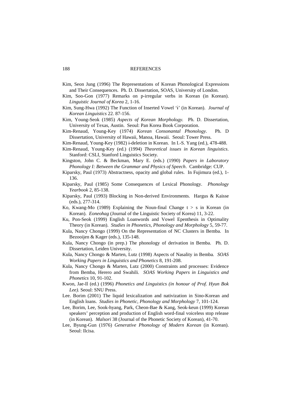- Kim, Seon Jung (1996) The Representations of Korean Phonological Expressions and Their Consequences. Ph. D. Dissertation, SOAS, University of London.
- Kim, Soo-Gon (1977) Remarks on p-irregular verbs in Korean (in Korean). *Linguistic Journal of Korea* 2, 1-16.
- Kim, Sung-Hwa (1992) The Function of Inserted Vowel 'i' (in Korean). *Journal of Korean Linguistics* 22. 87-156.
- Kim, Young-Seok (1985) *Aspects of Korean Morphology*. Ph. D. Dissertation, University of Texas, Austin. Seoul: Pan Korea Book Corporation.
- Kim-Renaud, Young-Key (1974) *Korean Consonantal Phonology*. Ph. D Dissertation, University of Hawaii, Manoa, Hawaii. Seoul: Tower Press.
- Kim-Renaud, Young-Key (1982) i-deletion in Korean. In I.-S. Yang (ed.),  $478-488$ .
- Kim-Renaud, Young-Key (ed.) (1994) *Theoretical issues in Korean linguistics*. Stanford: CSLI, Stanford Linguistics Society.
- Kingston, John C. & Beckman, Mary E. (eds.) (1990) *Papers in Laboratory Phonology I: Between the Grammar and Physics of Speech*. Cambridge: CUP.
- Kiparsky, Paul (1973) Abstractness, opacity and global rules. In Fujimura (ed.), 1- 136.
- Kiparsky, Paul (1985) Some Consequences of Lexical Phonology. *Phonology Yearbook* 2, 85-138.
- Kiparsky, Paul (1993) Blocking in Non-derived Environments. Hargus & Kaisse (eds.), 277-314.
- Ko, Kwang-Mo (1989) Explaining the Noun-final Change  $t > s$  in Korean (in Korean). *Eoneohag* (Journal of the Linguistic Society of Korea) 11, 3-22.
- Ku, Pon-Seok (1999) English Loanwords and Vowel Epenthesis in Optimality Theory (in Korean). *Studies in Phonetics, Phonology and Morphology* 5, 59-77.
- Kula, Nancy Chongo (1999) On the Representation of NC Clusters in Bemba. In Bezooijen & Kager (eds.), 135-148.
- Kula, Nancy Chongo (in prep.) The phonology of derivation in Bemba. Ph. D. Dissertation, Leiden University.
- Kula, Nancy Chongo & Marten, Lutz (1998) Aspects of Nasality in Bemba*. SOAS Working Papers in Linguistics and Phonetics* 8, 191-208.
- Kula, Nancy Chongo & Marten, Lutz (2000) Constraints and processes: Evidence from Bemba, Herero and Swahili. *SOAS Working Papers in Linguistics and Phonetics* 10, 91-102.
- Kwon, Jae-Il (ed.) (1996) *Phonetics and Linguistics (in honour of Prof. Hyun Bok Lee).* Seoul: SNU Press.
- Lee. Borim (2001) The liquid lexicalization and nativization in Sino-Korean and English loans. *Studies in Phonetic, Phonology and Morphology* 7, 101-124.
- Lee, Borim, Lee, Sook-hyang, Park, Cheon-Bae & Kang, Seok-keun (1999) Korean speakers' perception and production of English word-final voiceless stop release (in Korean). *Malsori* 38 (Journal of the Phonetic Society of Korean), 41-70.
- Lee, Byung-Gun (1976) *Generative Phonology of Modern Korean* (in Korean). Seoul: Ilcisa.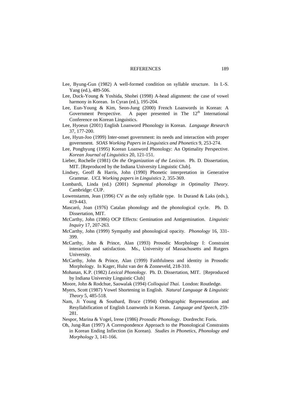- Lee, Byung-Gun (1982) A well-formed condition on syllable structure. In I.-S. Yang (ed.), 489-506.
- Lee, Duck-Young & Yoshida, Shohei (1998) A-head alignment: the case of vowel harmony in Korean. In Cyran (ed.), 195-204.
- Lee, Eun-Young & Kim, Seon-Jung (2000) French Loanwords in Korean: A Government Perspective. A paper presented in The  $12<sup>th</sup>$  International Conference on Korean Linguistics.
- Lee, Hyoeun (2001) English Loanword Phonology in Korean. *Language Research* 37, 177-200.
- Lee, Hyun-Joo (1999) Inter-onset government: its needs and interaction with proper government*. SOAS Working Papers in Linguistics and Phonetics* 9, 253-274.
- Lee, Ponghyung (1995) Korean Loanword Phonology: An Optimality Perspective. *Korean Journal of Linguistics* 20, 121-151.
- Lieber, Rochelle (1981) *On the Organization of the Lexicon*. Ph. D. Dissertation, MIT. [Reproduced by the Indiana University Linguistic Club].
- Lindsey, Geoff & Harris, John (1990) Phonetic interpretation in Generative Grammar. *UCL Working papers in Linguistics* 2, 355-369.
- Lombardi, Linda (ed.) (2001) *Segmental phonology in Optimality Theory*. Cambridge: CUP.
- Lowenstamm, Jean (1996) CV as the only syllable type. In Durand & Laks (eds.), 419-443.
- Mascaró, Joan (1976) Catalan phonology and the phonological cycle. Ph. D. Dissertation, MIT.
- McCarthy, John (1986) OCP Effects: Gemination and Antigemination. *Linguistic Inquiry* 17, 207-263.
- McCarthy, John (1999) Sympathy and phonological opacity. *Phonology* 16, 331- 399.
- McCarthy, John & Prince, Alan (1993) Prosodic Morphology I: Constraint interaction and satisfaction. Ms., University of Massachusetts and Rutgers University.
- McCarthy, John & Prince, Alan (1999) Faithfulness and identity in Prosodic Morphology. In Kager, Hulst van der & Zonneveld, 218-310.
- Mohanan, K.P. (1982) *Lexical Phonology*. Ph. D. Dissertation, MIT. [Reproduced by Indiana University Linguistic Club]
- Moore, John & Rodchue, Saowalak (1994) *Colloquial Thai.* London: Routledge.
- Myers, Scott (1987) Vowel Shortening in English. *Natural Language & Linguistic Theory* 5, 485-518.
- Nam, Ji Young & Southard, Bruce (1994) Orthographic Representation and Resyllabification of English Loanwords in Korean. *Language and Speech*, 259- 281.
- Nespor, Marina & Vogel, Irene (1986) *Prosodic Phonology*. Dordrecht: Foris.
- Oh, Jung-Ran (1997) A Correspondence Approach to the Phonological Constraints in Korean Ending Inflection (in Korean). *Studies in Phonetics, Phonology and Morphology* 3, 141-166.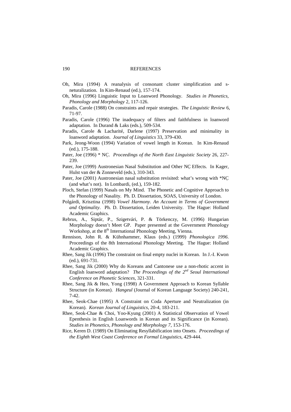- Oh, Mira (1994) A reanalysis of consonant cluster simplification and sneturalization. In Kim-Renaud (ed.), 157-174.
- Oh, Mira (1996) Linguistic Input to Loanword Phonology. *Studies in Phonetics, Phonology and Morphology* 2, 117-126.
- Paradis, Carole (1988) On constraints and repair strategies. *The Linguistic Review* 6, 71-97.
- Paradis, Carole (1996) The inadequacy of filters and faithfulness in loanword adaptation. In Durand & Laks (eds.), 509-534.
- Paradis, Carole & Lacharité, Darlene (1997) Preservation and minimality in loanword adaptation. *Journal of Linguistics* 33, 379-430.
- Park, Jeong-Woon (1994) Variation of vowel length in Korean. In Kim-Renaud (ed.), 175-188.
- Pater, Joe (1996) \* NC. *Proceedings of the North East Linguistic Society* 26, 227-239.
- Pater, Joe (1999) Austronesian Nasal Substitution and Other NC Effects. In Kager, Hulst van der & Zonneveld (eds.), 310-343.
- Pater, Joe (2001) Austronesian nasal substitution revisited: what's wrong with \*NC (and what's not). In Lombardi, (ed.), 159-182.
- Ploch, Stefan (1999) Nasals on My Mind. The Phonetic and Cognitive Approach to the Phonology of Nasality. Ph. D. Dissertation, SOAS, University of London.
- Polgárdi, Krisztina (1998) *Vowel Harmony*. *An Account in Terms of Government and Optimality*. Ph. D. Dissertation, Leiden University. The Hague: Holland Academic Graphics.
- Rebrus, A., Siptár, P., Szigetvári, P. & Törkenczy, M. (1996) Hungarian Morphology doesn't Meet GP. Paper presented at the Government Phonology Workshop, at the 8<sup>th</sup> International Phonology Meeting, Vienna.
- Rennison, John R. & Kühnhammer, Klaus (eds.) (1999) *Phonologica 1996*. Proceedings of the 8th International Phonology Meeting. The Hague: Holland Academic Graphics.
- Rhee, Sang Jik (1996) The constraint on final empty nuclei in Korean. In J.-I. Kwon (ed.), 691-731.
- Rhee, Sang Jik (2000) Why do Koreans and Cantonese use a non-rhotic accent in English loanword adaptation? *The Proceedings of the 2nd Seoul International Conference on Phonetic Sciences*, 321-331.
- Rhee, Sang Jik & Heo, Yong (1998) A Government Approach to Korean Syllable Structure (in Korean). *Hangeul* (Journal of Korean Language Society) 240-241, 7-42.
- Rhee, Seok-Chae (1995) A Constraint on Coda Aperture and Neutralization (in Korean). *Korean Journal of Linguistics*, 20-4, 183-211.
- Rhee, Seok-Chae & Choi, Yoo-Kyung (2001) A Statistical Observation of Vowel Epenthesis in English Loanwords in Korean and its Significance (in Korean). *Studies in Phonetics, Phonology and Morphology 7*, 153-176.
- Rice, Keren D. (1989) On Eliminating Resyllabification into Onsets. *Proceedings of the Eighth West Coast Conference on Formal Linguistics*, 429-444.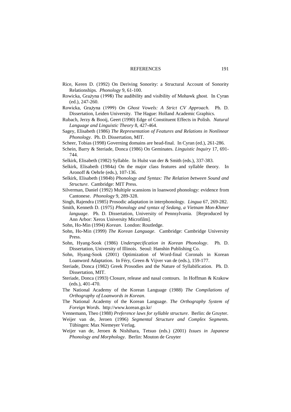- Rice, Keren D. (1992) On Deriving Sonority: a Structural Account of Sonority Relationships. *Phonology* 9, 61-100.
- Rowicka, Grazyna (1998) The audibility and visibility of Mohawk ghost. In Cyran (ed.), 247-260.
- Rowicka, Grażyna (1999) On Ghost Vowels: A Strict CV Approach. Ph. D. Dissertation, Leiden University. The Hague: Holland Academic Graphics.
- Rubach, Jerzy & Booij, Geert (1990) Edge of Constituent Effects in Polish. *Natural Language and Linguistic Theory* 8, 427-464.
- Sagey, Elisabeth (1986) *The Representation of Features and Relations in Nonlinear Phonology*. Ph. D. Dissertation, MIT.
- Scheer, Tobias (1998) Governing domains are head-final. In Cyran (ed.), 261-286.
- Schein, Barry & Steriade, Donca (1986) On Geminates. *Linguistic Inquiry* 17, 691- 744.
- Selkirk, Elisabeth (1982) Syllable. In Hulst van der & Smith (eds.), 337-383.
- Selkirk, Elisabeth (1984a) On the major class features and syllable theory. In Aronoff & Oehrle (eds.), 107-136.
- Selkirk, Elisabeth (1984b) *Phonology and Syntax: The Relation between Sound and Structure*. Cambridge: MIT Press.
- Silverman, Daniel (1992) Multiple scansions in loanword phonology: evidence from Cantonese. *Phonology* 9, 289-328.
- Singh, Rajendra (1985) Prosodic adaptation in interphonology. *Lingua* 67, 269-282.
- Smith, Kenneth D. (1975) *Phonology and syntax of Sedang, a Vietnam Mon-Khmer language*. Ph. D. Dissertation, University of Pennsylvania. [Reproduced by Ann Arbor: Xerox University Microfilm].
- Sohn, Ho-Min (1994) *Korean*. London: Routledge.
- Sohn, Ho-Min (1999) *The Korean Language*. Cambridge: Cambridge University Press.
- Sohn, Hyang-Sook (1986) *Underspecification in Korean Phonology*. Ph. D. Dissertation, University of Illinois. Seoul: Hanshin Publishing Co.
- Sohn, Hyang-Sook (2001) Optimization of Word-final Coronals in Korean Loanword Adaptation. In Féry, Green & Vijver van de (eds.), 159-177.
- Steriade, Donca (1982) Greek Prosodies and the Nature of Syllabification. Ph. D. Dissertation, MIT.
- Steriade, Donca (1993) Closure, release and nasal contours. In Hoffman & Krakow (eds.), 401-470.
- The National Academy of the Korean Language (1988) *The Compilations of Orthography of Loanwords in Korean*.
- The National Academy of the Korean Language. *The Orthography System of Foreign Word*s. http://www.korean.go.kr/
- Vennemann, Theo (1988) *Preference laws for syllable structure*. Berlin: de Gruyter.
- Weijer van de, Jeroen (1996) *Segmental Structure and Complex Segment*s. Tübingen: Max Niemeyer Verlag.
- Weijer van de, Jeroen & Nishihara, Tetsuo (eds.) (2001) *Issues in Japanese Phonology and Morphology*. Berlin: Mouton de Gruyter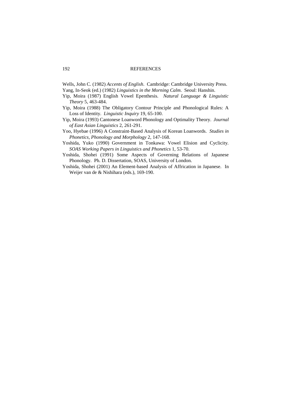Wells, John C. (1982) *Accents of English*. Cambridge: Cambridge University Press. Yang, In-Seok (ed.) (1982) *Linguistics in the Morning Calm*. Seoul: Hanshin.

- Yip, Moira (1987) English Vowel Epenthesis. *Natural Language & Linguistic Theory* 5, 463-484.
- Yip, Moira (1988) The Obligatory Contour Principle and Phonological Rules: A Loss of Identity. *Linguistic Inquiry* 19, 65-100.
- Yip, Moira (1993) Cantonese Loanword Phonology and Optimality Theory. *Journal of East Asian Linguistics* 2, 261-291.
- Yoo, Hyebae (1996) A Constraint-Based Analysis of Korean Loanwords. *Studies in Phonetics, Phonology and Morphology* 2, 147-168.
- Yoshida, Yuko (1990) Government in Tonkawa: Vowel Elision and Cyclicity*. SOAS Working Papers in Linguistics and Phonetics* 1, 53-70.
- Yoshida, Shohei (1991) Some Aspects of Governing Relations of Japanese Phonology. Ph. D. Dissertation, SOAS, University of London.
- Yoshida, Shohei (2001) An Element-based Analysis of Affrication in Japanese. In Weijer van de & Nishihara (eds.), 169-190.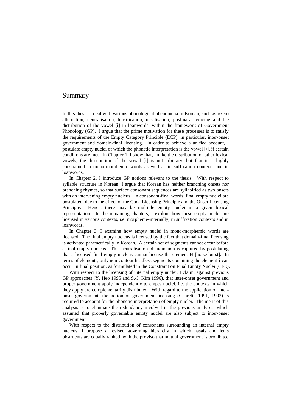### Summary

In this thesis, I deal with various phonological phenomena in Korean, such as  $\frac{1}{2}$ zero alternation, neutralisation, tensification, nasalisation, post-nasal voicing and the distribution of the vowel  $[i]$  in loanwords, within the framework of Government Phonology (GP). I argue that the prime motivation for these processes is to satisfy the requirements of the Empty Category Principle (ECP), in particular, inter-onset government and domain-final licensing. In order to achieve a unified account, I postulate empty nuclei of which the phonetic interpretation is the vowel  $[i]$ , if certain conditions are met. In Chapter 1, I show that, unlike the distribution of other lexical vowels, the distribution of the vowel [i] is not arbitrary, but that it is highly constrained in mono-morphemic words as well as in suffixation contexts and in loanwords.

In Chapter 2, I introduce GP notions relevant to the thesis. With respect to syllable structure in Korean, I argue that Korean has neither branching onsets nor branching rhymes, so that surface consonant sequences are syllabified as two onsets with an intervening empty nucleus. In consonant-final words, final empty nuclei are postulated, due to the effect of the Coda Licensing Principle and the Onset Licensing Principle. Hence, there may be multiple empty nuclei in a given lexical representation. In the remaining chapters, I explore how these empty nuclei are licensed in various contexts, i.e. morpheme-internally, in suffixation contexts and in loanwords.

 In Chapter 3, I examine how empty nuclei in mono-morphemic words are licensed. The final empty nucleus is licensed by the fact that domain-final licensing is activated parametrically in Korean. A certain set of segments cannot occur before a final empty nucleus. This neutralisation phenomenon is captured by postulating that a licensed final empty nucleus cannot license the element H [noise burst]. In terms of elements, only non-contour headless segments containing the element ? can occur in final position, as formulated in the Constraint on Final Empty Nuclei (CFE).

With respect to the licensing of internal empty nuclei, I claim, against previous GP approaches (Y. Heo 1995 and S.-J. Kim 1996), that inter-onset government and proper government apply independently to empty nuclei, i.e. the contexts in which they apply are complementarily distributed. With regard to the application of interonset government, the notion of government-licensing (Charette 1991, 1992) is required to account for the phonetic interpretation of empty nuclei. The merit of this analysis is to eliminate the redundancy involved in the previous analyses, which assumed that properly governable empty nuclei are also subject to inter-onset government.

With respect to the distribution of consonants surrounding an internal empty nucleus, I propose a revised governing hierarchy in which nasals and lenis obstruents are equally ranked, with the proviso that mutual government is prohibited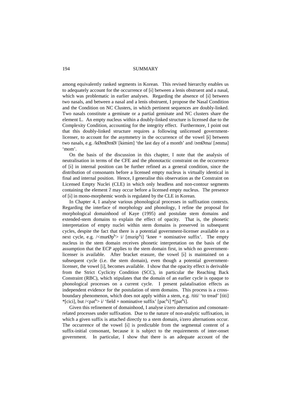194 SUMMARY

among equivalently ranked segments in Korean. This revised hierarchy enables us to adequately account for the occurrence of  $[i]$  between a lenis obstruent and a nasal, which was problematic in earlier analyses. Regarding the absence of  $[i]$  between two nasals, and between a nasal and a lenis obstruent, I propose the Nasal Condition and the Condition on NC Clusters, in which pertinent sequences are doubly-linked. Two nasals constitute a geminate or a partial geminate and NC clusters share the element L. An empty nucleus within a doubly-linked structure is licensed due to the Complexity Condition, accounting for the integrity effect. Furthermore, I point out that this doubly-linked structure requires a following unlicensed governmentlicenser, to account for the asymmetry in the occurrence of the vowel [i] between two nasals, e.g. /k $\emptyset$ m $\emptyset$ m $\emptyset$ / [kimim] 'the last day of a month' and /əm $\emptyset$ ma/ [əmma] 'mom'.

On the basis of the discussion in this chapter, I note that the analysis of neutralisation in terms of the CFE and the phonotactic constraint on the occurrence of  $[i]$  in internal position can be further refined as a general condition, since the distribution of consonants before a licensed empty nucleus is virtually identical in final and internal position. Hence, I generalise this observation as the Constraint on Licensed Empty Nuclei (CLE) in which only headless and non-contour segments containing the element ? may occur before a licensed empty nucleus. The presence of [i] in mono-morphemic words is regulated by the CLE in Korean.

 In Chapter 4, I analyse various phonological processes in suffixation contexts. Regarding the interface of morphology and phonology, I refine the proposal for morphological domainhood of Kaye (1995) and postulate stem domains and extended-stem domains to explain the effect of opacity. That is, the phonetic interpretation of empty nuclei within stem domains is preserved in subsequent cycles, despite the fact that there is a potential government-licenser available on a next cycle, e.g.  $\ell$ mur $\varnothing p^h$ > i/ [murip<sup>h</sup>i] 'knee + nominative suffix'. The empty nucleus in the stem domain receives phonetic interpretation on the basis of the assumption that the ECP applies to the stem domain first, in which no governmentlicenser is available. After bracket erasure, the vowel  $[i]$  is maintained on a subsequent cycle (i.e. the stem domain), even though a potential governmentlicenser, the vowel [i], becomes available. I show that the opacity effect is derivable from the Strict Cyclicity Condition (SCC), in particular the Reaching Back Constraint (RBC), which stipulates that the domain of an earlier cycle is opaque to phonological processes on a current cycle. I present palatalisation effects as independent evidence for the postulation of stem domains. This process is a crossboundary phenomenon, which does not apply within a stem, e.g. /titi/ 'to tread' [titi] \*[cici], but  $\ell$ pat<sup>h</sup>> i/ 'field + nominative suffix' [pac<sup>h</sup>i] \*[pat<sup>h</sup>i].

Given this refinement of domainhood, I analyse  $\frac{1}{2}$  /zero alternation and consonantrelated processes under suffixation. Due to the nature of non-analytic suffixation, in which a given suffix is attached directly to a stem domain,  $\frac{i}{z}$  zero alternations occur. The occurrence of the vowel  $[i]$  is predictable from the segmental content of a suffix-initial consonant, because it is subject to the requirements of inter-onset government. In particular, I show that there is an adequate account of the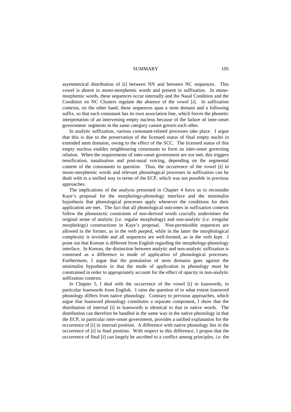#### SUMMARY 195

asymmetrical distribution of  $[i]$  between NN and between NC sequences. This vowel is absent in mono-morphemic words and present in suffixation. In monomorphemic words, these sequences occur internally and the Nasal Condition and the Condition on NC Clusters regulate the absence of the vowel [i]. In suffixation contexts, on the other hand, these sequences span a stem domain and a following suffix, so that each consonant has its own association line, which forces the phonetic interpretation of an intervening empty nucleus because of the failure of inter-onset government: segments in the same category cannot govern each other.

In analytic suffixation, various consonant-related processes take place. I argue that this is due to the preservation of the licensed status of final empty nuclei in extended stem domains, owing to the effect of the SCC. The licensed status of this empty nucleus enables neighbouring consonants to form an inter-onset governing relation. When the requirements of inter-onset government are not met, this triggers tensification, nasalisation and post-nasal voicing, depending on the segmental content of the consonants in question. Thus, the occurrence of the vowel  $[i]$  in mono-morphemic words and relevant phonological processes in suffixation can be dealt with in a unified way in terms of the ECP, which was not possible in previous approaches.

The implications of the analysis presented in Chapter 4 force us to reconsider Kaye's proposal for the morphology-phonology interface and the minimalist hypothesis that phonological processes apply whenever the conditions for their application are met. The fact that all phonological outcomes in suffixation contexts follow the phonotactic constraints of non-derived words crucially undermines the original sense of analytic (i.e. regular morphology) and non-analytic (i.e. irregular morphology) constructions in Kaye's proposal. Non-permissible sequences are allowed in the former, as in the verb *peeped*, while in the latter the morphological complexity is invisible and all sequences are well-formed, as in the verb *kept*. I point out that Korean is different from English regarding the morphology-phonology interface. In Korean, the distinction between analytic and non-analytic suffixation is construed as a difference in mode of application of phonological processes. Furthermore, I argue that the postulation of stem domains goes against the minimalist hypothesis in that the mode of application in phonology must be constrained in order to appropriately account for the effect of opacity in non-analytic suffixation contexts.

In Chapter 5, I deal with the occurrence of the vowel  $[i]$  in loanwords, in particular loanwords from English. I raise the question of to what extent loanword phonology differs from native phonology. Contrary to previous approaches, which argue that loanword phonology constitutes a separate component, I show that the distribution of internal [i] in loanwords is identical to that in native words. The distribution can therefore be handled in the same way in the native phonology in that the ECP, in particular inter-onset government, provides a unified explanation for the occurrence of  $[i]$  in internal position. A difference with native phonology lies in the occurrence of  $[i]$  in final position. With respect to this difference, I propos that the occurrence of final [i] can largely be ascribed to a conflict among principles, i.e. the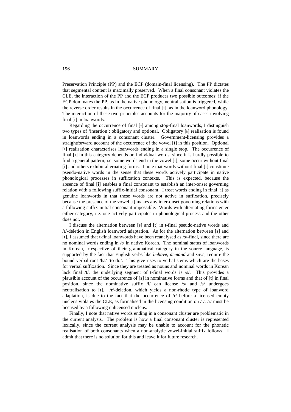196 SUMMARY

Preservation Principle (PP) and the ECP (domain-final licensing). The PP dictates that segmental content is maximally preserved. When a final consonant violates the CLE, the interaction of the PP and the ECP produces two possible outcomes: if the ECP dominates the PP, as in the native phonology, neutralisation is triggered, while the reverse order results in the occurrence of final  $[i]$ , as in the loanword phonology. The interaction of these two principles accounts for the majority of cases involving final  $[i]$  in loanwords.

Regarding the occurrence of final [i] among stop-final loanwords, I distinguish two types of 'insertion': obligatory and optional. Obligatory [i] realisation is found in loanwords ending in a consonant cluster. Government-licensing provides a straightforward account of the occurrence of the vowel [i] in this position. Optional [i] realisation characterises loanwords ending in a single stop. The occurrence of final [i] in this category depends on individual words, since it is hardly possible to find a general pattern, i.e. some words end in the vowel [i], some occur without final  $[i]$  and others exhibit alternating forms. I note that words without final  $[i]$  constitute pseudo-native words in the sense that these words actively participate in native phonological processes in suffixation contexts. This is expected, because the absence of final [i] enables a final consonant to establish an inter-onset governing relation with a following suffix-initial consonant. I treat words ending in final  $[i]$  as genuine loanwords in that these words are not active in suffixation, precisely because the presence of the vowel  $[i]$  makes any inter-onset governing relations with a following suffix-initial consonant impossible. Words with alternating forms enter either category, i.e. one actively participates in phonological process and the other does not.

I discuss the alternation between [s] and [t] in t-final pseudo-native words and /r/-deletion in English loanword adaptation. As for the alternation between [s] and [t], I assumed that t-final loanwords have been reanalysed as /s/-final, since there are no nominal words ending in /t/ in native Korean. The nominal status of loanwords in Korean, irrespective of their grammatical category in the source language, is supported by the fact that English verbs like *behave*, *demand* and *save*, require the bound verbal root /ha/ 'to do'. This give rises to verbal stems which are the bases for verbal suffixation. Since they are treated as nouns and nominal words in Korean lack final  $/t$ , the underlying segment of t-final words is  $/s$ . This provides a plausible account of the occurrence of [s] in nominative forms and that of [t] in final position, since the nominative suffix /i/ can license /s/ and /s/ undergoes neutralisation to [t]. /r/-deletion, which yields a non-rhotic type of loanword adaptation, is due to the fact that the occurrence of  $/r/$  before a licensed empty nucleus violates the CLE, as formalised in the licensing condition on /r/: /r/ must be licensed by a following unlicensed nucleus.

 Finally, I note that native words ending in a consonant cluster are problematic in the current analysis. The problem is how a final consonant cluster is represented lexically, since the current analysis may be unable to account for the phonetic realisation of both consonants when a non-analytic vowel-initial suffix follows. I admit that there is no solution for this and leave it for future research.